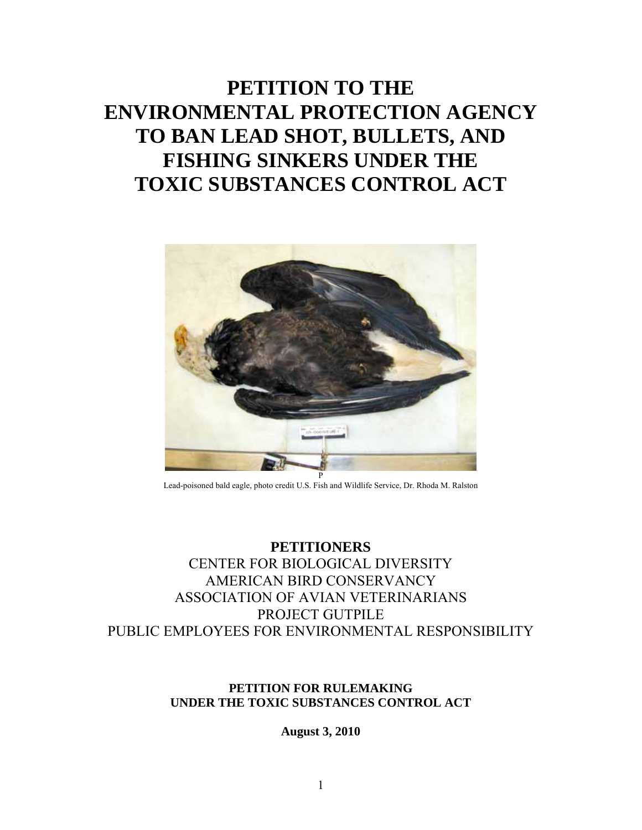# **PETITION TO THE ENVIRONMENTAL PROTECTION AGENCY TO BAN LEAD SHOT, BULLETS, AND FISHING SINKERS UNDER THE TOXIC SUBSTANCES CONTROL ACT**



Lead-poisoned bald eagle, photo credit U.S. Fish and Wildlife Service, Dr. Rhoda M. Ralston

# **PETITIONERS**  CENTER FOR BIOLOGICAL DIVERSITY AMERICAN BIRD CONSERVANCY ASSOCIATION OF AVIAN VETERINARIANS PROJECT GUTPILE PUBLIC EMPLOYEES FOR ENVIRONMENTAL RESPONSIBILITY

#### **PETITION FOR RULEMAKING UNDER THE TOXIC SUBSTANCES CONTROL ACT**

**August 3, 2010**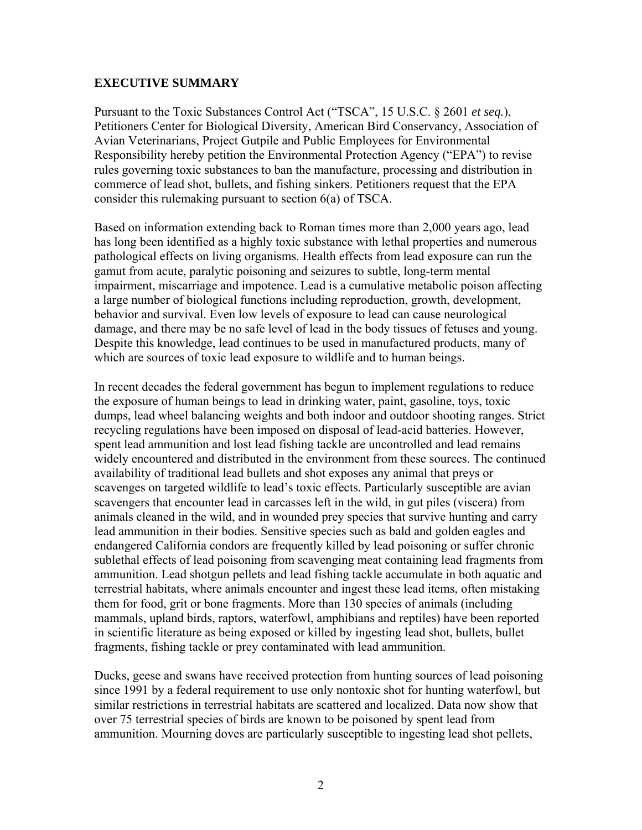#### **EXECUTIVE SUMMARY**

Pursuant to the Toxic Substances Control Act ("TSCA", 15 U.S.C. § 2601 *et seq.*), Petitioners Center for Biological Diversity, American Bird Conservancy, Association of Avian Veterinarians, Project Gutpile and Public Employees for Environmental Responsibility hereby petition the Environmental Protection Agency ("EPA") to revise rules governing toxic substances to ban the manufacture, processing and distribution in commerce of lead shot, bullets, and fishing sinkers. Petitioners request that the EPA consider this rulemaking pursuant to section 6(a) of TSCA.

Based on information extending back to Roman times more than 2,000 years ago, lead has long been identified as a highly toxic substance with lethal properties and numerous pathological effects on living organisms. Health effects from lead exposure can run the gamut from acute, paralytic poisoning and seizures to subtle, long-term mental impairment, miscarriage and impotence. Lead is a cumulative metabolic poison affecting a large number of biological functions including reproduction, growth, development, behavior and survival. Even low levels of exposure to lead can cause neurological damage, and there may be no safe level of lead in the body tissues of fetuses and young. Despite this knowledge, lead continues to be used in manufactured products, many of which are sources of toxic lead exposure to wildlife and to human beings.

In recent decades the federal government has begun to implement regulations to reduce the exposure of human beings to lead in drinking water, paint, gasoline, toys, toxic dumps, lead wheel balancing weights and both indoor and outdoor shooting ranges. Strict recycling regulations have been imposed on disposal of lead-acid batteries. However, spent lead ammunition and lost lead fishing tackle are uncontrolled and lead remains widely encountered and distributed in the environment from these sources. The continued availability of traditional lead bullets and shot exposes any animal that preys or scavenges on targeted wildlife to lead's toxic effects. Particularly susceptible are avian scavengers that encounter lead in carcasses left in the wild, in gut piles (viscera) from animals cleaned in the wild, and in wounded prey species that survive hunting and carry lead ammunition in their bodies. Sensitive species such as bald and golden eagles and endangered California condors are frequently killed by lead poisoning or suffer chronic sublethal effects of lead poisoning from scavenging meat containing lead fragments from ammunition. Lead shotgun pellets and lead fishing tackle accumulate in both aquatic and terrestrial habitats, where animals encounter and ingest these lead items, often mistaking them for food, grit or bone fragments. More than 130 species of animals (including mammals, upland birds, raptors, waterfowl, amphibians and reptiles) have been reported in scientific literature as being exposed or killed by ingesting lead shot, bullets, bullet fragments, fishing tackle or prey contaminated with lead ammunition.

Ducks, geese and swans have received protection from hunting sources of lead poisoning since 1991 by a federal requirement to use only nontoxic shot for hunting waterfowl, but similar restrictions in terrestrial habitats are scattered and localized. Data now show that over 75 terrestrial species of birds are known to be poisoned by spent lead from ammunition. Mourning doves are particularly susceptible to ingesting lead shot pellets,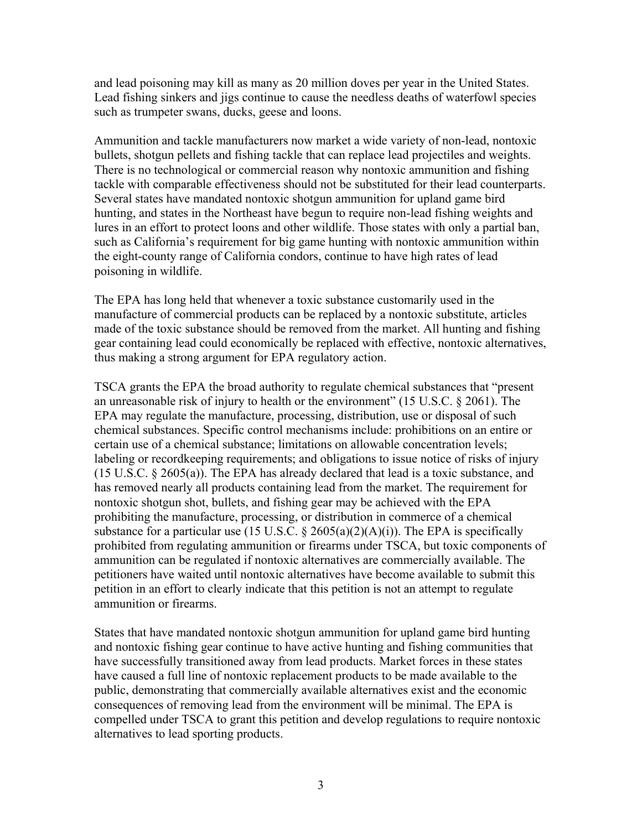and lead poisoning may kill as many as 20 million doves per year in the United States. Lead fishing sinkers and jigs continue to cause the needless deaths of waterfowl species such as trumpeter swans, ducks, geese and loons.

Ammunition and tackle manufacturers now market a wide variety of non-lead, nontoxic bullets, shotgun pellets and fishing tackle that can replace lead projectiles and weights. There is no technological or commercial reason why nontoxic ammunition and fishing tackle with comparable effectiveness should not be substituted for their lead counterparts. Several states have mandated nontoxic shotgun ammunition for upland game bird hunting, and states in the Northeast have begun to require non-lead fishing weights and lures in an effort to protect loons and other wildlife. Those states with only a partial ban, such as California's requirement for big game hunting with nontoxic ammunition within the eight-county range of California condors, continue to have high rates of lead poisoning in wildlife.

The EPA has long held that whenever a toxic substance customarily used in the manufacture of commercial products can be replaced by a nontoxic substitute, articles made of the toxic substance should be removed from the market. All hunting and fishing gear containing lead could economically be replaced with effective, nontoxic alternatives, thus making a strong argument for EPA regulatory action.

TSCA grants the EPA the broad authority to regulate chemical substances that "present an unreasonable risk of injury to health or the environment" (15 U.S.C. § 2061). The EPA may regulate the manufacture, processing, distribution, use or disposal of such chemical substances. Specific control mechanisms include: prohibitions on an entire or certain use of a chemical substance; limitations on allowable concentration levels; labeling or recordkeeping requirements; and obligations to issue notice of risks of injury (15 U.S.C. § 2605(a)). The EPA has already declared that lead is a toxic substance, and has removed nearly all products containing lead from the market. The requirement for nontoxic shotgun shot, bullets, and fishing gear may be achieved with the EPA prohibiting the manufacture, processing, or distribution in commerce of a chemical substance for a particular use (15 U.S.C.  $\S$  2605(a)(2)(A)(i)). The EPA is specifically prohibited from regulating ammunition or firearms under TSCA, but toxic components of ammunition can be regulated if nontoxic alternatives are commercially available. The petitioners have waited until nontoxic alternatives have become available to submit this petition in an effort to clearly indicate that this petition is not an attempt to regulate ammunition or firearms.

States that have mandated nontoxic shotgun ammunition for upland game bird hunting and nontoxic fishing gear continue to have active hunting and fishing communities that have successfully transitioned away from lead products. Market forces in these states have caused a full line of nontoxic replacement products to be made available to the public, demonstrating that commercially available alternatives exist and the economic consequences of removing lead from the environment will be minimal. The EPA is compelled under TSCA to grant this petition and develop regulations to require nontoxic alternatives to lead sporting products.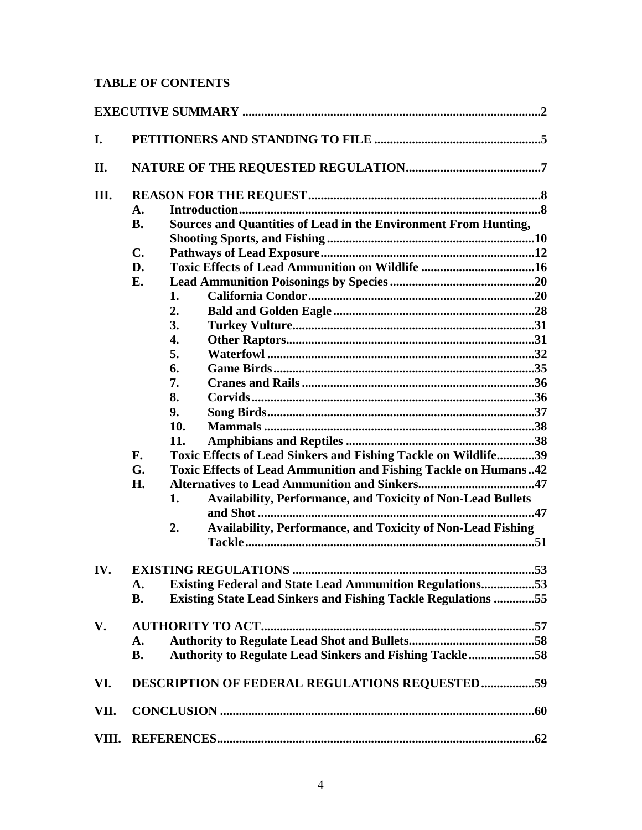# **TABLE OF CONTENTS**

| I.    |                                                |                                                                          |  |
|-------|------------------------------------------------|--------------------------------------------------------------------------|--|
| П.    |                                                |                                                                          |  |
| Ш.    |                                                |                                                                          |  |
|       | $\mathbf{A}$ .                                 |                                                                          |  |
|       | <b>B.</b>                                      | Sources and Quantities of Lead in the Environment From Hunting,          |  |
|       |                                                |                                                                          |  |
|       | $\mathbf{C}$ .                                 |                                                                          |  |
|       | D.                                             |                                                                          |  |
|       | E.                                             |                                                                          |  |
|       |                                                | 1.                                                                       |  |
|       |                                                | 2.                                                                       |  |
|       |                                                | 3.                                                                       |  |
|       |                                                | 4.                                                                       |  |
|       |                                                | 5.                                                                       |  |
|       |                                                | 6.                                                                       |  |
|       |                                                | 7.                                                                       |  |
|       |                                                | 8.                                                                       |  |
|       |                                                | 9.                                                                       |  |
|       |                                                | 10.                                                                      |  |
|       |                                                | 11.                                                                      |  |
|       | F.                                             | Toxic Effects of Lead Sinkers and Fishing Tackle on Wildlife39           |  |
|       | G.                                             | Toxic Effects of Lead Ammunition and Fishing Tackle on Humans42          |  |
|       | H.                                             |                                                                          |  |
|       |                                                | <b>Availability, Performance, and Toxicity of Non-Lead Bullets</b><br>1. |  |
|       |                                                | <b>Availability, Performance, and Toxicity of Non-Lead Fishing</b><br>2. |  |
|       |                                                |                                                                          |  |
| IV.   |                                                |                                                                          |  |
|       | A.                                             | <b>Existing Federal and State Lead Ammunition Regulations53</b>          |  |
|       | <b>B.</b>                                      | <b>Existing State Lead Sinkers and Fishing Tackle Regulations 55</b>     |  |
| V.    |                                                |                                                                          |  |
|       | A.                                             |                                                                          |  |
|       | <b>B.</b>                                      | <b>Authority to Regulate Lead Sinkers and Fishing Tackle58</b>           |  |
| VI.   | DESCRIPTION OF FEDERAL REGULATIONS REQUESTED59 |                                                                          |  |
| VII.  |                                                |                                                                          |  |
| VIII. |                                                |                                                                          |  |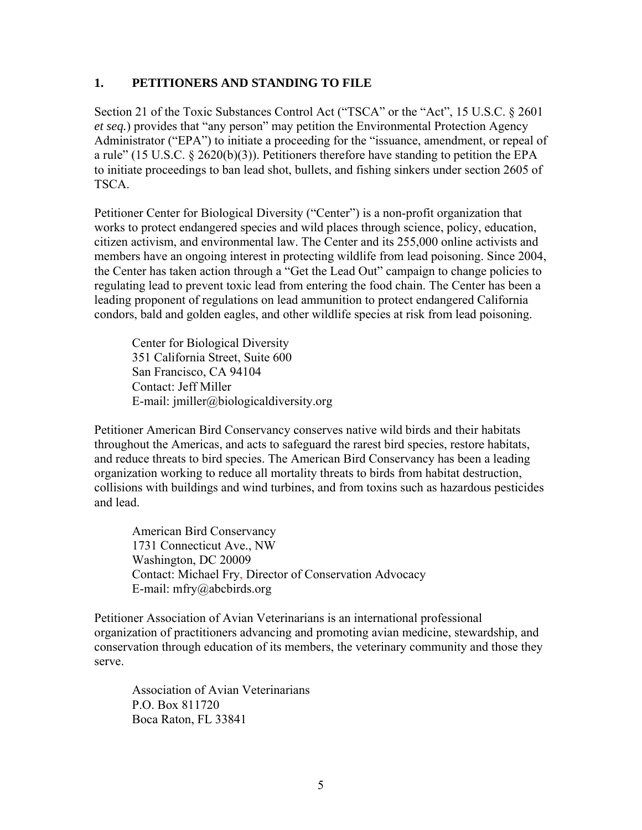#### **1. PETITIONERS AND STANDING TO FILE**

Section 21 of the Toxic Substances Control Act ("TSCA" or the "Act", 15 U.S.C. § 2601 *et seq.*) provides that "any person" may petition the Environmental Protection Agency Administrator ("EPA") to initiate a proceeding for the "issuance, amendment, or repeal of a rule" (15 U.S.C.  $\S$  2620(b)(3)). Petitioners therefore have standing to petition the EPA to initiate proceedings to ban lead shot, bullets, and fishing sinkers under section 2605 of TSCA.

Petitioner Center for Biological Diversity ("Center") is a non-profit organization that works to protect endangered species and wild places through science, policy, education, citizen activism, and environmental law. The Center and its 255,000 online activists and members have an ongoing interest in protecting wildlife from lead poisoning. Since 2004, the Center has taken action through a "Get the Lead Out" campaign to change policies to regulating lead to prevent toxic lead from entering the food chain. The Center has been a leading proponent of regulations on lead ammunition to protect endangered California condors, bald and golden eagles, and other wildlife species at risk from lead poisoning.

Center for Biological Diversity 351 California Street, Suite 600 San Francisco, CA 94104 Contact: Jeff Miller E-mail: jmiller@biologicaldiversity.org

Petitioner American Bird Conservancy conserves native wild birds and their habitats throughout the Americas, and acts to safeguard the rarest bird species, restore habitats, and reduce threats to bird species. The American Bird Conservancy has been a leading organization working to reduce all mortality threats to birds from habitat destruction, collisions with buildings and wind turbines, and from toxins such as hazardous pesticides and lead.

American Bird Conservancy 1731 Connecticut Ave., NW Washington, DC 20009 Contact: Michael Fry, Director of Conservation Advocacy E-mail: mfry@abcbirds.org

Petitioner Association of Avian Veterinarians is an international professional organization of practitioners advancing and promoting avian medicine, stewardship, and conservation through education of its members, the veterinary community and those they serve.

Association of Avian Veterinarians P.O. Box 811720 Boca Raton, FL 33841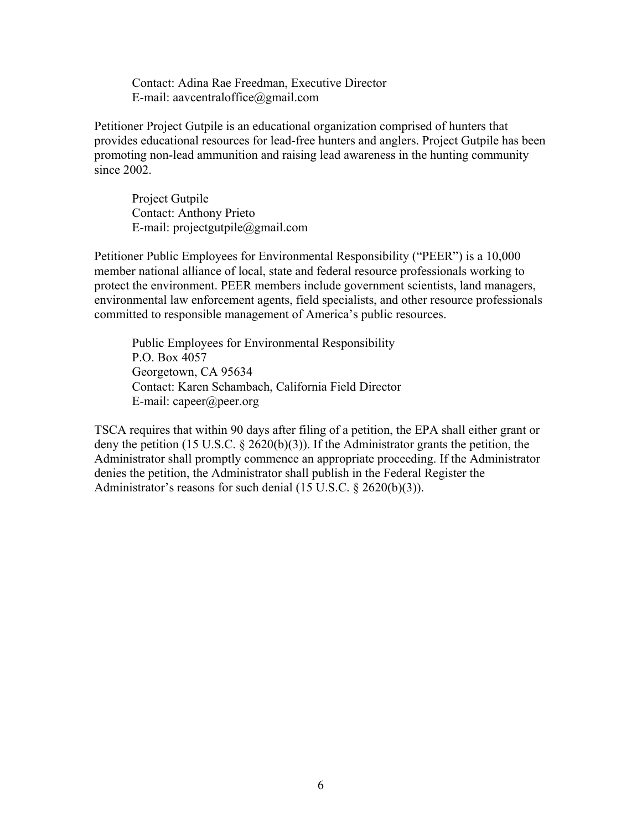Contact: Adina Rae Freedman, Executive Director E-mail: aavcentraloffice@gmail.com

Petitioner Project Gutpile is an educational organization comprised of hunters that provides educational resources for lead-free hunters and anglers. Project Gutpile has been promoting non-lead ammunition and raising lead awareness in the hunting community since 2002.

Project Gutpile Contact: Anthony Prieto E-mail: projectgutpile@gmail.com

Petitioner Public Employees for Environmental Responsibility ("PEER") is a 10,000 member national alliance of local, state and federal resource professionals working to protect the environment. PEER members include government scientists, land managers, environmental law enforcement agents, field specialists, and other resource professionals committed to responsible management of America's public resources.

Public Employees for Environmental Responsibility P.O. Box 4057 Georgetown, CA 95634 Contact: Karen Schambach, California Field Director E-mail: capeer@peer.org

TSCA requires that within 90 days after filing of a petition, the EPA shall either grant or deny the petition (15 U.S.C. § 2620(b)(3)). If the Administrator grants the petition, the Administrator shall promptly commence an appropriate proceeding. If the Administrator denies the petition, the Administrator shall publish in the Federal Register the Administrator's reasons for such denial (15 U.S.C. § 2620(b)(3)).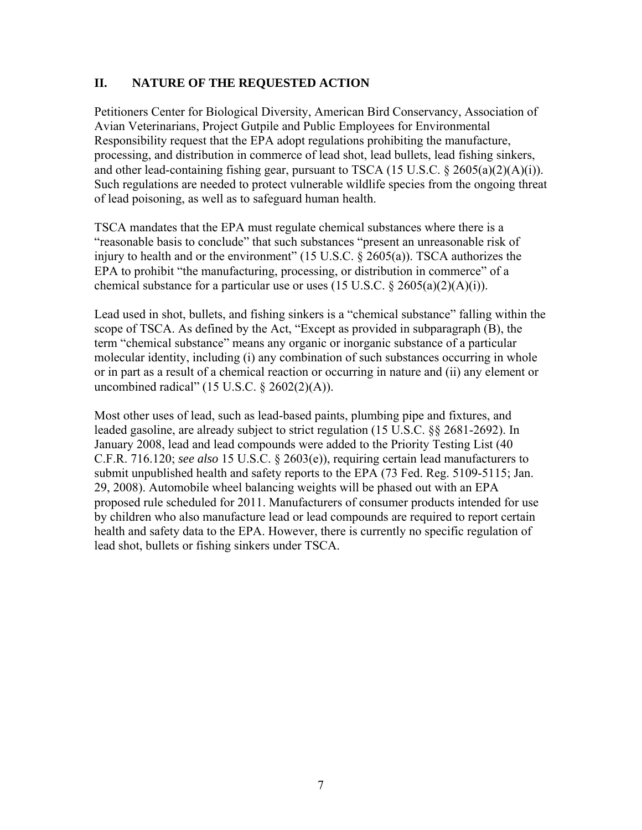# **II. NATURE OF THE REQUESTED ACTION**

Petitioners Center for Biological Diversity, American Bird Conservancy, Association of Avian Veterinarians, Project Gutpile and Public Employees for Environmental Responsibility request that the EPA adopt regulations prohibiting the manufacture, processing, and distribution in commerce of lead shot, lead bullets, lead fishing sinkers, and other lead-containing fishing gear, pursuant to TSCA (15 U.S.C. § 2605(a)(2)(A)(i)). Such regulations are needed to protect vulnerable wildlife species from the ongoing threat of lead poisoning, as well as to safeguard human health.

TSCA mandates that the EPA must regulate chemical substances where there is a "reasonable basis to conclude" that such substances "present an unreasonable risk of injury to health and or the environment" (15 U.S.C. § 2605(a)). TSCA authorizes the EPA to prohibit "the manufacturing, processing, or distribution in commerce" of a chemical substance for a particular use or uses  $(15 \text{ U.S.C.} \& 2605(a)(2)(\text{A})(i))$ .

Lead used in shot, bullets, and fishing sinkers is a "chemical substance" falling within the scope of TSCA. As defined by the Act, "Except as provided in subparagraph (B), the term "chemical substance" means any organic or inorganic substance of a particular molecular identity, including (i) any combination of such substances occurring in whole or in part as a result of a chemical reaction or occurring in nature and (ii) any element or uncombined radical" (15 U.S.C. § 2602(2)(A)).

Most other uses of lead, such as lead-based paints, plumbing pipe and fixtures, and leaded gasoline, are already subject to strict regulation (15 U.S.C. §§ 2681-2692). In January 2008, lead and lead compounds were added to the Priority Testing List (40 C.F.R. 716.120; *see also* 15 U.S.C. § 2603(e)), requiring certain lead manufacturers to submit unpublished health and safety reports to the EPA (73 Fed. Reg. 5109-5115; Jan. 29, 2008). Automobile wheel balancing weights will be phased out with an EPA proposed rule scheduled for 2011. Manufacturers of consumer products intended for use by children who also manufacture lead or lead compounds are required to report certain health and safety data to the EPA. However, there is currently no specific regulation of lead shot, bullets or fishing sinkers under TSCA.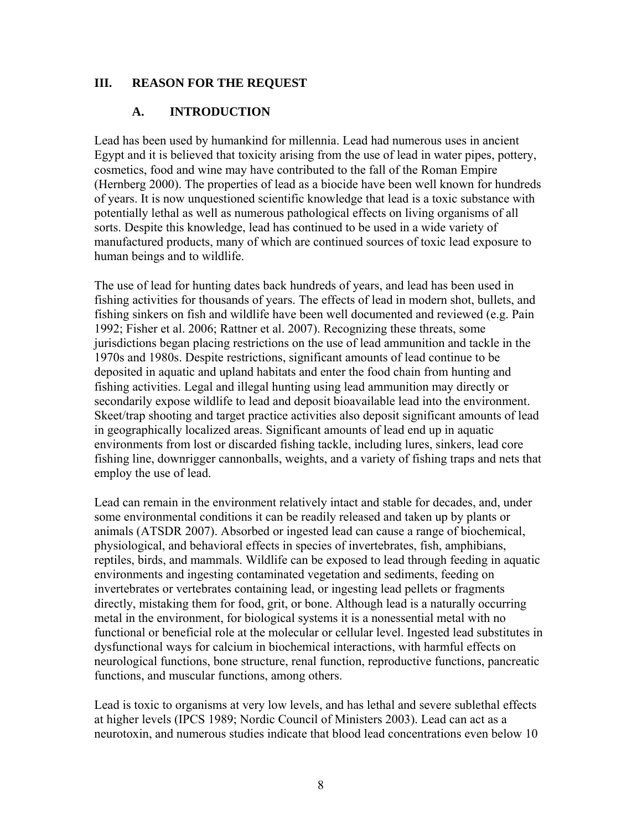# **III. REASON FOR THE REQUEST**

# **A. INTRODUCTION**

Lead has been used by humankind for millennia. Lead had numerous uses in ancient Egypt and it is believed that toxicity arising from the use of lead in water pipes, pottery, cosmetics, food and wine may have contributed to the fall of the Roman Empire (Hernberg 2000). The properties of lead as a biocide have been well known for hundreds of years. It is now unquestioned scientific knowledge that lead is a toxic substance with potentially lethal as well as numerous pathological effects on living organisms of all sorts. Despite this knowledge, lead has continued to be used in a wide variety of manufactured products, many of which are continued sources of toxic lead exposure to human beings and to wildlife.

The use of lead for hunting dates back hundreds of years, and lead has been used in fishing activities for thousands of years. The effects of lead in modern shot, bullets, and fishing sinkers on fish and wildlife have been well documented and reviewed (e.g. Pain 1992; Fisher et al. 2006; Rattner et al. 2007). Recognizing these threats, some jurisdictions began placing restrictions on the use of lead ammunition and tackle in the 1970s and 1980s. Despite restrictions, significant amounts of lead continue to be deposited in aquatic and upland habitats and enter the food chain from hunting and fishing activities. Legal and illegal hunting using lead ammunition may directly or secondarily expose wildlife to lead and deposit bioavailable lead into the environment. Skeet/trap shooting and target practice activities also deposit significant amounts of lead in geographically localized areas. Significant amounts of lead end up in aquatic environments from lost or discarded fishing tackle, including lures, sinkers, lead core fishing line, downrigger cannonballs, weights, and a variety of fishing traps and nets that employ the use of lead.

Lead can remain in the environment relatively intact and stable for decades, and, under some environmental conditions it can be readily released and taken up by plants or animals (ATSDR 2007). Absorbed or ingested lead can cause a range of biochemical, physiological, and behavioral effects in species of invertebrates, fish, amphibians, reptiles, birds, and mammals. Wildlife can be exposed to lead through feeding in aquatic environments and ingesting contaminated vegetation and sediments, feeding on invertebrates or vertebrates containing lead, or ingesting lead pellets or fragments directly, mistaking them for food, grit, or bone. Although lead is a naturally occurring metal in the environment, for biological systems it is a nonessential metal with no functional or beneficial role at the molecular or cellular level. Ingested lead substitutes in dysfunctional ways for calcium in biochemical interactions, with harmful effects on neurological functions, bone structure, renal function, reproductive functions, pancreatic functions, and muscular functions, among others.

Lead is toxic to organisms at very low levels, and has lethal and severe sublethal effects at higher levels (IPCS 1989; Nordic Council of Ministers 2003). Lead can act as a neurotoxin, and numerous studies indicate that blood lead concentrations even below 10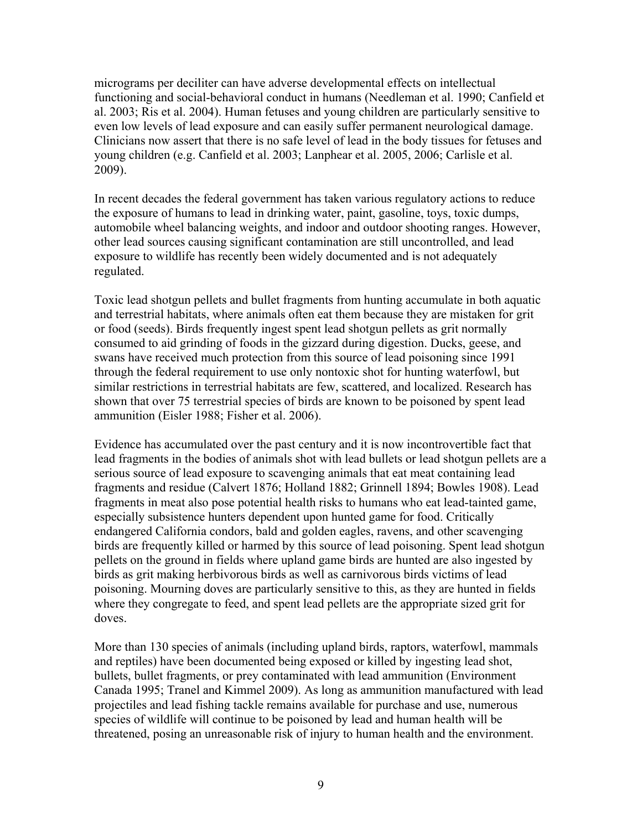micrograms per deciliter can have adverse developmental effects on intellectual functioning and social-behavioral conduct in humans (Needleman et al. 1990; Canfield et al. 2003; Ris et al. 2004). Human fetuses and young children are particularly sensitive to even low levels of lead exposure and can easily suffer permanent neurological damage. Clinicians now assert that there is no safe level of lead in the body tissues for fetuses and young children (e.g. Canfield et al. 2003; Lanphear et al. 2005, 2006; Carlisle et al. 2009).

In recent decades the federal government has taken various regulatory actions to reduce the exposure of humans to lead in drinking water, paint, gasoline, toys, toxic dumps, automobile wheel balancing weights, and indoor and outdoor shooting ranges. However, other lead sources causing significant contamination are still uncontrolled, and lead exposure to wildlife has recently been widely documented and is not adequately regulated.

Toxic lead shotgun pellets and bullet fragments from hunting accumulate in both aquatic and terrestrial habitats, where animals often eat them because they are mistaken for grit or food (seeds). Birds frequently ingest spent lead shotgun pellets as grit normally consumed to aid grinding of foods in the gizzard during digestion. Ducks, geese, and swans have received much protection from this source of lead poisoning since 1991 through the federal requirement to use only nontoxic shot for hunting waterfowl, but similar restrictions in terrestrial habitats are few, scattered, and localized. Research has shown that over 75 terrestrial species of birds are known to be poisoned by spent lead ammunition (Eisler 1988; Fisher et al. 2006).

Evidence has accumulated over the past century and it is now incontrovertible fact that lead fragments in the bodies of animals shot with lead bullets or lead shotgun pellets are a serious source of lead exposure to scavenging animals that eat meat containing lead fragments and residue (Calvert 1876; Holland 1882; Grinnell 1894; Bowles 1908). Lead fragments in meat also pose potential health risks to humans who eat lead-tainted game, especially subsistence hunters dependent upon hunted game for food. Critically endangered California condors, bald and golden eagles, ravens, and other scavenging birds are frequently killed or harmed by this source of lead poisoning. Spent lead shotgun pellets on the ground in fields where upland game birds are hunted are also ingested by birds as grit making herbivorous birds as well as carnivorous birds victims of lead poisoning. Mourning doves are particularly sensitive to this, as they are hunted in fields where they congregate to feed, and spent lead pellets are the appropriate sized grit for doves.

More than 130 species of animals (including upland birds, raptors, waterfowl, mammals and reptiles) have been documented being exposed or killed by ingesting lead shot, bullets, bullet fragments, or prey contaminated with lead ammunition (Environment Canada 1995; Tranel and Kimmel 2009). As long as ammunition manufactured with lead projectiles and lead fishing tackle remains available for purchase and use, numerous species of wildlife will continue to be poisoned by lead and human health will be threatened, posing an unreasonable risk of injury to human health and the environment.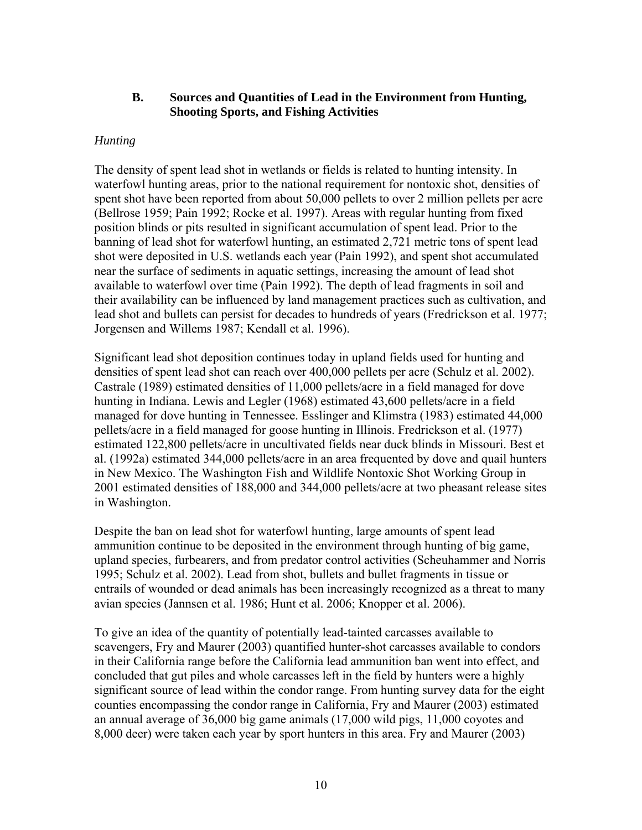## **B. Sources and Quantities of Lead in the Environment from Hunting, Shooting Sports, and Fishing Activities**

## *Hunting*

The density of spent lead shot in wetlands or fields is related to hunting intensity. In waterfowl hunting areas, prior to the national requirement for nontoxic shot, densities of spent shot have been reported from about 50,000 pellets to over 2 million pellets per acre (Bellrose 1959; Pain 1992; Rocke et al. 1997). Areas with regular hunting from fixed position blinds or pits resulted in significant accumulation of spent lead. Prior to the banning of lead shot for waterfowl hunting, an estimated 2,721 metric tons of spent lead shot were deposited in U.S. wetlands each year (Pain 1992), and spent shot accumulated near the surface of sediments in aquatic settings, increasing the amount of lead shot available to waterfowl over time (Pain 1992). The depth of lead fragments in soil and their availability can be influenced by land management practices such as cultivation, and lead shot and bullets can persist for decades to hundreds of years (Fredrickson et al. 1977; Jorgensen and Willems 1987; Kendall et al. 1996).

Significant lead shot deposition continues today in upland fields used for hunting and densities of spent lead shot can reach over 400,000 pellets per acre (Schulz et al. 2002). Castrale (1989) estimated densities of 11,000 pellets/acre in a field managed for dove hunting in Indiana. Lewis and Legler (1968) estimated 43,600 pellets/acre in a field managed for dove hunting in Tennessee. Esslinger and Klimstra (1983) estimated 44,000 pellets/acre in a field managed for goose hunting in Illinois. Fredrickson et al. (1977) estimated 122,800 pellets/acre in uncultivated fields near duck blinds in Missouri. Best et al. (1992a) estimated 344,000 pellets/acre in an area frequented by dove and quail hunters in New Mexico. The Washington Fish and Wildlife Nontoxic Shot Working Group in 2001 estimated densities of 188,000 and 344,000 pellets/acre at two pheasant release sites in Washington.

Despite the ban on lead shot for waterfowl hunting, large amounts of spent lead ammunition continue to be deposited in the environment through hunting of big game, upland species, furbearers, and from predator control activities (Scheuhammer and Norris 1995; Schulz et al. 2002). Lead from shot, bullets and bullet fragments in tissue or entrails of wounded or dead animals has been increasingly recognized as a threat to many avian species (Jannsen et al. 1986; Hunt et al. 2006; Knopper et al. 2006).

To give an idea of the quantity of potentially lead-tainted carcasses available to scavengers, Fry and Maurer (2003) quantified hunter-shot carcasses available to condors in their California range before the California lead ammunition ban went into effect, and concluded that gut piles and whole carcasses left in the field by hunters were a highly significant source of lead within the condor range. From hunting survey data for the eight counties encompassing the condor range in California, Fry and Maurer (2003) estimated an annual average of 36,000 big game animals (17,000 wild pigs, 11,000 coyotes and 8,000 deer) were taken each year by sport hunters in this area. Fry and Maurer (2003)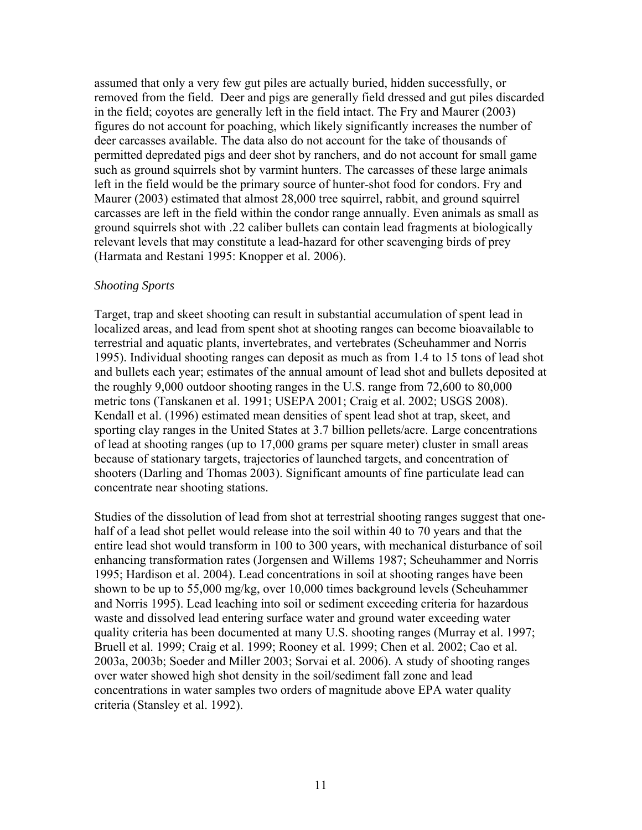assumed that only a very few gut piles are actually buried, hidden successfully, or removed from the field. Deer and pigs are generally field dressed and gut piles discarded in the field; coyotes are generally left in the field intact. The Fry and Maurer (2003) figures do not account for poaching, which likely significantly increases the number of deer carcasses available. The data also do not account for the take of thousands of permitted depredated pigs and deer shot by ranchers, and do not account for small game such as ground squirrels shot by varmint hunters. The carcasses of these large animals left in the field would be the primary source of hunter-shot food for condors. Fry and Maurer (2003) estimated that almost 28,000 tree squirrel, rabbit, and ground squirrel carcasses are left in the field within the condor range annually. Even animals as small as ground squirrels shot with .22 caliber bullets can contain lead fragments at biologically relevant levels that may constitute a lead-hazard for other scavenging birds of prey (Harmata and Restani 1995: Knopper et al. 2006).

#### *Shooting Sports*

Target, trap and skeet shooting can result in substantial accumulation of spent lead in localized areas, and lead from spent shot at shooting ranges can become bioavailable to terrestrial and aquatic plants, invertebrates, and vertebrates (Scheuhammer and Norris 1995). Individual shooting ranges can deposit as much as from 1.4 to 15 tons of lead shot and bullets each year; estimates of the annual amount of lead shot and bullets deposited at the roughly 9,000 outdoor shooting ranges in the U.S. range from 72,600 to 80,000 metric tons (Tanskanen et al. 1991; USEPA 2001; Craig et al. 2002; USGS 2008). Kendall et al. (1996) estimated mean densities of spent lead shot at trap, skeet, and sporting clay ranges in the United States at 3.7 billion pellets/acre. Large concentrations of lead at shooting ranges (up to 17,000 grams per square meter) cluster in small areas because of stationary targets, trajectories of launched targets, and concentration of shooters (Darling and Thomas 2003). Significant amounts of fine particulate lead can concentrate near shooting stations.

Studies of the dissolution of lead from shot at terrestrial shooting ranges suggest that onehalf of a lead shot pellet would release into the soil within 40 to 70 years and that the entire lead shot would transform in 100 to 300 years, with mechanical disturbance of soil enhancing transformation rates (Jorgensen and Willems 1987; Scheuhammer and Norris 1995; Hardison et al. 2004). Lead concentrations in soil at shooting ranges have been shown to be up to 55,000 mg/kg, over 10,000 times background levels (Scheuhammer and Norris 1995). Lead leaching into soil or sediment exceeding criteria for hazardous waste and dissolved lead entering surface water and ground water exceeding water quality criteria has been documented at many U.S. shooting ranges (Murray et al. 1997; Bruell et al. 1999; Craig et al. 1999; Rooney et al. 1999; Chen et al. 2002; Cao et al. 2003a, 2003b; Soeder and Miller 2003; Sorvai et al. 2006). A study of shooting ranges over water showed high shot density in the soil/sediment fall zone and lead concentrations in water samples two orders of magnitude above EPA water quality criteria (Stansley et al. 1992).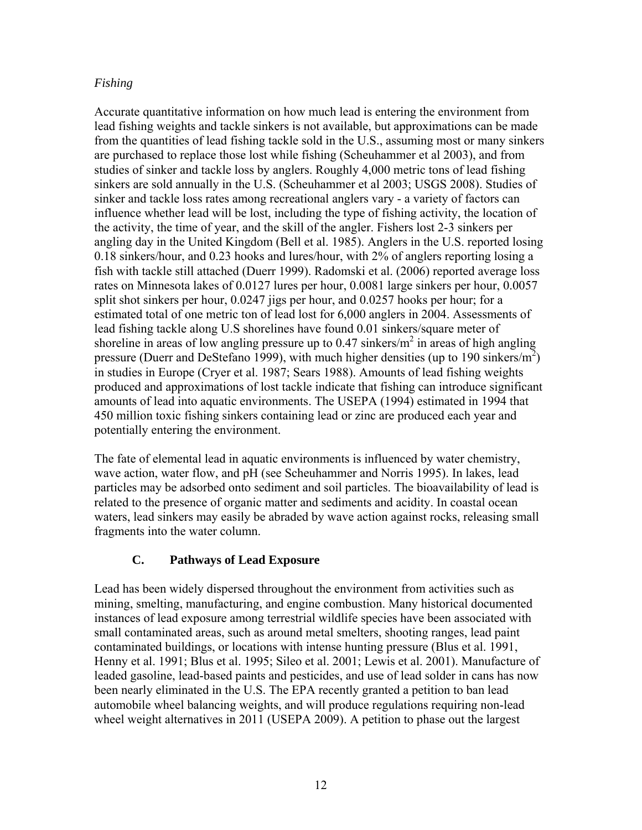# *Fishing*

Accurate quantitative information on how much lead is entering the environment from lead fishing weights and tackle sinkers is not available, but approximations can be made from the quantities of lead fishing tackle sold in the U.S., assuming most or many sinkers are purchased to replace those lost while fishing (Scheuhammer et al 2003), and from studies of sinker and tackle loss by anglers. Roughly 4,000 metric tons of lead fishing sinkers are sold annually in the U.S. (Scheuhammer et al 2003; USGS 2008). Studies of sinker and tackle loss rates among recreational anglers vary - a variety of factors can influence whether lead will be lost, including the type of fishing activity, the location of the activity, the time of year, and the skill of the angler. Fishers lost 2-3 sinkers per angling day in the United Kingdom (Bell et al. 1985). Anglers in the U.S. reported losing 0.18 sinkers/hour, and 0.23 hooks and lures/hour, with 2% of anglers reporting losing a fish with tackle still attached (Duerr 1999). Radomski et al. (2006) reported average loss rates on Minnesota lakes of 0.0127 lures per hour, 0.0081 large sinkers per hour, 0.0057 split shot sinkers per hour, 0.0247 jigs per hour, and 0.0257 hooks per hour; for a estimated total of one metric ton of lead lost for 6,000 anglers in 2004. Assessments of lead fishing tackle along U.S shorelines have found 0.01 sinkers/square meter of shoreline in areas of low angling pressure up to 0.47 sinkers/ $m^2$  in areas of high angling pressure (Duerr and DeStefano 1999), with much higher densities (up to 190 sinkers/m<sup>2</sup>) in studies in Europe (Cryer et al. 1987; Sears 1988). Amounts of lead fishing weights produced and approximations of lost tackle indicate that fishing can introduce significant amounts of lead into aquatic environments. The USEPA (1994) estimated in 1994 that 450 million toxic fishing sinkers containing lead or zinc are produced each year and potentially entering the environment.

The fate of elemental lead in aquatic environments is influenced by water chemistry, wave action, water flow, and pH (see Scheuhammer and Norris 1995). In lakes, lead particles may be adsorbed onto sediment and soil particles. The bioavailability of lead is related to the presence of organic matter and sediments and acidity. In coastal ocean waters, lead sinkers may easily be abraded by wave action against rocks, releasing small fragments into the water column.

# **C. Pathways of Lead Exposure**

Lead has been widely dispersed throughout the environment from activities such as mining, smelting, manufacturing, and engine combustion. Many historical documented instances of lead exposure among terrestrial wildlife species have been associated with small contaminated areas, such as around metal smelters, shooting ranges, lead paint contaminated buildings, or locations with intense hunting pressure (Blus et al. 1991, Henny et al. 1991; Blus et al. 1995; Sileo et al. 2001; Lewis et al. 2001). Manufacture of leaded gasoline, lead-based paints and pesticides, and use of lead solder in cans has now been nearly eliminated in the U.S. The EPA recently granted a petition to ban lead automobile wheel balancing weights, and will produce regulations requiring non-lead wheel weight alternatives in 2011 (USEPA 2009). A petition to phase out the largest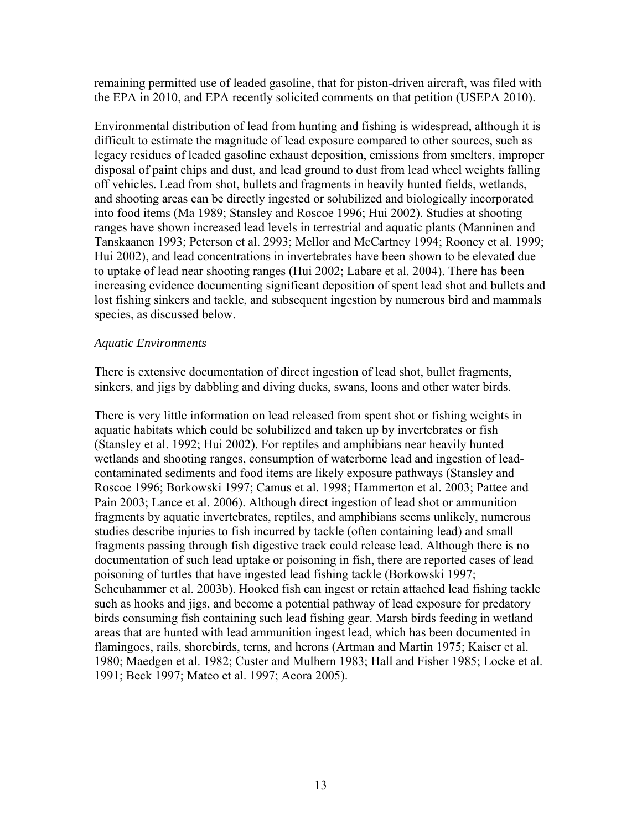remaining permitted use of leaded gasoline, that for piston-driven aircraft, was filed with the EPA in 2010, and EPA recently solicited comments on that petition (USEPA 2010).

Environmental distribution of lead from hunting and fishing is widespread, although it is difficult to estimate the magnitude of lead exposure compared to other sources, such as legacy residues of leaded gasoline exhaust deposition, emissions from smelters, improper disposal of paint chips and dust, and lead ground to dust from lead wheel weights falling off vehicles. Lead from shot, bullets and fragments in heavily hunted fields, wetlands, and shooting areas can be directly ingested or solubilized and biologically incorporated into food items (Ma 1989; Stansley and Roscoe 1996; Hui 2002). Studies at shooting ranges have shown increased lead levels in terrestrial and aquatic plants (Manninen and Tanskaanen 1993; Peterson et al. 2993; Mellor and McCartney 1994; Rooney et al. 1999; Hui 2002), and lead concentrations in invertebrates have been shown to be elevated due to uptake of lead near shooting ranges (Hui 2002; Labare et al. 2004). There has been increasing evidence documenting significant deposition of spent lead shot and bullets and lost fishing sinkers and tackle, and subsequent ingestion by numerous bird and mammals species, as discussed below.

#### *Aquatic Environments*

There is extensive documentation of direct ingestion of lead shot, bullet fragments, sinkers, and jigs by dabbling and diving ducks, swans, loons and other water birds.

There is very little information on lead released from spent shot or fishing weights in aquatic habitats which could be solubilized and taken up by invertebrates or fish (Stansley et al. 1992; Hui 2002). For reptiles and amphibians near heavily hunted wetlands and shooting ranges, consumption of waterborne lead and ingestion of leadcontaminated sediments and food items are likely exposure pathways (Stansley and Roscoe 1996; Borkowski 1997; Camus et al. 1998; Hammerton et al. 2003; Pattee and Pain 2003; Lance et al. 2006). Although direct ingestion of lead shot or ammunition fragments by aquatic invertebrates, reptiles, and amphibians seems unlikely, numerous studies describe injuries to fish incurred by tackle (often containing lead) and small fragments passing through fish digestive track could release lead. Although there is no documentation of such lead uptake or poisoning in fish, there are reported cases of lead poisoning of turtles that have ingested lead fishing tackle (Borkowski 1997; Scheuhammer et al. 2003b). Hooked fish can ingest or retain attached lead fishing tackle such as hooks and jigs, and become a potential pathway of lead exposure for predatory birds consuming fish containing such lead fishing gear. Marsh birds feeding in wetland areas that are hunted with lead ammunition ingest lead, which has been documented in flamingoes, rails, shorebirds, terns, and herons (Artman and Martin 1975; Kaiser et al. 1980; Maedgen et al. 1982; Custer and Mulhern 1983; Hall and Fisher 1985; Locke et al. 1991; Beck 1997; Mateo et al. 1997; Acora 2005).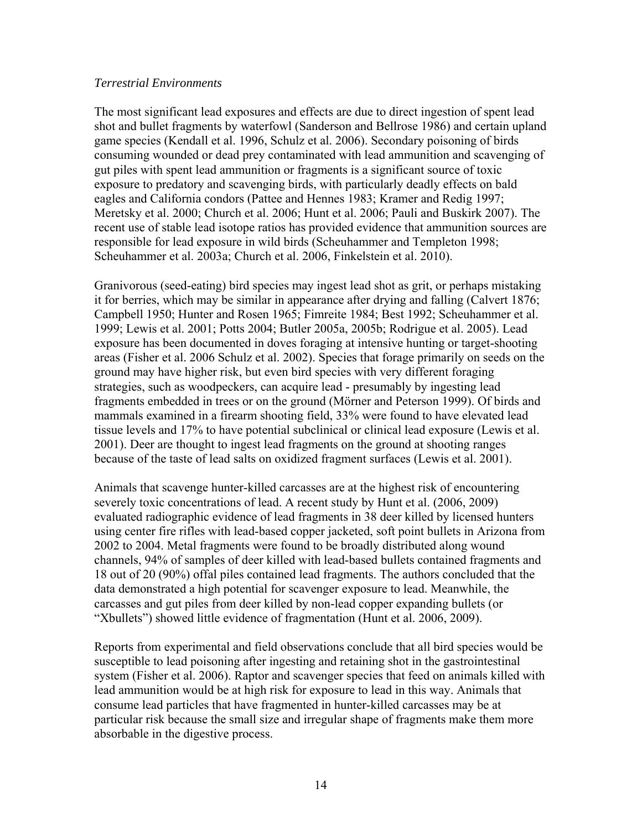#### *Terrestrial Environments*

The most significant lead exposures and effects are due to direct ingestion of spent lead shot and bullet fragments by waterfowl (Sanderson and Bellrose 1986) and certain upland game species (Kendall et al. 1996, Schulz et al. 2006). Secondary poisoning of birds consuming wounded or dead prey contaminated with lead ammunition and scavenging of gut piles with spent lead ammunition or fragments is a significant source of toxic exposure to predatory and scavenging birds, with particularly deadly effects on bald eagles and California condors (Pattee and Hennes 1983; Kramer and Redig 1997; Meretsky et al. 2000; Church et al. 2006; Hunt et al. 2006; Pauli and Buskirk 2007). The recent use of stable lead isotope ratios has provided evidence that ammunition sources are responsible for lead exposure in wild birds (Scheuhammer and Templeton 1998; Scheuhammer et al. 2003a; Church et al. 2006, Finkelstein et al. 2010).

Granivorous (seed-eating) bird species may ingest lead shot as grit, or perhaps mistaking it for berries, which may be similar in appearance after drying and falling (Calvert 1876; Campbell 1950; Hunter and Rosen 1965; Fimreite 1984; Best 1992; Scheuhammer et al. 1999; Lewis et al. 2001; Potts 2004; Butler 2005a, 2005b; Rodrigue et al. 2005). Lead exposure has been documented in doves foraging at intensive hunting or target-shooting areas (Fisher et al. 2006 Schulz et al. 2002). Species that forage primarily on seeds on the ground may have higher risk, but even bird species with very different foraging strategies, such as woodpeckers, can acquire lead - presumably by ingesting lead fragments embedded in trees or on the ground (Mörner and Peterson 1999). Of birds and mammals examined in a firearm shooting field, 33% were found to have elevated lead tissue levels and 17% to have potential subclinical or clinical lead exposure (Lewis et al. 2001). Deer are thought to ingest lead fragments on the ground at shooting ranges because of the taste of lead salts on oxidized fragment surfaces (Lewis et al. 2001).

Animals that scavenge hunter-killed carcasses are at the highest risk of encountering severely toxic concentrations of lead. A recent study by Hunt et al. (2006, 2009) evaluated radiographic evidence of lead fragments in 38 deer killed by licensed hunters using center fire rifles with lead-based copper jacketed, soft point bullets in Arizona from 2002 to 2004. Metal fragments were found to be broadly distributed along wound channels, 94% of samples of deer killed with lead-based bullets contained fragments and 18 out of 20 (90%) offal piles contained lead fragments. The authors concluded that the data demonstrated a high potential for scavenger exposure to lead. Meanwhile, the carcasses and gut piles from deer killed by non-lead copper expanding bullets (or "Xbullets") showed little evidence of fragmentation (Hunt et al. 2006, 2009).

Reports from experimental and field observations conclude that all bird species would be susceptible to lead poisoning after ingesting and retaining shot in the gastrointestinal system (Fisher et al. 2006). Raptor and scavenger species that feed on animals killed with lead ammunition would be at high risk for exposure to lead in this way. Animals that consume lead particles that have fragmented in hunter-killed carcasses may be at particular risk because the small size and irregular shape of fragments make them more absorbable in the digestive process.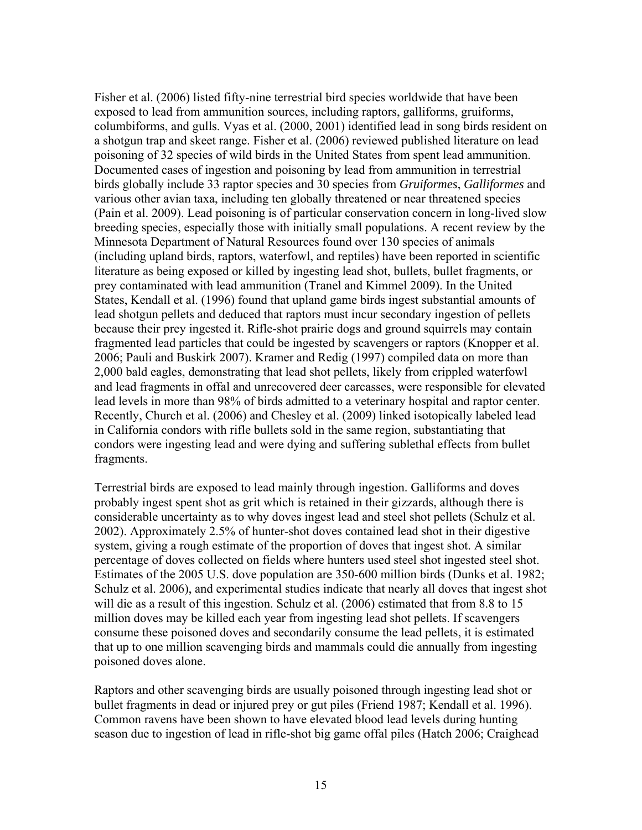Fisher et al. (2006) listed fifty-nine terrestrial bird species worldwide that have been exposed to lead from ammunition sources, including raptors, galliforms, gruiforms, columbiforms, and gulls. Vyas et al. (2000, 2001) identified lead in song birds resident on a shotgun trap and skeet range. Fisher et al. (2006) reviewed published literature on lead poisoning of 32 species of wild birds in the United States from spent lead ammunition. Documented cases of ingestion and poisoning by lead from ammunition in terrestrial birds globally include 33 raptor species and 30 species from *Gruiformes*, *Galliformes* and various other avian taxa, including ten globally threatened or near threatened species (Pain et al. 2009). Lead poisoning is of particular conservation concern in long-lived slow breeding species, especially those with initially small populations. A recent review by the Minnesota Department of Natural Resources found over 130 species of animals (including upland birds, raptors, waterfowl, and reptiles) have been reported in scientific literature as being exposed or killed by ingesting lead shot, bullets, bullet fragments, or prey contaminated with lead ammunition (Tranel and Kimmel 2009). In the United States, Kendall et al. (1996) found that upland game birds ingest substantial amounts of lead shotgun pellets and deduced that raptors must incur secondary ingestion of pellets because their prey ingested it. Rifle-shot prairie dogs and ground squirrels may contain fragmented lead particles that could be ingested by scavengers or raptors (Knopper et al. 2006; Pauli and Buskirk 2007). Kramer and Redig (1997) compiled data on more than 2,000 bald eagles, demonstrating that lead shot pellets, likely from crippled waterfowl and lead fragments in offal and unrecovered deer carcasses, were responsible for elevated lead levels in more than 98% of birds admitted to a veterinary hospital and raptor center. Recently, Church et al. (2006) and Chesley et al. (2009) linked isotopically labeled lead in California condors with rifle bullets sold in the same region, substantiating that condors were ingesting lead and were dying and suffering sublethal effects from bullet fragments.

Terrestrial birds are exposed to lead mainly through ingestion. Galliforms and doves probably ingest spent shot as grit which is retained in their gizzards, although there is considerable uncertainty as to why doves ingest lead and steel shot pellets (Schulz et al. 2002). Approximately 2.5% of hunter-shot doves contained lead shot in their digestive system, giving a rough estimate of the proportion of doves that ingest shot. A similar percentage of doves collected on fields where hunters used steel shot ingested steel shot. Estimates of the 2005 U.S. dove population are 350-600 million birds (Dunks et al. 1982; Schulz et al. 2006), and experimental studies indicate that nearly all doves that ingest shot will die as a result of this ingestion. Schulz et al. (2006) estimated that from 8.8 to 15 million doves may be killed each year from ingesting lead shot pellets. If scavengers consume these poisoned doves and secondarily consume the lead pellets, it is estimated that up to one million scavenging birds and mammals could die annually from ingesting poisoned doves alone.

Raptors and other scavenging birds are usually poisoned through ingesting lead shot or bullet fragments in dead or injured prey or gut piles (Friend 1987; Kendall et al. 1996). Common ravens have been shown to have elevated blood lead levels during hunting season due to ingestion of lead in rifle-shot big game offal piles (Hatch 2006; Craighead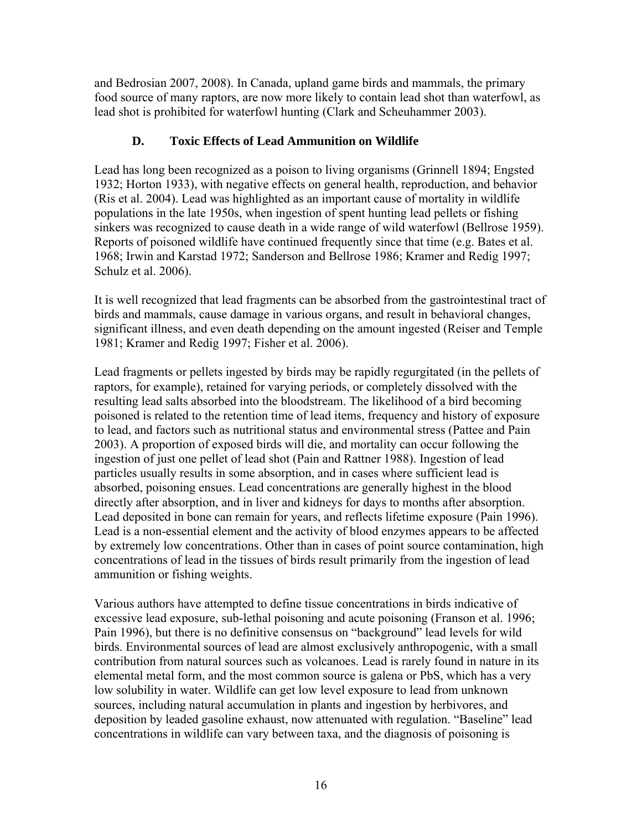and Bedrosian 2007, 2008). In Canada, upland game birds and mammals, the primary food source of many raptors, are now more likely to contain lead shot than waterfowl, as lead shot is prohibited for waterfowl hunting (Clark and Scheuhammer 2003).

# **D. Toxic Effects of Lead Ammunition on Wildlife**

Lead has long been recognized as a poison to living organisms (Grinnell 1894; Engsted 1932; Horton 1933), with negative effects on general health, reproduction, and behavior (Ris et al. 2004). Lead was highlighted as an important cause of mortality in wildlife populations in the late 1950s, when ingestion of spent hunting lead pellets or fishing sinkers was recognized to cause death in a wide range of wild waterfowl (Bellrose 1959). Reports of poisoned wildlife have continued frequently since that time (e.g. Bates et al. 1968; Irwin and Karstad 1972; Sanderson and Bellrose 1986; Kramer and Redig 1997; Schulz et al. 2006).

It is well recognized that lead fragments can be absorbed from the gastrointestinal tract of birds and mammals, cause damage in various organs, and result in behavioral changes, significant illness, and even death depending on the amount ingested (Reiser and Temple 1981; Kramer and Redig 1997; Fisher et al. 2006).

Lead fragments or pellets ingested by birds may be rapidly regurgitated (in the pellets of raptors, for example), retained for varying periods, or completely dissolved with the resulting lead salts absorbed into the bloodstream. The likelihood of a bird becoming poisoned is related to the retention time of lead items, frequency and history of exposure to lead, and factors such as nutritional status and environmental stress (Pattee and Pain 2003). A proportion of exposed birds will die, and mortality can occur following the ingestion of just one pellet of lead shot (Pain and Rattner 1988). Ingestion of lead particles usually results in some absorption, and in cases where sufficient lead is absorbed, poisoning ensues. Lead concentrations are generally highest in the blood directly after absorption, and in liver and kidneys for days to months after absorption. Lead deposited in bone can remain for years, and reflects lifetime exposure (Pain 1996). Lead is a non-essential element and the activity of blood enzymes appears to be affected by extremely low concentrations. Other than in cases of point source contamination, high concentrations of lead in the tissues of birds result primarily from the ingestion of lead ammunition or fishing weights.

Various authors have attempted to define tissue concentrations in birds indicative of excessive lead exposure, sub-lethal poisoning and acute poisoning (Franson et al. 1996; Pain 1996), but there is no definitive consensus on "background" lead levels for wild birds. Environmental sources of lead are almost exclusively anthropogenic, with a small contribution from natural sources such as volcanoes. Lead is rarely found in nature in its elemental metal form, and the most common source is galena or PbS, which has a very low solubility in water. Wildlife can get low level exposure to lead from unknown sources, including natural accumulation in plants and ingestion by herbivores, and deposition by leaded gasoline exhaust, now attenuated with regulation. "Baseline" lead concentrations in wildlife can vary between taxa, and the diagnosis of poisoning is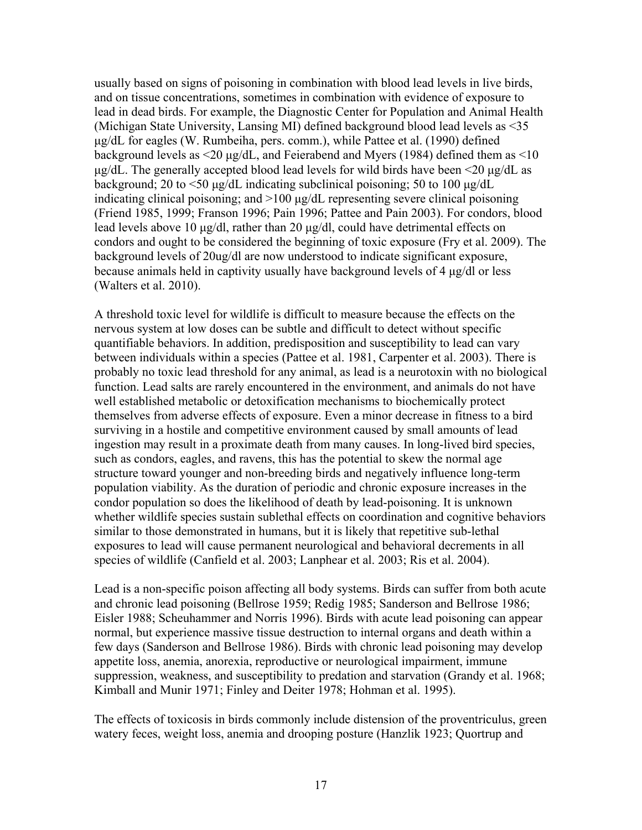usually based on signs of poisoning in combination with blood lead levels in live birds, and on tissue concentrations, sometimes in combination with evidence of exposure to lead in dead birds. For example, the Diagnostic Center for Population and Animal Health (Michigan State University, Lansing MI) defined background blood lead levels as <35 µg/dL for eagles (W. Rumbeiha, pers. comm.), while Pattee et al. (1990) defined background levels as  $\leq 20 \mu g/dL$ , and Feierabend and Myers (1984) defined them as  $\leq 10$  $\mu$ g/dL. The generally accepted blood lead levels for wild birds have been <20  $\mu$ g/dL as background; 20 to  $\leq$ 50 µg/dL indicating subclinical poisoning; 50 to 100 µg/dL indicating clinical poisoning; and >100 µg/dL representing severe clinical poisoning (Friend 1985, 1999; Franson 1996; Pain 1996; Pattee and Pain 2003). For condors, blood lead levels above 10 µg/dl, rather than 20 µg/dl, could have detrimental effects on condors and ought to be considered the beginning of toxic exposure (Fry et al. 2009). The background levels of 20ug/dl are now understood to indicate significant exposure, because animals held in captivity usually have background levels of 4 µg/dl or less (Walters et al. 2010).

A threshold toxic level for wildlife is difficult to measure because the effects on the nervous system at low doses can be subtle and difficult to detect without specific quantifiable behaviors. In addition, predisposition and susceptibility to lead can vary between individuals within a species (Pattee et al. 1981, Carpenter et al. 2003). There is probably no toxic lead threshold for any animal, as lead is a neurotoxin with no biological function. Lead salts are rarely encountered in the environment, and animals do not have well established metabolic or detoxification mechanisms to biochemically protect themselves from adverse effects of exposure. Even a minor decrease in fitness to a bird surviving in a hostile and competitive environment caused by small amounts of lead ingestion may result in a proximate death from many causes. In long-lived bird species, such as condors, eagles, and ravens, this has the potential to skew the normal age structure toward younger and non-breeding birds and negatively influence long-term population viability. As the duration of periodic and chronic exposure increases in the condor population so does the likelihood of death by lead-poisoning. It is unknown whether wildlife species sustain sublethal effects on coordination and cognitive behaviors similar to those demonstrated in humans, but it is likely that repetitive sub-lethal exposures to lead will cause permanent neurological and behavioral decrements in all species of wildlife (Canfield et al. 2003; Lanphear et al. 2003; Ris et al. 2004).

Lead is a non-specific poison affecting all body systems. Birds can suffer from both acute and chronic lead poisoning (Bellrose 1959; Redig 1985; Sanderson and Bellrose 1986; Eisler 1988; Scheuhammer and Norris 1996). Birds with acute lead poisoning can appear normal, but experience massive tissue destruction to internal organs and death within a few days (Sanderson and Bellrose 1986). Birds with chronic lead poisoning may develop appetite loss, anemia, anorexia, reproductive or neurological impairment, immune suppression, weakness, and susceptibility to predation and starvation (Grandy et al. 1968; Kimball and Munir 1971; Finley and Deiter 1978; Hohman et al. 1995).

The effects of toxicosis in birds commonly include distension of the proventriculus, green watery feces, weight loss, anemia and drooping posture (Hanzlik 1923; Quortrup and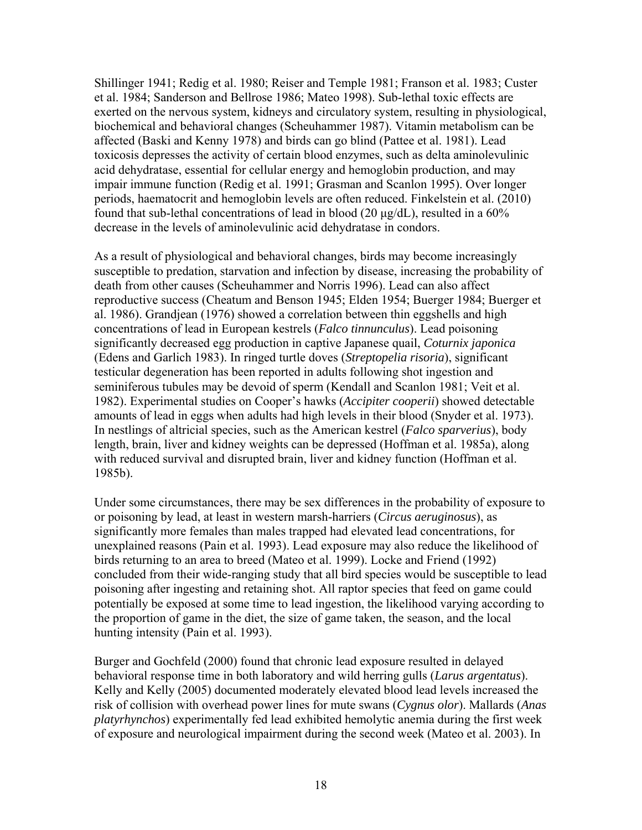Shillinger 1941; Redig et al. 1980; Reiser and Temple 1981; Franson et al. 1983; Custer et al. 1984; Sanderson and Bellrose 1986; Mateo 1998). Sub-lethal toxic effects are exerted on the nervous system, kidneys and circulatory system, resulting in physiological, biochemical and behavioral changes (Scheuhammer 1987). Vitamin metabolism can be affected (Baski and Kenny 1978) and birds can go blind (Pattee et al. 1981). Lead toxicosis depresses the activity of certain blood enzymes, such as delta aminolevulinic acid dehydratase, essential for cellular energy and hemoglobin production, and may impair immune function (Redig et al. 1991; Grasman and Scanlon 1995). Over longer periods, haematocrit and hemoglobin levels are often reduced. Finkelstein et al. (2010) found that sub-lethal concentrations of lead in blood  $(20 \mu g/dL)$ , resulted in a 60% decrease in the levels of aminolevulinic acid dehydratase in condors.

As a result of physiological and behavioral changes, birds may become increasingly susceptible to predation, starvation and infection by disease, increasing the probability of death from other causes (Scheuhammer and Norris 1996). Lead can also affect reproductive success (Cheatum and Benson 1945; Elden 1954; Buerger 1984; Buerger et al. 1986). Grandjean (1976) showed a correlation between thin eggshells and high concentrations of lead in European kestrels (*Falco tinnunculus*). Lead poisoning significantly decreased egg production in captive Japanese quail, *Coturnix japonica* (Edens and Garlich 1983). In ringed turtle doves (*Streptopelia risoria*), significant testicular degeneration has been reported in adults following shot ingestion and seminiferous tubules may be devoid of sperm (Kendall and Scanlon 1981; Veit et al. 1982). Experimental studies on Cooper's hawks (*Accipiter cooperii*) showed detectable amounts of lead in eggs when adults had high levels in their blood (Snyder et al. 1973). In nestlings of altricial species, such as the American kestrel (*Falco sparverius*), body length, brain, liver and kidney weights can be depressed (Hoffman et al. 1985a), along with reduced survival and disrupted brain, liver and kidney function (Hoffman et al. 1985b).

Under some circumstances, there may be sex differences in the probability of exposure to or poisoning by lead, at least in western marsh-harriers (*Circus aeruginosus*), as significantly more females than males trapped had elevated lead concentrations, for unexplained reasons (Pain et al. 1993). Lead exposure may also reduce the likelihood of birds returning to an area to breed (Mateo et al. 1999). Locke and Friend (1992) concluded from their wide-ranging study that all bird species would be susceptible to lead poisoning after ingesting and retaining shot. All raptor species that feed on game could potentially be exposed at some time to lead ingestion, the likelihood varying according to the proportion of game in the diet, the size of game taken, the season, and the local hunting intensity (Pain et al. 1993).

Burger and Gochfeld (2000) found that chronic lead exposure resulted in delayed behavioral response time in both laboratory and wild herring gulls (*Larus argentatus*). Kelly and Kelly (2005) documented moderately elevated blood lead levels increased the risk of collision with overhead power lines for mute swans (*Cygnus olor*). Mallards (*Anas platyrhynchos*) experimentally fed lead exhibited hemolytic anemia during the first week of exposure and neurological impairment during the second week (Mateo et al. 2003). In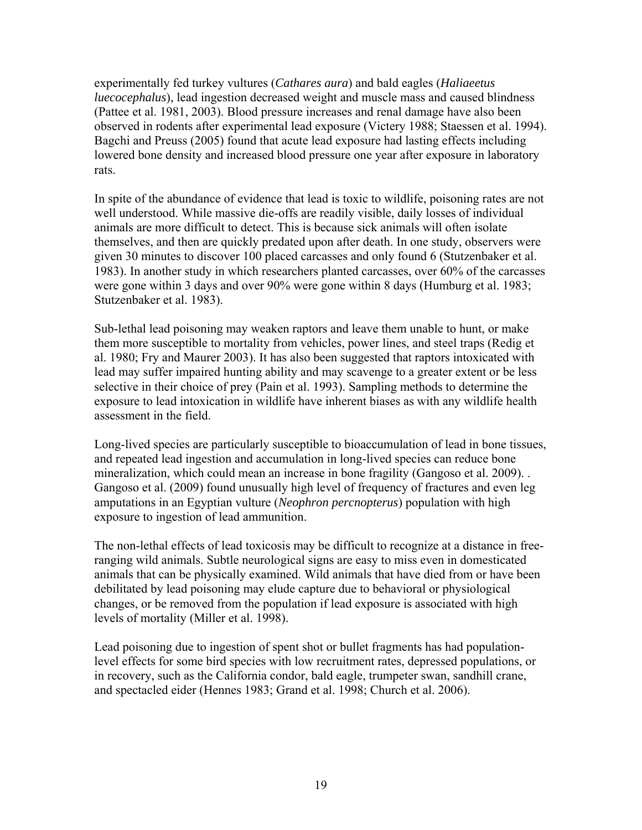experimentally fed turkey vultures (*Cathares aura*) and bald eagles (*Haliaeetus luecocephalus*), lead ingestion decreased weight and muscle mass and caused blindness (Pattee et al. 1981, 2003). Blood pressure increases and renal damage have also been observed in rodents after experimental lead exposure (Victery 1988; Staessen et al. 1994). Bagchi and Preuss (2005) found that acute lead exposure had lasting effects including lowered bone density and increased blood pressure one year after exposure in laboratory rats.

In spite of the abundance of evidence that lead is toxic to wildlife, poisoning rates are not well understood. While massive die-offs are readily visible, daily losses of individual animals are more difficult to detect. This is because sick animals will often isolate themselves, and then are quickly predated upon after death. In one study, observers were given 30 minutes to discover 100 placed carcasses and only found 6 (Stutzenbaker et al. 1983). In another study in which researchers planted carcasses, over 60% of the carcasses were gone within 3 days and over 90% were gone within 8 days (Humburg et al. 1983; Stutzenbaker et al. 1983).

Sub-lethal lead poisoning may weaken raptors and leave them unable to hunt, or make them more susceptible to mortality from vehicles, power lines, and steel traps (Redig et al. 1980; Fry and Maurer 2003). It has also been suggested that raptors intoxicated with lead may suffer impaired hunting ability and may scavenge to a greater extent or be less selective in their choice of prey (Pain et al. 1993). Sampling methods to determine the exposure to lead intoxication in wildlife have inherent biases as with any wildlife health assessment in the field.

Long-lived species are particularly susceptible to bioaccumulation of lead in bone tissues, and repeated lead ingestion and accumulation in long-lived species can reduce bone mineralization, which could mean an increase in bone fragility (Gangoso et al. 2009). . Gangoso et al. (2009) found unusually high level of frequency of fractures and even leg amputations in an Egyptian vulture (*Neophron percnopterus*) population with high exposure to ingestion of lead ammunition.

The non-lethal effects of lead toxicosis may be difficult to recognize at a distance in freeranging wild animals. Subtle neurological signs are easy to miss even in domesticated animals that can be physically examined. Wild animals that have died from or have been debilitated by lead poisoning may elude capture due to behavioral or physiological changes, or be removed from the population if lead exposure is associated with high levels of mortality (Miller et al. 1998).

Lead poisoning due to ingestion of spent shot or bullet fragments has had populationlevel effects for some bird species with low recruitment rates, depressed populations, or in recovery, such as the California condor, bald eagle, trumpeter swan, sandhill crane, and spectacled eider (Hennes 1983; Grand et al. 1998; Church et al. 2006).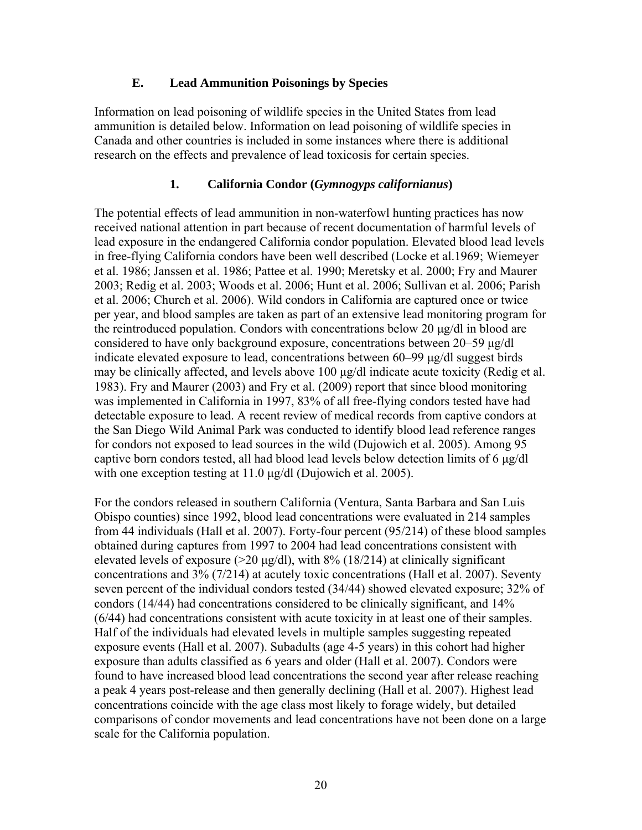## **E. Lead Ammunition Poisonings by Species**

Information on lead poisoning of wildlife species in the United States from lead ammunition is detailed below. Information on lead poisoning of wildlife species in Canada and other countries is included in some instances where there is additional research on the effects and prevalence of lead toxicosis for certain species.

# **1. California Condor (***Gymnogyps californianus***)**

The potential effects of lead ammunition in non-waterfowl hunting practices has now received national attention in part because of recent documentation of harmful levels of lead exposure in the endangered California condor population. Elevated blood lead levels in free-flying California condors have been well described (Locke et al.1969; Wiemeyer et al. 1986; Janssen et al. 1986; Pattee et al. 1990; Meretsky et al. 2000; Fry and Maurer 2003; Redig et al. 2003; Woods et al. 2006; Hunt et al. 2006; Sullivan et al. 2006; Parish et al. 2006; Church et al. 2006). Wild condors in California are captured once or twice per year, and blood samples are taken as part of an extensive lead monitoring program for the reintroduced population. Condors with concentrations below 20 µg/dl in blood are considered to have only background exposure, concentrations between 20–59 µg/dl indicate elevated exposure to lead, concentrations between 60–99 µg/dl suggest birds may be clinically affected, and levels above 100 µg/dl indicate acute toxicity (Redig et al. 1983). Fry and Maurer (2003) and Fry et al. (2009) report that since blood monitoring was implemented in California in 1997, 83% of all free-flying condors tested have had detectable exposure to lead. A recent review of medical records from captive condors at the San Diego Wild Animal Park was conducted to identify blood lead reference ranges for condors not exposed to lead sources in the wild (Dujowich et al. 2005). Among 95 captive born condors tested, all had blood lead levels below detection limits of 6 µg/dl with one exception testing at 11.0 µg/dl (Dujowich et al. 2005).

For the condors released in southern California (Ventura, Santa Barbara and San Luis Obispo counties) since 1992, blood lead concentrations were evaluated in 214 samples from 44 individuals (Hall et al. 2007). Forty-four percent (95/214) of these blood samples obtained during captures from 1997 to 2004 had lead concentrations consistent with elevated levels of exposure ( $>20 \mu$ g/dl), with 8% (18/214) at clinically significant concentrations and 3% (7/214) at acutely toxic concentrations (Hall et al. 2007). Seventy seven percent of the individual condors tested (34/44) showed elevated exposure; 32% of condors (14/44) had concentrations considered to be clinically significant, and 14% (6/44) had concentrations consistent with acute toxicity in at least one of their samples. Half of the individuals had elevated levels in multiple samples suggesting repeated exposure events (Hall et al. 2007). Subadults (age 4-5 years) in this cohort had higher exposure than adults classified as 6 years and older (Hall et al. 2007). Condors were found to have increased blood lead concentrations the second year after release reaching a peak 4 years post-release and then generally declining (Hall et al. 2007). Highest lead concentrations coincide with the age class most likely to forage widely, but detailed comparisons of condor movements and lead concentrations have not been done on a large scale for the California population.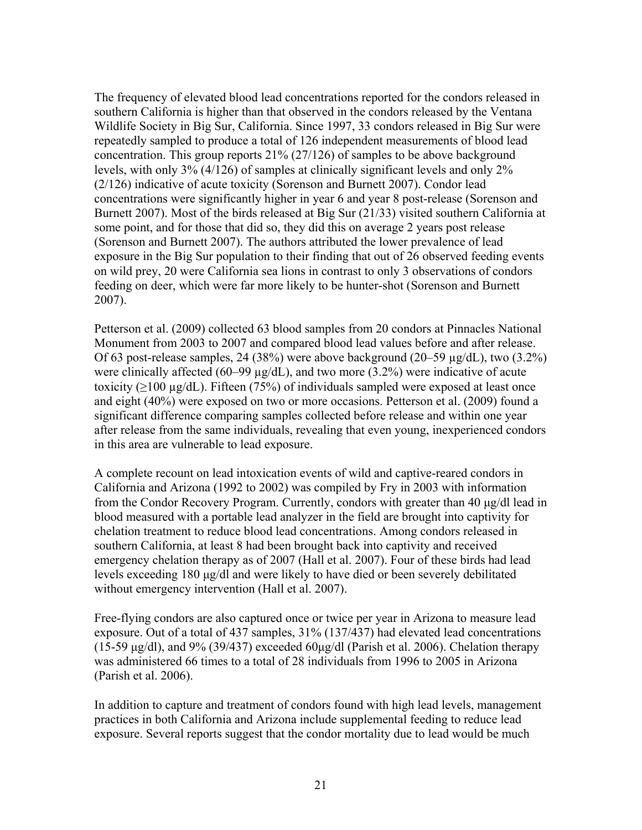The frequency of elevated blood lead concentrations reported for the condors released in southern California is higher than that observed in the condors released by the Ventana Wildlife Society in Big Sur, California. Since 1997, 33 condors released in Big Sur were repeatedly sampled to produce a total of 126 independent measurements of blood lead concentration. This group reports 21% (27/126) of samples to be above background levels, with only 3% (4/126) of samples at clinically significant levels and only 2% (2/126) indicative of acute toxicity (Sorenson and Burnett 2007). Condor lead concentrations were significantly higher in year 6 and year 8 post-release (Sorenson and Burnett 2007). Most of the birds released at Big Sur (21/33) visited southern California at some point, and for those that did so, they did this on average 2 years post release (Sorenson and Burnett 2007). The authors attributed the lower prevalence of lead exposure in the Big Sur population to their finding that out of 26 observed feeding events on wild prey, 20 were California sea lions in contrast to only 3 observations of condors feeding on deer, which were far more likely to be hunter-shot (Sorenson and Burnett 2007).

Petterson et al. (2009) collected 63 blood samples from 20 condors at Pinnacles National Monument from 2003 to 2007 and compared blood lead values before and after release. Of 63 post-release samples, 24 (38%) were above background (20–59 µg/dL), two (3.2%) were clinically affected (60–99 µg/dL), and two more (3.2%) were indicative of acute toxicity ( $\geq$ 100 µg/dL). Fifteen (75%) of individuals sampled were exposed at least once and eight (40%) were exposed on two or more occasions. Petterson et al. (2009) found a significant difference comparing samples collected before release and within one year after release from the same individuals, revealing that even young, inexperienced condors in this area are vulnerable to lead exposure.

A complete recount on lead intoxication events of wild and captive-reared condors in California and Arizona (1992 to 2002) was compiled by Fry in 2003 with information from the Condor Recovery Program. Currently, condors with greater than 40 µg/dl lead in blood measured with a portable lead analyzer in the field are brought into captivity for chelation treatment to reduce blood lead concentrations. Among condors released in southern California, at least 8 had been brought back into captivity and received emergency chelation therapy as of 2007 (Hall et al. 2007). Four of these birds had lead levels exceeding 180 µg/dl and were likely to have died or been severely debilitated without emergency intervention (Hall et al. 2007).

Free-flying condors are also captured once or twice per year in Arizona to measure lead exposure. Out of a total of 437 samples, 31% (137/437) had elevated lead concentrations (15-59  $\mu$ g/dl), and 9% (39/437) exceeded 60 $\mu$ g/dl (Parish et al. 2006). Chelation therapy was administered 66 times to a total of 28 individuals from 1996 to 2005 in Arizona (Parish et al. 2006).

In addition to capture and treatment of condors found with high lead levels, management practices in both California and Arizona include supplemental feeding to reduce lead exposure. Several reports suggest that the condor mortality due to lead would be much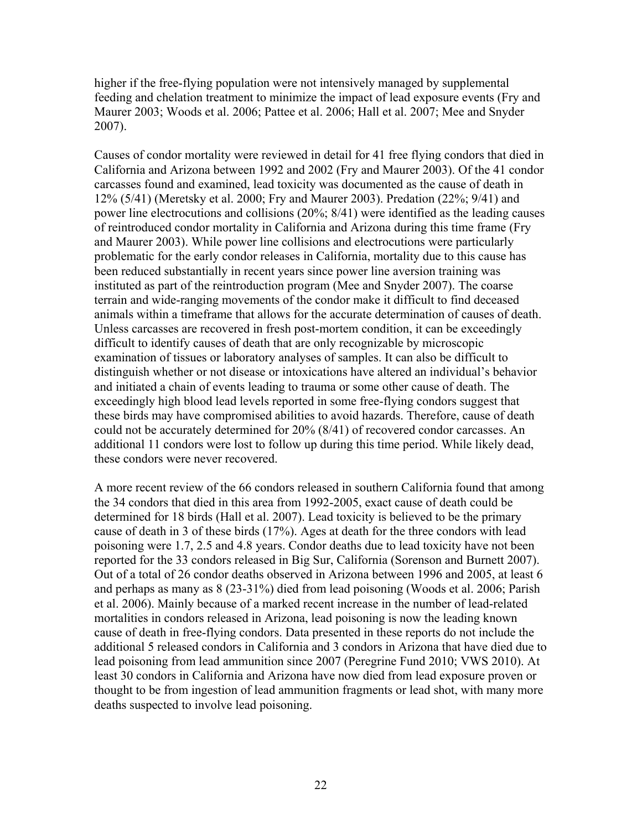higher if the free-flying population were not intensively managed by supplemental feeding and chelation treatment to minimize the impact of lead exposure events (Fry and Maurer 2003; Woods et al. 2006; Pattee et al. 2006; Hall et al. 2007; Mee and Snyder 2007).

Causes of condor mortality were reviewed in detail for 41 free flying condors that died in California and Arizona between 1992 and 2002 (Fry and Maurer 2003). Of the 41 condor carcasses found and examined, lead toxicity was documented as the cause of death in 12% (5/41) (Meretsky et al. 2000; Fry and Maurer 2003). Predation (22%; 9/41) and power line electrocutions and collisions (20%; 8/41) were identified as the leading causes of reintroduced condor mortality in California and Arizona during this time frame (Fry and Maurer 2003). While power line collisions and electrocutions were particularly problematic for the early condor releases in California, mortality due to this cause has been reduced substantially in recent years since power line aversion training was instituted as part of the reintroduction program (Mee and Snyder 2007). The coarse terrain and wide-ranging movements of the condor make it difficult to find deceased animals within a timeframe that allows for the accurate determination of causes of death. Unless carcasses are recovered in fresh post-mortem condition, it can be exceedingly difficult to identify causes of death that are only recognizable by microscopic examination of tissues or laboratory analyses of samples. It can also be difficult to distinguish whether or not disease or intoxications have altered an individual's behavior and initiated a chain of events leading to trauma or some other cause of death. The exceedingly high blood lead levels reported in some free-flying condors suggest that these birds may have compromised abilities to avoid hazards. Therefore, cause of death could not be accurately determined for 20% (8/41) of recovered condor carcasses. An additional 11 condors were lost to follow up during this time period. While likely dead, these condors were never recovered.

A more recent review of the 66 condors released in southern California found that among the 34 condors that died in this area from 1992-2005, exact cause of death could be determined for 18 birds (Hall et al. 2007). Lead toxicity is believed to be the primary cause of death in 3 of these birds (17%). Ages at death for the three condors with lead poisoning were 1.7, 2.5 and 4.8 years. Condor deaths due to lead toxicity have not been reported for the 33 condors released in Big Sur, California (Sorenson and Burnett 2007). Out of a total of 26 condor deaths observed in Arizona between 1996 and 2005, at least 6 and perhaps as many as 8 (23-31%) died from lead poisoning (Woods et al. 2006; Parish et al. 2006). Mainly because of a marked recent increase in the number of lead-related mortalities in condors released in Arizona, lead poisoning is now the leading known cause of death in free-flying condors. Data presented in these reports do not include the additional 5 released condors in California and 3 condors in Arizona that have died due to lead poisoning from lead ammunition since 2007 (Peregrine Fund 2010; VWS 2010). At least 30 condors in California and Arizona have now died from lead exposure proven or thought to be from ingestion of lead ammunition fragments or lead shot, with many more deaths suspected to involve lead poisoning.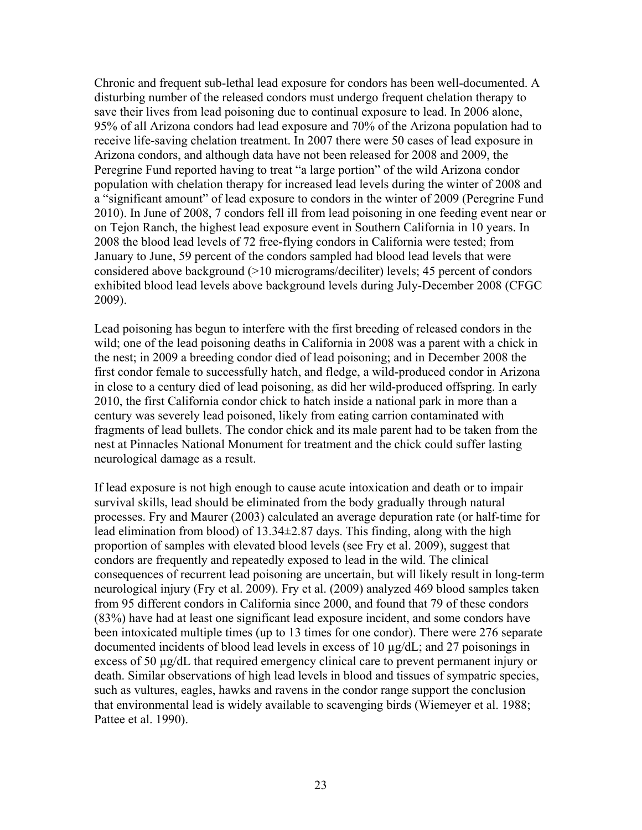Chronic and frequent sub-lethal lead exposure for condors has been well-documented. A disturbing number of the released condors must undergo frequent chelation therapy to save their lives from lead poisoning due to continual exposure to lead. In 2006 alone, 95% of all Arizona condors had lead exposure and 70% of the Arizona population had to receive life-saving chelation treatment. In 2007 there were 50 cases of lead exposure in Arizona condors, and although data have not been released for 2008 and 2009, the Peregrine Fund reported having to treat "a large portion" of the wild Arizona condor population with chelation therapy for increased lead levels during the winter of 2008 and a "significant amount" of lead exposure to condors in the winter of 2009 (Peregrine Fund 2010). In June of 2008, 7 condors fell ill from lead poisoning in one feeding event near or on Tejon Ranch, the highest lead exposure event in Southern California in 10 years. In 2008 the blood lead levels of 72 free-flying condors in California were tested; from January to June, 59 percent of the condors sampled had blood lead levels that were considered above background (>10 micrograms/deciliter) levels; 45 percent of condors exhibited blood lead levels above background levels during July-December 2008 (CFGC 2009).

Lead poisoning has begun to interfere with the first breeding of released condors in the wild; one of the lead poisoning deaths in California in 2008 was a parent with a chick in the nest; in 2009 a breeding condor died of lead poisoning; and in December 2008 the first condor female to successfully hatch, and fledge, a wild-produced condor in Arizona in close to a century died of lead poisoning, as did her wild-produced offspring. In early 2010, the first California condor chick to hatch inside a national park in more than a century was severely lead poisoned, likely from eating carrion contaminated with fragments of lead bullets. The condor chick and its male parent had to be taken from the nest at Pinnacles National Monument for treatment and the chick could suffer lasting neurological damage as a result.

If lead exposure is not high enough to cause acute intoxication and death or to impair survival skills, lead should be eliminated from the body gradually through natural processes. Fry and Maurer (2003) calculated an average depuration rate (or half-time for lead elimination from blood) of 13.34±2.87 days. This finding, along with the high proportion of samples with elevated blood levels (see Fry et al. 2009), suggest that condors are frequently and repeatedly exposed to lead in the wild. The clinical consequences of recurrent lead poisoning are uncertain, but will likely result in long-term neurological injury (Fry et al. 2009). Fry et al. (2009) analyzed 469 blood samples taken from 95 different condors in California since 2000, and found that 79 of these condors (83%) have had at least one significant lead exposure incident, and some condors have been intoxicated multiple times (up to 13 times for one condor). There were 276 separate documented incidents of blood lead levels in excess of 10 µg/dL; and 27 poisonings in excess of 50 µg/dL that required emergency clinical care to prevent permanent injury or death. Similar observations of high lead levels in blood and tissues of sympatric species, such as vultures, eagles, hawks and ravens in the condor range support the conclusion that environmental lead is widely available to scavenging birds (Wiemeyer et al. 1988; Pattee et al. 1990).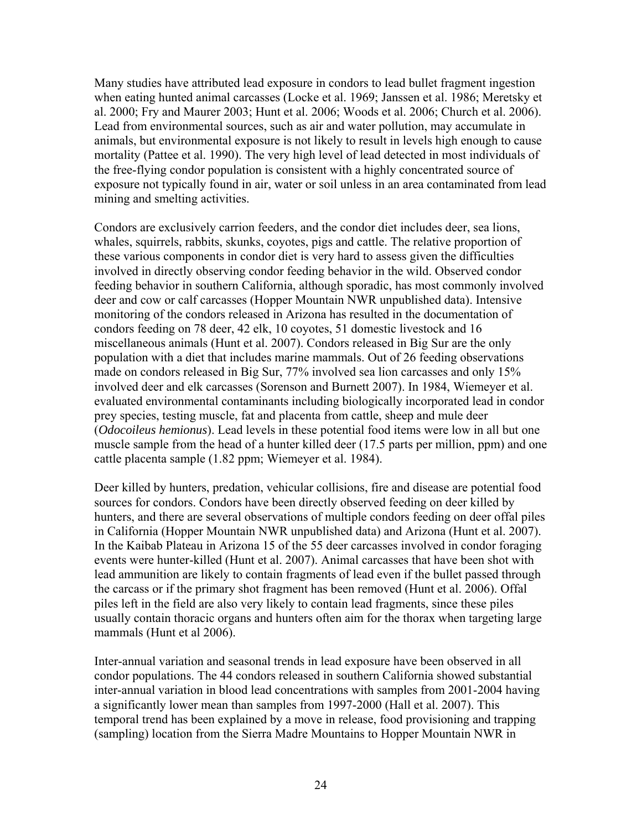Many studies have attributed lead exposure in condors to lead bullet fragment ingestion when eating hunted animal carcasses (Locke et al. 1969; Janssen et al. 1986; Meretsky et al. 2000; Fry and Maurer 2003; Hunt et al. 2006; Woods et al. 2006; Church et al. 2006). Lead from environmental sources, such as air and water pollution, may accumulate in animals, but environmental exposure is not likely to result in levels high enough to cause mortality (Pattee et al. 1990). The very high level of lead detected in most individuals of the free-flying condor population is consistent with a highly concentrated source of exposure not typically found in air, water or soil unless in an area contaminated from lead mining and smelting activities.

Condors are exclusively carrion feeders, and the condor diet includes deer, sea lions, whales, squirrels, rabbits, skunks, coyotes, pigs and cattle. The relative proportion of these various components in condor diet is very hard to assess given the difficulties involved in directly observing condor feeding behavior in the wild. Observed condor feeding behavior in southern California, although sporadic, has most commonly involved deer and cow or calf carcasses (Hopper Mountain NWR unpublished data). Intensive monitoring of the condors released in Arizona has resulted in the documentation of condors feeding on 78 deer, 42 elk, 10 coyotes, 51 domestic livestock and 16 miscellaneous animals (Hunt et al. 2007). Condors released in Big Sur are the only population with a diet that includes marine mammals. Out of 26 feeding observations made on condors released in Big Sur, 77% involved sea lion carcasses and only 15% involved deer and elk carcasses (Sorenson and Burnett 2007). In 1984, Wiemeyer et al. evaluated environmental contaminants including biologically incorporated lead in condor prey species, testing muscle, fat and placenta from cattle, sheep and mule deer (*Odocoileus hemionus*). Lead levels in these potential food items were low in all but one muscle sample from the head of a hunter killed deer (17.5 parts per million, ppm) and one cattle placenta sample (1.82 ppm; Wiemeyer et al. 1984).

Deer killed by hunters, predation, vehicular collisions, fire and disease are potential food sources for condors. Condors have been directly observed feeding on deer killed by hunters, and there are several observations of multiple condors feeding on deer offal piles in California (Hopper Mountain NWR unpublished data) and Arizona (Hunt et al. 2007). In the Kaibab Plateau in Arizona 15 of the 55 deer carcasses involved in condor foraging events were hunter-killed (Hunt et al. 2007). Animal carcasses that have been shot with lead ammunition are likely to contain fragments of lead even if the bullet passed through the carcass or if the primary shot fragment has been removed (Hunt et al. 2006). Offal piles left in the field are also very likely to contain lead fragments, since these piles usually contain thoracic organs and hunters often aim for the thorax when targeting large mammals (Hunt et al 2006).

Inter-annual variation and seasonal trends in lead exposure have been observed in all condor populations. The 44 condors released in southern California showed substantial inter-annual variation in blood lead concentrations with samples from 2001-2004 having a significantly lower mean than samples from 1997-2000 (Hall et al. 2007). This temporal trend has been explained by a move in release, food provisioning and trapping (sampling) location from the Sierra Madre Mountains to Hopper Mountain NWR in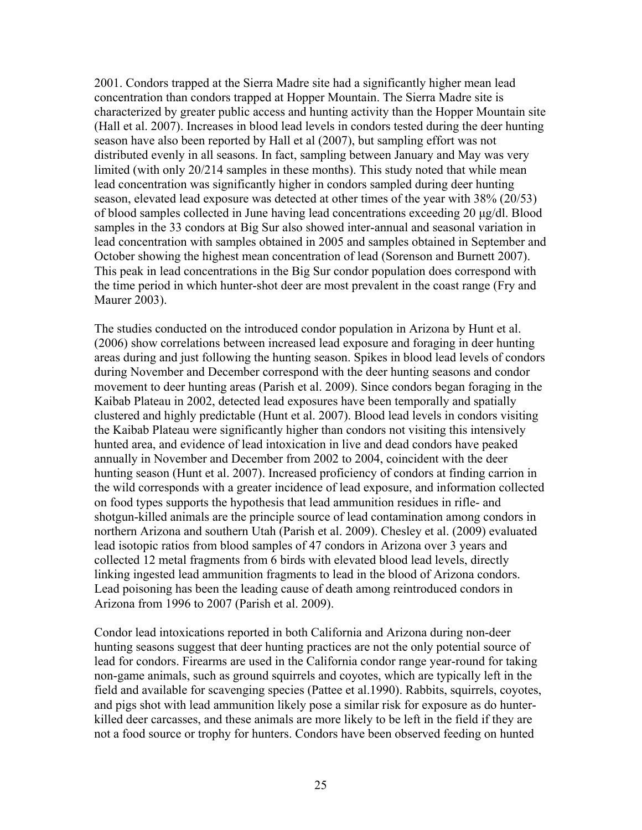2001. Condors trapped at the Sierra Madre site had a significantly higher mean lead concentration than condors trapped at Hopper Mountain. The Sierra Madre site is characterized by greater public access and hunting activity than the Hopper Mountain site (Hall et al. 2007). Increases in blood lead levels in condors tested during the deer hunting season have also been reported by Hall et al (2007), but sampling effort was not distributed evenly in all seasons. In fact, sampling between January and May was very limited (with only 20/214 samples in these months). This study noted that while mean lead concentration was significantly higher in condors sampled during deer hunting season, elevated lead exposure was detected at other times of the year with 38% (20/53) of blood samples collected in June having lead concentrations exceeding 20 µg/dl. Blood samples in the 33 condors at Big Sur also showed inter-annual and seasonal variation in lead concentration with samples obtained in 2005 and samples obtained in September and October showing the highest mean concentration of lead (Sorenson and Burnett 2007). This peak in lead concentrations in the Big Sur condor population does correspond with the time period in which hunter-shot deer are most prevalent in the coast range (Fry and Maurer 2003).

The studies conducted on the introduced condor population in Arizona by Hunt et al. (2006) show correlations between increased lead exposure and foraging in deer hunting areas during and just following the hunting season. Spikes in blood lead levels of condors during November and December correspond with the deer hunting seasons and condor movement to deer hunting areas (Parish et al. 2009). Since condors began foraging in the Kaibab Plateau in 2002, detected lead exposures have been temporally and spatially clustered and highly predictable (Hunt et al. 2007). Blood lead levels in condors visiting the Kaibab Plateau were significantly higher than condors not visiting this intensively hunted area, and evidence of lead intoxication in live and dead condors have peaked annually in November and December from 2002 to 2004, coincident with the deer hunting season (Hunt et al. 2007). Increased proficiency of condors at finding carrion in the wild corresponds with a greater incidence of lead exposure, and information collected on food types supports the hypothesis that lead ammunition residues in rifle- and shotgun-killed animals are the principle source of lead contamination among condors in northern Arizona and southern Utah (Parish et al. 2009). Chesley et al. (2009) evaluated lead isotopic ratios from blood samples of 47 condors in Arizona over 3 years and collected 12 metal fragments from 6 birds with elevated blood lead levels, directly linking ingested lead ammunition fragments to lead in the blood of Arizona condors. Lead poisoning has been the leading cause of death among reintroduced condors in Arizona from 1996 to 2007 (Parish et al. 2009).

Condor lead intoxications reported in both California and Arizona during non-deer hunting seasons suggest that deer hunting practices are not the only potential source of lead for condors. Firearms are used in the California condor range year-round for taking non-game animals, such as ground squirrels and coyotes, which are typically left in the field and available for scavenging species (Pattee et al.1990). Rabbits, squirrels, coyotes, and pigs shot with lead ammunition likely pose a similar risk for exposure as do hunterkilled deer carcasses, and these animals are more likely to be left in the field if they are not a food source or trophy for hunters. Condors have been observed feeding on hunted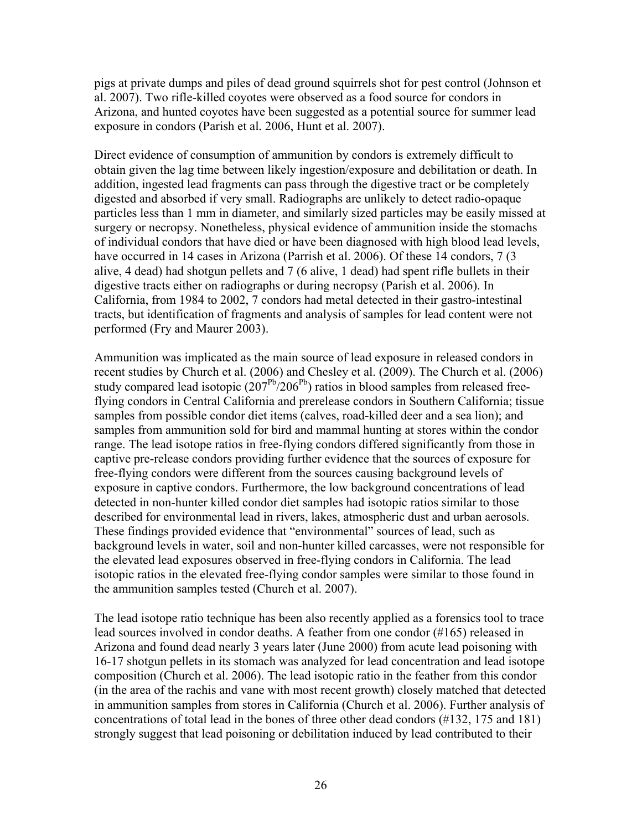pigs at private dumps and piles of dead ground squirrels shot for pest control (Johnson et al. 2007). Two rifle-killed coyotes were observed as a food source for condors in Arizona, and hunted coyotes have been suggested as a potential source for summer lead exposure in condors (Parish et al*.* 2006, Hunt et al. 2007).

Direct evidence of consumption of ammunition by condors is extremely difficult to obtain given the lag time between likely ingestion/exposure and debilitation or death. In addition, ingested lead fragments can pass through the digestive tract or be completely digested and absorbed if very small. Radiographs are unlikely to detect radio-opaque particles less than 1 mm in diameter, and similarly sized particles may be easily missed at surgery or necropsy. Nonetheless, physical evidence of ammunition inside the stomachs of individual condors that have died or have been diagnosed with high blood lead levels, have occurred in 14 cases in Arizona (Parrish et al. 2006). Of these 14 condors, 7 (3 alive, 4 dead) had shotgun pellets and 7 (6 alive, 1 dead) had spent rifle bullets in their digestive tracts either on radiographs or during necropsy (Parish et al. 2006). In California, from 1984 to 2002, 7 condors had metal detected in their gastro-intestinal tracts, but identification of fragments and analysis of samples for lead content were not performed (Fry and Maurer 2003).

Ammunition was implicated as the main source of lead exposure in released condors in recent studies by Church et al. (2006) and Chesley et al. (2009). The Church et al. (2006) study compared lead isotopic  $(207<sup>pb</sup>/206<sup>pb</sup>)$  ratios in blood samples from released freeflying condors in Central California and prerelease condors in Southern California; tissue samples from possible condor diet items (calves, road-killed deer and a sea lion); and samples from ammunition sold for bird and mammal hunting at stores within the condor range. The lead isotope ratios in free-flying condors differed significantly from those in captive pre-release condors providing further evidence that the sources of exposure for free-flying condors were different from the sources causing background levels of exposure in captive condors. Furthermore, the low background concentrations of lead detected in non-hunter killed condor diet samples had isotopic ratios similar to those described for environmental lead in rivers, lakes, atmospheric dust and urban aerosols. These findings provided evidence that "environmental" sources of lead, such as background levels in water, soil and non-hunter killed carcasses, were not responsible for the elevated lead exposures observed in free-flying condors in California. The lead isotopic ratios in the elevated free-flying condor samples were similar to those found in the ammunition samples tested (Church et al. 2007).

The lead isotope ratio technique has been also recently applied as a forensics tool to trace lead sources involved in condor deaths. A feather from one condor (#165) released in Arizona and found dead nearly 3 years later (June 2000) from acute lead poisoning with 16-17 shotgun pellets in its stomach was analyzed for lead concentration and lead isotope composition (Church et al. 2006). The lead isotopic ratio in the feather from this condor (in the area of the rachis and vane with most recent growth) closely matched that detected in ammunition samples from stores in California (Church et al. 2006). Further analysis of concentrations of total lead in the bones of three other dead condors (#132, 175 and 181) strongly suggest that lead poisoning or debilitation induced by lead contributed to their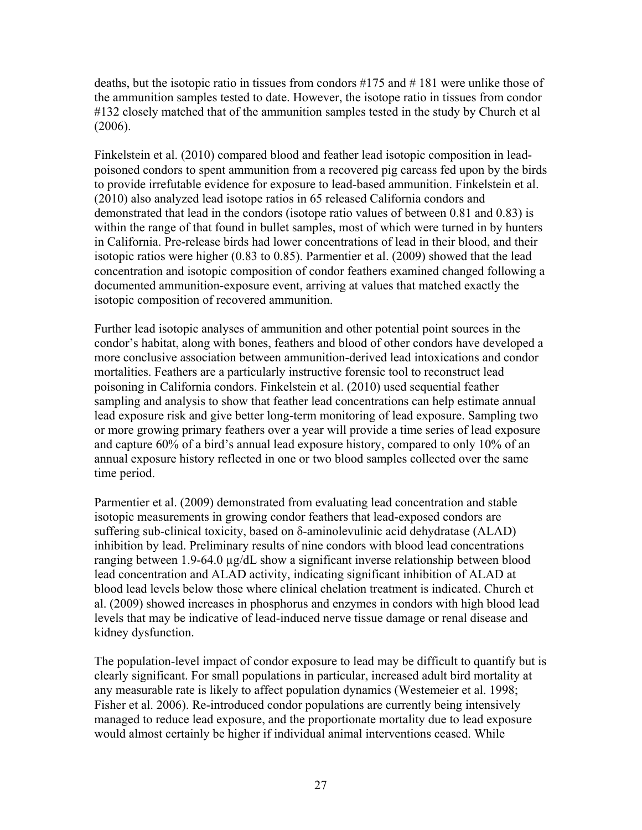deaths, but the isotopic ratio in tissues from condors #175 and # 181 were unlike those of the ammunition samples tested to date. However, the isotope ratio in tissues from condor #132 closely matched that of the ammunition samples tested in the study by Church et al (2006).

Finkelstein et al. (2010) compared blood and feather lead isotopic composition in leadpoisoned condors to spent ammunition from a recovered pig carcass fed upon by the birds to provide irrefutable evidence for exposure to lead-based ammunition. Finkelstein et al. (2010) also analyzed lead isotope ratios in 65 released California condors and demonstrated that lead in the condors (isotope ratio values of between 0.81 and 0.83) is within the range of that found in bullet samples, most of which were turned in by hunters in California. Pre-release birds had lower concentrations of lead in their blood, and their isotopic ratios were higher (0.83 to 0.85). Parmentier et al. (2009) showed that the lead concentration and isotopic composition of condor feathers examined changed following a documented ammunition-exposure event, arriving at values that matched exactly the isotopic composition of recovered ammunition.

Further lead isotopic analyses of ammunition and other potential point sources in the condor's habitat, along with bones, feathers and blood of other condors have developed a more conclusive association between ammunition-derived lead intoxications and condor mortalities. Feathers are a particularly instructive forensic tool to reconstruct lead poisoning in California condors. Finkelstein et al. (2010) used sequential feather sampling and analysis to show that feather lead concentrations can help estimate annual lead exposure risk and give better long-term monitoring of lead exposure. Sampling two or more growing primary feathers over a year will provide a time series of lead exposure and capture 60% of a bird's annual lead exposure history, compared to only 10% of an annual exposure history reflected in one or two blood samples collected over the same time period.

Parmentier et al. (2009) demonstrated from evaluating lead concentration and stable isotopic measurements in growing condor feathers that lead-exposed condors are suffering sub-clinical toxicity, based on δ-aminolevulinic acid dehydratase (ALAD) inhibition by lead. Preliminary results of nine condors with blood lead concentrations ranging between 1.9-64.0 µg/dL show a significant inverse relationship between blood lead concentration and ALAD activity, indicating significant inhibition of ALAD at blood lead levels below those where clinical chelation treatment is indicated. Church et al. (2009) showed increases in phosphorus and enzymes in condors with high blood lead levels that may be indicative of lead-induced nerve tissue damage or renal disease and kidney dysfunction.

The population-level impact of condor exposure to lead may be difficult to quantify but is clearly significant. For small populations in particular, increased adult bird mortality at any measurable rate is likely to affect population dynamics (Westemeier et al. 1998; Fisher et al. 2006). Re-introduced condor populations are currently being intensively managed to reduce lead exposure, and the proportionate mortality due to lead exposure would almost certainly be higher if individual animal interventions ceased. While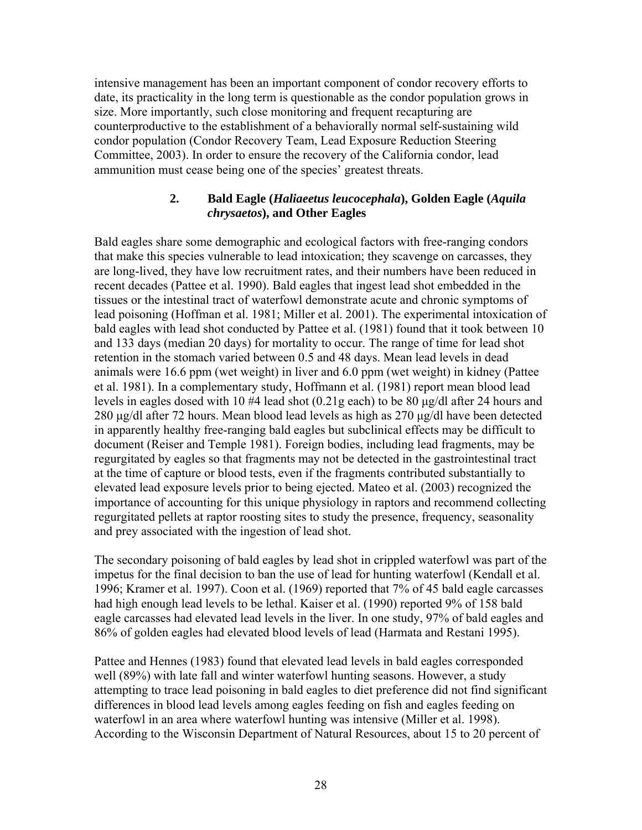intensive management has been an important component of condor recovery efforts to date, its practicality in the long term is questionable as the condor population grows in size. More importantly, such close monitoring and frequent recapturing are counterproductive to the establishment of a behaviorally normal self-sustaining wild condor population (Condor Recovery Team, Lead Exposure Reduction Steering Committee, 2003). In order to ensure the recovery of the California condor, lead ammunition must cease being one of the species' greatest threats.

#### **2. Bald Eagle (***Haliaeetus leucocephala***), Golden Eagle (***Aquila chrysaetos***), and Other Eagles**

Bald eagles share some demographic and ecological factors with free-ranging condors that make this species vulnerable to lead intoxication; they scavenge on carcasses, they are long-lived, they have low recruitment rates, and their numbers have been reduced in recent decades (Pattee et al. 1990). Bald eagles that ingest lead shot embedded in the tissues or the intestinal tract of waterfowl demonstrate acute and chronic symptoms of lead poisoning (Hoffman et al. 1981; Miller et al. 2001). The experimental intoxication of bald eagles with lead shot conducted by Pattee et al. (1981) found that it took between 10 and 133 days (median 20 days) for mortality to occur. The range of time for lead shot retention in the stomach varied between 0.5 and 48 days. Mean lead levels in dead animals were 16.6 ppm (wet weight) in liver and 6.0 ppm (wet weight) in kidney (Pattee et al. 1981). In a complementary study, Hoffmann et al. (1981) report mean blood lead levels in eagles dosed with 10 #4 lead shot (0.21g each) to be 80 µg/dl after 24 hours and 280 µg/dl after 72 hours. Mean blood lead levels as high as 270 µg/dl have been detected in apparently healthy free-ranging bald eagles but subclinical effects may be difficult to document (Reiser and Temple 1981). Foreign bodies, including lead fragments, may be regurgitated by eagles so that fragments may not be detected in the gastrointestinal tract at the time of capture or blood tests, even if the fragments contributed substantially to elevated lead exposure levels prior to being ejected. Mateo et al. (2003) recognized the importance of accounting for this unique physiology in raptors and recommend collecting regurgitated pellets at raptor roosting sites to study the presence, frequency, seasonality and prey associated with the ingestion of lead shot.

The secondary poisoning of bald eagles by lead shot in crippled waterfowl was part of the impetus for the final decision to ban the use of lead for hunting waterfowl (Kendall et al. 1996; Kramer et al. 1997). Coon et al. (1969) reported that 7% of 45 bald eagle carcasses had high enough lead levels to be lethal. Kaiser et al. (1990) reported 9% of 158 bald eagle carcasses had elevated lead levels in the liver. In one study, 97% of bald eagles and 86% of golden eagles had elevated blood levels of lead (Harmata and Restani 1995).

Pattee and Hennes (1983) found that elevated lead levels in bald eagles corresponded well (89%) with late fall and winter waterfowl hunting seasons. However, a study attempting to trace lead poisoning in bald eagles to diet preference did not find significant differences in blood lead levels among eagles feeding on fish and eagles feeding on waterfowl in an area where waterfowl hunting was intensive (Miller et al. 1998). According to the Wisconsin Department of Natural Resources, about 15 to 20 percent of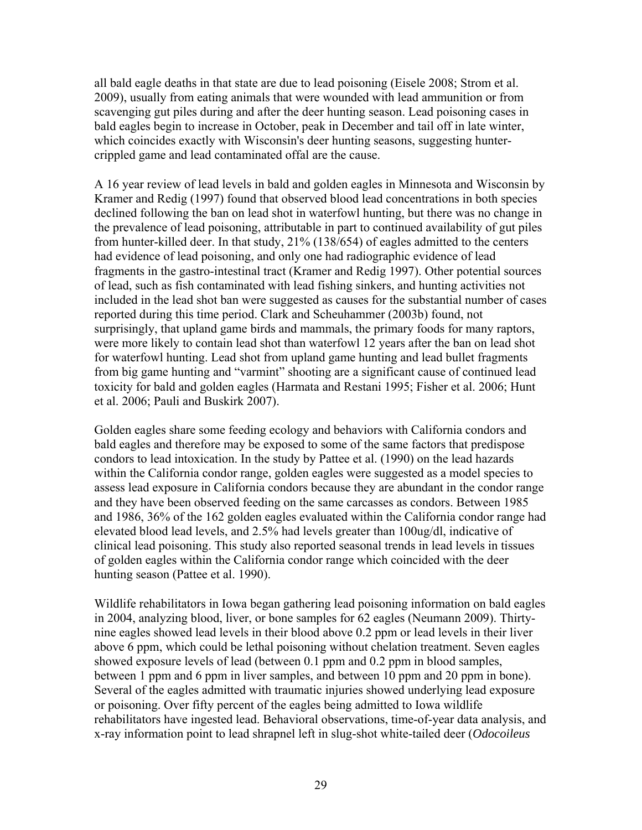all bald eagle deaths in that state are due to lead poisoning (Eisele 2008; Strom et al. 2009), usually from eating animals that were wounded with lead ammunition or from scavenging gut piles during and after the deer hunting season. Lead poisoning cases in bald eagles begin to increase in October, peak in December and tail off in late winter, which coincides exactly with Wisconsin's deer hunting seasons, suggesting huntercrippled game and lead contaminated offal are the cause.

A 16 year review of lead levels in bald and golden eagles in Minnesota and Wisconsin by Kramer and Redig (1997) found that observed blood lead concentrations in both species declined following the ban on lead shot in waterfowl hunting, but there was no change in the prevalence of lead poisoning, attributable in part to continued availability of gut piles from hunter-killed deer. In that study, 21% (138/654) of eagles admitted to the centers had evidence of lead poisoning, and only one had radiographic evidence of lead fragments in the gastro-intestinal tract (Kramer and Redig 1997). Other potential sources of lead, such as fish contaminated with lead fishing sinkers, and hunting activities not included in the lead shot ban were suggested as causes for the substantial number of cases reported during this time period. Clark and Scheuhammer (2003b) found, not surprisingly, that upland game birds and mammals, the primary foods for many raptors, were more likely to contain lead shot than waterfowl 12 years after the ban on lead shot for waterfowl hunting. Lead shot from upland game hunting and lead bullet fragments from big game hunting and "varmint" shooting are a significant cause of continued lead toxicity for bald and golden eagles (Harmata and Restani 1995; Fisher et al. 2006; Hunt et al. 2006; Pauli and Buskirk 2007).

Golden eagles share some feeding ecology and behaviors with California condors and bald eagles and therefore may be exposed to some of the same factors that predispose condors to lead intoxication. In the study by Pattee et al. (1990) on the lead hazards within the California condor range, golden eagles were suggested as a model species to assess lead exposure in California condors because they are abundant in the condor range and they have been observed feeding on the same carcasses as condors. Between 1985 and 1986, 36% of the 162 golden eagles evaluated within the California condor range had elevated blood lead levels, and 2.5% had levels greater than 100ug/dl, indicative of clinical lead poisoning. This study also reported seasonal trends in lead levels in tissues of golden eagles within the California condor range which coincided with the deer hunting season (Pattee et al. 1990).

Wildlife rehabilitators in Iowa began gathering lead poisoning information on bald eagles in 2004, analyzing blood, liver, or bone samples for 62 eagles (Neumann 2009). Thirtynine eagles showed lead levels in their blood above 0.2 ppm or lead levels in their liver above 6 ppm, which could be lethal poisoning without chelation treatment. Seven eagles showed exposure levels of lead (between 0.1 ppm and 0.2 ppm in blood samples, between 1 ppm and 6 ppm in liver samples, and between 10 ppm and 20 ppm in bone). Several of the eagles admitted with traumatic injuries showed underlying lead exposure or poisoning. Over fifty percent of the eagles being admitted to Iowa wildlife rehabilitators have ingested lead. Behavioral observations, time-of-year data analysis, and x-ray information point to lead shrapnel left in slug-shot white-tailed deer (*Odocoileus*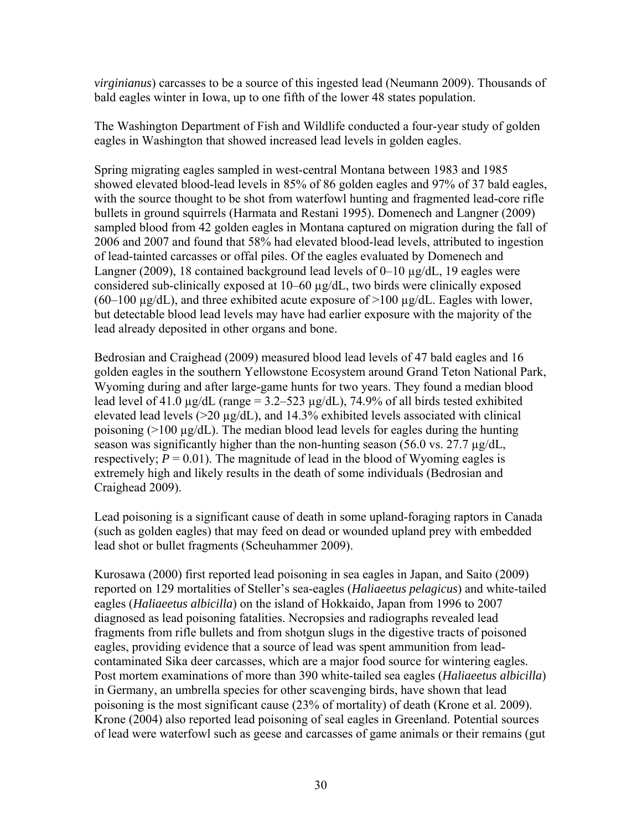*virginianus*) carcasses to be a source of this ingested lead (Neumann 2009). Thousands of bald eagles winter in Iowa, up to one fifth of the lower 48 states population.

The Washington Department of Fish and Wildlife conducted a four-year study of golden eagles in Washington that showed increased lead levels in golden eagles.

Spring migrating eagles sampled in west-central Montana between 1983 and 1985 showed elevated blood-lead levels in 85% of 86 golden eagles and 97% of 37 bald eagles, with the source thought to be shot from waterfowl hunting and fragmented lead-core rifle bullets in ground squirrels (Harmata and Restani 1995). Domenech and Langner (2009) sampled blood from 42 golden eagles in Montana captured on migration during the fall of 2006 and 2007 and found that 58% had elevated blood-lead levels, attributed to ingestion of lead-tainted carcasses or offal piles. Of the eagles evaluated by Domenech and Langner (2009), 18 contained background lead levels of 0–10 µg/dL, 19 eagles were considered sub-clinically exposed at 10–60 µg/dL, two birds were clinically exposed  $(60-100 \text{ µg/dL})$ , and three exhibited acute exposure of  $>100 \text{ µg/dL}$ . Eagles with lower, but detectable blood lead levels may have had earlier exposure with the majority of the lead already deposited in other organs and bone.

Bedrosian and Craighead (2009) measured blood lead levels of 47 bald eagles and 16 golden eagles in the southern Yellowstone Ecosystem around Grand Teton National Park, Wyoming during and after large-game hunts for two years. They found a median blood lead level of 41.0  $\mu$ g/dL (range = 3.2–523  $\mu$ g/dL), 74.9% of all birds tested exhibited elevated lead levels  $(>20 \mu g/dL)$ , and 14.3% exhibited levels associated with clinical poisoning  $(>100 \mu g/dL)$ . The median blood lead levels for eagles during the hunting season was significantly higher than the non-hunting season  $(56.0 \text{ vs. } 27.7 \mu g/dL)$ , respectively;  $P = 0.01$ ). The magnitude of lead in the blood of Wyoming eagles is extremely high and likely results in the death of some individuals (Bedrosian and Craighead 2009).

Lead poisoning is a significant cause of death in some upland-foraging raptors in Canada (such as golden eagles) that may feed on dead or wounded upland prey with embedded lead shot or bullet fragments (Scheuhammer 2009).

Kurosawa (2000) first reported lead poisoning in sea eagles in Japan, and Saito (2009) reported on 129 mortalities of Steller's sea-eagles (*Haliaeetus pelagicus*) and white-tailed eagles (*Haliaeetus albicilla*) on the island of Hokkaido, Japan from 1996 to 2007 diagnosed as lead poisoning fatalities. Necropsies and radiographs revealed lead fragments from rifle bullets and from shotgun slugs in the digestive tracts of poisoned eagles, providing evidence that a source of lead was spent ammunition from leadcontaminated Sika deer carcasses, which are a major food source for wintering eagles. Post mortem examinations of more than 390 white-tailed sea eagles (*Haliaeetus albicilla*) in Germany, an umbrella species for other scavenging birds, have shown that lead poisoning is the most significant cause (23% of mortality) of death (Krone et al. 2009). Krone (2004) also reported lead poisoning of seal eagles in Greenland. Potential sources of lead were waterfowl such as geese and carcasses of game animals or their remains (gut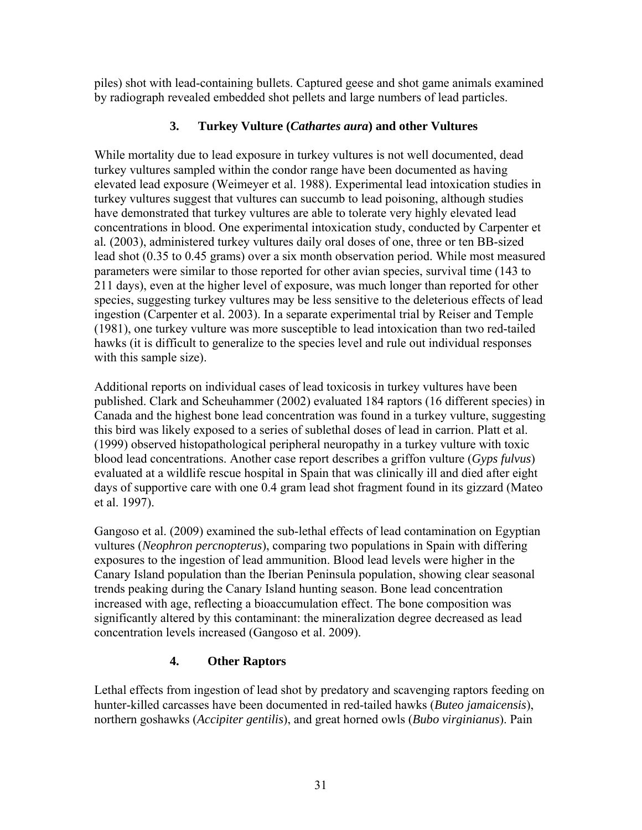piles) shot with lead-containing bullets. Captured geese and shot game animals examined by radiograph revealed embedded shot pellets and large numbers of lead particles.

# **3. Turkey Vulture (***Cathartes aura***) and other Vultures**

While mortality due to lead exposure in turkey vultures is not well documented, dead turkey vultures sampled within the condor range have been documented as having elevated lead exposure (Weimeyer et al. 1988). Experimental lead intoxication studies in turkey vultures suggest that vultures can succumb to lead poisoning, although studies have demonstrated that turkey vultures are able to tolerate very highly elevated lead concentrations in blood. One experimental intoxication study, conducted by Carpenter et al*.* (2003), administered turkey vultures daily oral doses of one, three or ten BB-sized lead shot (0.35 to 0.45 grams) over a six month observation period. While most measured parameters were similar to those reported for other avian species, survival time (143 to 211 days), even at the higher level of exposure, was much longer than reported for other species, suggesting turkey vultures may be less sensitive to the deleterious effects of lead ingestion (Carpenter et al. 2003). In a separate experimental trial by Reiser and Temple (1981), one turkey vulture was more susceptible to lead intoxication than two red-tailed hawks (it is difficult to generalize to the species level and rule out individual responses with this sample size).

Additional reports on individual cases of lead toxicosis in turkey vultures have been published. Clark and Scheuhammer (2002) evaluated 184 raptors (16 different species) in Canada and the highest bone lead concentration was found in a turkey vulture, suggesting this bird was likely exposed to a series of sublethal doses of lead in carrion. Platt et al. (1999) observed histopathological peripheral neuropathy in a turkey vulture with toxic blood lead concentrations. Another case report describes a griffon vulture (*Gyps fulvus*) evaluated at a wildlife rescue hospital in Spain that was clinically ill and died after eight days of supportive care with one 0.4 gram lead shot fragment found in its gizzard (Mateo et al. 1997).

Gangoso et al. (2009) examined the sub-lethal effects of lead contamination on Egyptian vultures (*Neophron percnopterus*), comparing two populations in Spain with differing exposures to the ingestion of lead ammunition. Blood lead levels were higher in the Canary Island population than the Iberian Peninsula population, showing clear seasonal trends peaking during the Canary Island hunting season. Bone lead concentration increased with age, reflecting a bioaccumulation effect. The bone composition was significantly altered by this contaminant: the mineralization degree decreased as lead concentration levels increased (Gangoso et al. 2009).

# **4. Other Raptors**

Lethal effects from ingestion of lead shot by predatory and scavenging raptors feeding on hunter-killed carcasses have been documented in red-tailed hawks (*Buteo jamaicensis*), northern goshawks (*Accipiter gentilis*), and great horned owls (*Bubo virginianus*). Pain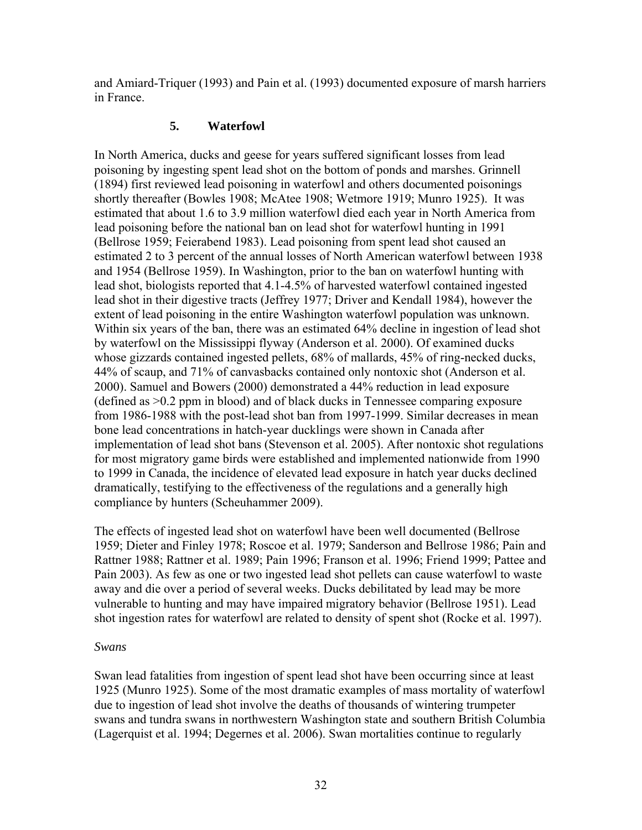and Amiard-Triquer (1993) and Pain et al. (1993) documented exposure of marsh harriers in France.

## **5. Waterfowl**

In North America, ducks and geese for years suffered significant losses from lead poisoning by ingesting spent lead shot on the bottom of ponds and marshes. Grinnell (1894) first reviewed lead poisoning in waterfowl and others documented poisonings shortly thereafter (Bowles 1908; McAtee 1908; Wetmore 1919; Munro 1925). It was estimated that about 1.6 to 3.9 million waterfowl died each year in North America from lead poisoning before the national ban on lead shot for waterfowl hunting in 1991 (Bellrose 1959; Feierabend 1983). Lead poisoning from spent lead shot caused an estimated 2 to 3 percent of the annual losses of North American waterfowl between 1938 and 1954 (Bellrose 1959). In Washington, prior to the ban on waterfowl hunting with lead shot, biologists reported that 4.1-4.5% of harvested waterfowl contained ingested lead shot in their digestive tracts (Jeffrey 1977; Driver and Kendall 1984), however the extent of lead poisoning in the entire Washington waterfowl population was unknown. Within six years of the ban, there was an estimated 64% decline in ingestion of lead shot by waterfowl on the Mississippi flyway (Anderson et al. 2000). Of examined ducks whose gizzards contained ingested pellets, 68% of mallards, 45% of ring-necked ducks, 44% of scaup, and 71% of canvasbacks contained only nontoxic shot (Anderson et al. 2000). Samuel and Bowers (2000) demonstrated a 44% reduction in lead exposure (defined as >0.2 ppm in blood) and of black ducks in Tennessee comparing exposure from 1986-1988 with the post-lead shot ban from 1997-1999. Similar decreases in mean bone lead concentrations in hatch-year ducklings were shown in Canada after implementation of lead shot bans (Stevenson et al. 2005). After nontoxic shot regulations for most migratory game birds were established and implemented nationwide from 1990 to 1999 in Canada, the incidence of elevated lead exposure in hatch year ducks declined dramatically, testifying to the effectiveness of the regulations and a generally high compliance by hunters (Scheuhammer 2009).

The effects of ingested lead shot on waterfowl have been well documented (Bellrose 1959; Dieter and Finley 1978; Roscoe et al. 1979; Sanderson and Bellrose 1986; Pain and Rattner 1988; Rattner et al. 1989; Pain 1996; Franson et al. 1996; Friend 1999; Pattee and Pain 2003). As few as one or two ingested lead shot pellets can cause waterfowl to waste away and die over a period of several weeks. Ducks debilitated by lead may be more vulnerable to hunting and may have impaired migratory behavior (Bellrose 1951). Lead shot ingestion rates for waterfowl are related to density of spent shot (Rocke et al. 1997).

#### *Swans*

Swan lead fatalities from ingestion of spent lead shot have been occurring since at least 1925 (Munro 1925). Some of the most dramatic examples of mass mortality of waterfowl due to ingestion of lead shot involve the deaths of thousands of wintering trumpeter swans and tundra swans in northwestern Washington state and southern British Columbia (Lagerquist et al. 1994; Degernes et al. 2006). Swan mortalities continue to regularly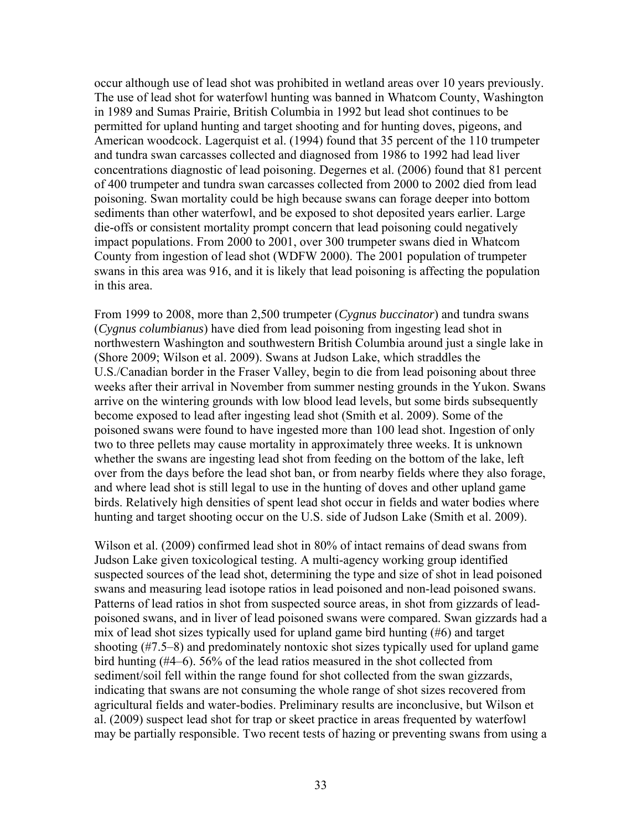occur although use of lead shot was prohibited in wetland areas over 10 years previously. The use of lead shot for waterfowl hunting was banned in Whatcom County, Washington in 1989 and Sumas Prairie, British Columbia in 1992 but lead shot continues to be permitted for upland hunting and target shooting and for hunting doves, pigeons, and American woodcock. Lagerquist et al. (1994) found that 35 percent of the 110 trumpeter and tundra swan carcasses collected and diagnosed from 1986 to 1992 had lead liver concentrations diagnostic of lead poisoning. Degernes et al. (2006) found that 81 percent of 400 trumpeter and tundra swan carcasses collected from 2000 to 2002 died from lead poisoning. Swan mortality could be high because swans can forage deeper into bottom sediments than other waterfowl, and be exposed to shot deposited years earlier. Large die-offs or consistent mortality prompt concern that lead poisoning could negatively impact populations. From 2000 to 2001, over 300 trumpeter swans died in Whatcom County from ingestion of lead shot (WDFW 2000). The 2001 population of trumpeter swans in this area was 916, and it is likely that lead poisoning is affecting the population in this area.

From 1999 to 2008, more than 2,500 trumpeter (*Cygnus buccinator*) and tundra swans (*Cygnus columbianus*) have died from lead poisoning from ingesting lead shot in northwestern Washington and southwestern British Columbia around just a single lake in (Shore 2009; Wilson et al. 2009). Swans at Judson Lake, which straddles the U.S./Canadian border in the Fraser Valley, begin to die from lead poisoning about three weeks after their arrival in November from summer nesting grounds in the Yukon. Swans arrive on the wintering grounds with low blood lead levels, but some birds subsequently become exposed to lead after ingesting lead shot (Smith et al. 2009). Some of the poisoned swans were found to have ingested more than 100 lead shot. Ingestion of only two to three pellets may cause mortality in approximately three weeks. It is unknown whether the swans are ingesting lead shot from feeding on the bottom of the lake, left over from the days before the lead shot ban, or from nearby fields where they also forage, and where lead shot is still legal to use in the hunting of doves and other upland game birds. Relatively high densities of spent lead shot occur in fields and water bodies where hunting and target shooting occur on the U.S. side of Judson Lake (Smith et al. 2009).

Wilson et al. (2009) confirmed lead shot in 80% of intact remains of dead swans from Judson Lake given toxicological testing. A multi-agency working group identified suspected sources of the lead shot, determining the type and size of shot in lead poisoned swans and measuring lead isotope ratios in lead poisoned and non-lead poisoned swans. Patterns of lead ratios in shot from suspected source areas, in shot from gizzards of leadpoisoned swans, and in liver of lead poisoned swans were compared. Swan gizzards had a mix of lead shot sizes typically used for upland game bird hunting (#6) and target shooting (#7.5–8) and predominately nontoxic shot sizes typically used for upland game bird hunting (#4–6). 56% of the lead ratios measured in the shot collected from sediment/soil fell within the range found for shot collected from the swan gizzards, indicating that swans are not consuming the whole range of shot sizes recovered from agricultural fields and water-bodies. Preliminary results are inconclusive, but Wilson et al. (2009) suspect lead shot for trap or skeet practice in areas frequented by waterfowl may be partially responsible. Two recent tests of hazing or preventing swans from using a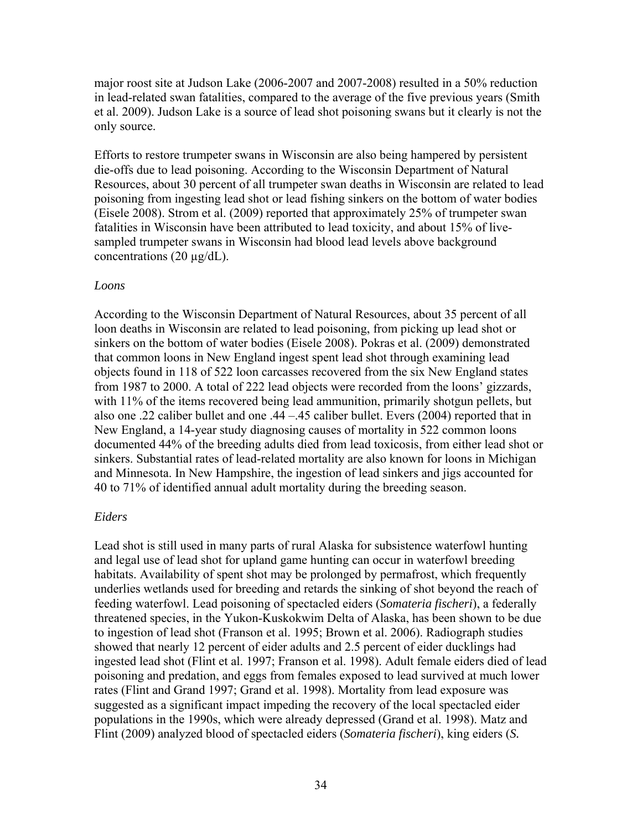major roost site at Judson Lake (2006-2007 and 2007-2008) resulted in a 50% reduction in lead-related swan fatalities, compared to the average of the five previous years (Smith et al. 2009). Judson Lake is a source of lead shot poisoning swans but it clearly is not the only source.

Efforts to restore trumpeter swans in Wisconsin are also being hampered by persistent die-offs due to lead poisoning. According to the Wisconsin Department of Natural Resources, about 30 percent of all trumpeter swan deaths in Wisconsin are related to lead poisoning from ingesting lead shot or lead fishing sinkers on the bottom of water bodies (Eisele 2008). Strom et al. (2009) reported that approximately 25% of trumpeter swan fatalities in Wisconsin have been attributed to lead toxicity, and about 15% of livesampled trumpeter swans in Wisconsin had blood lead levels above background concentrations (20 µg/dL).

#### *Loons*

According to the Wisconsin Department of Natural Resources, about 35 percent of all loon deaths in Wisconsin are related to lead poisoning, from picking up lead shot or sinkers on the bottom of water bodies (Eisele 2008). Pokras et al. (2009) demonstrated that common loons in New England ingest spent lead shot through examining lead objects found in 118 of 522 loon carcasses recovered from the six New England states from 1987 to 2000. A total of 222 lead objects were recorded from the loons' gizzards, with 11% of the items recovered being lead ammunition, primarily shotgun pellets, but also one .22 caliber bullet and one .44 –.45 caliber bullet. Evers (2004) reported that in New England, a 14-year study diagnosing causes of mortality in 522 common loons documented 44% of the breeding adults died from lead toxicosis, from either lead shot or sinkers. Substantial rates of lead-related mortality are also known for loons in Michigan and Minnesota. In New Hampshire, the ingestion of lead sinkers and jigs accounted for 40 to 71% of identified annual adult mortality during the breeding season.

## *Eiders*

Lead shot is still used in many parts of rural Alaska for subsistence waterfowl hunting and legal use of lead shot for upland game hunting can occur in waterfowl breeding habitats. Availability of spent shot may be prolonged by permafrost, which frequently underlies wetlands used for breeding and retards the sinking of shot beyond the reach of feeding waterfowl. Lead poisoning of spectacled eiders (*Somateria fischeri*), a federally threatened species, in the Yukon-Kuskokwim Delta of Alaska, has been shown to be due to ingestion of lead shot (Franson et al. 1995; Brown et al. 2006). Radiograph studies showed that nearly 12 percent of eider adults and 2.5 percent of eider ducklings had ingested lead shot (Flint et al. 1997; Franson et al. 1998). Adult female eiders died of lead poisoning and predation, and eggs from females exposed to lead survived at much lower rates (Flint and Grand 1997; Grand et al. 1998). Mortality from lead exposure was suggested as a significant impact impeding the recovery of the local spectacled eider populations in the 1990s, which were already depressed (Grand et al. 1998). Matz and Flint (2009) analyzed blood of spectacled eiders (*Somateria fischeri*), king eiders (*S.*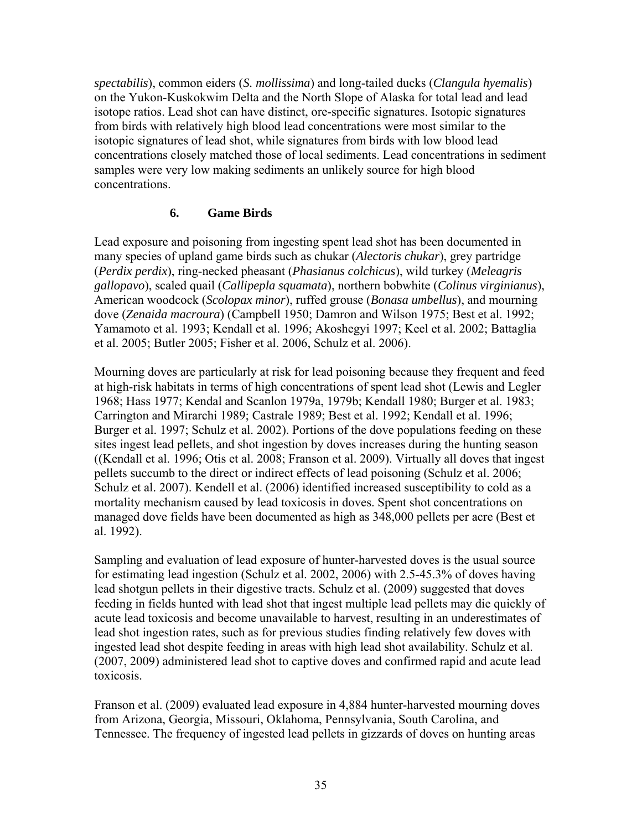*spectabilis*), common eiders (*S. mollissima*) and long-tailed ducks (*Clangula hyemalis*) on the Yukon-Kuskokwim Delta and the North Slope of Alaska for total lead and lead isotope ratios. Lead shot can have distinct, ore-specific signatures. Isotopic signatures from birds with relatively high blood lead concentrations were most similar to the isotopic signatures of lead shot, while signatures from birds with low blood lead concentrations closely matched those of local sediments. Lead concentrations in sediment samples were very low making sediments an unlikely source for high blood concentrations.

# **6. Game Birds**

Lead exposure and poisoning from ingesting spent lead shot has been documented in many species of upland game birds such as chukar (*Alectoris chukar*), grey partridge (*Perdix perdix*), ring-necked pheasant (*Phasianus colchicus*), wild turkey (*Meleagris gallopavo*), scaled quail (*Callipepla squamata*), northern bobwhite (*Colinus virginianus*), American woodcock (*Scolopax minor*), ruffed grouse (*Bonasa umbellus*), and mourning dove (*Zenaida macroura*) (Campbell 1950; Damron and Wilson 1975; Best et al. 1992; Yamamoto et al. 1993; Kendall et al. 1996; Akoshegyi 1997; Keel et al. 2002; Battaglia et al. 2005; Butler 2005; Fisher et al. 2006, Schulz et al. 2006).

Mourning doves are particularly at risk for lead poisoning because they frequent and feed at high-risk habitats in terms of high concentrations of spent lead shot (Lewis and Legler 1968; Hass 1977; Kendal and Scanlon 1979a, 1979b; Kendall 1980; Burger et al. 1983; Carrington and Mirarchi 1989; Castrale 1989; Best et al. 1992; Kendall et al. 1996; Burger et al. 1997; Schulz et al. 2002). Portions of the dove populations feeding on these sites ingest lead pellets, and shot ingestion by doves increases during the hunting season ((Kendall et al. 1996; Otis et al. 2008; Franson et al. 2009). Virtually all doves that ingest pellets succumb to the direct or indirect effects of lead poisoning (Schulz et al. 2006; Schulz et al. 2007). Kendell et al. (2006) identified increased susceptibility to cold as a mortality mechanism caused by lead toxicosis in doves. Spent shot concentrations on managed dove fields have been documented as high as 348,000 pellets per acre (Best et al. 1992).

Sampling and evaluation of lead exposure of hunter-harvested doves is the usual source for estimating lead ingestion (Schulz et al. 2002, 2006) with 2.5-45.3% of doves having lead shotgun pellets in their digestive tracts. Schulz et al. (2009) suggested that doves feeding in fields hunted with lead shot that ingest multiple lead pellets may die quickly of acute lead toxicosis and become unavailable to harvest, resulting in an underestimates of lead shot ingestion rates, such as for previous studies finding relatively few doves with ingested lead shot despite feeding in areas with high lead shot availability. Schulz et al. (2007, 2009) administered lead shot to captive doves and confirmed rapid and acute lead toxicosis.

Franson et al. (2009) evaluated lead exposure in 4,884 hunter-harvested mourning doves from Arizona, Georgia, Missouri, Oklahoma, Pennsylvania, South Carolina, and Tennessee. The frequency of ingested lead pellets in gizzards of doves on hunting areas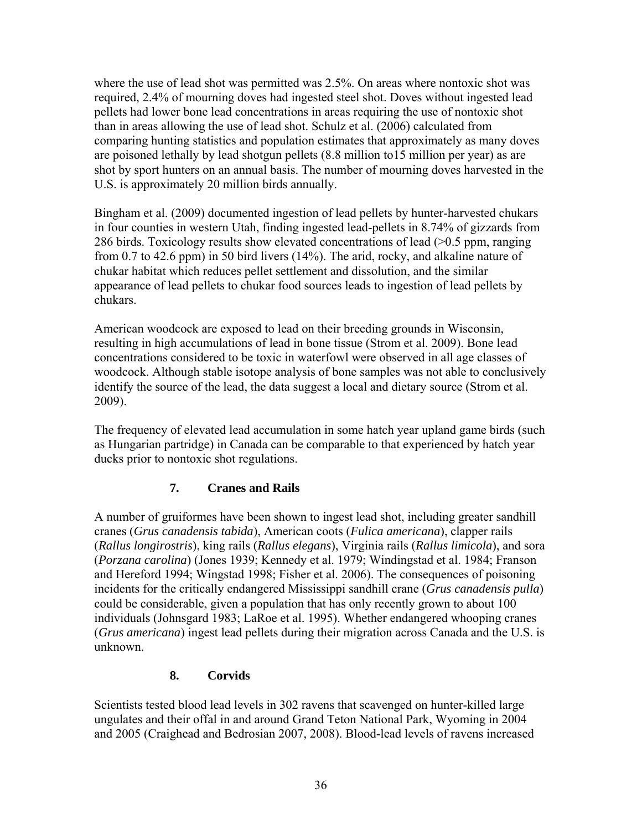where the use of lead shot was permitted was 2.5%. On areas where nontoxic shot was required, 2.4% of mourning doves had ingested steel shot. Doves without ingested lead pellets had lower bone lead concentrations in areas requiring the use of nontoxic shot than in areas allowing the use of lead shot. Schulz et al. (2006) calculated from comparing hunting statistics and population estimates that approximately as many doves are poisoned lethally by lead shotgun pellets (8.8 million to15 million per year) as are shot by sport hunters on an annual basis. The number of mourning doves harvested in the U.S. is approximately 20 million birds annually.

Bingham et al. (2009) documented ingestion of lead pellets by hunter-harvested chukars in four counties in western Utah, finding ingested lead-pellets in 8.74% of gizzards from 286 birds. Toxicology results show elevated concentrations of lead (>0.5 ppm, ranging from 0.7 to 42.6 ppm) in 50 bird livers (14%). The arid, rocky, and alkaline nature of chukar habitat which reduces pellet settlement and dissolution, and the similar appearance of lead pellets to chukar food sources leads to ingestion of lead pellets by chukars.

American woodcock are exposed to lead on their breeding grounds in Wisconsin, resulting in high accumulations of lead in bone tissue (Strom et al. 2009). Bone lead concentrations considered to be toxic in waterfowl were observed in all age classes of woodcock. Although stable isotope analysis of bone samples was not able to conclusively identify the source of the lead, the data suggest a local and dietary source (Strom et al. 2009).

The frequency of elevated lead accumulation in some hatch year upland game birds (such as Hungarian partridge) in Canada can be comparable to that experienced by hatch year ducks prior to nontoxic shot regulations.

# **7. Cranes and Rails**

A number of gruiformes have been shown to ingest lead shot, including greater sandhill cranes (*Grus canadensis tabida*), American coots (*Fulica americana*), clapper rails (*Rallus longirostris*), king rails (*Rallus elegans*), Virginia rails (*Rallus limicola*), and sora (*Porzana carolina*) (Jones 1939; Kennedy et al. 1979; Windingstad et al. 1984; Franson and Hereford 1994; Wingstad 1998; Fisher et al. 2006). The consequences of poisoning incidents for the critically endangered Mississippi sandhill crane (*Grus canadensis pulla*) could be considerable, given a population that has only recently grown to about 100 individuals (Johnsgard 1983; LaRoe et al. 1995). Whether endangered whooping cranes (*Grus americana*) ingest lead pellets during their migration across Canada and the U.S. is unknown.

# **8. Corvids**

Scientists tested blood lead levels in 302 ravens that scavenged on hunter-killed large ungulates and their offal in and around Grand Teton National Park, Wyoming in 2004 and 2005 (Craighead and Bedrosian 2007, 2008). Blood-lead levels of ravens increased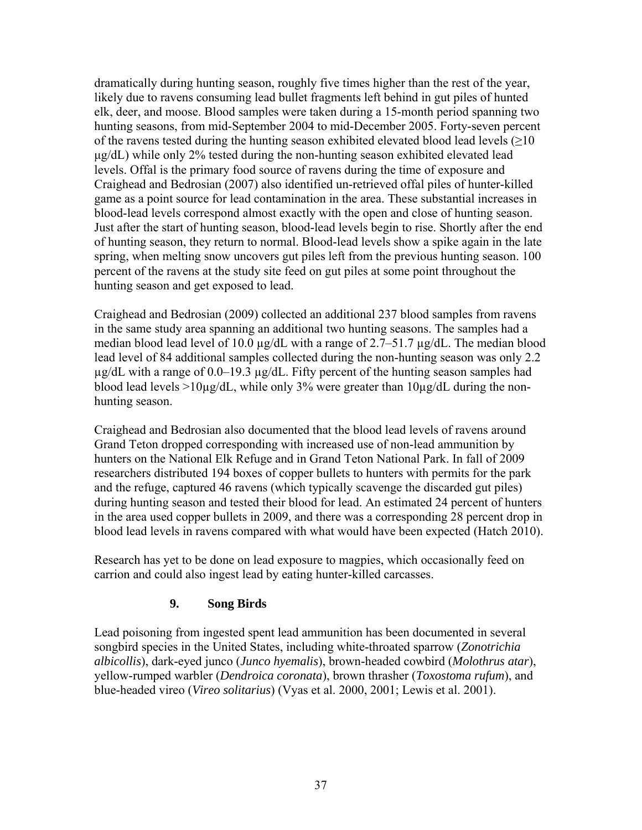dramatically during hunting season, roughly five times higher than the rest of the year, likely due to ravens consuming lead bullet fragments left behind in gut piles of hunted elk, deer, and moose. Blood samples were taken during a 15-month period spanning two hunting seasons, from mid-September 2004 to mid-December 2005. Forty-seven percent of the ravens tested during the hunting season exhibited elevated blood lead levels (>10 µg/dL) while only 2% tested during the non-hunting season exhibited elevated lead levels. Offal is the primary food source of ravens during the time of exposure and Craighead and Bedrosian (2007) also identified un-retrieved offal piles of hunter-killed game as a point source for lead contamination in the area. These substantial increases in blood-lead levels correspond almost exactly with the open and close of hunting season. Just after the start of hunting season, blood-lead levels begin to rise. Shortly after the end of hunting season, they return to normal. Blood-lead levels show a spike again in the late spring, when melting snow uncovers gut piles left from the previous hunting season. 100 percent of the ravens at the study site feed on gut piles at some point throughout the hunting season and get exposed to lead.

Craighead and Bedrosian (2009) collected an additional 237 blood samples from ravens in the same study area spanning an additional two hunting seasons. The samples had a median blood lead level of 10.0 µg/dL with a range of 2.7–51.7 µg/dL. The median blood lead level of 84 additional samples collected during the non-hunting season was only 2.2  $\mu$ g/dL with a range of 0.0–19.3  $\mu$ g/dL. Fifty percent of the hunting season samples had blood lead levels >10µg/dL, while only 3% were greater than  $10\mu$ g/dL during the nonhunting season.

Craighead and Bedrosian also documented that the blood lead levels of ravens around Grand Teton dropped corresponding with increased use of non-lead ammunition by hunters on the National Elk Refuge and in Grand Teton National Park. In fall of 2009 researchers distributed 194 boxes of copper bullets to hunters with permits for the park and the refuge, captured 46 ravens (which typically scavenge the discarded gut piles) during hunting season and tested their blood for lead. An estimated 24 percent of hunters in the area used copper bullets in 2009, and there was a corresponding 28 percent drop in blood lead levels in ravens compared with what would have been expected (Hatch 2010).

Research has yet to be done on lead exposure to magpies, which occasionally feed on carrion and could also ingest lead by eating hunter-killed carcasses.

# **9. Song Birds**

Lead poisoning from ingested spent lead ammunition has been documented in several songbird species in the United States, including white-throated sparrow (*Zonotrichia albicollis*), dark-eyed junco (*Junco hyemalis*), brown-headed cowbird (*Molothrus atar*), yellow-rumped warbler (*Dendroica coronata*), brown thrasher (*Toxostoma rufum*), and blue-headed vireo (*Vireo solitarius*) (Vyas et al. 2000, 2001; Lewis et al. 2001).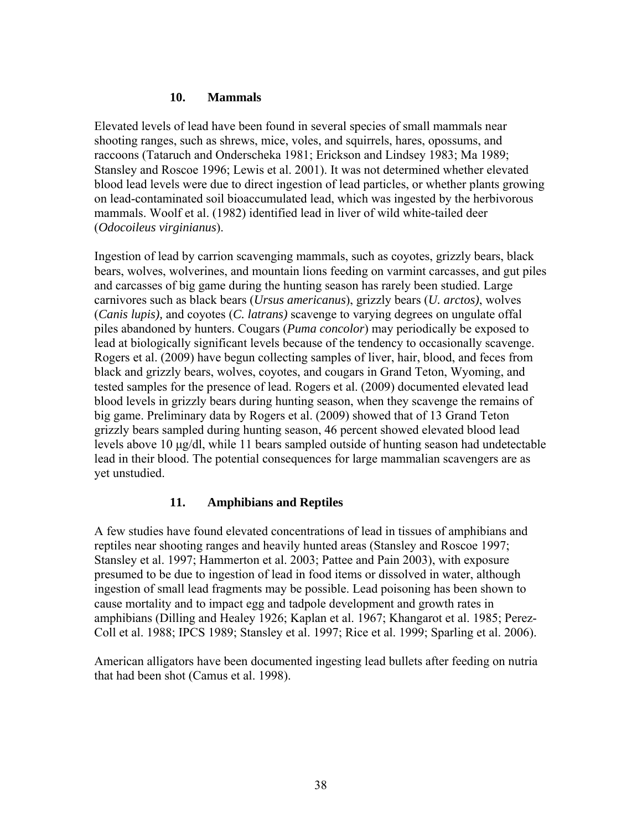#### **10. Mammals**

Elevated levels of lead have been found in several species of small mammals near shooting ranges, such as shrews, mice, voles, and squirrels, hares, opossums, and raccoons (Tataruch and Onderscheka 1981; Erickson and Lindsey 1983; Ma 1989; Stansley and Roscoe 1996; Lewis et al. 2001). It was not determined whether elevated blood lead levels were due to direct ingestion of lead particles, or whether plants growing on lead-contaminated soil bioaccumulated lead, which was ingested by the herbivorous mammals. Woolf et al. (1982) identified lead in liver of wild white-tailed deer (*Odocoileus virginianus*).

Ingestion of lead by carrion scavenging mammals, such as coyotes, grizzly bears, black bears, wolves, wolverines, and mountain lions feeding on varmint carcasses, and gut piles and carcasses of big game during the hunting season has rarely been studied. Large carnivores such as black bears (*Ursus americanus*), grizzly bears (*U. arctos)*, wolves (*Canis lupis),* and coyotes (*C. latrans)* scavenge to varying degrees on ungulate offal piles abandoned by hunters. Cougars (*Puma concolor*) may periodically be exposed to lead at biologically significant levels because of the tendency to occasionally scavenge. Rogers et al. (2009) have begun collecting samples of liver, hair, blood, and feces from black and grizzly bears, wolves, coyotes, and cougars in Grand Teton, Wyoming, and tested samples for the presence of lead. Rogers et al. (2009) documented elevated lead blood levels in grizzly bears during hunting season, when they scavenge the remains of big game. Preliminary data by Rogers et al. (2009) showed that of 13 Grand Teton grizzly bears sampled during hunting season, 46 percent showed elevated blood lead levels above 10 µg/dl, while 11 bears sampled outside of hunting season had undetectable lead in their blood. The potential consequences for large mammalian scavengers are as yet unstudied.

### **11. Amphibians and Reptiles**

A few studies have found elevated concentrations of lead in tissues of amphibians and reptiles near shooting ranges and heavily hunted areas (Stansley and Roscoe 1997; Stansley et al. 1997; Hammerton et al. 2003; Pattee and Pain 2003), with exposure presumed to be due to ingestion of lead in food items or dissolved in water, although ingestion of small lead fragments may be possible. Lead poisoning has been shown to cause mortality and to impact egg and tadpole development and growth rates in amphibians (Dilling and Healey 1926; Kaplan et al. 1967; Khangarot et al. 1985; Perez-Coll et al. 1988; IPCS 1989; Stansley et al. 1997; Rice et al. 1999; Sparling et al. 2006).

American alligators have been documented ingesting lead bullets after feeding on nutria that had been shot (Camus et al. 1998).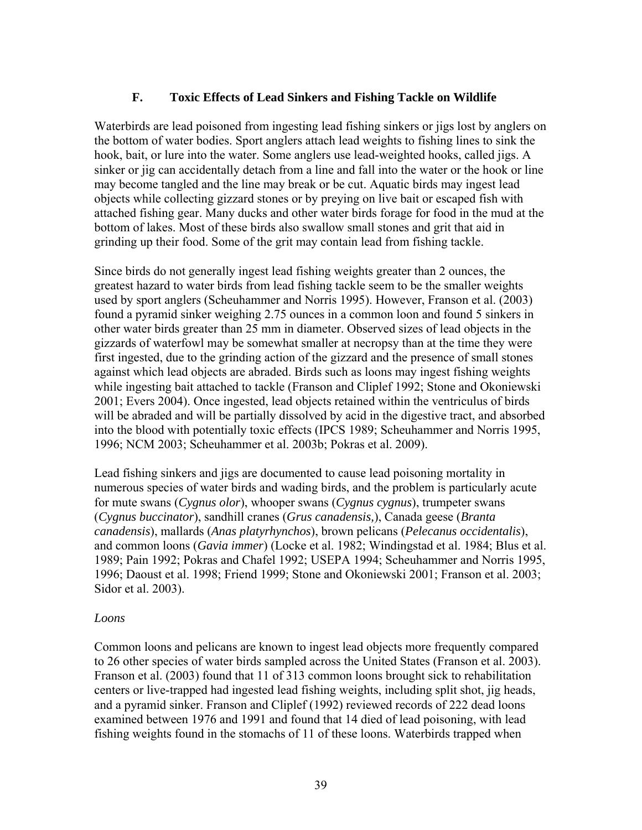### **F. Toxic Effects of Lead Sinkers and Fishing Tackle on Wildlife**

Waterbirds are lead poisoned from ingesting lead fishing sinkers or jigs lost by anglers on the bottom of water bodies. Sport anglers attach lead weights to fishing lines to sink the hook, bait, or lure into the water. Some anglers use lead-weighted hooks, called jigs. A sinker or jig can accidentally detach from a line and fall into the water or the hook or line may become tangled and the line may break or be cut. Aquatic birds may ingest lead objects while collecting gizzard stones or by preying on live bait or escaped fish with attached fishing gear. Many ducks and other water birds forage for food in the mud at the bottom of lakes. Most of these birds also swallow small stones and grit that aid in grinding up their food. Some of the grit may contain lead from fishing tackle.

Since birds do not generally ingest lead fishing weights greater than 2 ounces, the greatest hazard to water birds from lead fishing tackle seem to be the smaller weights used by sport anglers (Scheuhammer and Norris 1995). However, Franson et al. (2003) found a pyramid sinker weighing 2.75 ounces in a common loon and found 5 sinkers in other water birds greater than 25 mm in diameter. Observed sizes of lead objects in the gizzards of waterfowl may be somewhat smaller at necropsy than at the time they were first ingested, due to the grinding action of the gizzard and the presence of small stones against which lead objects are abraded. Birds such as loons may ingest fishing weights while ingesting bait attached to tackle (Franson and Cliplef 1992; Stone and Okoniewski 2001; Evers 2004). Once ingested, lead objects retained within the ventriculus of birds will be abraded and will be partially dissolved by acid in the digestive tract, and absorbed into the blood with potentially toxic effects (IPCS 1989; Scheuhammer and Norris 1995, 1996; NCM 2003; Scheuhammer et al. 2003b; Pokras et al. 2009).

Lead fishing sinkers and jigs are documented to cause lead poisoning mortality in numerous species of water birds and wading birds, and the problem is particularly acute for mute swans (*Cygnus olor*), whooper swans (*Cygnus cygnus*), trumpeter swans (*Cygnus buccinator*), sandhill cranes (*Grus canadensis,*), Canada geese (*Branta canadensis*), mallards (*Anas platyrhynchos*), brown pelicans (*Pelecanus occidentalis*), and common loons (*Gavia immer*) (Locke et al. 1982; Windingstad et al. 1984; Blus et al. 1989; Pain 1992; Pokras and Chafel 1992; USEPA 1994; Scheuhammer and Norris 1995, 1996; Daoust et al. 1998; Friend 1999; Stone and Okoniewski 2001; Franson et al. 2003; Sidor et al. 2003).

#### *Loons*

Common loons and pelicans are known to ingest lead objects more frequently compared to 26 other species of water birds sampled across the United States (Franson et al. 2003). Franson et al. (2003) found that 11 of 313 common loons brought sick to rehabilitation centers or live-trapped had ingested lead fishing weights, including split shot, jig heads, and a pyramid sinker. Franson and Cliplef (1992) reviewed records of 222 dead loons examined between 1976 and 1991 and found that 14 died of lead poisoning, with lead fishing weights found in the stomachs of 11 of these loons. Waterbirds trapped when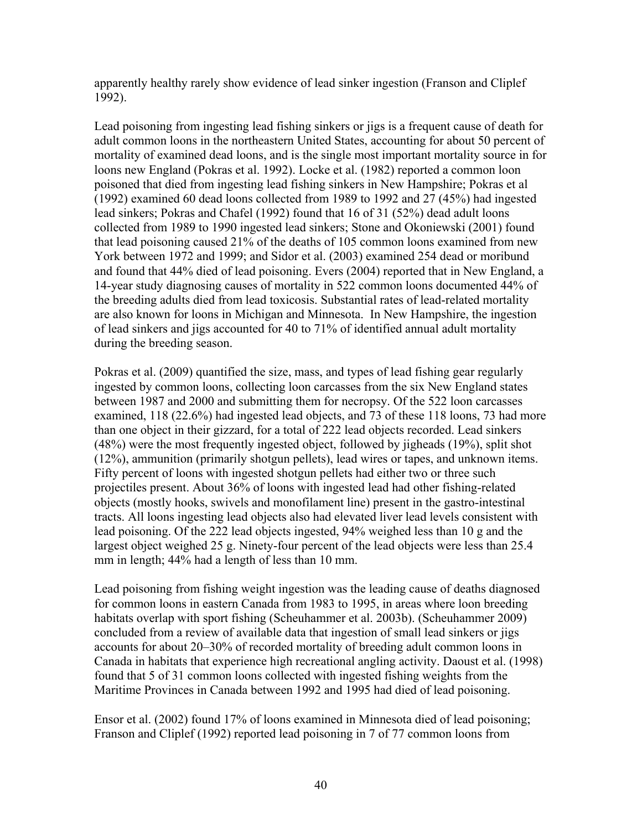apparently healthy rarely show evidence of lead sinker ingestion (Franson and Cliplef 1992).

Lead poisoning from ingesting lead fishing sinkers or jigs is a frequent cause of death for adult common loons in the northeastern United States, accounting for about 50 percent of mortality of examined dead loons, and is the single most important mortality source in for loons new England (Pokras et al. 1992). Locke et al. (1982) reported a common loon poisoned that died from ingesting lead fishing sinkers in New Hampshire; Pokras et al (1992) examined 60 dead loons collected from 1989 to 1992 and 27 (45%) had ingested lead sinkers; Pokras and Chafel (1992) found that 16 of 31 (52%) dead adult loons collected from 1989 to 1990 ingested lead sinkers; Stone and Okoniewski (2001) found that lead poisoning caused 21% of the deaths of 105 common loons examined from new York between 1972 and 1999; and Sidor et al. (2003) examined 254 dead or moribund and found that 44% died of lead poisoning. Evers (2004) reported that in New England, a 14-year study diagnosing causes of mortality in 522 common loons documented 44% of the breeding adults died from lead toxicosis. Substantial rates of lead-related mortality are also known for loons in Michigan and Minnesota. In New Hampshire, the ingestion of lead sinkers and jigs accounted for 40 to 71% of identified annual adult mortality during the breeding season.

Pokras et al. (2009) quantified the size, mass, and types of lead fishing gear regularly ingested by common loons, collecting loon carcasses from the six New England states between 1987 and 2000 and submitting them for necropsy. Of the 522 loon carcasses examined, 118 (22.6%) had ingested lead objects, and 73 of these 118 loons, 73 had more than one object in their gizzard, for a total of 222 lead objects recorded. Lead sinkers (48%) were the most frequently ingested object, followed by jigheads (19%), split shot (12%), ammunition (primarily shotgun pellets), lead wires or tapes, and unknown items. Fifty percent of loons with ingested shotgun pellets had either two or three such projectiles present. About 36% of loons with ingested lead had other fishing-related objects (mostly hooks, swivels and monofilament line) present in the gastro-intestinal tracts. All loons ingesting lead objects also had elevated liver lead levels consistent with lead poisoning. Of the 222 lead objects ingested, 94% weighed less than 10 g and the largest object weighed 25 g. Ninety-four percent of the lead objects were less than 25.4 mm in length; 44% had a length of less than 10 mm.

Lead poisoning from fishing weight ingestion was the leading cause of deaths diagnosed for common loons in eastern Canada from 1983 to 1995, in areas where loon breeding habitats overlap with sport fishing (Scheuhammer et al. 2003b). (Scheuhammer 2009) concluded from a review of available data that ingestion of small lead sinkers or jigs accounts for about 20–30% of recorded mortality of breeding adult common loons in Canada in habitats that experience high recreational angling activity. Daoust et al. (1998) found that 5 of 31 common loons collected with ingested fishing weights from the Maritime Provinces in Canada between 1992 and 1995 had died of lead poisoning.

Ensor et al. (2002) found 17% of loons examined in Minnesota died of lead poisoning; Franson and Cliplef (1992) reported lead poisoning in 7 of 77 common loons from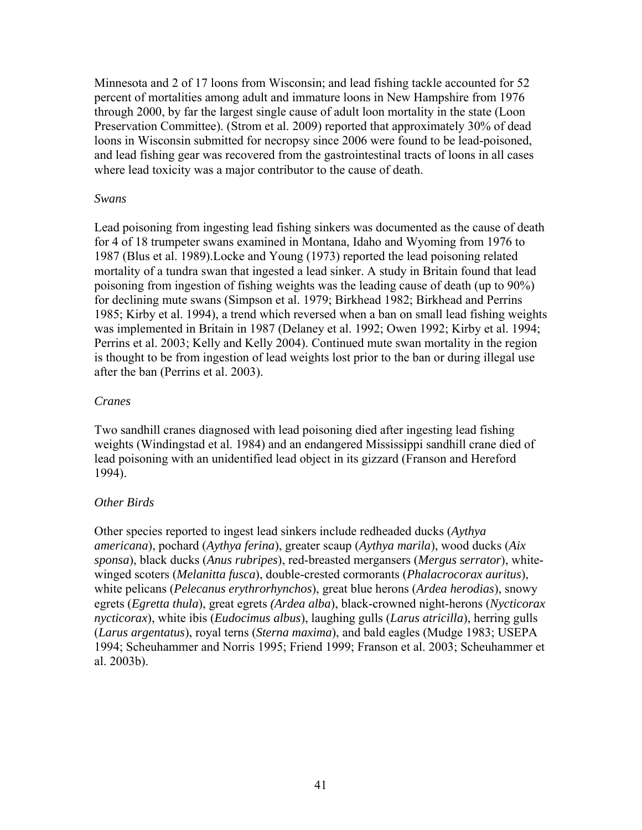Minnesota and 2 of 17 loons from Wisconsin; and lead fishing tackle accounted for 52 percent of mortalities among adult and immature loons in New Hampshire from 1976 through 2000, by far the largest single cause of adult loon mortality in the state (Loon Preservation Committee). (Strom et al. 2009) reported that approximately 30% of dead loons in Wisconsin submitted for necropsy since 2006 were found to be lead-poisoned, and lead fishing gear was recovered from the gastrointestinal tracts of loons in all cases where lead toxicity was a major contributor to the cause of death.

#### *Swans*

Lead poisoning from ingesting lead fishing sinkers was documented as the cause of death for 4 of 18 trumpeter swans examined in Montana, Idaho and Wyoming from 1976 to 1987 (Blus et al. 1989).Locke and Young (1973) reported the lead poisoning related mortality of a tundra swan that ingested a lead sinker. A study in Britain found that lead poisoning from ingestion of fishing weights was the leading cause of death (up to 90%) for declining mute swans (Simpson et al. 1979; Birkhead 1982; Birkhead and Perrins 1985; Kirby et al. 1994), a trend which reversed when a ban on small lead fishing weights was implemented in Britain in 1987 (Delaney et al. 1992; Owen 1992; Kirby et al. 1994; Perrins et al. 2003; Kelly and Kelly 2004). Continued mute swan mortality in the region is thought to be from ingestion of lead weights lost prior to the ban or during illegal use after the ban (Perrins et al. 2003).

#### *Cranes*

Two sandhill cranes diagnosed with lead poisoning died after ingesting lead fishing weights (Windingstad et al. 1984) and an endangered Mississippi sandhill crane died of lead poisoning with an unidentified lead object in its gizzard (Franson and Hereford 1994).

### *Other Birds*

Other species reported to ingest lead sinkers include redheaded ducks (*Aythya americana*), pochard (*Aythya ferina*), greater scaup (*Aythya marila*), wood ducks (*Aix sponsa*), black ducks (*Anus rubripes*), red-breasted mergansers (*Mergus serrator*), whitewinged scoters (*Melanitta fusca*), double-crested cormorants (*Phalacrocorax auritus*), white pelicans (*Pelecanus erythrorhynchos*), great blue herons (*Ardea herodias*), snowy egrets (*Egretta thula*), great egrets *(Ardea alba*), black-crowned night-herons (*Nycticorax nycticorax*), white ibis (*Eudocimus albus*), laughing gulls (*Larus atricilla*), herring gulls (*Larus argentatus*), royal terns (*Sterna maxima*), and bald eagles (Mudge 1983; USEPA 1994; Scheuhammer and Norris 1995; Friend 1999; Franson et al. 2003; Scheuhammer et al. 2003b).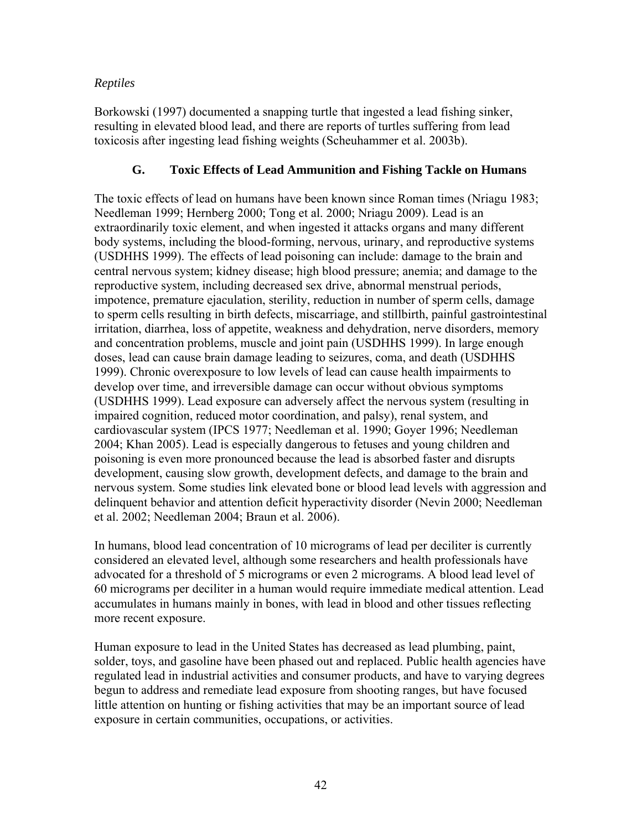# *Reptiles*

Borkowski (1997) documented a snapping turtle that ingested a lead fishing sinker, resulting in elevated blood lead, and there are reports of turtles suffering from lead toxicosis after ingesting lead fishing weights (Scheuhammer et al. 2003b).

## **G. Toxic Effects of Lead Ammunition and Fishing Tackle on Humans**

The toxic effects of lead on humans have been known since Roman times (Nriagu 1983; Needleman 1999; Hernberg 2000; Tong et al. 2000; Nriagu 2009). Lead is an extraordinarily toxic element, and when ingested it attacks organs and many different body systems, including the blood-forming, nervous, urinary, and reproductive systems (USDHHS 1999). The effects of lead poisoning can include: damage to the brain and central nervous system; kidney disease; high blood pressure; anemia; and damage to the reproductive system, including decreased sex drive, abnormal menstrual periods, impotence, premature ejaculation, sterility, reduction in number of sperm cells, damage to sperm cells resulting in birth defects, miscarriage, and stillbirth, painful gastrointestinal irritation, diarrhea, loss of appetite, weakness and dehydration, nerve disorders, memory and concentration problems, muscle and joint pain (USDHHS 1999). In large enough doses, lead can cause brain damage leading to seizures, coma, and death (USDHHS 1999). Chronic overexposure to low levels of lead can cause health impairments to develop over time, and irreversible damage can occur without obvious symptoms (USDHHS 1999). Lead exposure can adversely affect the nervous system (resulting in impaired cognition, reduced motor coordination, and palsy), renal system, and cardiovascular system (IPCS 1977; Needleman et al. 1990; Goyer 1996; Needleman 2004; Khan 2005). Lead is especially dangerous to fetuses and young children and poisoning is even more pronounced because the lead is absorbed faster and disrupts development, causing slow growth, development defects, and damage to the brain and nervous system. Some studies link elevated bone or blood lead levels with aggression and delinquent behavior and attention deficit hyperactivity disorder (Nevin 2000; Needleman et al. 2002; Needleman 2004; Braun et al. 2006).

In humans, blood lead concentration of 10 micrograms of lead per deciliter is currently considered an elevated level, although some researchers and health professionals have advocated for a threshold of 5 micrograms or even 2 micrograms. A blood lead level of 60 micrograms per deciliter in a human would require immediate medical attention. Lead accumulates in humans mainly in bones, with lead in blood and other tissues reflecting more recent exposure.

Human exposure to lead in the United States has decreased as lead plumbing, paint, solder, toys, and gasoline have been phased out and replaced. Public health agencies have regulated lead in industrial activities and consumer products, and have to varying degrees begun to address and remediate lead exposure from shooting ranges, but have focused little attention on hunting or fishing activities that may be an important source of lead exposure in certain communities, occupations, or activities.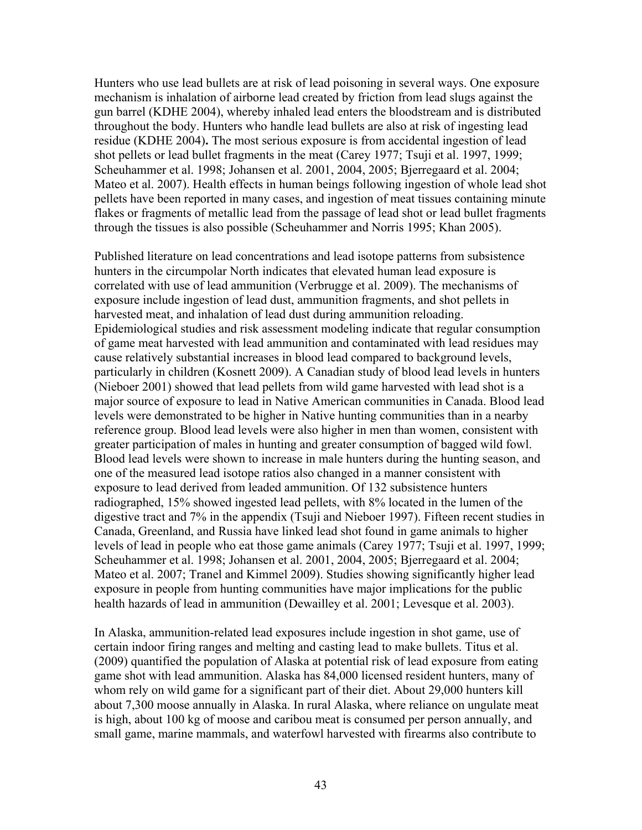Hunters who use lead bullets are at risk of lead poisoning in several ways. One exposure mechanism is inhalation of airborne lead created by friction from lead slugs against the gun barrel (KDHE 2004), whereby inhaled lead enters the bloodstream and is distributed throughout the body. Hunters who handle lead bullets are also at risk of ingesting lead residue (KDHE 2004)**.** The most serious exposure is from accidental ingestion of lead shot pellets or lead bullet fragments in the meat (Carey 1977; Tsuji et al. 1997, 1999; Scheuhammer et al. 1998; Johansen et al. 2001, 2004, 2005; Bjerregaard et al. 2004; Mateo et al. 2007). Health effects in human beings following ingestion of whole lead shot pellets have been reported in many cases, and ingestion of meat tissues containing minute flakes or fragments of metallic lead from the passage of lead shot or lead bullet fragments through the tissues is also possible (Scheuhammer and Norris 1995; Khan 2005).

Published literature on lead concentrations and lead isotope patterns from subsistence hunters in the circumpolar North indicates that elevated human lead exposure is correlated with use of lead ammunition (Verbrugge et al. 2009). The mechanisms of exposure include ingestion of lead dust, ammunition fragments, and shot pellets in harvested meat, and inhalation of lead dust during ammunition reloading. Epidemiological studies and risk assessment modeling indicate that regular consumption of game meat harvested with lead ammunition and contaminated with lead residues may cause relatively substantial increases in blood lead compared to background levels, particularly in children (Kosnett 2009). A Canadian study of blood lead levels in hunters (Nieboer 2001) showed that lead pellets from wild game harvested with lead shot is a major source of exposure to lead in Native American communities in Canada. Blood lead levels were demonstrated to be higher in Native hunting communities than in a nearby reference group. Blood lead levels were also higher in men than women, consistent with greater participation of males in hunting and greater consumption of bagged wild fowl. Blood lead levels were shown to increase in male hunters during the hunting season, and one of the measured lead isotope ratios also changed in a manner consistent with exposure to lead derived from leaded ammunition. Of 132 subsistence hunters radiographed, 15% showed ingested lead pellets, with 8% located in the lumen of the digestive tract and 7% in the appendix (Tsuji and Nieboer 1997). Fifteen recent studies in Canada, Greenland, and Russia have linked lead shot found in game animals to higher levels of lead in people who eat those game animals (Carey 1977; Tsuji et al. 1997, 1999; Scheuhammer et al. 1998; Johansen et al. 2001, 2004, 2005; Bjerregaard et al. 2004; Mateo et al. 2007; Tranel and Kimmel 2009). Studies showing significantly higher lead exposure in people from hunting communities have major implications for the public health hazards of lead in ammunition (Dewailley et al. 2001; Levesque et al. 2003).

In Alaska, ammunition-related lead exposures include ingestion in shot game, use of certain indoor firing ranges and melting and casting lead to make bullets. Titus et al. (2009) quantified the population of Alaska at potential risk of lead exposure from eating game shot with lead ammunition. Alaska has 84,000 licensed resident hunters, many of whom rely on wild game for a significant part of their diet. About 29,000 hunters kill about 7,300 moose annually in Alaska. In rural Alaska, where reliance on ungulate meat is high, about 100 kg of moose and caribou meat is consumed per person annually, and small game, marine mammals, and waterfowl harvested with firearms also contribute to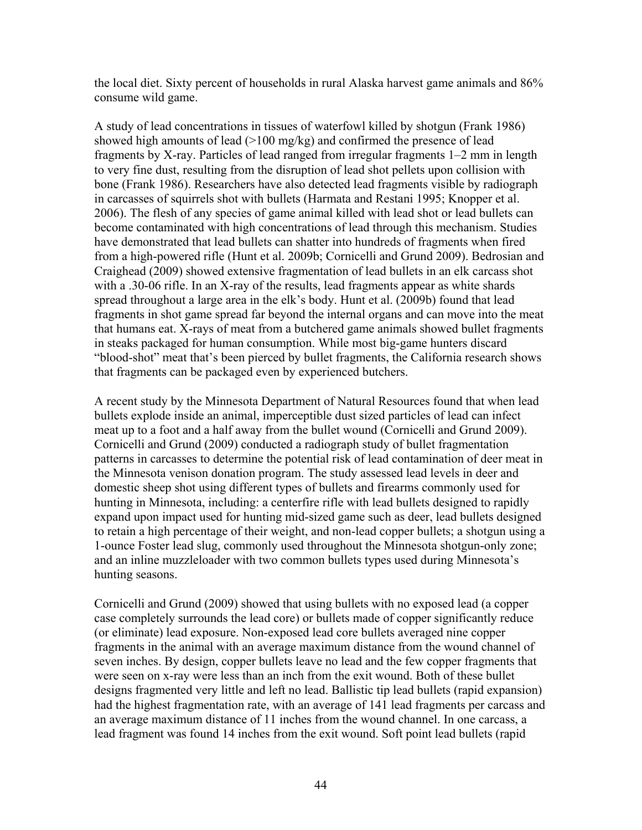the local diet. Sixty percent of households in rural Alaska harvest game animals and 86% consume wild game.

A study of lead concentrations in tissues of waterfowl killed by shotgun (Frank 1986) showed high amounts of lead (>100 mg/kg) and confirmed the presence of lead fragments by X-ray. Particles of lead ranged from irregular fragments 1–2 mm in length to very fine dust, resulting from the disruption of lead shot pellets upon collision with bone (Frank 1986). Researchers have also detected lead fragments visible by radiograph in carcasses of squirrels shot with bullets (Harmata and Restani 1995; Knopper et al. 2006). The flesh of any species of game animal killed with lead shot or lead bullets can become contaminated with high concentrations of lead through this mechanism. Studies have demonstrated that lead bullets can shatter into hundreds of fragments when fired from a high-powered rifle (Hunt et al. 2009b; Cornicelli and Grund 2009). Bedrosian and Craighead (2009) showed extensive fragmentation of lead bullets in an elk carcass shot with a .30-06 rifle. In an X-ray of the results, lead fragments appear as white shards spread throughout a large area in the elk's body. Hunt et al. (2009b) found that lead fragments in shot game spread far beyond the internal organs and can move into the meat that humans eat. X-rays of meat from a butchered game animals showed bullet fragments in steaks packaged for human consumption. While most big-game hunters discard "blood-shot" meat that's been pierced by bullet fragments, the California research shows that fragments can be packaged even by experienced butchers.

A recent study by the Minnesota Department of Natural Resources found that when lead bullets explode inside an animal, imperceptible dust sized particles of lead can infect meat up to a foot and a half away from the bullet wound (Cornicelli and Grund 2009). Cornicelli and Grund (2009) conducted a radiograph study of bullet fragmentation patterns in carcasses to determine the potential risk of lead contamination of deer meat in the Minnesota venison donation program. The study assessed lead levels in deer and domestic sheep shot using different types of bullets and firearms commonly used for hunting in Minnesota, including: a centerfire rifle with lead bullets designed to rapidly expand upon impact used for hunting mid-sized game such as deer, lead bullets designed to retain a high percentage of their weight, and non-lead copper bullets; a shotgun using a 1-ounce Foster lead slug, commonly used throughout the Minnesota shotgun-only zone; and an inline muzzleloader with two common bullets types used during Minnesota's hunting seasons.

Cornicelli and Grund (2009) showed that using bullets with no exposed lead (a copper case completely surrounds the lead core) or bullets made of copper significantly reduce (or eliminate) lead exposure. Non-exposed lead core bullets averaged nine copper fragments in the animal with an average maximum distance from the wound channel of seven inches. By design, copper bullets leave no lead and the few copper fragments that were seen on x-ray were less than an inch from the exit wound. Both of these bullet designs fragmented very little and left no lead. Ballistic tip lead bullets (rapid expansion) had the highest fragmentation rate, with an average of 141 lead fragments per carcass and an average maximum distance of 11 inches from the wound channel. In one carcass, a lead fragment was found 14 inches from the exit wound. Soft point lead bullets (rapid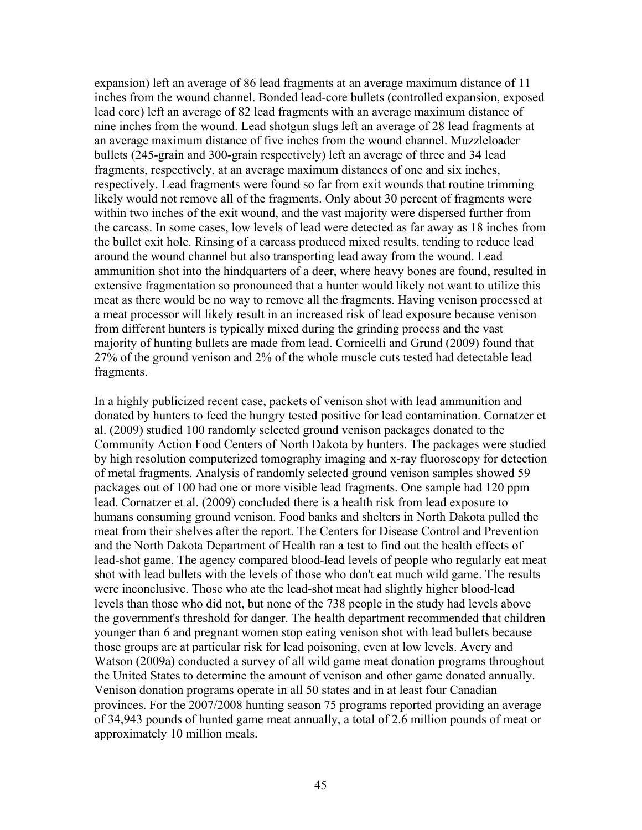expansion) left an average of 86 lead fragments at an average maximum distance of 11 inches from the wound channel. Bonded lead-core bullets (controlled expansion, exposed lead core) left an average of 82 lead fragments with an average maximum distance of nine inches from the wound. Lead shotgun slugs left an average of 28 lead fragments at an average maximum distance of five inches from the wound channel. Muzzleloader bullets (245-grain and 300-grain respectively) left an average of three and 34 lead fragments, respectively, at an average maximum distances of one and six inches, respectively. Lead fragments were found so far from exit wounds that routine trimming likely would not remove all of the fragments. Only about 30 percent of fragments were within two inches of the exit wound, and the vast majority were dispersed further from the carcass. In some cases, low levels of lead were detected as far away as 18 inches from the bullet exit hole. Rinsing of a carcass produced mixed results, tending to reduce lead around the wound channel but also transporting lead away from the wound. Lead ammunition shot into the hindquarters of a deer, where heavy bones are found, resulted in extensive fragmentation so pronounced that a hunter would likely not want to utilize this meat as there would be no way to remove all the fragments. Having venison processed at a meat processor will likely result in an increased risk of lead exposure because venison from different hunters is typically mixed during the grinding process and the vast majority of hunting bullets are made from lead. Cornicelli and Grund (2009) found that 27% of the ground venison and 2% of the whole muscle cuts tested had detectable lead fragments.

In a highly publicized recent case, packets of venison shot with lead ammunition and donated by hunters to feed the hungry tested positive for lead contamination. Cornatzer et al. (2009) studied 100 randomly selected ground venison packages donated to the Community Action Food Centers of North Dakota by hunters. The packages were studied by high resolution computerized tomography imaging and x-ray fluoroscopy for detection of metal fragments. Analysis of randomly selected ground venison samples showed 59 packages out of 100 had one or more visible lead fragments. One sample had 120 ppm lead. Cornatzer et al. (2009) concluded there is a health risk from lead exposure to humans consuming ground venison. Food banks and shelters in North Dakota pulled the meat from their shelves after the report. The Centers for Disease Control and Prevention and the North Dakota Department of Health ran a test to find out the health effects of lead-shot game. The agency compared blood-lead levels of people who regularly eat meat shot with lead bullets with the levels of those who don't eat much wild game. The results were inconclusive. Those who ate the lead-shot meat had slightly higher blood-lead levels than those who did not, but none of the 738 people in the study had levels above the government's threshold for danger. The health department recommended that children younger than 6 and pregnant women stop eating venison shot with lead bullets because those groups are at particular risk for lead poisoning, even at low levels. Avery and Watson (2009a) conducted a survey of all wild game meat donation programs throughout the United States to determine the amount of venison and other game donated annually. Venison donation programs operate in all 50 states and in at least four Canadian provinces. For the 2007/2008 hunting season 75 programs reported providing an average of 34,943 pounds of hunted game meat annually, a total of 2.6 million pounds of meat or approximately 10 million meals.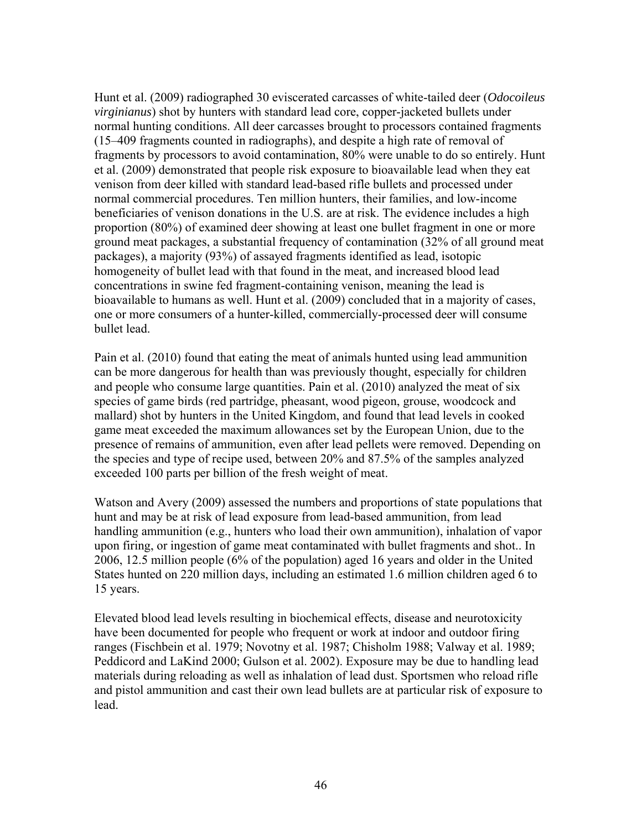Hunt et al. (2009) radiographed 30 eviscerated carcasses of white-tailed deer (*Odocoileus virginianus*) shot by hunters with standard lead core, copper-jacketed bullets under normal hunting conditions. All deer carcasses brought to processors contained fragments (15–409 fragments counted in radiographs), and despite a high rate of removal of fragments by processors to avoid contamination, 80% were unable to do so entirely. Hunt et al. (2009) demonstrated that people risk exposure to bioavailable lead when they eat venison from deer killed with standard lead-based rifle bullets and processed under normal commercial procedures. Ten million hunters, their families, and low-income beneficiaries of venison donations in the U.S. are at risk. The evidence includes a high proportion (80%) of examined deer showing at least one bullet fragment in one or more ground meat packages, a substantial frequency of contamination (32% of all ground meat packages), a majority (93%) of assayed fragments identified as lead, isotopic homogeneity of bullet lead with that found in the meat, and increased blood lead concentrations in swine fed fragment-containing venison, meaning the lead is bioavailable to humans as well. Hunt et al. (2009) concluded that in a majority of cases, one or more consumers of a hunter-killed, commercially-processed deer will consume bullet lead.

Pain et al. (2010) found that eating the meat of animals hunted using lead ammunition can be more dangerous for health than was previously thought, especially for children and people who consume large quantities. Pain et al. (2010) analyzed the meat of six species of game birds (red partridge, pheasant, wood pigeon, grouse, woodcock and mallard) shot by hunters in the United Kingdom, and found that lead levels in cooked game meat exceeded the maximum allowances set by the European Union, due to the presence of remains of ammunition, even after lead pellets were removed. Depending on the species and type of recipe used, between 20% and 87.5% of the samples analyzed exceeded 100 parts per billion of the fresh weight of meat.

Watson and Avery (2009) assessed the numbers and proportions of state populations that hunt and may be at risk of lead exposure from lead-based ammunition, from lead handling ammunition (e.g., hunters who load their own ammunition), inhalation of vapor upon firing, or ingestion of game meat contaminated with bullet fragments and shot.. In 2006, 12.5 million people (6% of the population) aged 16 years and older in the United States hunted on 220 million days, including an estimated 1.6 million children aged 6 to 15 years.

Elevated blood lead levels resulting in biochemical effects, disease and neurotoxicity have been documented for people who frequent or work at indoor and outdoor firing ranges (Fischbein et al. 1979; Novotny et al. 1987; Chisholm 1988; Valway et al. 1989; Peddicord and LaKind 2000; Gulson et al. 2002). Exposure may be due to handling lead materials during reloading as well as inhalation of lead dust. Sportsmen who reload rifle and pistol ammunition and cast their own lead bullets are at particular risk of exposure to lead.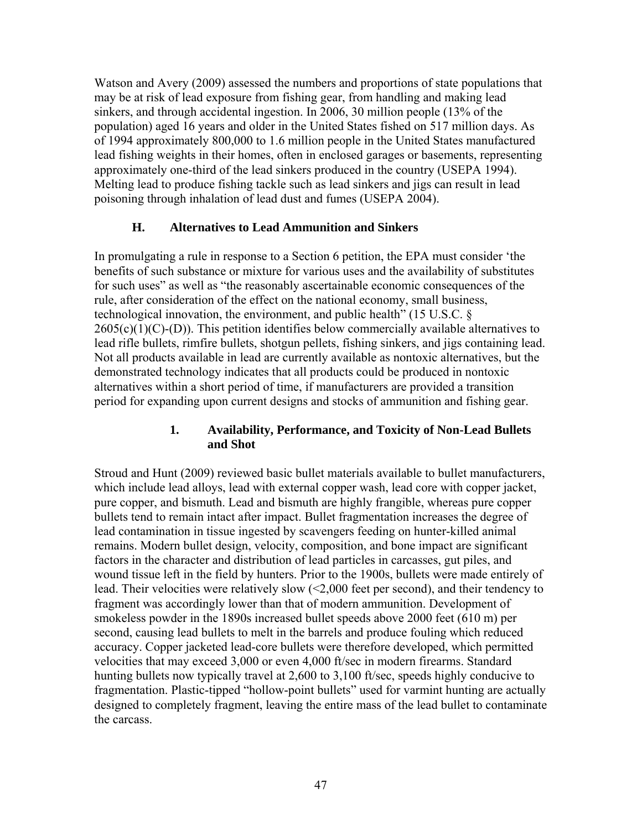Watson and Avery (2009) assessed the numbers and proportions of state populations that may be at risk of lead exposure from fishing gear, from handling and making lead sinkers, and through accidental ingestion. In 2006, 30 million people (13% of the population) aged 16 years and older in the United States fished on 517 million days. As of 1994 approximately 800,000 to 1.6 million people in the United States manufactured lead fishing weights in their homes, often in enclosed garages or basements, representing approximately one-third of the lead sinkers produced in the country (USEPA 1994). Melting lead to produce fishing tackle such as lead sinkers and jigs can result in lead poisoning through inhalation of lead dust and fumes (USEPA 2004).

### **H. Alternatives to Lead Ammunition and Sinkers**

In promulgating a rule in response to a Section 6 petition, the EPA must consider 'the benefits of such substance or mixture for various uses and the availability of substitutes for such uses" as well as "the reasonably ascertainable economic consequences of the rule, after consideration of the effect on the national economy, small business, technological innovation, the environment, and public health" (15 U.S.C. §  $2605(c)(1)(C)-(D)$ ). This petition identifies below commercially available alternatives to lead rifle bullets, rimfire bullets, shotgun pellets, fishing sinkers, and jigs containing lead. Not all products available in lead are currently available as nontoxic alternatives, but the demonstrated technology indicates that all products could be produced in nontoxic alternatives within a short period of time, if manufacturers are provided a transition period for expanding upon current designs and stocks of ammunition and fishing gear.

### **1. Availability, Performance, and Toxicity of Non-Lead Bullets and Shot**

Stroud and Hunt (2009) reviewed basic bullet materials available to bullet manufacturers, which include lead alloys, lead with external copper wash, lead core with copper jacket, pure copper, and bismuth. Lead and bismuth are highly frangible, whereas pure copper bullets tend to remain intact after impact. Bullet fragmentation increases the degree of lead contamination in tissue ingested by scavengers feeding on hunter-killed animal remains. Modern bullet design, velocity, composition, and bone impact are significant factors in the character and distribution of lead particles in carcasses, gut piles, and wound tissue left in the field by hunters. Prior to the 1900s, bullets were made entirely of lead. Their velocities were relatively slow (<2,000 feet per second), and their tendency to fragment was accordingly lower than that of modern ammunition. Development of smokeless powder in the 1890s increased bullet speeds above 2000 feet (610 m) per second, causing lead bullets to melt in the barrels and produce fouling which reduced accuracy. Copper jacketed lead-core bullets were therefore developed, which permitted velocities that may exceed 3,000 or even 4,000 ft/sec in modern firearms. Standard hunting bullets now typically travel at 2,600 to 3,100 ft/sec, speeds highly conducive to fragmentation. Plastic-tipped "hollow-point bullets" used for varmint hunting are actually designed to completely fragment, leaving the entire mass of the lead bullet to contaminate the carcass.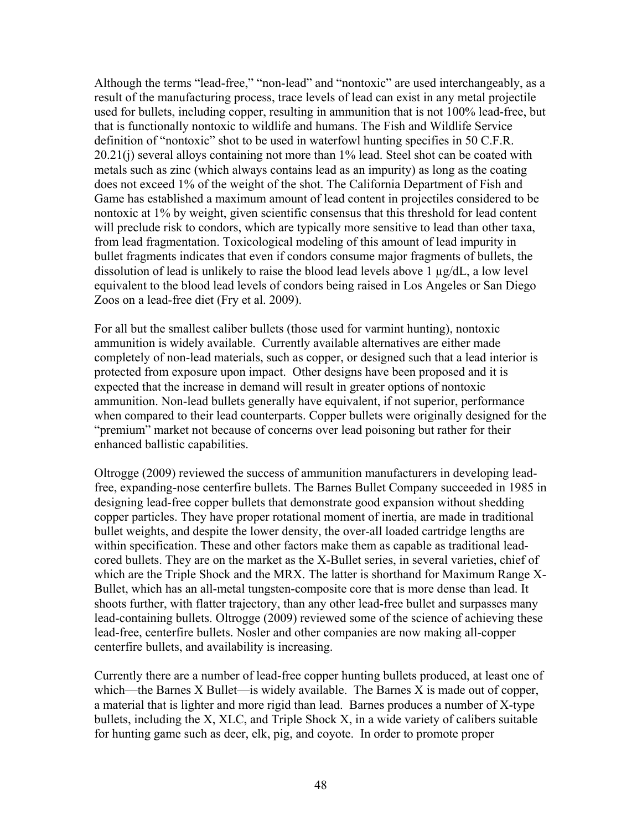Although the terms "lead-free," "non-lead" and "nontoxic" are used interchangeably, as a result of the manufacturing process, trace levels of lead can exist in any metal projectile used for bullets, including copper, resulting in ammunition that is not 100% lead-free, but that is functionally nontoxic to wildlife and humans. The Fish and Wildlife Service definition of "nontoxic" shot to be used in waterfowl hunting specifies in 50 C.F.R. 20.21(j) several alloys containing not more than 1% lead. Steel shot can be coated with metals such as zinc (which always contains lead as an impurity) as long as the coating does not exceed 1% of the weight of the shot. The California Department of Fish and Game has established a maximum amount of lead content in projectiles considered to be nontoxic at 1% by weight, given scientific consensus that this threshold for lead content will preclude risk to condors, which are typically more sensitive to lead than other taxa, from lead fragmentation. Toxicological modeling of this amount of lead impurity in bullet fragments indicates that even if condors consume major fragments of bullets, the dissolution of lead is unlikely to raise the blood lead levels above 1 µg/dL, a low level equivalent to the blood lead levels of condors being raised in Los Angeles or San Diego Zoos on a lead-free diet (Fry et al. 2009).

For all but the smallest caliber bullets (those used for varmint hunting), nontoxic ammunition is widely available. Currently available alternatives are either made completely of non-lead materials, such as copper, or designed such that a lead interior is protected from exposure upon impact. Other designs have been proposed and it is expected that the increase in demand will result in greater options of nontoxic ammunition. Non-lead bullets generally have equivalent, if not superior, performance when compared to their lead counterparts. Copper bullets were originally designed for the "premium" market not because of concerns over lead poisoning but rather for their enhanced ballistic capabilities.

Oltrogge (2009) reviewed the success of ammunition manufacturers in developing leadfree, expanding-nose centerfire bullets. The Barnes Bullet Company succeeded in 1985 in designing lead-free copper bullets that demonstrate good expansion without shedding copper particles. They have proper rotational moment of inertia, are made in traditional bullet weights, and despite the lower density, the over-all loaded cartridge lengths are within specification. These and other factors make them as capable as traditional leadcored bullets. They are on the market as the X-Bullet series, in several varieties, chief of which are the Triple Shock and the MRX. The latter is shorthand for Maximum Range X-Bullet, which has an all-metal tungsten-composite core that is more dense than lead. It shoots further, with flatter trajectory, than any other lead-free bullet and surpasses many lead-containing bullets. Oltrogge (2009) reviewed some of the science of achieving these lead-free, centerfire bullets. Nosler and other companies are now making all-copper centerfire bullets, and availability is increasing.

Currently there are a number of lead-free copper hunting bullets produced, at least one of which—the Barnes X Bullet—is widely available. The Barnes X is made out of copper, a material that is lighter and more rigid than lead. Barnes produces a number of X-type bullets, including the X, XLC, and Triple Shock X, in a wide variety of calibers suitable for hunting game such as deer, elk, pig, and coyote. In order to promote proper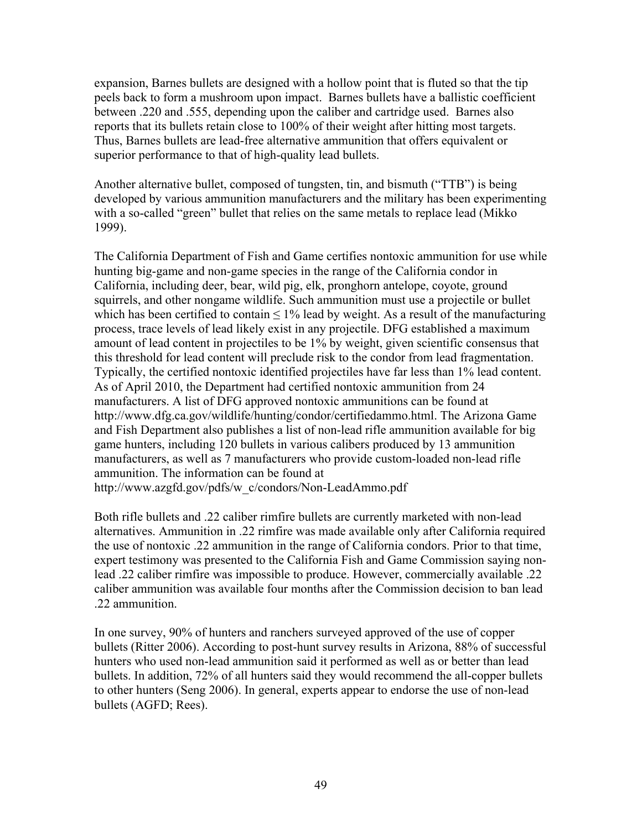expansion, Barnes bullets are designed with a hollow point that is fluted so that the tip peels back to form a mushroom upon impact. Barnes bullets have a ballistic coefficient between .220 and .555, depending upon the caliber and cartridge used. Barnes also reports that its bullets retain close to 100% of their weight after hitting most targets. Thus, Barnes bullets are lead-free alternative ammunition that offers equivalent or superior performance to that of high-quality lead bullets.

Another alternative bullet, composed of tungsten, tin, and bismuth ("TTB") is being developed by various ammunition manufacturers and the military has been experimenting with a so-called "green" bullet that relies on the same metals to replace lead (Mikko 1999).

The California Department of Fish and Game certifies nontoxic ammunition for use while hunting big-game and non-game species in the range of the California condor in California, including deer, bear, wild pig, elk, pronghorn antelope, coyote, ground squirrels, and other nongame wildlife. Such ammunition must use a projectile or bullet which has been certified to contain  $\leq 1\%$  lead by weight. As a result of the manufacturing process, trace levels of lead likely exist in any projectile. DFG established a maximum amount of lead content in projectiles to be 1% by weight, given scientific consensus that this threshold for lead content will preclude risk to the condor from lead fragmentation. Typically, the certified nontoxic identified projectiles have far less than 1% lead content. As of April 2010, the Department had certified nontoxic ammunition from 24 manufacturers. A list of DFG approved nontoxic ammunitions can be found at http://www.dfg.ca.gov/wildlife/hunting/condor/certifiedammo.html. The Arizona Game and Fish Department also publishes a list of non-lead rifle ammunition available for big game hunters, including 120 bullets in various calibers produced by 13 ammunition manufacturers, as well as 7 manufacturers who provide custom-loaded non-lead rifle ammunition. The information can be found at http://www.azgfd.gov/pdfs/w\_c/condors/Non-LeadAmmo.pdf

Both rifle bullets and .22 caliber rimfire bullets are currently marketed with non-lead alternatives. Ammunition in .22 rimfire was made available only after California required the use of nontoxic .22 ammunition in the range of California condors. Prior to that time, expert testimony was presented to the California Fish and Game Commission saying nonlead .22 caliber rimfire was impossible to produce. However, commercially available .22 caliber ammunition was available four months after the Commission decision to ban lead .22 ammunition.

In one survey, 90% of hunters and ranchers surveyed approved of the use of copper bullets (Ritter 2006). According to post-hunt survey results in Arizona, 88% of successful hunters who used non-lead ammunition said it performed as well as or better than lead bullets. In addition, 72% of all hunters said they would recommend the all-copper bullets to other hunters (Seng 2006). In general, experts appear to endorse the use of non-lead bullets (AGFD; Rees).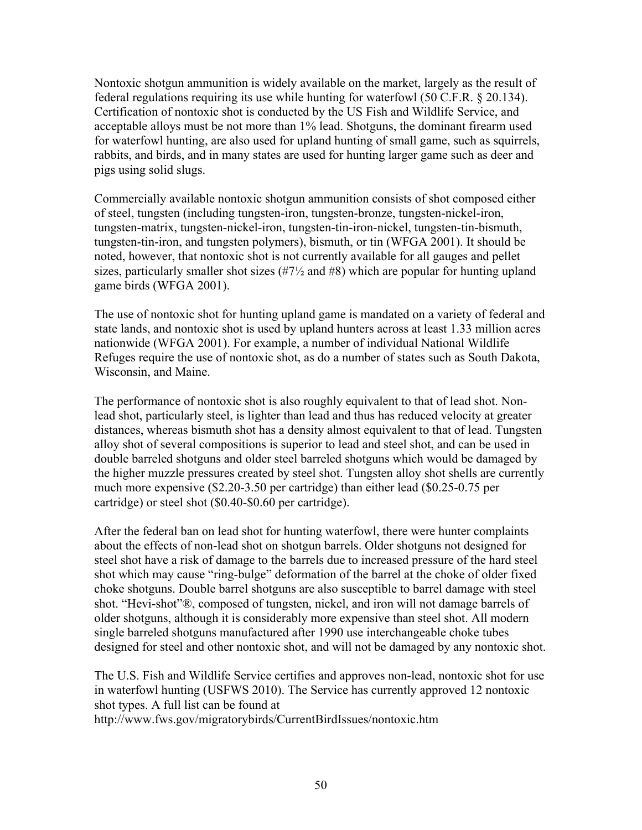Nontoxic shotgun ammunition is widely available on the market, largely as the result of federal regulations requiring its use while hunting for waterfowl (50 C.F.R. § 20.134). Certification of nontoxic shot is conducted by the US Fish and Wildlife Service, and acceptable alloys must be not more than 1% lead. Shotguns, the dominant firearm used for waterfowl hunting, are also used for upland hunting of small game, such as squirrels, rabbits, and birds, and in many states are used for hunting larger game such as deer and pigs using solid slugs.

Commercially available nontoxic shotgun ammunition consists of shot composed either of steel, tungsten (including tungsten-iron, tungsten-bronze, tungsten-nickel-iron, tungsten-matrix, tungsten-nickel-iron, tungsten-tin-iron-nickel, tungsten-tin-bismuth, tungsten-tin-iron, and tungsten polymers), bismuth, or tin (WFGA 2001). It should be noted, however, that nontoxic shot is not currently available for all gauges and pellet sizes, particularly smaller shot sizes  $(\#7\frac{1}{2})$  and  $\#8$ ) which are popular for hunting upland game birds (WFGA 2001).

The use of nontoxic shot for hunting upland game is mandated on a variety of federal and state lands, and nontoxic shot is used by upland hunters across at least 1.33 million acres nationwide (WFGA 2001). For example, a number of individual National Wildlife Refuges require the use of nontoxic shot, as do a number of states such as South Dakota, Wisconsin, and Maine.

The performance of nontoxic shot is also roughly equivalent to that of lead shot. Nonlead shot, particularly steel, is lighter than lead and thus has reduced velocity at greater distances, whereas bismuth shot has a density almost equivalent to that of lead. Tungsten alloy shot of several compositions is superior to lead and steel shot, and can be used in double barreled shotguns and older steel barreled shotguns which would be damaged by the higher muzzle pressures created by steel shot. Tungsten alloy shot shells are currently much more expensive (\$2.20-3.50 per cartridge) than either lead (\$0.25-0.75 per cartridge) or steel shot (\$0.40-\$0.60 per cartridge).

After the federal ban on lead shot for hunting waterfowl, there were hunter complaints about the effects of non-lead shot on shotgun barrels. Older shotguns not designed for steel shot have a risk of damage to the barrels due to increased pressure of the hard steel shot which may cause "ring-bulge" deformation of the barrel at the choke of older fixed choke shotguns. Double barrel shotguns are also susceptible to barrel damage with steel shot. "Hevi-shot"®, composed of tungsten, nickel, and iron will not damage barrels of older shotguns, although it is considerably more expensive than steel shot. All modern single barreled shotguns manufactured after 1990 use interchangeable choke tubes designed for steel and other nontoxic shot, and will not be damaged by any nontoxic shot.

The U.S. Fish and Wildlife Service certifies and approves non-lead, nontoxic shot for use in waterfowl hunting (USFWS 2010). The Service has currently approved 12 nontoxic shot types. A full list can be found at

http://www.fws.gov/migratorybirds/CurrentBirdIssues/nontoxic.htm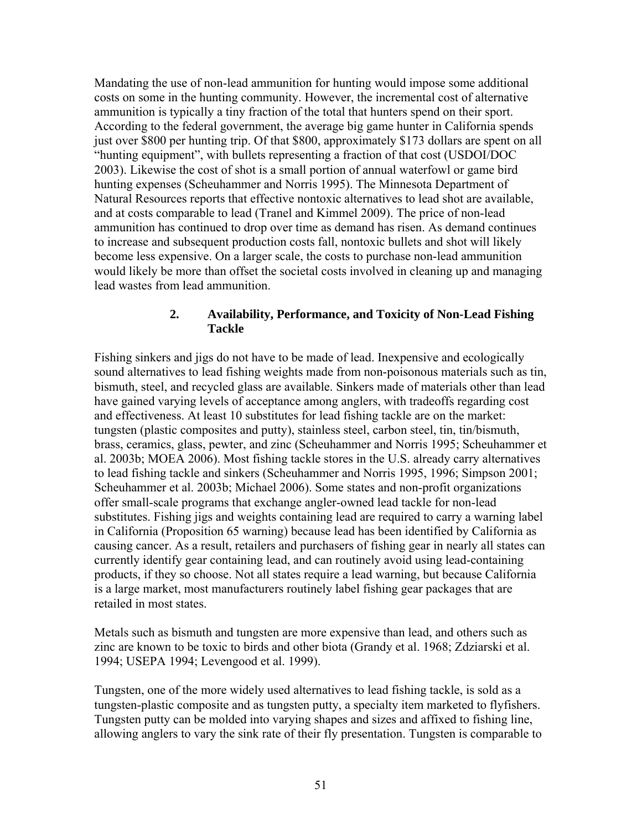Mandating the use of non-lead ammunition for hunting would impose some additional costs on some in the hunting community. However, the incremental cost of alternative ammunition is typically a tiny fraction of the total that hunters spend on their sport. According to the federal government, the average big game hunter in California spends just over \$800 per hunting trip. Of that \$800, approximately \$173 dollars are spent on all "hunting equipment", with bullets representing a fraction of that cost (USDOI/DOC 2003). Likewise the cost of shot is a small portion of annual waterfowl or game bird hunting expenses (Scheuhammer and Norris 1995). The Minnesota Department of Natural Resources reports that effective nontoxic alternatives to lead shot are available, and at costs comparable to lead (Tranel and Kimmel 2009). The price of non-lead ammunition has continued to drop over time as demand has risen. As demand continues to increase and subsequent production costs fall, nontoxic bullets and shot will likely become less expensive. On a larger scale, the costs to purchase non-lead ammunition would likely be more than offset the societal costs involved in cleaning up and managing lead wastes from lead ammunition.

### **2. Availability, Performance, and Toxicity of Non-Lead Fishing Tackle**

Fishing sinkers and jigs do not have to be made of lead. Inexpensive and ecologically sound alternatives to lead fishing weights made from non-poisonous materials such as tin, bismuth, steel, and recycled glass are available. Sinkers made of materials other than lead have gained varying levels of acceptance among anglers, with tradeoffs regarding cost and effectiveness. At least 10 substitutes for lead fishing tackle are on the market: tungsten (plastic composites and putty), stainless steel, carbon steel, tin, tin/bismuth, brass, ceramics, glass, pewter, and zinc (Scheuhammer and Norris 1995; Scheuhammer et al. 2003b; MOEA 2006). Most fishing tackle stores in the U.S. already carry alternatives to lead fishing tackle and sinkers (Scheuhammer and Norris 1995, 1996; Simpson 2001; Scheuhammer et al. 2003b; Michael 2006). Some states and non-profit organizations offer small-scale programs that exchange angler-owned lead tackle for non-lead substitutes. Fishing jigs and weights containing lead are required to carry a warning label in California (Proposition 65 warning) because lead has been identified by California as causing cancer. As a result, retailers and purchasers of fishing gear in nearly all states can currently identify gear containing lead, and can routinely avoid using lead-containing products, if they so choose. Not all states require a lead warning, but because California is a large market, most manufacturers routinely label fishing gear packages that are retailed in most states.

Metals such as bismuth and tungsten are more expensive than lead, and others such as zinc are known to be toxic to birds and other biota (Grandy et al. 1968; Zdziarski et al. 1994; USEPA 1994; Levengood et al. 1999).

Tungsten, one of the more widely used alternatives to lead fishing tackle, is sold as a tungsten-plastic composite and as tungsten putty, a specialty item marketed to flyfishers. Tungsten putty can be molded into varying shapes and sizes and affixed to fishing line, allowing anglers to vary the sink rate of their fly presentation. Tungsten is comparable to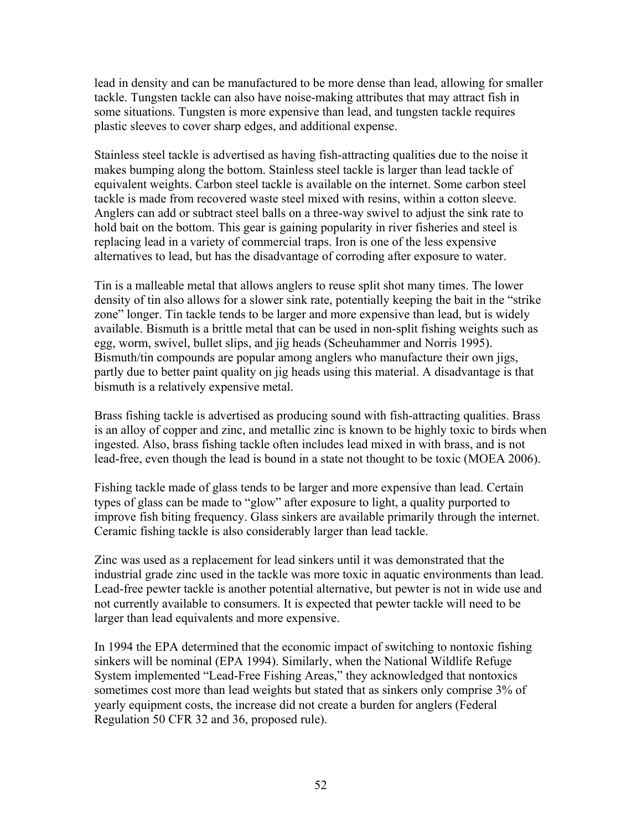lead in density and can be manufactured to be more dense than lead, allowing for smaller tackle. Tungsten tackle can also have noise-making attributes that may attract fish in some situations. Tungsten is more expensive than lead, and tungsten tackle requires plastic sleeves to cover sharp edges, and additional expense.

Stainless steel tackle is advertised as having fish-attracting qualities due to the noise it makes bumping along the bottom. Stainless steel tackle is larger than lead tackle of equivalent weights. Carbon steel tackle is available on the internet. Some carbon steel tackle is made from recovered waste steel mixed with resins, within a cotton sleeve. Anglers can add or subtract steel balls on a three-way swivel to adjust the sink rate to hold bait on the bottom. This gear is gaining popularity in river fisheries and steel is replacing lead in a variety of commercial traps. Iron is one of the less expensive alternatives to lead, but has the disadvantage of corroding after exposure to water.

Tin is a malleable metal that allows anglers to reuse split shot many times. The lower density of tin also allows for a slower sink rate, potentially keeping the bait in the "strike zone" longer. Tin tackle tends to be larger and more expensive than lead, but is widely available. Bismuth is a brittle metal that can be used in non-split fishing weights such as egg, worm, swivel, bullet slips, and jig heads (Scheuhammer and Norris 1995). Bismuth/tin compounds are popular among anglers who manufacture their own jigs, partly due to better paint quality on jig heads using this material. A disadvantage is that bismuth is a relatively expensive metal.

Brass fishing tackle is advertised as producing sound with fish-attracting qualities. Brass is an alloy of copper and zinc, and metallic zinc is known to be highly toxic to birds when ingested. Also, brass fishing tackle often includes lead mixed in with brass, and is not lead-free, even though the lead is bound in a state not thought to be toxic (MOEA 2006).

Fishing tackle made of glass tends to be larger and more expensive than lead. Certain types of glass can be made to "glow" after exposure to light, a quality purported to improve fish biting frequency. Glass sinkers are available primarily through the internet. Ceramic fishing tackle is also considerably larger than lead tackle.

Zinc was used as a replacement for lead sinkers until it was demonstrated that the industrial grade zinc used in the tackle was more toxic in aquatic environments than lead. Lead-free pewter tackle is another potential alternative, but pewter is not in wide use and not currently available to consumers. It is expected that pewter tackle will need to be larger than lead equivalents and more expensive.

In 1994 the EPA determined that the economic impact of switching to nontoxic fishing sinkers will be nominal (EPA 1994). Similarly, when the National Wildlife Refuge System implemented "Lead-Free Fishing Areas," they acknowledged that nontoxics sometimes cost more than lead weights but stated that as sinkers only comprise 3% of yearly equipment costs, the increase did not create a burden for anglers (Federal Regulation 50 CFR 32 and 36, proposed rule).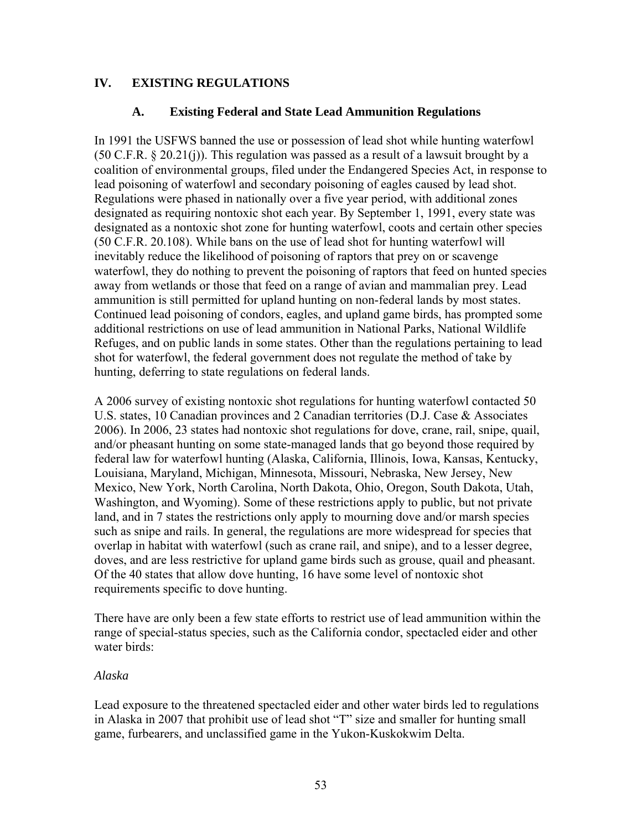## **IV. EXISTING REGULATIONS**

### **A. Existing Federal and State Lead Ammunition Regulations**

In 1991 the USFWS banned the use or possession of lead shot while hunting waterfowl (50 C.F.R. § 20.21(j)). This regulation was passed as a result of a lawsuit brought by a coalition of environmental groups, filed under the Endangered Species Act, in response to lead poisoning of waterfowl and secondary poisoning of eagles caused by lead shot. Regulations were phased in nationally over a five year period, with additional zones designated as requiring nontoxic shot each year. By September 1, 1991, every state was designated as a nontoxic shot zone for hunting waterfowl, coots and certain other species (50 C.F.R. 20.108). While bans on the use of lead shot for hunting waterfowl will inevitably reduce the likelihood of poisoning of raptors that prey on or scavenge waterfowl, they do nothing to prevent the poisoning of raptors that feed on hunted species away from wetlands or those that feed on a range of avian and mammalian prey. Lead ammunition is still permitted for upland hunting on non-federal lands by most states. Continued lead poisoning of condors, eagles, and upland game birds, has prompted some additional restrictions on use of lead ammunition in National Parks, National Wildlife Refuges, and on public lands in some states. Other than the regulations pertaining to lead shot for waterfowl, the federal government does not regulate the method of take by hunting, deferring to state regulations on federal lands.

A 2006 survey of existing nontoxic shot regulations for hunting waterfowl contacted 50 U.S. states, 10 Canadian provinces and 2 Canadian territories (D.J. Case & Associates 2006). In 2006, 23 states had nontoxic shot regulations for dove, crane, rail, snipe, quail, and/or pheasant hunting on some state-managed lands that go beyond those required by federal law for waterfowl hunting (Alaska, California, Illinois, Iowa, Kansas, Kentucky, Louisiana, Maryland, Michigan, Minnesota, Missouri, Nebraska, New Jersey, New Mexico, New York, North Carolina, North Dakota, Ohio, Oregon, South Dakota, Utah, Washington, and Wyoming). Some of these restrictions apply to public, but not private land, and in 7 states the restrictions only apply to mourning dove and/or marsh species such as snipe and rails. In general, the regulations are more widespread for species that overlap in habitat with waterfowl (such as crane rail, and snipe), and to a lesser degree, doves, and are less restrictive for upland game birds such as grouse, quail and pheasant. Of the 40 states that allow dove hunting, 16 have some level of nontoxic shot requirements specific to dove hunting.

There have are only been a few state efforts to restrict use of lead ammunition within the range of special-status species, such as the California condor, spectacled eider and other water birds:

#### *Alaska*

Lead exposure to the threatened spectacled eider and other water birds led to regulations in Alaska in 2007 that prohibit use of lead shot "T" size and smaller for hunting small game, furbearers, and unclassified game in the Yukon-Kuskokwim Delta.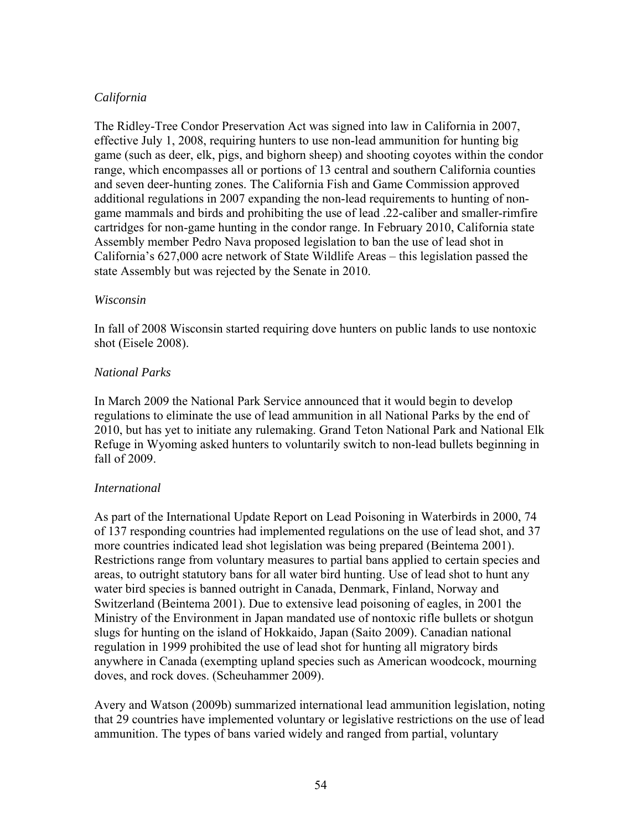# *California*

The Ridley-Tree Condor Preservation Act was signed into law in California in 2007, effective July 1, 2008, requiring hunters to use non-lead ammunition for hunting big game (such as deer, elk, pigs, and bighorn sheep) and shooting coyotes within the condor range, which encompasses all or portions of 13 central and southern California counties and seven deer-hunting zones. The California Fish and Game Commission approved additional regulations in 2007 expanding the non-lead requirements to hunting of nongame mammals and birds and prohibiting the use of lead .22-caliber and smaller-rimfire cartridges for non-game hunting in the condor range. In February 2010, California state Assembly member Pedro Nava proposed legislation to ban the use of lead shot in California's 627,000 acre network of State Wildlife Areas – this legislation passed the state Assembly but was rejected by the Senate in 2010.

#### *Wisconsin*

In fall of 2008 Wisconsin started requiring dove hunters on public lands to use nontoxic shot (Eisele 2008).

### *National Parks*

In March 2009 the National Park Service announced that it would begin to develop regulations to eliminate the use of lead ammunition in all National Parks by the end of 2010, but has yet to initiate any rulemaking. Grand Teton National Park and National Elk Refuge in Wyoming asked hunters to voluntarily switch to non-lead bullets beginning in fall of 2009.

### *International*

As part of the International Update Report on Lead Poisoning in Waterbirds in 2000, 74 of 137 responding countries had implemented regulations on the use of lead shot, and 37 more countries indicated lead shot legislation was being prepared (Beintema 2001). Restrictions range from voluntary measures to partial bans applied to certain species and areas, to outright statutory bans for all water bird hunting. Use of lead shot to hunt any water bird species is banned outright in Canada, Denmark, Finland, Norway and Switzerland (Beintema 2001). Due to extensive lead poisoning of eagles, in 2001 the Ministry of the Environment in Japan mandated use of nontoxic rifle bullets or shotgun slugs for hunting on the island of Hokkaido, Japan (Saito 2009). Canadian national regulation in 1999 prohibited the use of lead shot for hunting all migratory birds anywhere in Canada (exempting upland species such as American woodcock, mourning doves, and rock doves. (Scheuhammer 2009).

Avery and Watson (2009b) summarized international lead ammunition legislation, noting that 29 countries have implemented voluntary or legislative restrictions on the use of lead ammunition. The types of bans varied widely and ranged from partial, voluntary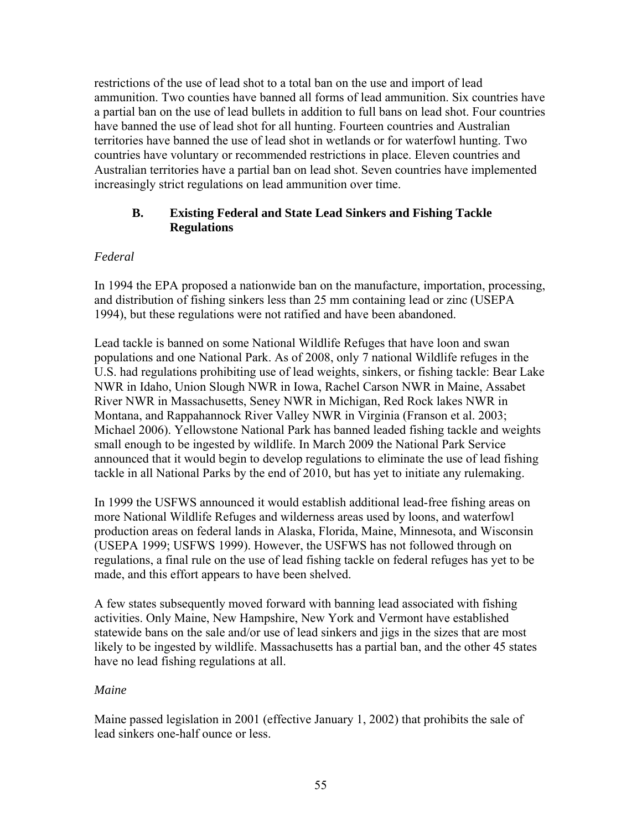restrictions of the use of lead shot to a total ban on the use and import of lead ammunition. Two counties have banned all forms of lead ammunition. Six countries have a partial ban on the use of lead bullets in addition to full bans on lead shot. Four countries have banned the use of lead shot for all hunting. Fourteen countries and Australian territories have banned the use of lead shot in wetlands or for waterfowl hunting. Two countries have voluntary or recommended restrictions in place. Eleven countries and Australian territories have a partial ban on lead shot. Seven countries have implemented increasingly strict regulations on lead ammunition over time.

# **B. Existing Federal and State Lead Sinkers and Fishing Tackle Regulations**

# *Federal*

In 1994 the EPA proposed a nationwide ban on the manufacture, importation, processing, and distribution of fishing sinkers less than 25 mm containing lead or zinc (USEPA 1994), but these regulations were not ratified and have been abandoned.

Lead tackle is banned on some National Wildlife Refuges that have loon and swan populations and one National Park. As of 2008, only 7 national Wildlife refuges in the U.S. had regulations prohibiting use of lead weights, sinkers, or fishing tackle: Bear Lake NWR in Idaho, Union Slough NWR in Iowa, Rachel Carson NWR in Maine, Assabet River NWR in Massachusetts, Seney NWR in Michigan, Red Rock lakes NWR in Montana, and Rappahannock River Valley NWR in Virginia (Franson et al. 2003; Michael 2006). Yellowstone National Park has banned leaded fishing tackle and weights small enough to be ingested by wildlife. In March 2009 the National Park Service announced that it would begin to develop regulations to eliminate the use of lead fishing tackle in all National Parks by the end of 2010, but has yet to initiate any rulemaking.

In 1999 the USFWS announced it would establish additional lead-free fishing areas on more National Wildlife Refuges and wilderness areas used by loons, and waterfowl production areas on federal lands in Alaska, Florida, Maine, Minnesota, and Wisconsin (USEPA 1999; USFWS 1999). However, the USFWS has not followed through on regulations, a final rule on the use of lead fishing tackle on federal refuges has yet to be made, and this effort appears to have been shelved.

A few states subsequently moved forward with banning lead associated with fishing activities. Only Maine, New Hampshire, New York and Vermont have established statewide bans on the sale and/or use of lead sinkers and jigs in the sizes that are most likely to be ingested by wildlife. Massachusetts has a partial ban, and the other 45 states have no lead fishing regulations at all.

### *Maine*

Maine passed legislation in 2001 (effective January 1, 2002) that prohibits the sale of lead sinkers one-half ounce or less.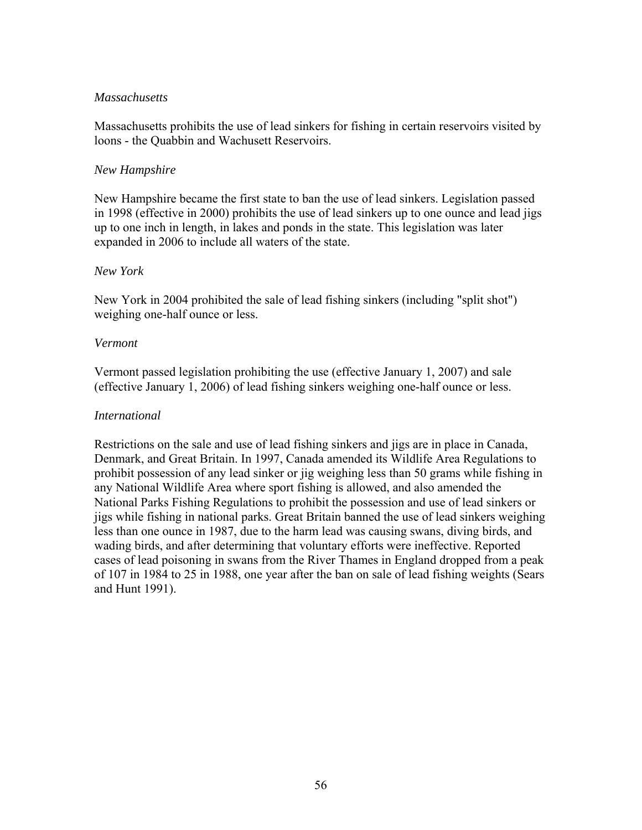#### *Massachusetts*

Massachusetts prohibits the use of lead sinkers for fishing in certain reservoirs visited by loons - the Quabbin and Wachusett Reservoirs.

#### *New Hampshire*

New Hampshire became the first state to ban the use of lead sinkers. Legislation passed in 1998 (effective in 2000) prohibits the use of lead sinkers up to one ounce and lead jigs up to one inch in length, in lakes and ponds in the state. This legislation was later expanded in 2006 to include all waters of the state.

#### *New York*

New York in 2004 prohibited the sale of lead fishing sinkers (including "split shot") weighing one-half ounce or less.

#### *Vermont*

Vermont passed legislation prohibiting the use (effective January 1, 2007) and sale (effective January 1, 2006) of lead fishing sinkers weighing one-half ounce or less.

#### *International*

Restrictions on the sale and use of lead fishing sinkers and jigs are in place in Canada, Denmark, and Great Britain. In 1997, Canada amended its Wildlife Area Regulations to prohibit possession of any lead sinker or jig weighing less than 50 grams while fishing in any National Wildlife Area where sport fishing is allowed, and also amended the National Parks Fishing Regulations to prohibit the possession and use of lead sinkers or jigs while fishing in national parks. Great Britain banned the use of lead sinkers weighing less than one ounce in 1987, due to the harm lead was causing swans, diving birds, and wading birds, and after determining that voluntary efforts were ineffective. Reported cases of lead poisoning in swans from the River Thames in England dropped from a peak of 107 in 1984 to 25 in 1988, one year after the ban on sale of lead fishing weights (Sears and Hunt 1991).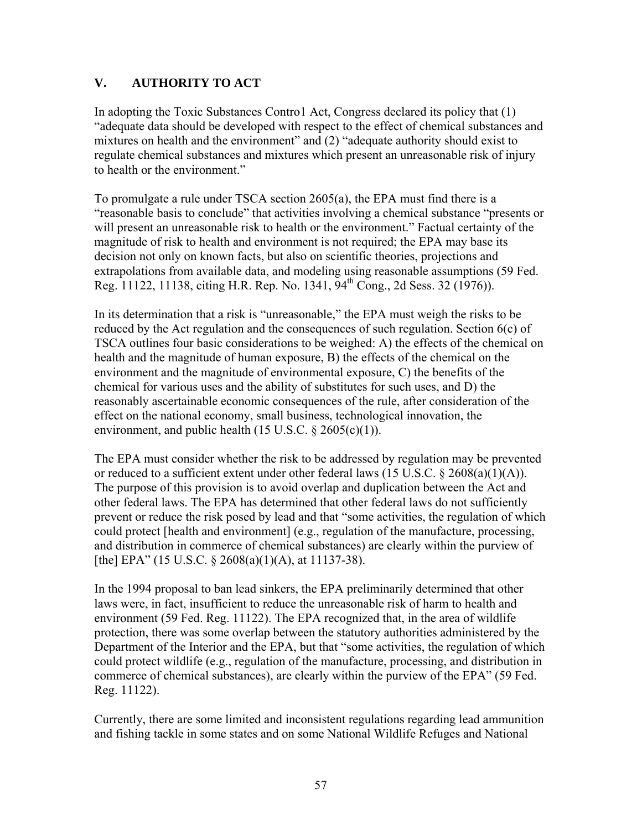# **V. AUTHORITY TO ACT**

In adopting the Toxic Substances Contro1 Act, Congress declared its policy that (1) "adequate data should be developed with respect to the effect of chemical substances and mixtures on health and the environment" and (2) "adequate authority should exist to regulate chemical substances and mixtures which present an unreasonable risk of injury to health or the environment."

To promulgate a rule under TSCA section 2605(a), the EPA must find there is a "reasonable basis to conclude" that activities involving a chemical substance "presents or will present an unreasonable risk to health or the environment." Factual certainty of the magnitude of risk to health and environment is not required; the EPA may base its decision not only on known facts, but also on scientific theories, projections and extrapolations from available data, and modeling using reasonable assumptions (59 Fed. Reg. 11122, 11138, citing H.R. Rep. No. 1341,  $94^{\text{th}}$  Cong., 2d Sess. 32 (1976)).

In its determination that a risk is "unreasonable," the EPA must weigh the risks to be reduced by the Act regulation and the consequences of such regulation. Section 6(c) of TSCA outlines four basic considerations to be weighed: A) the effects of the chemical on health and the magnitude of human exposure, B) the effects of the chemical on the environment and the magnitude of environmental exposure, C) the benefits of the chemical for various uses and the ability of substitutes for such uses, and D) the reasonably ascertainable economic consequences of the rule, after consideration of the effect on the national economy, small business, technological innovation, the environment, and public health  $(15 \text{ U.S.C. } § 2605(c)(1))$ .

The EPA must consider whether the risk to be addressed by regulation may be prevented or reduced to a sufficient extent under other federal laws (15 U.S.C. § 2608(a)(1)(A)). The purpose of this provision is to avoid overlap and duplication between the Act and other federal laws. The EPA has determined that other federal laws do not sufficiently prevent or reduce the risk posed by lead and that "some activities, the regulation of which could protect [health and environment] (e.g., regulation of the manufacture, processing, and distribution in commerce of chemical substances) are clearly within the purview of [the] EPA" (15 U.S.C. § 2608(a)(1)(A), at 11137-38).

In the 1994 proposal to ban lead sinkers, the EPA preliminarily determined that other laws were, in fact, insufficient to reduce the unreasonable risk of harm to health and environment (59 Fed. Reg. 11122). The EPA recognized that, in the area of wildlife protection, there was some overlap between the statutory authorities administered by the Department of the Interior and the EPA, but that "some activities, the regulation of which could protect wildlife (e.g., regulation of the manufacture, processing, and distribution in commerce of chemical substances), are clearly within the purview of the EPA" (59 Fed. Reg. 11122).

Currently, there are some limited and inconsistent regulations regarding lead ammunition and fishing tackle in some states and on some National Wildlife Refuges and National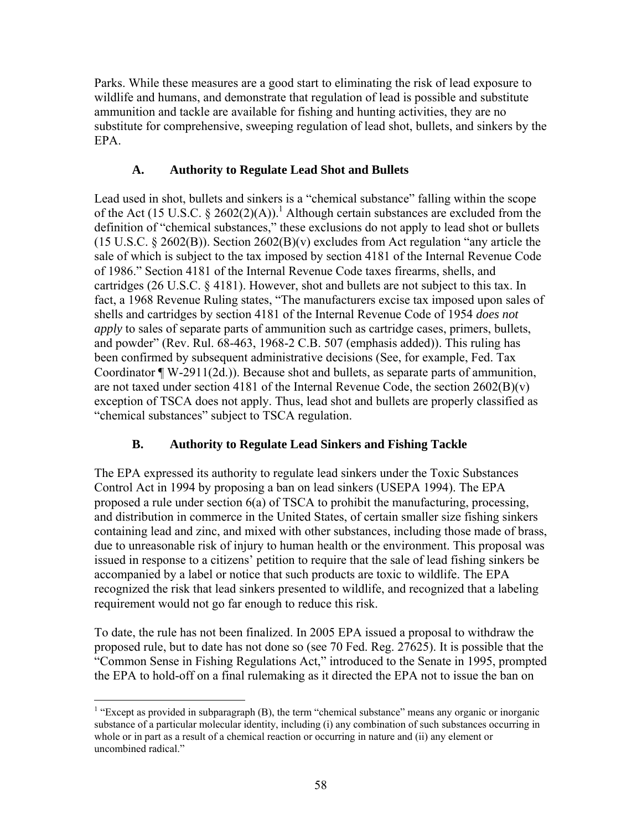Parks. While these measures are a good start to eliminating the risk of lead exposure to wildlife and humans, and demonstrate that regulation of lead is possible and substitute ammunition and tackle are available for fishing and hunting activities, they are no substitute for comprehensive, sweeping regulation of lead shot, bullets, and sinkers by the EPA.

# **A. Authority to Regulate Lead Shot and Bullets**

Lead used in shot, bullets and sinkers is a "chemical substance" falling within the scope of the Act (15 U.S.C.  $\S$  2602(2)(A)).<sup>1</sup> Although certain substances are excluded from the definition of "chemical substances," these exclusions do not apply to lead shot or bullets (15 U.S.C. § 2602(B)). Section 2602(B)(v) excludes from Act regulation "any article the sale of which is subject to the tax imposed by section 4181 of the Internal Revenue Code of 1986." Section 4181 of the Internal Revenue Code taxes firearms, shells, and cartridges (26 U.S.C. § 4181). However, shot and bullets are not subject to this tax. In fact, a 1968 Revenue Ruling states, "The manufacturers excise tax imposed upon sales of shells and cartridges by section 4181 of the Internal Revenue Code of 1954 *does not apply* to sales of separate parts of ammunition such as cartridge cases, primers, bullets, and powder" (Rev. Rul. 68-463, 1968-2 C.B. 507 (emphasis added)). This ruling has been confirmed by subsequent administrative decisions (See, for example, Fed. Tax Coordinator ¶ W-2911(2d.)). Because shot and bullets, as separate parts of ammunition, are not taxed under section 4181 of the Internal Revenue Code, the section  $2602(B)(v)$ exception of TSCA does not apply. Thus, lead shot and bullets are properly classified as "chemical substances" subject to TSCA regulation.

# **B. Authority to Regulate Lead Sinkers and Fishing Tackle**

The EPA expressed its authority to regulate lead sinkers under the Toxic Substances Control Act in 1994 by proposing a ban on lead sinkers (USEPA 1994). The EPA proposed a rule under section 6(a) of TSCA to prohibit the manufacturing, processing, and distribution in commerce in the United States, of certain smaller size fishing sinkers containing lead and zinc, and mixed with other substances, including those made of brass, due to unreasonable risk of injury to human health or the environment. This proposal was issued in response to a citizens' petition to require that the sale of lead fishing sinkers be accompanied by a label or notice that such products are toxic to wildlife. The EPA recognized the risk that lead sinkers presented to wildlife, and recognized that a labeling requirement would not go far enough to reduce this risk.

To date, the rule has not been finalized. In 2005 EPA issued a proposal to withdraw the proposed rule, but to date has not done so (see 70 Fed. Reg. 27625). It is possible that the "Common Sense in Fishing Regulations Act," introduced to the Senate in 1995, prompted the EPA to hold-off on a final rulemaking as it directed the EPA not to issue the ban on

 $\overline{a}$ 

<sup>&</sup>lt;sup>1</sup> "Except as provided in subparagraph  $(B)$ , the term "chemical substance" means any organic or inorganic substance of a particular molecular identity, including (i) any combination of such substances occurring in whole or in part as a result of a chemical reaction or occurring in nature and (ii) any element or uncombined radical."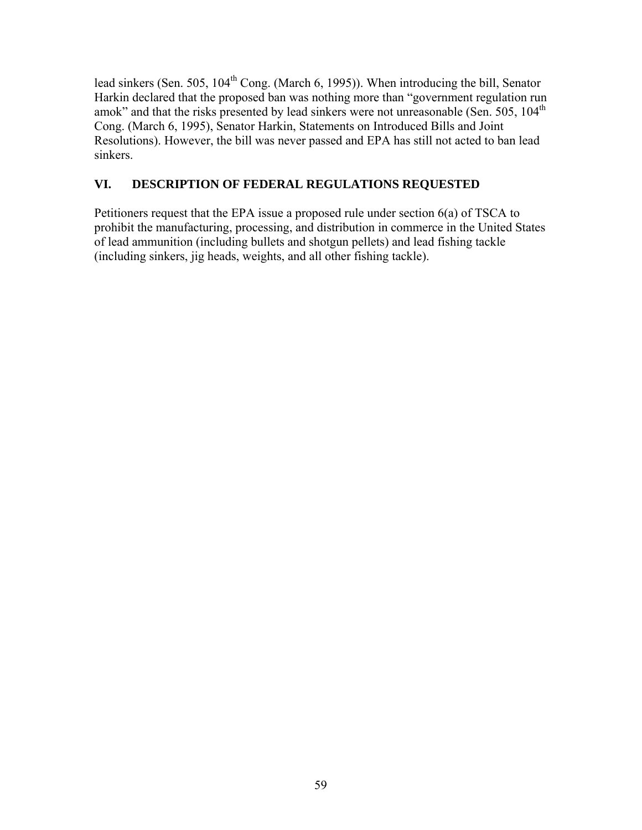lead sinkers (Sen. 505, 104<sup>th</sup> Cong. (March 6, 1995)). When introducing the bill, Senator Harkin declared that the proposed ban was nothing more than "government regulation run amok" and that the risks presented by lead sinkers were not unreasonable (Sen. 505, 104<sup>th</sup>) Cong. (March 6, 1995), Senator Harkin, Statements on Introduced Bills and Joint Resolutions). However, the bill was never passed and EPA has still not acted to ban lead sinkers.

# **VI. DESCRIPTION OF FEDERAL REGULATIONS REQUESTED**

Petitioners request that the EPA issue a proposed rule under section 6(a) of TSCA to prohibit the manufacturing, processing, and distribution in commerce in the United States of lead ammunition (including bullets and shotgun pellets) and lead fishing tackle (including sinkers, jig heads, weights, and all other fishing tackle).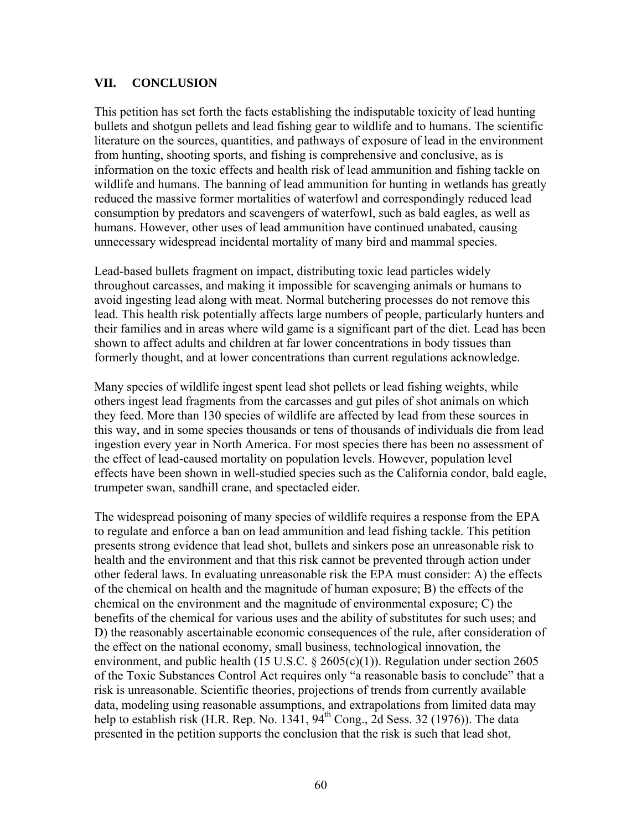### **VII. CONCLUSION**

This petition has set forth the facts establishing the indisputable toxicity of lead hunting bullets and shotgun pellets and lead fishing gear to wildlife and to humans. The scientific literature on the sources, quantities, and pathways of exposure of lead in the environment from hunting, shooting sports, and fishing is comprehensive and conclusive, as is information on the toxic effects and health risk of lead ammunition and fishing tackle on wildlife and humans. The banning of lead ammunition for hunting in wetlands has greatly reduced the massive former mortalities of waterfowl and correspondingly reduced lead consumption by predators and scavengers of waterfowl, such as bald eagles, as well as humans. However, other uses of lead ammunition have continued unabated, causing unnecessary widespread incidental mortality of many bird and mammal species.

Lead-based bullets fragment on impact, distributing toxic lead particles widely throughout carcasses, and making it impossible for scavenging animals or humans to avoid ingesting lead along with meat. Normal butchering processes do not remove this lead. This health risk potentially affects large numbers of people, particularly hunters and their families and in areas where wild game is a significant part of the diet. Lead has been shown to affect adults and children at far lower concentrations in body tissues than formerly thought, and at lower concentrations than current regulations acknowledge.

Many species of wildlife ingest spent lead shot pellets or lead fishing weights, while others ingest lead fragments from the carcasses and gut piles of shot animals on which they feed. More than 130 species of wildlife are affected by lead from these sources in this way, and in some species thousands or tens of thousands of individuals die from lead ingestion every year in North America. For most species there has been no assessment of the effect of lead-caused mortality on population levels. However, population level effects have been shown in well-studied species such as the California condor, bald eagle, trumpeter swan, sandhill crane, and spectacled eider.

The widespread poisoning of many species of wildlife requires a response from the EPA to regulate and enforce a ban on lead ammunition and lead fishing tackle. This petition presents strong evidence that lead shot, bullets and sinkers pose an unreasonable risk to health and the environment and that this risk cannot be prevented through action under other federal laws. In evaluating unreasonable risk the EPA must consider: A) the effects of the chemical on health and the magnitude of human exposure; B) the effects of the chemical on the environment and the magnitude of environmental exposure; C) the benefits of the chemical for various uses and the ability of substitutes for such uses; and D) the reasonably ascertainable economic consequences of the rule, after consideration of the effect on the national economy, small business, technological innovation, the environment, and public health (15 U.S.C.  $\S$  2605(c)(1)). Regulation under section 2605 of the Toxic Substances Control Act requires only "a reasonable basis to conclude" that a risk is unreasonable. Scientific theories, projections of trends from currently available data, modeling using reasonable assumptions, and extrapolations from limited data may help to establish risk (H.R. Rep. No. 1341,  $94<sup>th</sup>$  Cong., 2d Sess. 32 (1976)). The data presented in the petition supports the conclusion that the risk is such that lead shot,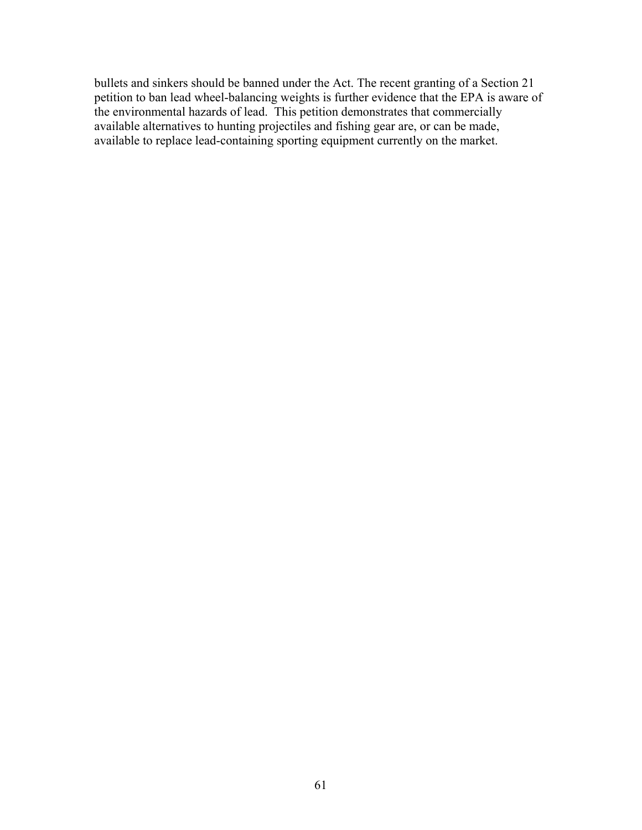bullets and sinkers should be banned under the Act. The recent granting of a Section 21 petition to ban lead wheel-balancing weights is further evidence that the EPA is aware of the environmental hazards of lead. This petition demonstrates that commercially available alternatives to hunting projectiles and fishing gear are, or can be made, available to replace lead-containing sporting equipment currently on the market.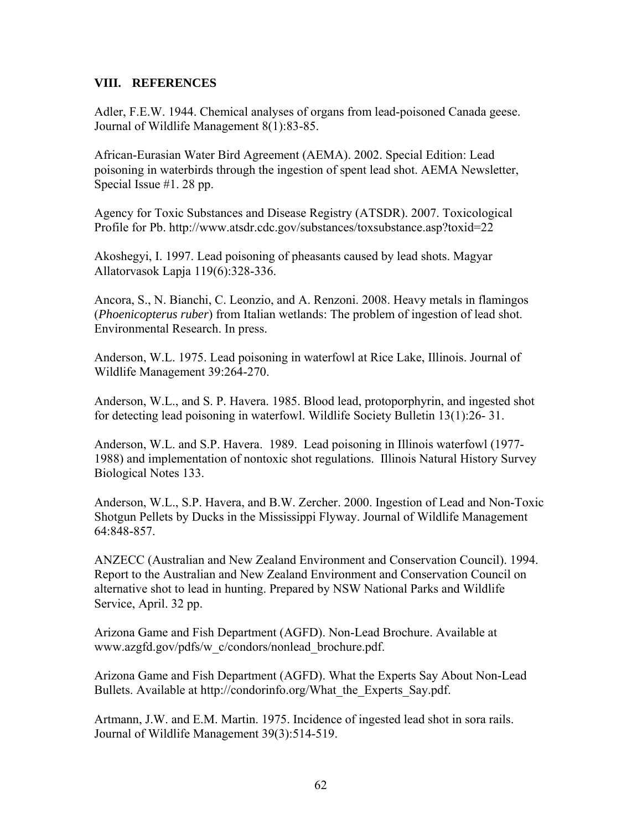#### **VIII. REFERENCES**

Adler, F.E.W. 1944. Chemical analyses of organs from lead-poisoned Canada geese. Journal of Wildlife Management 8(1):83-85.

African-Eurasian Water Bird Agreement (AEMA). 2002. Special Edition: Lead poisoning in waterbirds through the ingestion of spent lead shot. AEMA Newsletter, Special Issue #1. 28 pp.

Agency for Toxic Substances and Disease Registry (ATSDR). 2007. Toxicological Profile for Pb. http://www.atsdr.cdc.gov/substances/toxsubstance.asp?toxid=22

Akoshegyi, I. 1997. Lead poisoning of pheasants caused by lead shots. Magyar Allatorvasok Lapja 119(6):328-336.

Ancora, S., N. Bianchi, C. Leonzio, and A. Renzoni. 2008. Heavy metals in flamingos (*Phoenicopterus ruber*) from Italian wetlands: The problem of ingestion of lead shot. Environmental Research. In press.

Anderson, W.L. 1975. Lead poisoning in waterfowl at Rice Lake, Illinois. Journal of Wildlife Management 39:264-270.

Anderson, W.L., and S. P. Havera. 1985. Blood lead, protoporphyrin, and ingested shot for detecting lead poisoning in waterfowl. Wildlife Society Bulletin 13(1):26- 31.

Anderson, W.L. and S.P. Havera. 1989. Lead poisoning in Illinois waterfowl (1977- 1988) and implementation of nontoxic shot regulations. Illinois Natural History Survey Biological Notes 133.

Anderson, W.L., S.P. Havera, and B.W. Zercher. 2000. Ingestion of Lead and Non-Toxic Shotgun Pellets by Ducks in the Mississippi Flyway. Journal of Wildlife Management 64:848-857.

ANZECC (Australian and New Zealand Environment and Conservation Council). 1994. Report to the Australian and New Zealand Environment and Conservation Council on alternative shot to lead in hunting. Prepared by NSW National Parks and Wildlife Service, April. 32 pp.

Arizona Game and Fish Department (AGFD). Non-Lead Brochure. Available at www.azgfd.gov/pdfs/w\_c/condors/nonlead\_brochure.pdf.

Arizona Game and Fish Department (AGFD). What the Experts Say About Non-Lead Bullets. Available at http://condorinfo.org/What\_the\_Experts\_Say.pdf.

Artmann, J.W. and E.M. Martin. 1975. Incidence of ingested lead shot in sora rails. Journal of Wildlife Management 39(3):514-519.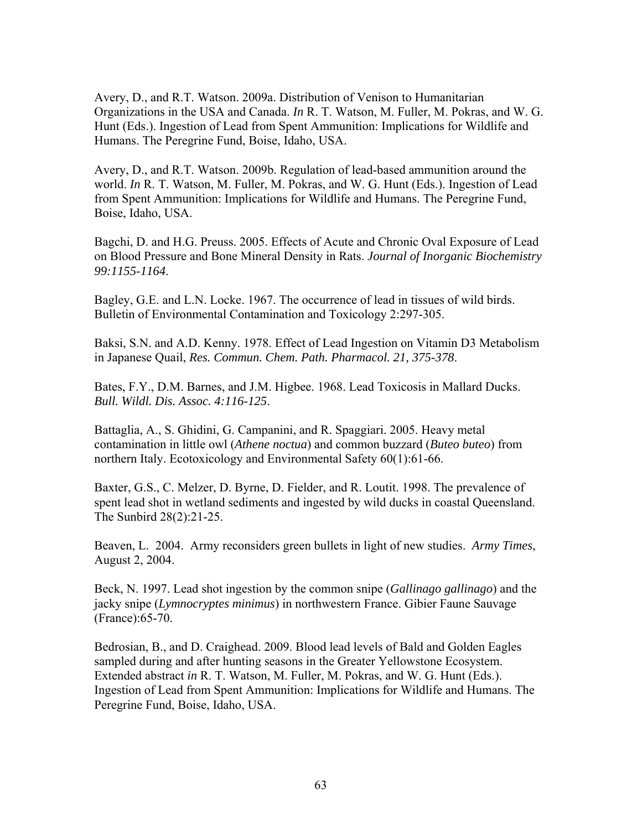Avery, D., and R.T. Watson. 2009a. Distribution of Venison to Humanitarian Organizations in the USA and Canada. *In* R. T. Watson, M. Fuller, M. Pokras, and W. G. Hunt (Eds.). Ingestion of Lead from Spent Ammunition: Implications for Wildlife and Humans. The Peregrine Fund, Boise, Idaho, USA.

Avery, D., and R.T. Watson. 2009b. Regulation of lead-based ammunition around the world. *In* R. T. Watson, M. Fuller, M. Pokras, and W. G. Hunt (Eds.). Ingestion of Lead from Spent Ammunition: Implications for Wildlife and Humans. The Peregrine Fund, Boise, Idaho, USA.

Bagchi, D. and H.G. Preuss. 2005. Effects of Acute and Chronic Oval Exposure of Lead on Blood Pressure and Bone Mineral Density in Rats. *Journal of Inorganic Biochemistry 99:1155-1164*.

Bagley, G.E. and L.N. Locke. 1967. The occurrence of lead in tissues of wild birds. Bulletin of Environmental Contamination and Toxicology 2:297-305.

Baksi, S.N. and A.D. Kenny. 1978. Effect of Lead Ingestion on Vitamin D3 Metabolism in Japanese Quail, *Res. Commun. Chem. Path. Pharmacol. 21, 375-378*.

Bates, F.Y., D.M. Barnes, and J.M. Higbee. 1968. Lead Toxicosis in Mallard Ducks. *Bull. Wildl. Dis. Assoc. 4:116-125*.

Battaglia, A., S. Ghidini, G. Campanini, and R. Spaggiari. 2005. Heavy metal contamination in little owl (*Athene noctua*) and common buzzard (*Buteo buteo*) from northern Italy. Ecotoxicology and Environmental Safety 60(1):61-66.

Baxter, G.S., C. Melzer, D. Byrne, D. Fielder, and R. Loutit. 1998. The prevalence of spent lead shot in wetland sediments and ingested by wild ducks in coastal Queensland. The Sunbird 28(2):21-25.

Beaven, L. 2004. Army reconsiders green bullets in light of new studies. *Army Times*, August 2, 2004.

Beck, N. 1997. Lead shot ingestion by the common snipe (*Gallinago gallinago*) and the jacky snipe (*Lymnocryptes minimus*) in northwestern France. Gibier Faune Sauvage (France):65-70.

Bedrosian, B., and D. Craighead. 2009. Blood lead levels of Bald and Golden Eagles sampled during and after hunting seasons in the Greater Yellowstone Ecosystem. Extended abstract *in* R. T. Watson, M. Fuller, M. Pokras, and W. G. Hunt (Eds.). Ingestion of Lead from Spent Ammunition: Implications for Wildlife and Humans. The Peregrine Fund, Boise, Idaho, USA.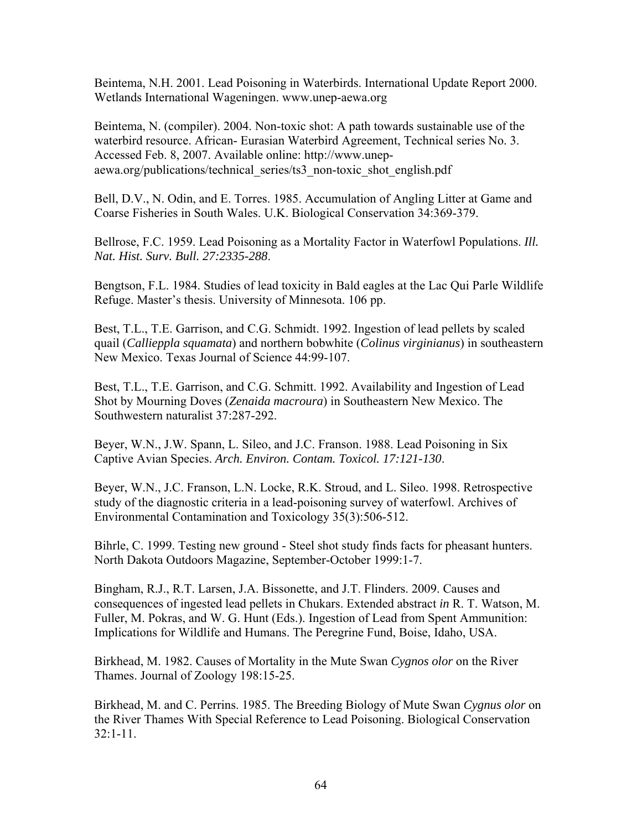Beintema, N.H. 2001. Lead Poisoning in Waterbirds. International Update Report 2000. Wetlands International Wageningen. www.unep-aewa.org

Beintema, N. (compiler). 2004. Non-toxic shot: A path towards sustainable use of the waterbird resource. African- Eurasian Waterbird Agreement, Technical series No. 3. Accessed Feb. 8, 2007. Available online: http://www.unepaewa.org/publications/technical\_series/ts3\_non-toxic\_shot\_english.pdf

Bell, D.V., N. Odin, and E. Torres. 1985. Accumulation of Angling Litter at Game and Coarse Fisheries in South Wales. U.K. Biological Conservation 34:369-379.

Bellrose, F.C. 1959. Lead Poisoning as a Mortality Factor in Waterfowl Populations. *Ill. Nat. Hist. Surv. Bull. 27:2335-288*.

Bengtson, F.L. 1984. Studies of lead toxicity in Bald eagles at the Lac Qui Parle Wildlife Refuge. Master's thesis. University of Minnesota. 106 pp.

Best, T.L., T.E. Garrison, and C.G. Schmidt. 1992. Ingestion of lead pellets by scaled quail (*Callieppla squamata*) and northern bobwhite (*Colinus virginianus*) in southeastern New Mexico. Texas Journal of Science 44:99-107.

Best, T.L., T.E. Garrison, and C.G. Schmitt. 1992. Availability and Ingestion of Lead Shot by Mourning Doves (*Zenaida macroura*) in Southeastern New Mexico. The Southwestern naturalist 37:287-292.

Beyer, W.N., J.W. Spann, L. Sileo, and J.C. Franson. 1988. Lead Poisoning in Six Captive Avian Species. *Arch. Environ. Contam. Toxicol. 17:121-130*.

Beyer, W.N., J.C. Franson, L.N. Locke, R.K. Stroud, and L. Sileo. 1998. Retrospective study of the diagnostic criteria in a lead-poisoning survey of waterfowl. Archives of Environmental Contamination and Toxicology 35(3):506-512.

Bihrle, C. 1999. Testing new ground - Steel shot study finds facts for pheasant hunters. North Dakota Outdoors Magazine, September-October 1999:1-7.

Bingham, R.J., R.T. Larsen, J.A. Bissonette, and J.T. Flinders. 2009. Causes and consequences of ingested lead pellets in Chukars. Extended abstract *in* R. T. Watson, M. Fuller, M. Pokras, and W. G. Hunt (Eds.). Ingestion of Lead from Spent Ammunition: Implications for Wildlife and Humans. The Peregrine Fund, Boise, Idaho, USA.

Birkhead, M. 1982. Causes of Mortality in the Mute Swan *Cygnos olor* on the River Thames. Journal of Zoology 198:15-25.

Birkhead, M. and C. Perrins. 1985. The Breeding Biology of Mute Swan *Cygnus olor* on the River Thames With Special Reference to Lead Poisoning. Biological Conservation 32:1-11.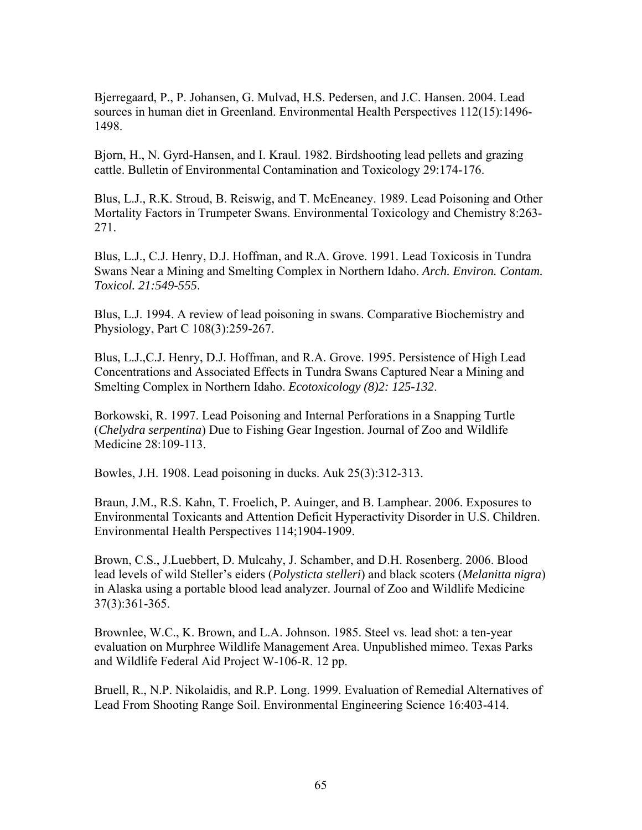Bjerregaard, P., P. Johansen, G. Mulvad, H.S. Pedersen, and J.C. Hansen. 2004. Lead sources in human diet in Greenland. Environmental Health Perspectives 112(15):1496- 1498.

Bjorn, H., N. Gyrd-Hansen, and I. Kraul. 1982. Birdshooting lead pellets and grazing cattle. Bulletin of Environmental Contamination and Toxicology 29:174-176.

Blus, L.J., R.K. Stroud, B. Reiswig, and T. McEneaney. 1989. Lead Poisoning and Other Mortality Factors in Trumpeter Swans. Environmental Toxicology and Chemistry 8:263- 271.

Blus, L.J., C.J. Henry, D.J. Hoffman, and R.A. Grove. 1991. Lead Toxicosis in Tundra Swans Near a Mining and Smelting Complex in Northern Idaho. *Arch. Environ. Contam. Toxicol. 21:549-555*.

Blus, L.J. 1994. A review of lead poisoning in swans. Comparative Biochemistry and Physiology, Part C 108(3):259-267.

Blus, L.J.,C.J. Henry, D.J. Hoffman, and R.A. Grove. 1995. Persistence of High Lead Concentrations and Associated Effects in Tundra Swans Captured Near a Mining and Smelting Complex in Northern Idaho. *Ecotoxicology (8)2: 125-132*.

Borkowski, R. 1997. Lead Poisoning and Internal Perforations in a Snapping Turtle (*Chelydra serpentina*) Due to Fishing Gear Ingestion. Journal of Zoo and Wildlife Medicine 28:109-113.

Bowles, J.H. 1908. Lead poisoning in ducks. Auk 25(3):312-313.

Braun, J.M., R.S. Kahn, T. Froelich, P. Auinger, and B. Lamphear. 2006. Exposures to Environmental Toxicants and Attention Deficit Hyperactivity Disorder in U.S. Children. Environmental Health Perspectives 114;1904-1909.

Brown, C.S., J.Luebbert, D. Mulcahy, J. Schamber, and D.H. Rosenberg. 2006. Blood lead levels of wild Steller's eiders (*Polysticta stelleri*) and black scoters (*Melanitta nigra*) in Alaska using a portable blood lead analyzer. Journal of Zoo and Wildlife Medicine 37(3):361-365.

Brownlee, W.C., K. Brown, and L.A. Johnson. 1985. Steel vs. lead shot: a ten-year evaluation on Murphree Wildlife Management Area. Unpublished mimeo. Texas Parks and Wildlife Federal Aid Project W-106-R. 12 pp.

Bruell, R., N.P. Nikolaidis, and R.P. Long. 1999. Evaluation of Remedial Alternatives of Lead From Shooting Range Soil. Environmental Engineering Science 16:403-414.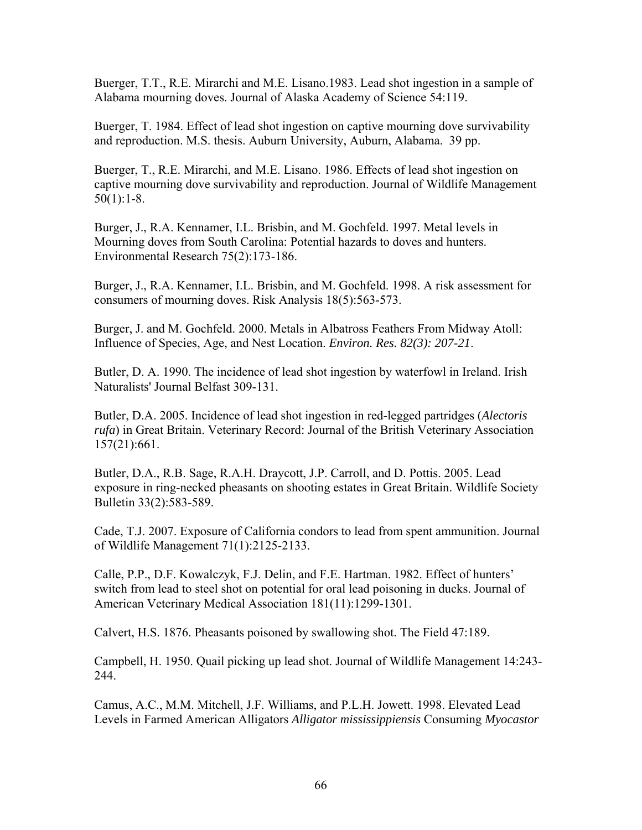Buerger, T.T., R.E. Mirarchi and M.E. Lisano.1983. Lead shot ingestion in a sample of Alabama mourning doves. Journal of Alaska Academy of Science 54:119.

Buerger, T. 1984. Effect of lead shot ingestion on captive mourning dove survivability and reproduction. M.S. thesis. Auburn University, Auburn, Alabama. 39 pp.

Buerger, T., R.E. Mirarchi, and M.E. Lisano. 1986. Effects of lead shot ingestion on captive mourning dove survivability and reproduction. Journal of Wildlife Management  $50(1):1-8.$ 

Burger, J., R.A. Kennamer, I.L. Brisbin, and M. Gochfeld. 1997. Metal levels in Mourning doves from South Carolina: Potential hazards to doves and hunters. Environmental Research 75(2):173-186.

Burger, J., R.A. Kennamer, I.L. Brisbin, and M. Gochfeld. 1998. A risk assessment for consumers of mourning doves. Risk Analysis 18(5):563-573.

Burger, J. and M. Gochfeld. 2000. Metals in Albatross Feathers From Midway Atoll: Influence of Species, Age, and Nest Location. *Environ. Res. 82(3): 207-21*.

Butler, D. A. 1990. The incidence of lead shot ingestion by waterfowl in Ireland. Irish Naturalists' Journal Belfast 309-131.

Butler, D.A. 2005. Incidence of lead shot ingestion in red-legged partridges (*Alectoris rufa*) in Great Britain. Veterinary Record: Journal of the British Veterinary Association 157(21):661.

Butler, D.A., R.B. Sage, R.A.H. Draycott, J.P. Carroll, and D. Pottis. 2005. Lead exposure in ring-necked pheasants on shooting estates in Great Britain. Wildlife Society Bulletin 33(2):583-589.

Cade, T.J. 2007. Exposure of California condors to lead from spent ammunition. Journal of Wildlife Management 71(1):2125-2133.

Calle, P.P., D.F. Kowalczyk, F.J. Delin, and F.E. Hartman. 1982. Effect of hunters' switch from lead to steel shot on potential for oral lead poisoning in ducks. Journal of American Veterinary Medical Association 181(11):1299-1301.

Calvert, H.S. 1876. Pheasants poisoned by swallowing shot. The Field 47:189.

Campbell, H. 1950. Quail picking up lead shot. Journal of Wildlife Management 14:243- 244.

Camus, A.C., M.M. Mitchell, J.F. Williams, and P.L.H. Jowett. 1998. Elevated Lead Levels in Farmed American Alligators *Alligator mississippiensis* Consuming *Myocastor*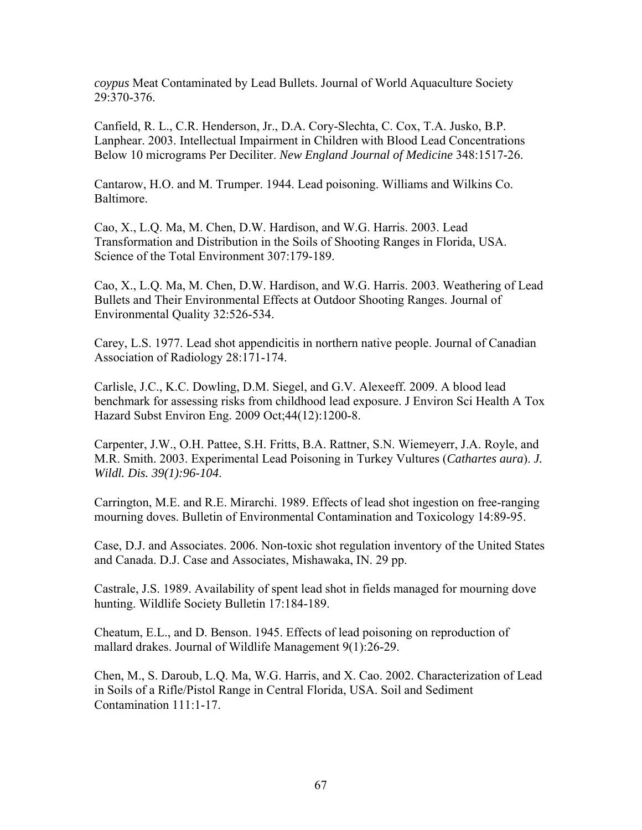*coypus* Meat Contaminated by Lead Bullets. Journal of World Aquaculture Society 29:370-376.

Canfield, R. L., C.R. Henderson, Jr., D.A. Cory-Slechta, C. Cox, T.A. Jusko, B.P. Lanphear. 2003. Intellectual Impairment in Children with Blood Lead Concentrations Below 10 micrograms Per Deciliter. *New England Journal of Medicine* 348:1517-26.

Cantarow, H.O. and M. Trumper. 1944. Lead poisoning. Williams and Wilkins Co. Baltimore.

Cao, X., L.Q. Ma, M. Chen, D.W. Hardison, and W.G. Harris. 2003. Lead Transformation and Distribution in the Soils of Shooting Ranges in Florida, USA. Science of the Total Environment 307:179-189.

Cao, X., L.Q. Ma, M. Chen, D.W. Hardison, and W.G. Harris. 2003. Weathering of Lead Bullets and Their Environmental Effects at Outdoor Shooting Ranges. Journal of Environmental Quality 32:526-534.

Carey, L.S. 1977. Lead shot appendicitis in northern native people. Journal of Canadian Association of Radiology 28:171-174.

Carlisle, J.C., K.C. Dowling, D.M. Siegel, and G.V. Alexeeff. 2009. A blood lead benchmark for assessing risks from childhood lead exposure. J Environ Sci Health A Tox Hazard Subst Environ Eng. 2009 Oct;44(12):1200-8.

Carpenter, J.W., O.H. Pattee, S.H. Fritts, B.A. Rattner, S.N. Wiemeyerr, J.A. Royle, and M.R. Smith. 2003. Experimental Lead Poisoning in Turkey Vultures (*Cathartes aura*). *J. Wildl. Dis. 39(1):96-104*.

Carrington, M.E. and R.E. Mirarchi. 1989. Effects of lead shot ingestion on free-ranging mourning doves. Bulletin of Environmental Contamination and Toxicology 14:89-95.

Case, D.J. and Associates. 2006. Non-toxic shot regulation inventory of the United States and Canada. D.J. Case and Associates, Mishawaka, IN. 29 pp.

Castrale, J.S. 1989. Availability of spent lead shot in fields managed for mourning dove hunting. Wildlife Society Bulletin 17:184-189.

Cheatum, E.L., and D. Benson. 1945. Effects of lead poisoning on reproduction of mallard drakes. Journal of Wildlife Management 9(1):26-29.

Chen, M., S. Daroub, L.Q. Ma, W.G. Harris, and X. Cao. 2002. Characterization of Lead in Soils of a Rifle/Pistol Range in Central Florida, USA. Soil and Sediment Contamination 111:1-17.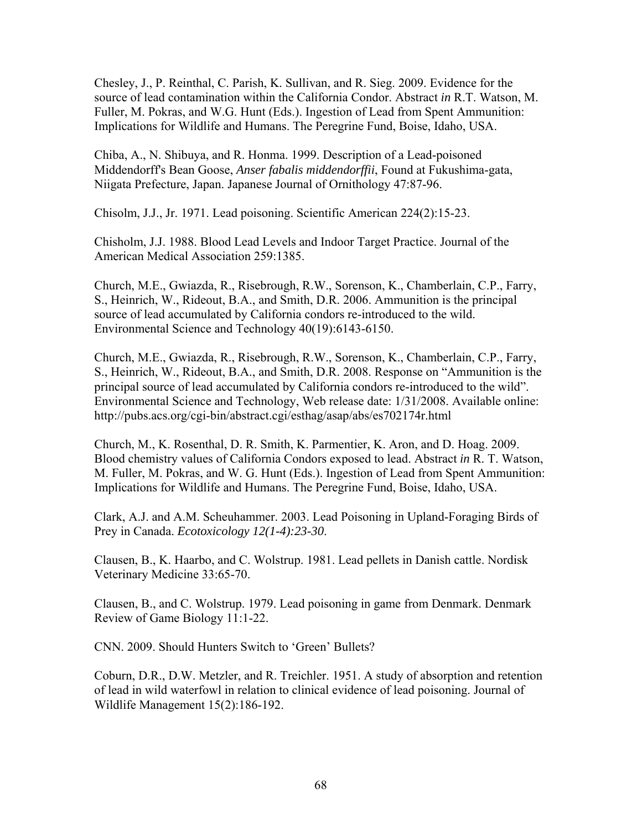Chesley, J., P. Reinthal, C. Parish, K. Sullivan, and R. Sieg. 2009. Evidence for the source of lead contamination within the California Condor. Abstract *in* R.T. Watson, M. Fuller, M. Pokras, and W.G. Hunt (Eds.). Ingestion of Lead from Spent Ammunition: Implications for Wildlife and Humans. The Peregrine Fund, Boise, Idaho, USA.

Chiba, A., N. Shibuya, and R. Honma. 1999. Description of a Lead-poisoned Middendorff's Bean Goose, *Anser fabalis middendorffii*, Found at Fukushima-gata, Niigata Prefecture, Japan. Japanese Journal of Ornithology 47:87-96.

Chisolm, J.J., Jr. 1971. Lead poisoning. Scientific American 224(2):15-23.

Chisholm, J.J. 1988. Blood Lead Levels and Indoor Target Practice. Journal of the American Medical Association 259:1385.

Church, M.E., Gwiazda, R., Risebrough, R.W., Sorenson, K., Chamberlain, C.P., Farry, S., Heinrich, W., Rideout, B.A., and Smith, D.R. 2006. Ammunition is the principal source of lead accumulated by California condors re-introduced to the wild. Environmental Science and Technology 40(19):6143-6150.

Church, M.E., Gwiazda, R., Risebrough, R.W., Sorenson, K., Chamberlain, C.P., Farry, S., Heinrich, W., Rideout, B.A., and Smith, D.R. 2008. Response on "Ammunition is the principal source of lead accumulated by California condors re-introduced to the wild". Environmental Science and Technology, Web release date: 1/31/2008. Available online: http://pubs.acs.org/cgi-bin/abstract.cgi/esthag/asap/abs/es702174r.html

Church, M., K. Rosenthal, D. R. Smith, K. Parmentier, K. Aron, and D. Hoag. 2009. Blood chemistry values of California Condors exposed to lead. Abstract *in* R. T. Watson, M. Fuller, M. Pokras, and W. G. Hunt (Eds.). Ingestion of Lead from Spent Ammunition: Implications for Wildlife and Humans. The Peregrine Fund, Boise, Idaho, USA.

Clark, A.J. and A.M. Scheuhammer. 2003. Lead Poisoning in Upland-Foraging Birds of Prey in Canada. *Ecotoxicology 12(1-4):23-30*.

Clausen, B., K. Haarbo, and C. Wolstrup. 1981. Lead pellets in Danish cattle. Nordisk Veterinary Medicine 33:65-70.

Clausen, B., and C. Wolstrup. 1979. Lead poisoning in game from Denmark. Denmark Review of Game Biology 11:1-22.

CNN. 2009. Should Hunters Switch to 'Green' Bullets?

Coburn, D.R., D.W. Metzler, and R. Treichler. 1951. A study of absorption and retention of lead in wild waterfowl in relation to clinical evidence of lead poisoning. Journal of Wildlife Management 15(2):186-192.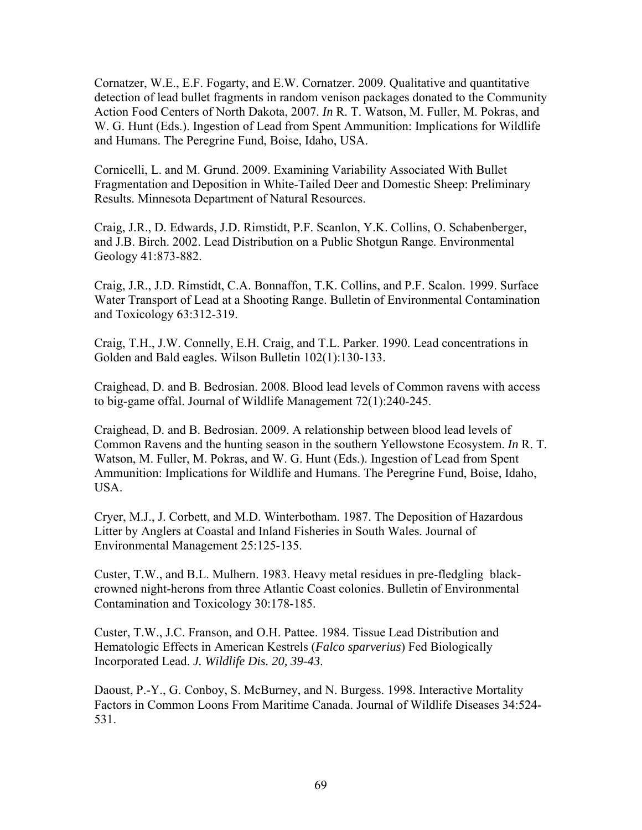Cornatzer, W.E., E.F. Fogarty, and E.W. Cornatzer. 2009. Qualitative and quantitative detection of lead bullet fragments in random venison packages donated to the Community Action Food Centers of North Dakota, 2007. *In* R. T. Watson, M. Fuller, M. Pokras, and W. G. Hunt (Eds.). Ingestion of Lead from Spent Ammunition: Implications for Wildlife and Humans. The Peregrine Fund, Boise, Idaho, USA.

Cornicelli, L. and M. Grund. 2009. Examining Variability Associated With Bullet Fragmentation and Deposition in White-Tailed Deer and Domestic Sheep: Preliminary Results. Minnesota Department of Natural Resources.

Craig, J.R., D. Edwards, J.D. Rimstidt, P.F. Scanlon, Y.K. Collins, O. Schabenberger, and J.B. Birch. 2002. Lead Distribution on a Public Shotgun Range. Environmental Geology 41:873-882.

Craig, J.R., J.D. Rimstidt, C.A. Bonnaffon, T.K. Collins, and P.F. Scalon. 1999. Surface Water Transport of Lead at a Shooting Range. Bulletin of Environmental Contamination and Toxicology 63:312-319.

Craig, T.H., J.W. Connelly, E.H. Craig, and T.L. Parker. 1990. Lead concentrations in Golden and Bald eagles. Wilson Bulletin 102(1):130-133.

Craighead, D. and B. Bedrosian. 2008. Blood lead levels of Common ravens with access to big-game offal. Journal of Wildlife Management 72(1):240-245.

Craighead, D. and B. Bedrosian. 2009. A relationship between blood lead levels of Common Ravens and the hunting season in the southern Yellowstone Ecosystem. *In* R. T. Watson, M. Fuller, M. Pokras, and W. G. Hunt (Eds.). Ingestion of Lead from Spent Ammunition: Implications for Wildlife and Humans. The Peregrine Fund, Boise, Idaho, USA.

Cryer, M.J., J. Corbett, and M.D. Winterbotham. 1987. The Deposition of Hazardous Litter by Anglers at Coastal and Inland Fisheries in South Wales. Journal of Environmental Management 25:125-135.

Custer, T.W., and B.L. Mulhern. 1983. Heavy metal residues in pre-fledgling blackcrowned night-herons from three Atlantic Coast colonies. Bulletin of Environmental Contamination and Toxicology 30:178-185.

Custer, T.W., J.C. Franson, and O.H. Pattee. 1984. Tissue Lead Distribution and Hematologic Effects in American Kestrels (*Falco sparverius*) Fed Biologically Incorporated Lead. *J. Wildlife Dis. 20, 39-43*.

Daoust, P.-Y., G. Conboy, S. McBurney, and N. Burgess. 1998. Interactive Mortality Factors in Common Loons From Maritime Canada. Journal of Wildlife Diseases 34:524- 531.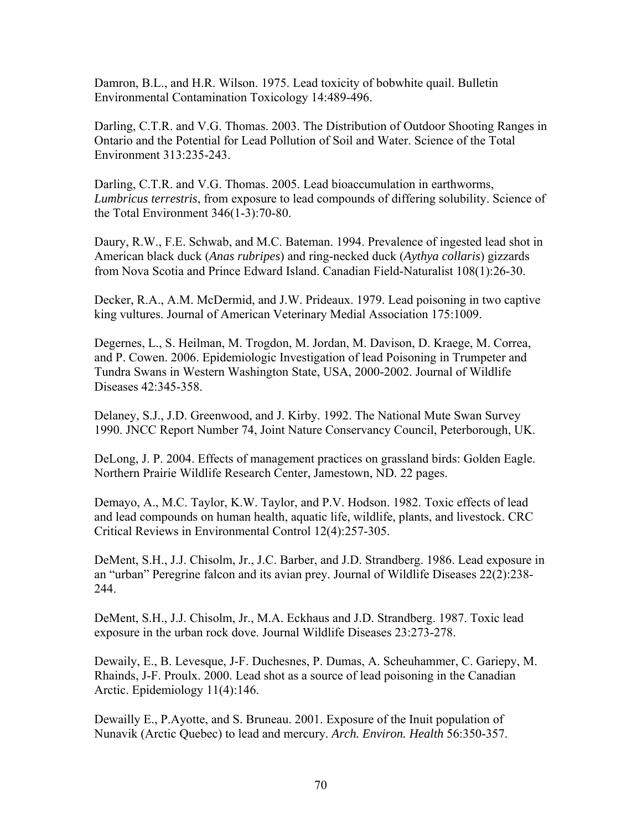Damron, B.L., and H.R. Wilson. 1975. Lead toxicity of bobwhite quail. Bulletin Environmental Contamination Toxicology 14:489-496.

Darling, C.T.R. and V.G. Thomas. 2003. The Distribution of Outdoor Shooting Ranges in Ontario and the Potential for Lead Pollution of Soil and Water. Science of the Total Environment 313:235-243.

Darling, C.T.R. and V.G. Thomas. 2005. Lead bioaccumulation in earthworms, *Lumbricus terrestris*, from exposure to lead compounds of differing solubility. Science of the Total Environment 346(1-3):70-80.

Daury, R.W., F.E. Schwab, and M.C. Bateman. 1994. Prevalence of ingested lead shot in American black duck (*Anas rubripes*) and ring-necked duck (*Aythya collaris*) gizzards from Nova Scotia and Prince Edward Island. Canadian Field-Naturalist 108(1):26-30.

Decker, R.A., A.M. McDermid, and J.W. Prideaux. 1979. Lead poisoning in two captive king vultures. Journal of American Veterinary Medial Association 175:1009.

Degernes, L., S. Heilman, M. Trogdon, M. Jordan, M. Davison, D. Kraege, M. Correa, and P. Cowen. 2006. Epidemiologic Investigation of lead Poisoning in Trumpeter and Tundra Swans in Western Washington State, USA, 2000-2002. Journal of Wildlife Diseases 42:345-358.

Delaney, S.J., J.D. Greenwood, and J. Kirby. 1992. The National Mute Swan Survey 1990. JNCC Report Number 74, Joint Nature Conservancy Council, Peterborough, UK.

DeLong, J. P. 2004. Effects of management practices on grassland birds: Golden Eagle. Northern Prairie Wildlife Research Center, Jamestown, ND. 22 pages.

Demayo, A., M.C. Taylor, K.W. Taylor, and P.V. Hodson. 1982. Toxic effects of lead and lead compounds on human health, aquatic life, wildlife, plants, and livestock. CRC Critical Reviews in Environmental Control 12(4):257-305.

DeMent, S.H., J.J. Chisolm, Jr., J.C. Barber, and J.D. Strandberg. 1986. Lead exposure in an "urban" Peregrine falcon and its avian prey. Journal of Wildlife Diseases 22(2):238- 244.

DeMent, S.H., J.J. Chisolm, Jr., M.A. Eckhaus and J.D. Strandberg. 1987. Toxic lead exposure in the urban rock dove. Journal Wildlife Diseases 23:273-278.

Dewaily, E., B. Levesque, J-F. Duchesnes, P. Dumas, A. Scheuhammer, C. Gariepy, M. Rhainds, J-F. Proulx. 2000. Lead shot as a source of lead poisoning in the Canadian Arctic. Epidemiology 11(4):146.

Dewailly E., P.Ayotte, and S. Bruneau. 2001. Exposure of the Inuit population of Nunavik (Arctic Quebec) to lead and mercury. *Arch. Environ. Health* 56:350-357.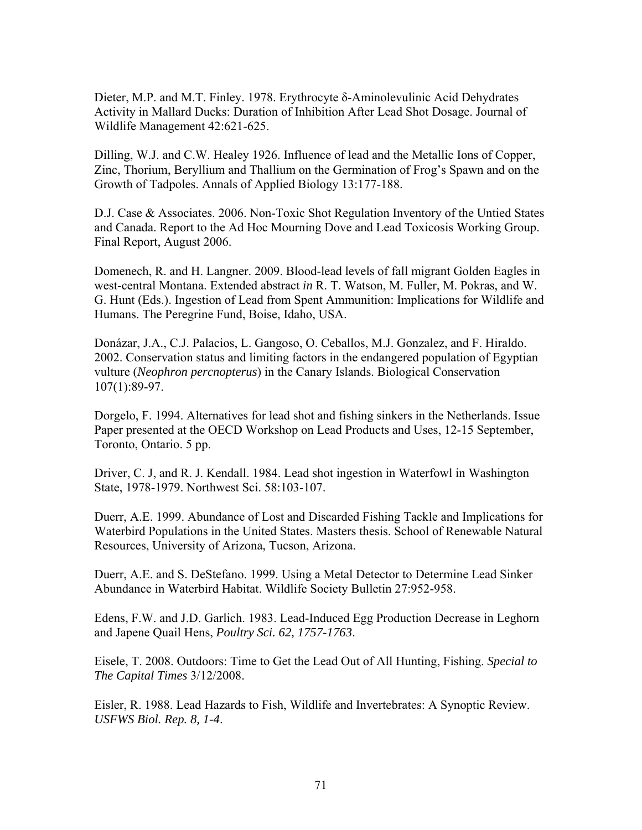Dieter, M.P. and M.T. Finley. 1978. Erythrocyte δ-Aminolevulinic Acid Dehydrates Activity in Mallard Ducks: Duration of Inhibition After Lead Shot Dosage. Journal of Wildlife Management 42:621-625.

Dilling, W.J. and C.W. Healey 1926. Influence of lead and the Metallic Ions of Copper, Zinc, Thorium, Beryllium and Thallium on the Germination of Frog's Spawn and on the Growth of Tadpoles. Annals of Applied Biology 13:177-188.

D.J. Case & Associates. 2006. Non-Toxic Shot Regulation Inventory of the Untied States and Canada. Report to the Ad Hoc Mourning Dove and Lead Toxicosis Working Group. Final Report, August 2006.

Domenech, R. and H. Langner. 2009. Blood-lead levels of fall migrant Golden Eagles in west-central Montana. Extended abstract *in* R. T. Watson, M. Fuller, M. Pokras, and W. G. Hunt (Eds.). Ingestion of Lead from Spent Ammunition: Implications for Wildlife and Humans. The Peregrine Fund, Boise, Idaho, USA.

Donázar, J.A., C.J. Palacios, L. Gangoso, O. Ceballos, M.J. Gonzalez, and F. Hiraldo. 2002. Conservation status and limiting factors in the endangered population of Egyptian vulture (*Neophron percnopterus*) in the Canary Islands. Biological Conservation 107(1):89-97.

Dorgelo, F. 1994. Alternatives for lead shot and fishing sinkers in the Netherlands. Issue Paper presented at the OECD Workshop on Lead Products and Uses, 12-15 September, Toronto, Ontario. 5 pp.

Driver, C. J, and R. J. Kendall. 1984. Lead shot ingestion in Waterfowl in Washington State, 1978-1979. Northwest Sci. 58:103-107.

Duerr, A.E. 1999. Abundance of Lost and Discarded Fishing Tackle and Implications for Waterbird Populations in the United States. Masters thesis. School of Renewable Natural Resources, University of Arizona, Tucson, Arizona.

Duerr, A.E. and S. DeStefano. 1999. Using a Metal Detector to Determine Lead Sinker Abundance in Waterbird Habitat. Wildlife Society Bulletin 27:952-958.

Edens, F.W. and J.D. Garlich. 1983. Lead-Induced Egg Production Decrease in Leghorn and Japene Quail Hens, *Poultry Sci. 62, 1757-1763*.

Eisele, T. 2008. Outdoors: Time to Get the Lead Out of All Hunting, Fishing. *Special to The Capital Times* 3/12/2008.

Eisler, R. 1988. Lead Hazards to Fish, Wildlife and Invertebrates: A Synoptic Review. *USFWS Biol. Rep. 8, 1-4*.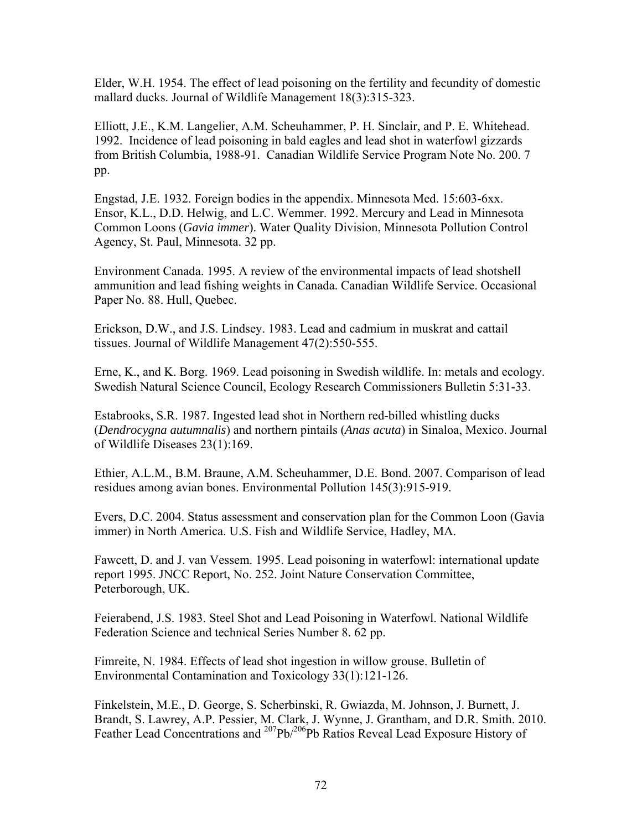Elder, W.H. 1954. The effect of lead poisoning on the fertility and fecundity of domestic mallard ducks. Journal of Wildlife Management 18(3):315-323.

Elliott, J.E., K.M. Langelier, A.M. Scheuhammer, P. H. Sinclair, and P. E. Whitehead. 1992. Incidence of lead poisoning in bald eagles and lead shot in waterfowl gizzards from British Columbia, 1988-91. Canadian Wildlife Service Program Note No. 200. 7 pp.

Engstad, J.E. 1932. Foreign bodies in the appendix. Minnesota Med. 15:603-6xx. Ensor, K.L., D.D. Helwig, and L.C. Wemmer. 1992. Mercury and Lead in Minnesota Common Loons (*Gavia immer*). Water Quality Division, Minnesota Pollution Control Agency, St. Paul, Minnesota. 32 pp.

Environment Canada. 1995. A review of the environmental impacts of lead shotshell ammunition and lead fishing weights in Canada. Canadian Wildlife Service. Occasional Paper No. 88. Hull, Quebec.

Erickson, D.W., and J.S. Lindsey. 1983. Lead and cadmium in muskrat and cattail tissues. Journal of Wildlife Management 47(2):550-555.

Erne, K., and K. Borg. 1969. Lead poisoning in Swedish wildlife. In: metals and ecology. Swedish Natural Science Council, Ecology Research Commissioners Bulletin 5:31-33.

Estabrooks, S.R. 1987. Ingested lead shot in Northern red-billed whistling ducks (*Dendrocygna autumnalis*) and northern pintails (*Anas acuta*) in Sinaloa, Mexico. Journal of Wildlife Diseases 23(1):169.

Ethier, A.L.M., B.M. Braune, A.M. Scheuhammer, D.E. Bond. 2007. Comparison of lead residues among avian bones. Environmental Pollution 145(3):915-919.

Evers, D.C. 2004. Status assessment and conservation plan for the Common Loon (Gavia immer) in North America. U.S. Fish and Wildlife Service, Hadley, MA.

Fawcett, D. and J. van Vessem. 1995. Lead poisoning in waterfowl: international update report 1995. JNCC Report, No. 252. Joint Nature Conservation Committee, Peterborough, UK.

Feierabend, J.S. 1983. Steel Shot and Lead Poisoning in Waterfowl. National Wildlife Federation Science and technical Series Number 8. 62 pp.

Fimreite, N. 1984. Effects of lead shot ingestion in willow grouse. Bulletin of Environmental Contamination and Toxicology 33(1):121-126.

Finkelstein, M.E., D. George, S. Scherbinski, R. Gwiazda, M. Johnson, J. Burnett, J. Brandt, S. Lawrey, A.P. Pessier, M. Clark, J. Wynne, J. Grantham, and D.R. Smith. 2010. Feather Lead Concentrations and <sup>207</sup>Pb/<sup>206</sup>Pb Ratios Reveal Lead Exposure History of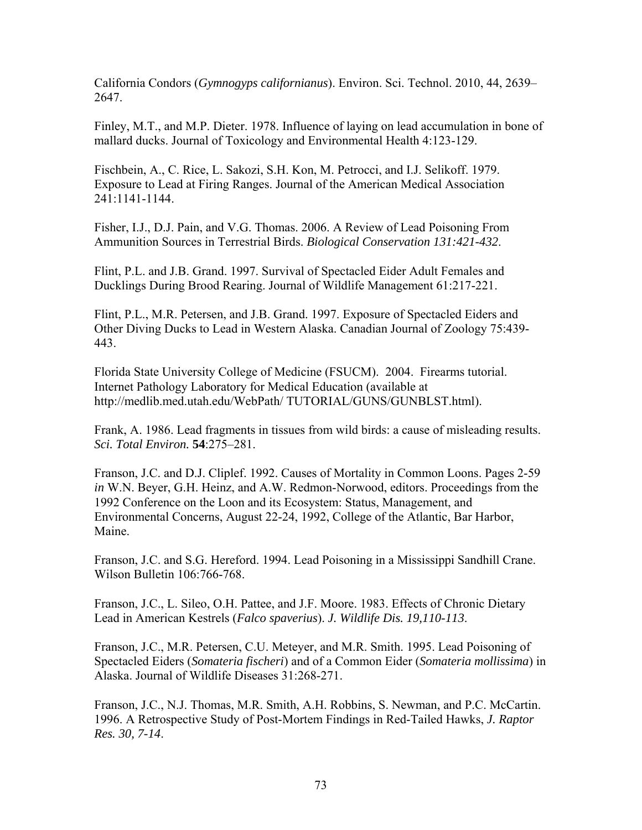California Condors (*Gymnogyps californianus*). Environ. Sci. Technol. 2010, 44, 2639– 2647.

Finley, M.T., and M.P. Dieter. 1978. Influence of laying on lead accumulation in bone of mallard ducks. Journal of Toxicology and Environmental Health 4:123-129.

Fischbein, A., C. Rice, L. Sakozi, S.H. Kon, M. Petrocci, and I.J. Selikoff. 1979. Exposure to Lead at Firing Ranges. Journal of the American Medical Association 241:1141-1144.

Fisher, I.J., D.J. Pain, and V.G. Thomas. 2006. A Review of Lead Poisoning From Ammunition Sources in Terrestrial Birds. *Biological Conservation 131:421-432*.

Flint, P.L. and J.B. Grand. 1997. Survival of Spectacled Eider Adult Females and Ducklings During Brood Rearing. Journal of Wildlife Management 61:217-221.

Flint, P.L., M.R. Petersen, and J.B. Grand. 1997. Exposure of Spectacled Eiders and Other Diving Ducks to Lead in Western Alaska. Canadian Journal of Zoology 75:439- 443.

Florida State University College of Medicine (FSUCM). 2004. Firearms tutorial. Internet Pathology Laboratory for Medical Education (available at http://medlib.med.utah.edu/WebPath/ TUTORIAL/GUNS/GUNBLST.html).

Frank, A. 1986. Lead fragments in tissues from wild birds: a cause of misleading results. *Sci. Total Environ.* **54**:275–281.

Franson, J.C. and D.J. Cliplef. 1992. Causes of Mortality in Common Loons. Pages 2-59 *in* W.N. Beyer, G.H. Heinz, and A.W. Redmon-Norwood, editors. Proceedings from the 1992 Conference on the Loon and its Ecosystem: Status, Management, and Environmental Concerns, August 22-24, 1992, College of the Atlantic, Bar Harbor, Maine.

Franson, J.C. and S.G. Hereford. 1994. Lead Poisoning in a Mississippi Sandhill Crane. Wilson Bulletin 106:766-768.

Franson, J.C., L. Sileo, O.H. Pattee, and J.F. Moore. 1983. Effects of Chronic Dietary Lead in American Kestrels (*Falco spaverius*). *J. Wildlife Dis. 19,110-113*.

Franson, J.C., M.R. Petersen, C.U. Meteyer, and M.R. Smith. 1995. Lead Poisoning of Spectacled Eiders (*Somateria fischeri*) and of a Common Eider (*Somateria mollissima*) in Alaska. Journal of Wildlife Diseases 31:268-271.

Franson, J.C., N.J. Thomas, M.R. Smith, A.H. Robbins, S. Newman, and P.C. McCartin. 1996. A Retrospective Study of Post-Mortem Findings in Red-Tailed Hawks, *J. Raptor Res. 30, 7-14*.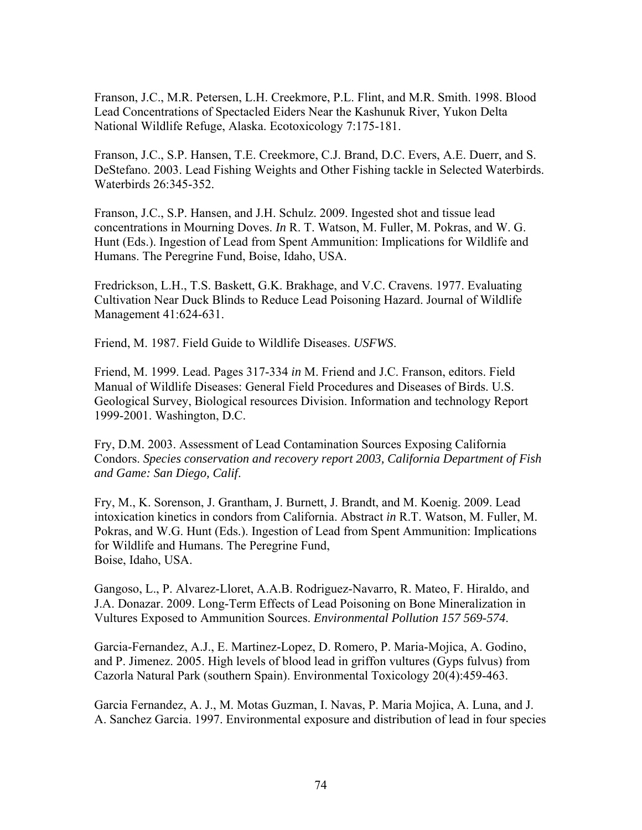Franson, J.C., M.R. Petersen, L.H. Creekmore, P.L. Flint, and M.R. Smith. 1998. Blood Lead Concentrations of Spectacled Eiders Near the Kashunuk River, Yukon Delta National Wildlife Refuge, Alaska. Ecotoxicology 7:175-181.

Franson, J.C., S.P. Hansen, T.E. Creekmore, C.J. Brand, D.C. Evers, A.E. Duerr, and S. DeStefano. 2003. Lead Fishing Weights and Other Fishing tackle in Selected Waterbirds. Waterbirds 26:345-352.

Franson, J.C., S.P. Hansen, and J.H. Schulz. 2009. Ingested shot and tissue lead concentrations in Mourning Doves. *In* R. T. Watson, M. Fuller, M. Pokras, and W. G. Hunt (Eds.). Ingestion of Lead from Spent Ammunition: Implications for Wildlife and Humans. The Peregrine Fund, Boise, Idaho, USA.

Fredrickson, L.H., T.S. Baskett, G.K. Brakhage, and V.C. Cravens. 1977. Evaluating Cultivation Near Duck Blinds to Reduce Lead Poisoning Hazard. Journal of Wildlife Management 41:624-631.

Friend, M. 1987. Field Guide to Wildlife Diseases. *USFWS*.

Friend, M. 1999. Lead. Pages 317-334 *in* M. Friend and J.C. Franson, editors. Field Manual of Wildlife Diseases: General Field Procedures and Diseases of Birds. U.S. Geological Survey, Biological resources Division. Information and technology Report 1999-2001. Washington, D.C.

Fry, D.M. 2003. Assessment of Lead Contamination Sources Exposing California Condors. *Species conservation and recovery report 2003, California Department of Fish and Game: San Diego, Calif*.

Fry, M., K. Sorenson, J. Grantham, J. Burnett, J. Brandt, and M. Koenig. 2009. Lead intoxication kinetics in condors from California. Abstract *in* R.T. Watson, M. Fuller, M. Pokras, and W.G. Hunt (Eds.). Ingestion of Lead from Spent Ammunition: Implications for Wildlife and Humans. The Peregrine Fund, Boise, Idaho, USA.

Gangoso, L., P. Alvarez-Lloret, A.A.B. Rodriguez-Navarro, R. Mateo, F. Hiraldo, and J.A. Donazar. 2009. Long-Term Effects of Lead Poisoning on Bone Mineralization in Vultures Exposed to Ammunition Sources. *Environmental Pollution 157 569-574*.

Garcia-Fernandez, A.J., E. Martinez-Lopez, D. Romero, P. Maria-Mojica, A. Godino, and P. Jimenez. 2005. High levels of blood lead in griffon vultures (Gyps fulvus) from Cazorla Natural Park (southern Spain). Environmental Toxicology 20(4):459-463.

Garcia Fernandez, A. J., M. Motas Guzman, I. Navas, P. Maria Mojica, A. Luna, and J. A. Sanchez Garcia. 1997. Environmental exposure and distribution of lead in four species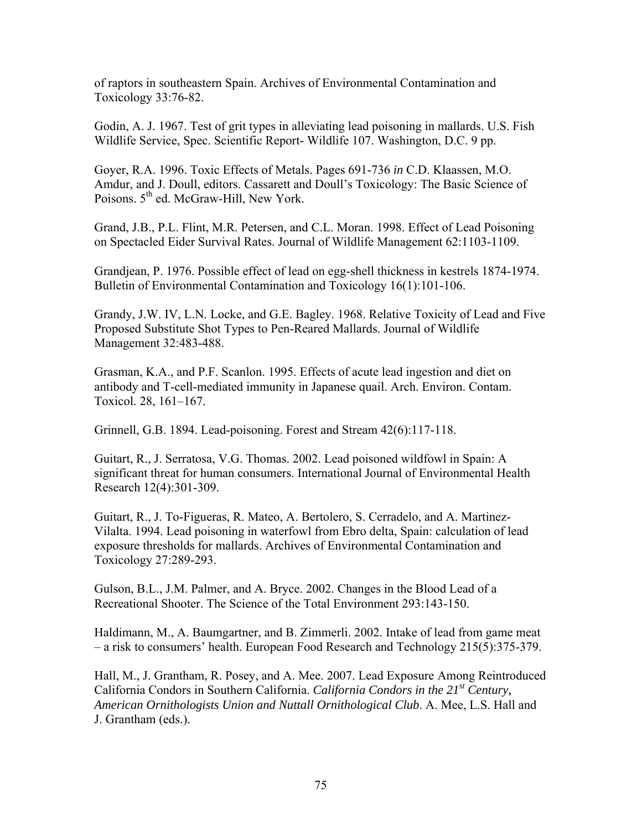of raptors in southeastern Spain. Archives of Environmental Contamination and Toxicology 33:76-82.

Godin, A. J. 1967. Test of grit types in alleviating lead poisoning in mallards. U.S. Fish Wildlife Service, Spec. Scientific Report- Wildlife 107. Washington, D.C. 9 pp.

Goyer, R.A. 1996. Toxic Effects of Metals. Pages 691-736 *in* C.D. Klaassen, M.O. Amdur, and J. Doull, editors. Cassarett and Doull's Toxicology: The Basic Science of Poisons.  $5<sup>th</sup>$  ed. McGraw-Hill, New York.

Grand, J.B., P.L. Flint, M.R. Petersen, and C.L. Moran. 1998. Effect of Lead Poisoning on Spectacled Eider Survival Rates. Journal of Wildlife Management 62:1103-1109.

Grandjean, P. 1976. Possible effect of lead on egg-shell thickness in kestrels 1874-1974. Bulletin of Environmental Contamination and Toxicology 16(1):101-106.

Grandy, J.W. IV, L.N. Locke, and G.E. Bagley. 1968. Relative Toxicity of Lead and Five Proposed Substitute Shot Types to Pen-Reared Mallards. Journal of Wildlife Management 32:483-488.

Grasman, K.A., and P.F. Scanlon. 1995. Effects of acute lead ingestion and diet on antibody and T-cell-mediated immunity in Japanese quail. Arch. Environ. Contam. Toxicol. 28, 161–167.

Grinnell, G.B. 1894. Lead-poisoning. Forest and Stream 42(6):117-118.

Guitart, R., J. Serratosa, V.G. Thomas. 2002. Lead poisoned wildfowl in Spain: A significant threat for human consumers. International Journal of Environmental Health Research 12(4):301-309.

Guitart, R., J. To-Figueras, R. Mateo, A. Bertolero, S. Cerradelo, and A. Martinez-Vilalta. 1994. Lead poisoning in waterfowl from Ebro delta, Spain: calculation of lead exposure thresholds for mallards. Archives of Environmental Contamination and Toxicology 27:289-293.

Gulson, B.L., J.M. Palmer, and A. Bryce. 2002. Changes in the Blood Lead of a Recreational Shooter. The Science of the Total Environment 293:143-150.

Haldimann, M., A. Baumgartner, and B. Zimmerli. 2002. Intake of lead from game meat – a risk to consumers' health. European Food Research and Technology 215(5):375-379.

Hall, M., J. Grantham, R. Posey, and A. Mee. 2007. Lead Exposure Among Reintroduced California Condors in Southern California. *California Condors in the 21st Century, American Ornithologists Union and Nuttall Ornithological Club*. A. Mee, L.S. Hall and J. Grantham (eds.).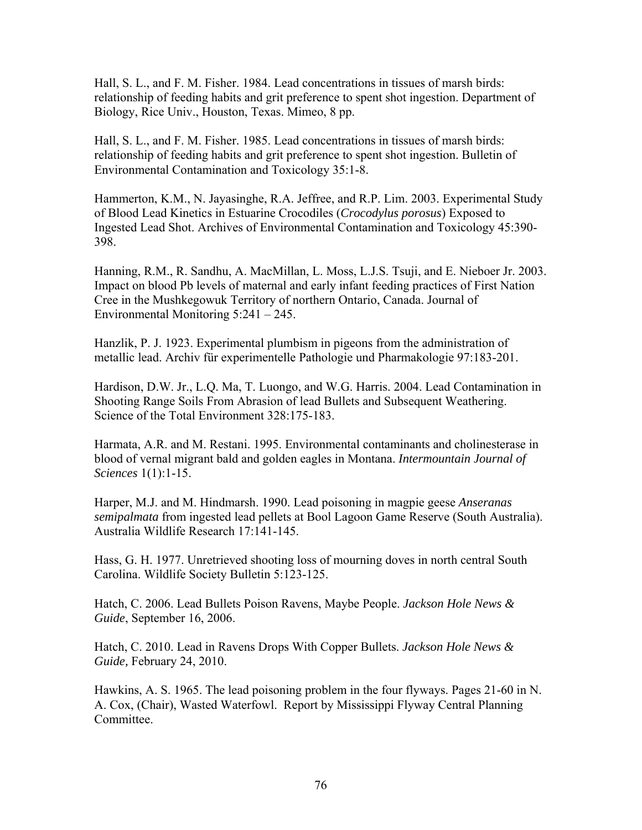Hall, S. L., and F. M. Fisher. 1984. Lead concentrations in tissues of marsh birds: relationship of feeding habits and grit preference to spent shot ingestion. Department of Biology, Rice Univ., Houston, Texas. Mimeo, 8 pp.

Hall, S. L., and F. M. Fisher. 1985. Lead concentrations in tissues of marsh birds: relationship of feeding habits and grit preference to spent shot ingestion. Bulletin of Environmental Contamination and Toxicology 35:1-8.

Hammerton, K.M., N. Jayasinghe, R.A. Jeffree, and R.P. Lim. 2003. Experimental Study of Blood Lead Kinetics in Estuarine Crocodiles (*Crocodylus porosus*) Exposed to Ingested Lead Shot. Archives of Environmental Contamination and Toxicology 45:390- 398.

Hanning, R.M., R. Sandhu, A. MacMillan, L. Moss, L.J.S. Tsuji, and E. Nieboer Jr. 2003. Impact on blood Pb levels of maternal and early infant feeding practices of First Nation Cree in the Mushkegowuk Territory of northern Ontario, Canada. Journal of Environmental Monitoring 5:241 – 245.

Hanzlik, P. J. 1923. Experimental plumbism in pigeons from the administration of metallic lead. Archiv für experimentelle Pathologie und Pharmakologie 97:183-201.

Hardison, D.W. Jr., L.Q. Ma, T. Luongo, and W.G. Harris. 2004. Lead Contamination in Shooting Range Soils From Abrasion of lead Bullets and Subsequent Weathering. Science of the Total Environment 328:175-183.

Harmata, A.R. and M. Restani. 1995. Environmental contaminants and cholinesterase in blood of vernal migrant bald and golden eagles in Montana. *Intermountain Journal of Sciences* 1(1):1-15.

Harper, M.J. and M. Hindmarsh. 1990. Lead poisoning in magpie geese *Anseranas semipalmata* from ingested lead pellets at Bool Lagoon Game Reserve (South Australia). Australia Wildlife Research 17:141-145.

Hass, G. H. 1977. Unretrieved shooting loss of mourning doves in north central South Carolina. Wildlife Society Bulletin 5:123-125.

Hatch, C. 2006. Lead Bullets Poison Ravens, Maybe People. *Jackson Hole News & Guide*, September 16, 2006.

Hatch, C. 2010. Lead in Ravens Drops With Copper Bullets. *Jackson Hole News & Guide,* February 24, 2010.

Hawkins, A. S. 1965. The lead poisoning problem in the four flyways. Pages 21-60 in N. A. Cox, (Chair), Wasted Waterfowl. Report by Mississippi Flyway Central Planning Committee.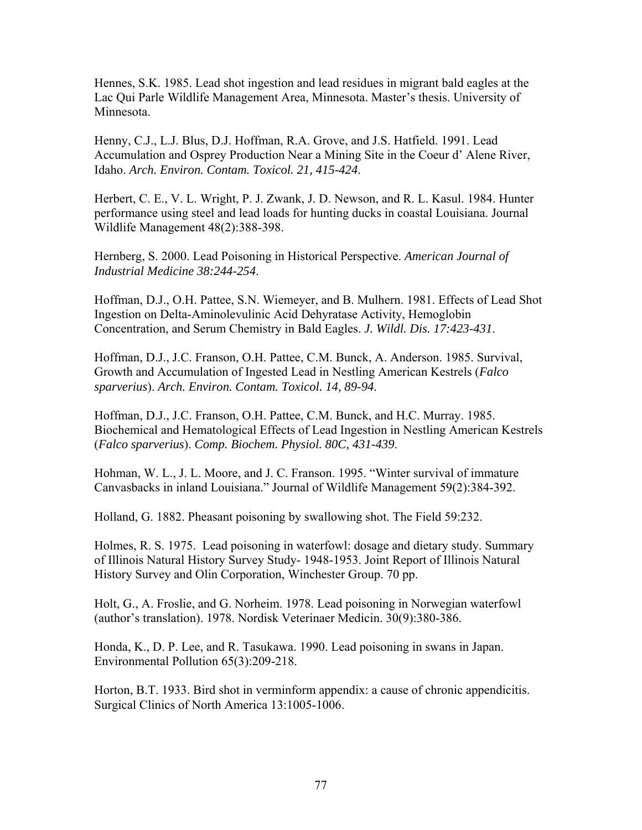Hennes, S.K. 1985. Lead shot ingestion and lead residues in migrant bald eagles at the Lac Qui Parle Wildlife Management Area, Minnesota. Master's thesis. University of Minnesota.

Henny, C.J., L.J. Blus, D.J. Hoffman, R.A. Grove, and J.S. Hatfield. 1991. Lead Accumulation and Osprey Production Near a Mining Site in the Coeur d' Alene River, Idaho. *Arch. Environ. Contam. Toxicol. 21, 415-424*.

Herbert, C. E., V. L. Wright, P. J. Zwank, J. D. Newson, and R. L. Kasul. 1984. Hunter performance using steel and lead loads for hunting ducks in coastal Louisiana. Journal Wildlife Management 48(2):388-398.

Hernberg, S. 2000. Lead Poisoning in Historical Perspective. *American Journal of Industrial Medicine 38:244-254*.

Hoffman, D.J., O.H. Pattee, S.N. Wiemeyer, and B. Mulhern. 1981. Effects of Lead Shot Ingestion on Delta-Aminolevulinic Acid Dehyratase Activity, Hemoglobin Concentration, and Serum Chemistry in Bald Eagles. *J. Wildl. Dis. 17:423-431*.

Hoffman, D.J., J.C. Franson, O.H. Pattee, C.M. Bunck, A. Anderson. 1985. Survival, Growth and Accumulation of Ingested Lead in Nestling American Kestrels (*Falco sparverius*). *Arch. Environ. Contam. Toxicol. 14, 89-94*.

Hoffman, D.J., J.C. Franson, O.H. Pattee, C.M. Bunck, and H.C. Murray. 1985. Biochemical and Hematological Effects of Lead Ingestion in Nestling American Kestrels (*Falco sparverius*). *Comp. Biochem. Physiol. 80C, 431-439*.

Hohman, W. L., J. L. Moore, and J. C. Franson. 1995. "Winter survival of immature Canvasbacks in inland Louisiana." Journal of Wildlife Management 59(2):384-392.

Holland, G. 1882. Pheasant poisoning by swallowing shot. The Field 59:232.

Holmes, R. S. 1975. Lead poisoning in waterfowl: dosage and dietary study. Summary of Illinois Natural History Survey Study- 1948-1953. Joint Report of Illinois Natural History Survey and Olin Corporation, Winchester Group. 70 pp.

Holt, G., A. Froslie, and G. Norheim. 1978. Lead poisoning in Norwegian waterfowl (author's translation). 1978. Nordisk Veterinaer Medicin. 30(9):380-386.

Honda, K., D. P. Lee, and R. Tasukawa. 1990. Lead poisoning in swans in Japan. Environmental Pollution 65(3):209-218.

Horton, B.T. 1933. Bird shot in verminform appendix: a cause of chronic appendicitis. Surgical Clinics of North America 13:1005-1006.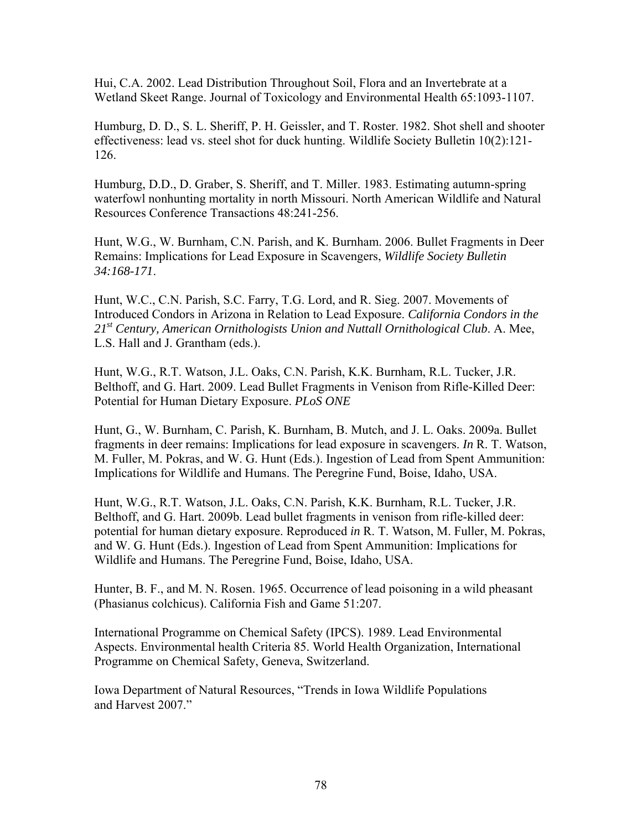Hui, C.A. 2002. Lead Distribution Throughout Soil, Flora and an Invertebrate at a Wetland Skeet Range. Journal of Toxicology and Environmental Health 65:1093-1107.

Humburg, D. D., S. L. Sheriff, P. H. Geissler, and T. Roster. 1982. Shot shell and shooter effectiveness: lead vs. steel shot for duck hunting. Wildlife Society Bulletin 10(2):121- 126.

Humburg, D.D., D. Graber, S. Sheriff, and T. Miller. 1983. Estimating autumn-spring waterfowl nonhunting mortality in north Missouri. North American Wildlife and Natural Resources Conference Transactions 48:241-256.

Hunt, W.G., W. Burnham, C.N. Parish, and K. Burnham. 2006. Bullet Fragments in Deer Remains: Implications for Lead Exposure in Scavengers, *Wildlife Society Bulletin 34:168-171*.

Hunt, W.C., C.N. Parish, S.C. Farry, T.G. Lord, and R. Sieg. 2007. Movements of Introduced Condors in Arizona in Relation to Lead Exposure. *California Condors in the 21st Century, American Ornithologists Union and Nuttall Ornithological Club*. A. Mee, L.S. Hall and J. Grantham (eds.).

Hunt, W.G., R.T. Watson, J.L. Oaks, C.N. Parish, K.K. Burnham, R.L. Tucker, J.R. Belthoff, and G. Hart. 2009. Lead Bullet Fragments in Venison from Rifle-Killed Deer: Potential for Human Dietary Exposure. *PLoS ONE* 

Hunt, G., W. Burnham, C. Parish, K. Burnham, B. Mutch, and J. L. Oaks. 2009a. Bullet fragments in deer remains: Implications for lead exposure in scavengers. *In* R. T. Watson, M. Fuller, M. Pokras, and W. G. Hunt (Eds.). Ingestion of Lead from Spent Ammunition: Implications for Wildlife and Humans. The Peregrine Fund, Boise, Idaho, USA.

Hunt, W.G., R.T. Watson, J.L. Oaks, C.N. Parish, K.K. Burnham, R.L. Tucker, J.R. Belthoff, and G. Hart. 2009b. Lead bullet fragments in venison from rifle-killed deer: potential for human dietary exposure. Reproduced *in* R. T. Watson, M. Fuller, M. Pokras, and W. G. Hunt (Eds.). Ingestion of Lead from Spent Ammunition: Implications for Wildlife and Humans. The Peregrine Fund, Boise, Idaho, USA.

Hunter, B. F., and M. N. Rosen. 1965. Occurrence of lead poisoning in a wild pheasant (Phasianus colchicus). California Fish and Game 51:207.

International Programme on Chemical Safety (IPCS). 1989. Lead Environmental Aspects. Environmental health Criteria 85. World Health Organization, International Programme on Chemical Safety, Geneva, Switzerland.

Iowa Department of Natural Resources, "Trends in Iowa Wildlife Populations and Harvest 2007."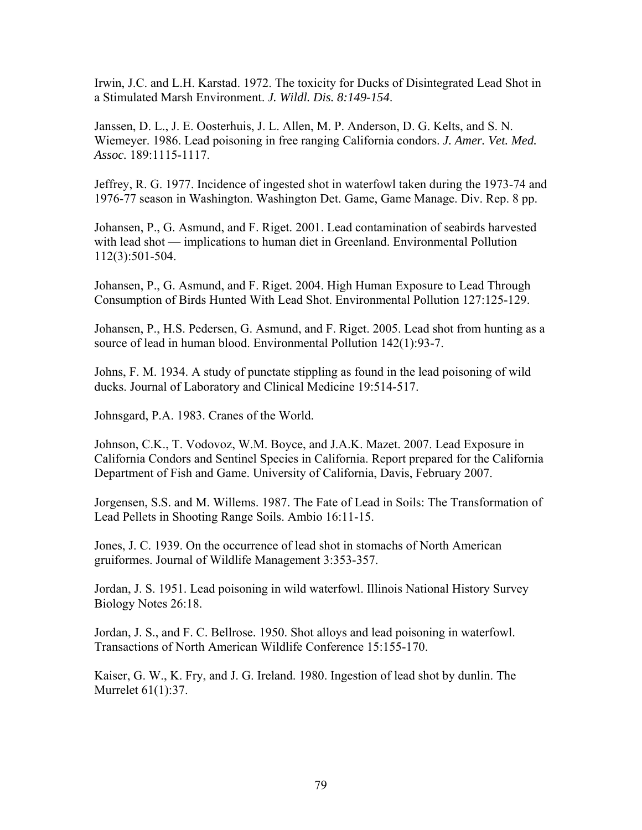Irwin, J.C. and L.H. Karstad. 1972. The toxicity for Ducks of Disintegrated Lead Shot in a Stimulated Marsh Environment. *J. Wildl. Dis. 8:149-154*.

Janssen, D. L., J. E. Oosterhuis, J. L. Allen, M. P. Anderson, D. G. Kelts, and S. N. Wiemeyer. 1986. Lead poisoning in free ranging California condors. *J. Amer. Vet. Med. Assoc.* 189:1115-1117.

Jeffrey, R. G. 1977. Incidence of ingested shot in waterfowl taken during the 1973-74 and 1976-77 season in Washington. Washington Det. Game, Game Manage. Div. Rep. 8 pp.

Johansen, P., G. Asmund, and F. Riget. 2001. Lead contamination of seabirds harvested with lead shot — implications to human diet in Greenland. Environmental Pollution 112(3):501-504.

Johansen, P., G. Asmund, and F. Riget. 2004. High Human Exposure to Lead Through Consumption of Birds Hunted With Lead Shot. Environmental Pollution 127:125-129.

Johansen, P., H.S. Pedersen, G. Asmund, and F. Riget. 2005. Lead shot from hunting as a source of lead in human blood. Environmental Pollution 142(1):93-7.

Johns, F. M. 1934. A study of punctate stippling as found in the lead poisoning of wild ducks. Journal of Laboratory and Clinical Medicine 19:514-517.

Johnsgard, P.A. 1983. Cranes of the World.

Johnson, C.K., T. Vodovoz, W.M. Boyce, and J.A.K. Mazet. 2007. Lead Exposure in California Condors and Sentinel Species in California. Report prepared for the California Department of Fish and Game. University of California, Davis, February 2007.

Jorgensen, S.S. and M. Willems. 1987. The Fate of Lead in Soils: The Transformation of Lead Pellets in Shooting Range Soils. Ambio 16:11-15.

Jones, J. C. 1939. On the occurrence of lead shot in stomachs of North American gruiformes. Journal of Wildlife Management 3:353-357.

Jordan, J. S. 1951. Lead poisoning in wild waterfowl. Illinois National History Survey Biology Notes 26:18.

Jordan, J. S., and F. C. Bellrose. 1950. Shot alloys and lead poisoning in waterfowl. Transactions of North American Wildlife Conference 15:155-170.

Kaiser, G. W., K. Fry, and J. G. Ireland. 1980. Ingestion of lead shot by dunlin. The Murrelet 61(1):37.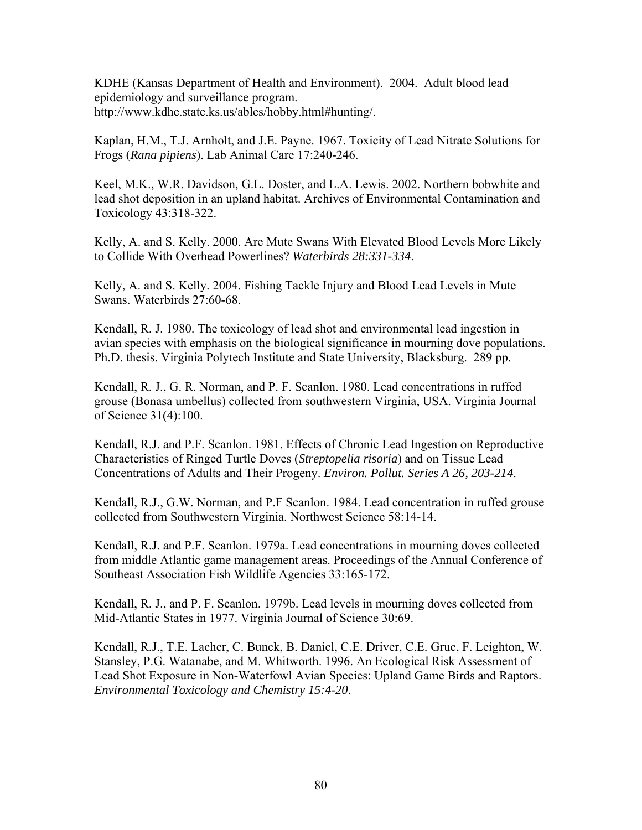KDHE (Kansas Department of Health and Environment). 2004. Adult blood lead epidemiology and surveillance program. http://www.kdhe.state.ks.us/ables/hobby.html#hunting/.

Kaplan, H.M., T.J. Arnholt, and J.E. Payne. 1967. Toxicity of Lead Nitrate Solutions for Frogs (*Rana pipiens*). Lab Animal Care 17:240-246.

Keel, M.K., W.R. Davidson, G.L. Doster, and L.A. Lewis. 2002. Northern bobwhite and lead shot deposition in an upland habitat. Archives of Environmental Contamination and Toxicology 43:318-322.

Kelly, A. and S. Kelly. 2000. Are Mute Swans With Elevated Blood Levels More Likely to Collide With Overhead Powerlines? *Waterbirds 28:331-334*.

Kelly, A. and S. Kelly. 2004. Fishing Tackle Injury and Blood Lead Levels in Mute Swans. Waterbirds 27:60-68.

Kendall, R. J. 1980. The toxicology of lead shot and environmental lead ingestion in avian species with emphasis on the biological significance in mourning dove populations. Ph.D. thesis. Virginia Polytech Institute and State University, Blacksburg. 289 pp.

Kendall, R. J., G. R. Norman, and P. F. Scanlon. 1980. Lead concentrations in ruffed grouse (Bonasa umbellus) collected from southwestern Virginia, USA. Virginia Journal of Science 31(4):100.

Kendall, R.J. and P.F. Scanlon. 1981. Effects of Chronic Lead Ingestion on Reproductive Characteristics of Ringed Turtle Doves (*Streptopelia risoria*) and on Tissue Lead Concentrations of Adults and Their Progeny. *Environ. Pollut. Series A 26, 203-214*.

Kendall, R.J., G.W. Norman, and P.F Scanlon. 1984. Lead concentration in ruffed grouse collected from Southwestern Virginia. Northwest Science 58:14-14.

Kendall, R.J. and P.F. Scanlon. 1979a. Lead concentrations in mourning doves collected from middle Atlantic game management areas. Proceedings of the Annual Conference of Southeast Association Fish Wildlife Agencies 33:165-172.

Kendall, R. J., and P. F. Scanlon. 1979b. Lead levels in mourning doves collected from Mid-Atlantic States in 1977. Virginia Journal of Science 30:69.

Kendall, R.J., T.E. Lacher, C. Bunck, B. Daniel, C.E. Driver, C.E. Grue, F. Leighton, W. Stansley, P.G. Watanabe, and M. Whitworth. 1996. An Ecological Risk Assessment of Lead Shot Exposure in Non-Waterfowl Avian Species: Upland Game Birds and Raptors. *Environmental Toxicology and Chemistry 15:4-20*.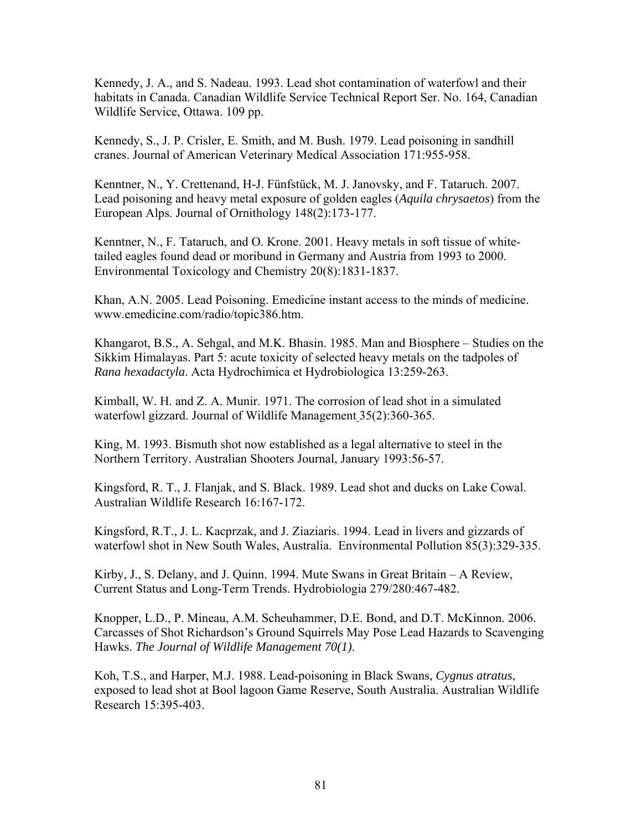Kennedy, J. A., and S. Nadeau. 1993. Lead shot contamination of waterfowl and their habitats in Canada. Canadian Wildlife Service Technical Report Ser. No. 164, Canadian Wildlife Service, Ottawa. 109 pp.

Kennedy, S., J. P. Crisler, E. Smith, and M. Bush. 1979. Lead poisoning in sandhill cranes. Journal of American Veterinary Medical Association 171:955-958.

Kenntner, N., Y. Crettenand, H-J. Fünfstück, M. J. Janovsky, and F. Tataruch. 2007. Lead poisoning and heavy metal exposure of golden eagles (*Aquila chrysaetos*) from the European Alps. Journal of Ornithology 148(2):173-177.

Kenntner, N., F. Tataruch, and O. Krone. 2001. Heavy metals in soft tissue of whitetailed eagles found dead or moribund in Germany and Austria from 1993 to 2000. Environmental Toxicology and Chemistry 20(8):1831-1837.

Khan, A.N. 2005. Lead Poisoning. Emedicine instant access to the minds of medicine. www.emedicine.com/radio/topic386.htm.

Khangarot, B.S., A. Sehgal, and M.K. Bhasin. 1985. Man and Biosphere – Studies on the Sikkim Himalayas. Part 5: acute toxicity of selected heavy metals on the tadpoles of *Rana hexadactyla*. Acta Hydrochimica et Hydrobiologica 13:259-263.

Kimball, W. H. and Z. A. Munir. 1971. The corrosion of lead shot in a simulated waterfowl gizzard. Journal of Wildlife Management 35(2):360-365.

King, M. 1993. Bismuth shot now established as a legal alternative to steel in the Northern Territory. Australian Shooters Journal, January 1993:56-57.

Kingsford, R. T., J. Flanjak, and S. Black. 1989. Lead shot and ducks on Lake Cowal. Australian Wildlife Research 16:167-172.

Kingsford, R.T., J. L. Kacprzak, and J. Ziaziaris. 1994. Lead in livers and gizzards of waterfowl shot in New South Wales, Australia. Environmental Pollution 85(3):329-335.

Kirby, J., S. Delany, and J. Quinn. 1994. Mute Swans in Great Britain – A Review, Current Status and Long-Term Trends. Hydrobiologia 279/280:467-482.

Knopper, L.D., P. Mineau, A.M. Scheuhammer, D.E. Bond, and D.T. McKinnon. 2006. Carcasses of Shot Richardson's Ground Squirrels May Pose Lead Hazards to Scavenging Hawks. *The Journal of Wildlife Management 70(1)*.

Koh, T.S., and Harper, M.J. 1988. Lead-poisoning in Black Swans, *Cygnus atratus*, exposed to lead shot at Bool lagoon Game Reserve, South Australia. Australian Wildlife Research 15:395-403.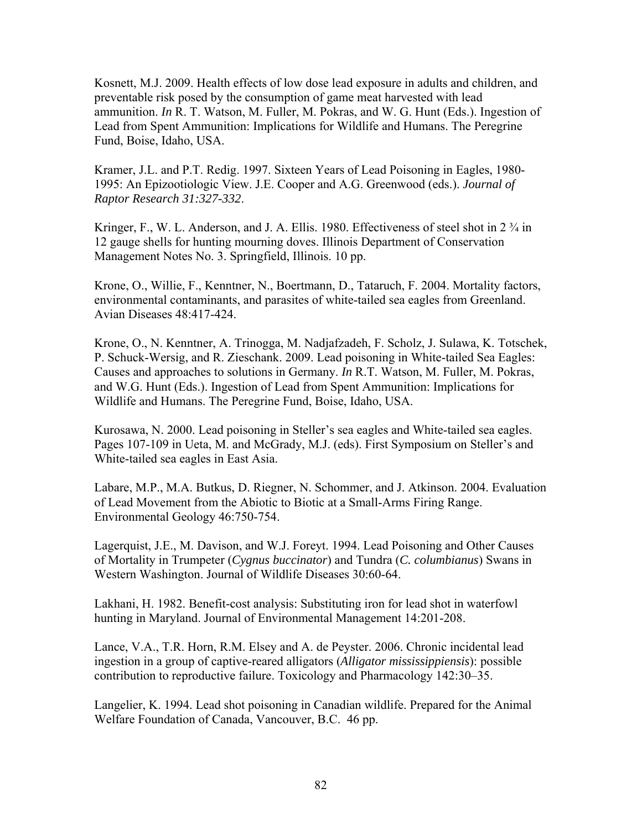Kosnett, M.J. 2009. Health effects of low dose lead exposure in adults and children, and preventable risk posed by the consumption of game meat harvested with lead ammunition. *In* R. T. Watson, M. Fuller, M. Pokras, and W. G. Hunt (Eds.). Ingestion of Lead from Spent Ammunition: Implications for Wildlife and Humans. The Peregrine Fund, Boise, Idaho, USA.

Kramer, J.L. and P.T. Redig. 1997. Sixteen Years of Lead Poisoning in Eagles, 1980- 1995: An Epizootiologic View. J.E. Cooper and A.G. Greenwood (eds.). *Journal of Raptor Research 31:327-332*.

Kringer, F., W. L. Anderson, and J. A. Ellis. 1980. Effectiveness of steel shot in 2  $\frac{3}{4}$  in 12 gauge shells for hunting mourning doves. Illinois Department of Conservation Management Notes No. 3. Springfield, Illinois. 10 pp.

Krone, O., Willie, F., Kenntner, N., Boertmann, D., Tataruch, F. 2004. Mortality factors, environmental contaminants, and parasites of white-tailed sea eagles from Greenland. Avian Diseases 48:417-424.

Krone, O., N. Kenntner, A. Trinogga, M. Nadjafzadeh, F. Scholz, J. Sulawa, K. Totschek, P. Schuck-Wersig, and R. Zieschank. 2009. Lead poisoning in White-tailed Sea Eagles: Causes and approaches to solutions in Germany. *In* R.T. Watson, M. Fuller, M. Pokras, and W.G. Hunt (Eds.). Ingestion of Lead from Spent Ammunition: Implications for Wildlife and Humans. The Peregrine Fund, Boise, Idaho, USA.

Kurosawa, N. 2000. Lead poisoning in Steller's sea eagles and White-tailed sea eagles. Pages 107-109 in Ueta, M. and McGrady, M.J. (eds). First Symposium on Steller's and White-tailed sea eagles in East Asia.

Labare, M.P., M.A. Butkus, D. Riegner, N. Schommer, and J. Atkinson. 2004. Evaluation of Lead Movement from the Abiotic to Biotic at a Small-Arms Firing Range. Environmental Geology 46:750-754.

Lagerquist, J.E., M. Davison, and W.J. Foreyt. 1994. Lead Poisoning and Other Causes of Mortality in Trumpeter (*Cygnus buccinator*) and Tundra (*C. columbianus*) Swans in Western Washington. Journal of Wildlife Diseases 30:60-64.

Lakhani, H. 1982. Benefit-cost analysis: Substituting iron for lead shot in waterfowl hunting in Maryland. Journal of Environmental Management 14:201-208.

Lance, V.A., T.R. Horn, R.M. Elsey and A. de Peyster. 2006. Chronic incidental lead ingestion in a group of captive-reared alligators (*Alligator mississippiensis*): possible contribution to reproductive failure. Toxicology and Pharmacology 142:30–35.

Langelier, K. 1994. Lead shot poisoning in Canadian wildlife. Prepared for the Animal Welfare Foundation of Canada, Vancouver, B.C. 46 pp.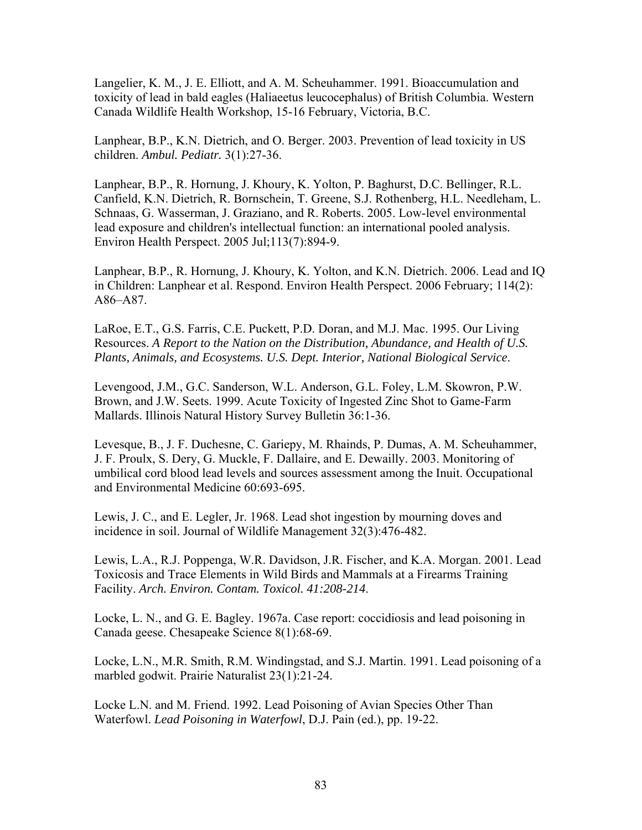Langelier, K. M., J. E. Elliott, and A. M. Scheuhammer. 1991. Bioaccumulation and toxicity of lead in bald eagles (Haliaeetus leucocephalus) of British Columbia. Western Canada Wildlife Health Workshop, 15-16 February, Victoria, B.C.

Lanphear, B.P., K.N. Dietrich, and O. Berger. 2003. Prevention of lead toxicity in US children. *Ambul. Pediatr.* 3(1):27-36.

Lanphear, B.P., R. Hornung, J. Khoury, K. Yolton, P. Baghurst, D.C. Bellinger, R.L. Canfield, K.N. Dietrich, R. Bornschein, T. Greene, S.J. Rothenberg, H.L. Needleham, L. Schnaas, G. Wasserman, J. Graziano, and R. Roberts. 2005. Low-level environmental lead exposure and children's intellectual function: an international pooled analysis. Environ Health Perspect. 2005 Jul;113(7):894-9.

Lanphear, B.P., R. Hornung, J. Khoury, K. Yolton, and K.N. Dietrich. 2006. Lead and IQ in Children: Lanphear et al. Respond. Environ Health Perspect. 2006 February; 114(2): A86–A87.

LaRoe, E.T., G.S. Farris, C.E. Puckett, P.D. Doran, and M.J. Mac. 1995. Our Living Resources. *A Report to the Nation on the Distribution, Abundance, and Health of U.S. Plants, Animals, and Ecosystems. U.S. Dept. Interior, National Biological Service*.

Levengood, J.M., G.C. Sanderson, W.L. Anderson, G.L. Foley, L.M. Skowron, P.W. Brown, and J.W. Seets. 1999. Acute Toxicity of Ingested Zinc Shot to Game-Farm Mallards. Illinois Natural History Survey Bulletin 36:1-36.

Levesque, B., J. F. Duchesne, C. Gariepy, M. Rhainds, P. Dumas, A. M. Scheuhammer, J. F. Proulx, S. Dery, G. Muckle, F. Dallaire, and E. Dewailly. 2003. Monitoring of umbilical cord blood lead levels and sources assessment among the Inuit. Occupational and Environmental Medicine 60:693-695.

Lewis, J. C., and E. Legler, Jr. 1968. Lead shot ingestion by mourning doves and incidence in soil. Journal of Wildlife Management 32(3):476-482.

Lewis, L.A., R.J. Poppenga, W.R. Davidson, J.R. Fischer, and K.A. Morgan. 2001. Lead Toxicosis and Trace Elements in Wild Birds and Mammals at a Firearms Training Facility. *Arch. Environ. Contam. Toxicol. 41:208-214*.

Locke, L. N., and G. E. Bagley. 1967a. Case report: coccidiosis and lead poisoning in Canada geese. Chesapeake Science 8(1):68-69.

Locke, L.N., M.R. Smith, R.M. Windingstad, and S.J. Martin. 1991. Lead poisoning of a marbled godwit. Prairie Naturalist 23(1):21-24.

Locke L.N. and M. Friend. 1992. Lead Poisoning of Avian Species Other Than Waterfowl. *Lead Poisoning in Waterfowl*, D.J. Pain (ed.), pp. 19-22.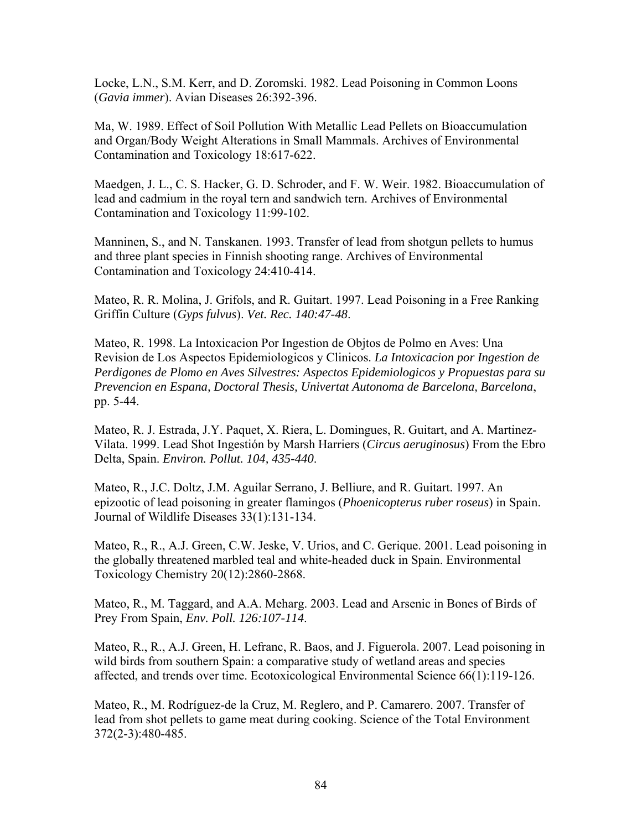Locke, L.N., S.M. Kerr, and D. Zoromski. 1982. Lead Poisoning in Common Loons (*Gavia immer*). Avian Diseases 26:392-396.

Ma, W. 1989. Effect of Soil Pollution With Metallic Lead Pellets on Bioaccumulation and Organ/Body Weight Alterations in Small Mammals. Archives of Environmental Contamination and Toxicology 18:617-622.

Maedgen, J. L., C. S. Hacker, G. D. Schroder, and F. W. Weir. 1982. Bioaccumulation of lead and cadmium in the royal tern and sandwich tern. Archives of Environmental Contamination and Toxicology 11:99-102.

Manninen, S., and N. Tanskanen. 1993. Transfer of lead from shotgun pellets to humus and three plant species in Finnish shooting range. Archives of Environmental Contamination and Toxicology 24:410-414.

Mateo, R. R. Molina, J. Grifols, and R. Guitart. 1997. Lead Poisoning in a Free Ranking Griffin Culture (*Gyps fulvus*). *Vet. Rec. 140:47-48*.

Mateo, R. 1998. La Intoxicacion Por Ingestion de Objtos de Polmo en Aves: Una Revision de Los Aspectos Epidemiologicos y Clinicos. *La Intoxicacion por Ingestion de Perdigones de Plomo en Aves Silvestres: Aspectos Epidemiologicos y Propuestas para su Prevencion en Espana, Doctoral Thesis, Univertat Autonoma de Barcelona, Barcelona*, pp. 5-44.

Mateo, R. J. Estrada, J.Y. Paquet, X. Riera, L. Domingues, R. Guitart, and A. Martinez-Vilata. 1999. Lead Shot Ingestión by Marsh Harriers (*Circus aeruginosus*) From the Ebro Delta, Spain. *Environ. Pollut. 104, 435-440*.

Mateo, R., J.C. Doltz, J.M. Aguilar Serrano, J. Belliure, and R. Guitart. 1997. An epizootic of lead poisoning in greater flamingos (*Phoenicopterus ruber roseus*) in Spain. Journal of Wildlife Diseases 33(1):131-134.

Mateo, R., R., A.J. Green, C.W. Jeske, V. Urios, and C. Gerique. 2001. Lead poisoning in the globally threatened marbled teal and white-headed duck in Spain. Environmental Toxicology Chemistry 20(12):2860-2868.

Mateo, R., M. Taggard, and A.A. Meharg. 2003. Lead and Arsenic in Bones of Birds of Prey From Spain, *Env. Poll. 126:107-114*.

Mateo, R., R., A.J. Green, H. Lefranc, R. Baos, and J. Figuerola. 2007. Lead poisoning in wild birds from southern Spain: a comparative study of wetland areas and species affected, and trends over time. Ecotoxicological Environmental Science 66(1):119-126.

Mateo, R., M. Rodríguez-de la Cruz, M. Reglero, and P. Camarero. 2007. Transfer of lead from shot pellets to game meat during cooking. Science of the Total Environment 372(2-3):480-485.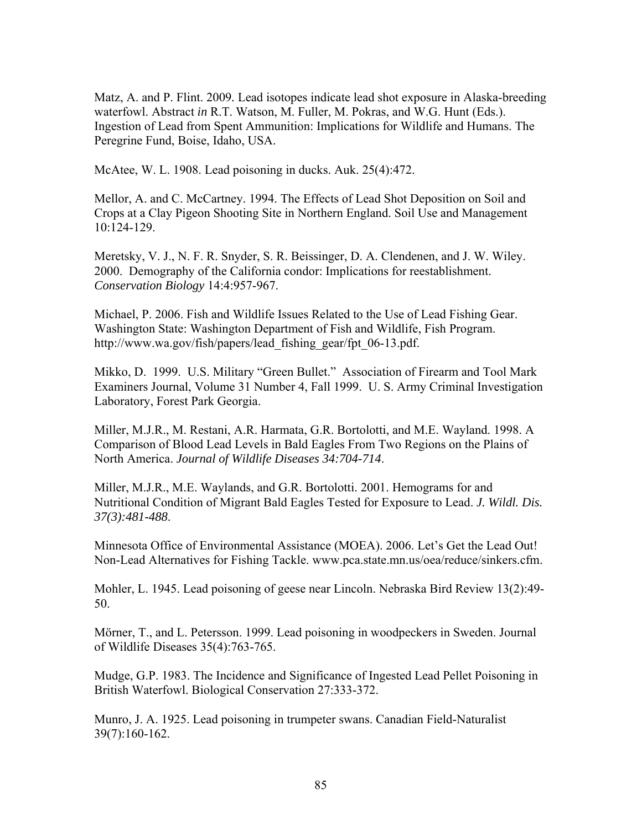Matz, A. and P. Flint. 2009*.* Lead isotopes indicate lead shot exposure in Alaska-breeding waterfowl. Abstract *in* R.T. Watson, M. Fuller, M. Pokras, and W.G. Hunt (Eds.). Ingestion of Lead from Spent Ammunition: Implications for Wildlife and Humans. The Peregrine Fund, Boise, Idaho, USA.

McAtee, W. L. 1908. Lead poisoning in ducks. Auk. 25(4):472.

Mellor, A. and C. McCartney. 1994. The Effects of Lead Shot Deposition on Soil and Crops at a Clay Pigeon Shooting Site in Northern England. Soil Use and Management 10:124-129.

Meretsky, V. J., N. F. R. Snyder, S. R. Beissinger, D. A. Clendenen, and J. W. Wiley. 2000. Demography of the California condor: Implications for reestablishment. *Conservation Biology* 14:4:957-967.

Michael, P. 2006. Fish and Wildlife Issues Related to the Use of Lead Fishing Gear. Washington State: Washington Department of Fish and Wildlife, Fish Program. http://www.wa.gov/fish/papers/lead\_fishing\_gear/fpt\_06-13.pdf.

Mikko, D. 1999. U.S. Military "Green Bullet." Association of Firearm and Tool Mark Examiners Journal, Volume 31 Number 4, Fall 1999. U. S. Army Criminal Investigation Laboratory, Forest Park Georgia.

Miller, M.J.R., M. Restani, A.R. Harmata, G.R. Bortolotti, and M.E. Wayland. 1998. A Comparison of Blood Lead Levels in Bald Eagles From Two Regions on the Plains of North America. *Journal of Wildlife Diseases 34:704-714*.

Miller, M.J.R., M.E. Waylands, and G.R. Bortolotti. 2001. Hemograms for and Nutritional Condition of Migrant Bald Eagles Tested for Exposure to Lead. *J. Wildl. Dis. 37(3):481-488*.

Minnesota Office of Environmental Assistance (MOEA). 2006. Let's Get the Lead Out! Non-Lead Alternatives for Fishing Tackle. www.pca.state.mn.us/oea/reduce/sinkers.cfm.

Mohler, L. 1945. Lead poisoning of geese near Lincoln. Nebraska Bird Review 13(2):49- 50.

Mörner, T., and L. Petersson. 1999. Lead poisoning in woodpeckers in Sweden. Journal of Wildlife Diseases 35(4):763-765.

Mudge, G.P. 1983. The Incidence and Significance of Ingested Lead Pellet Poisoning in British Waterfowl. Biological Conservation 27:333-372.

Munro, J. A. 1925. Lead poisoning in trumpeter swans. Canadian Field-Naturalist 39(7):160-162.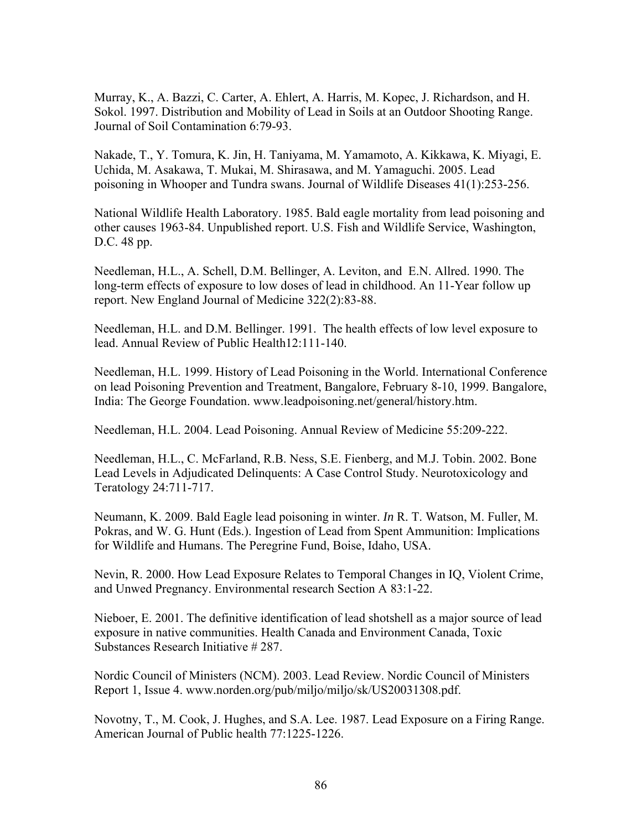Murray, K., A. Bazzi, C. Carter, A. Ehlert, A. Harris, M. Kopec, J. Richardson, and H. Sokol. 1997. Distribution and Mobility of Lead in Soils at an Outdoor Shooting Range. Journal of Soil Contamination 6:79-93.

Nakade, T., Y. Tomura, K. Jin, H. Taniyama, M. Yamamoto, A. Kikkawa, K. Miyagi, E. Uchida, M. Asakawa, T. Mukai, M. Shirasawa, and M. Yamaguchi. 2005. Lead poisoning in Whooper and Tundra swans. Journal of Wildlife Diseases 41(1):253-256.

National Wildlife Health Laboratory. 1985. Bald eagle mortality from lead poisoning and other causes 1963-84. Unpublished report. U.S. Fish and Wildlife Service, Washington, D.C. 48 pp.

Needleman, H.L., A. Schell, D.M. Bellinger, A. Leviton, and E.N. Allred. 1990. The long-term effects of exposure to low doses of lead in childhood. An 11-Year follow up report. New England Journal of Medicine 322(2):83-88.

Needleman, H.L. and D.M. Bellinger. 1991. The health effects of low level exposure to lead. Annual Review of Public Health12:111-140.

Needleman, H.L. 1999. History of Lead Poisoning in the World. International Conference on lead Poisoning Prevention and Treatment, Bangalore, February 8-10, 1999. Bangalore, India: The George Foundation. www.leadpoisoning.net/general/history.htm.

Needleman, H.L. 2004. Lead Poisoning. Annual Review of Medicine 55:209-222.

Needleman, H.L., C. McFarland, R.B. Ness, S.E. Fienberg, and M.J. Tobin. 2002. Bone Lead Levels in Adjudicated Delinquents: A Case Control Study. Neurotoxicology and Teratology 24:711-717.

Neumann, K. 2009. Bald Eagle lead poisoning in winter. *In* R. T. Watson, M. Fuller, M. Pokras, and W. G. Hunt (Eds.). Ingestion of Lead from Spent Ammunition: Implications for Wildlife and Humans. The Peregrine Fund, Boise, Idaho, USA.

Nevin, R. 2000. How Lead Exposure Relates to Temporal Changes in IQ, Violent Crime, and Unwed Pregnancy. Environmental research Section A 83:1-22.

Nieboer, E. 2001. The definitive identification of lead shotshell as a major source of lead exposure in native communities. Health Canada and Environment Canada, Toxic Substances Research Initiative # 287.

Nordic Council of Ministers (NCM). 2003. Lead Review. Nordic Council of Ministers Report 1, Issue 4. www.norden.org/pub/miljo/miljo/sk/US20031308.pdf.

Novotny, T., M. Cook, J. Hughes, and S.A. Lee. 1987. Lead Exposure on a Firing Range. American Journal of Public health 77:1225-1226.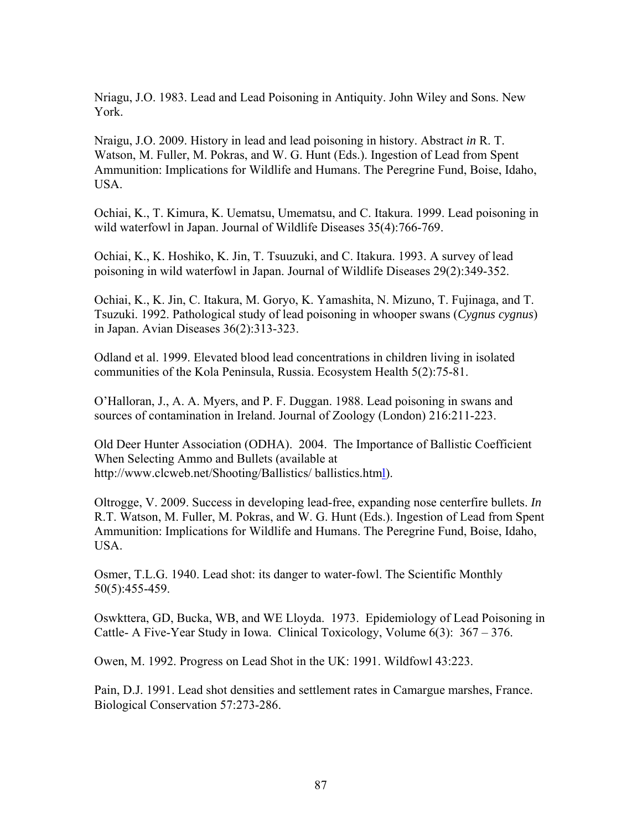Nriagu, J.O. 1983. Lead and Lead Poisoning in Antiquity. John Wiley and Sons. New York.

Nraigu, J.O. 2009. History in lead and lead poisoning in history. Abstract *in* R. T. Watson, M. Fuller, M. Pokras, and W. G. Hunt (Eds.). Ingestion of Lead from Spent Ammunition: Implications for Wildlife and Humans. The Peregrine Fund, Boise, Idaho, USA.

Ochiai, K., T. Kimura, K. Uematsu, Umematsu, and C. Itakura. 1999. Lead poisoning in wild waterfowl in Japan. Journal of Wildlife Diseases 35(4):766-769.

Ochiai, K., K. Hoshiko, K. Jin, T. Tsuuzuki, and C. Itakura. 1993. A survey of lead poisoning in wild waterfowl in Japan. Journal of Wildlife Diseases 29(2):349-352.

Ochiai, K., K. Jin, C. Itakura, M. Goryo, K. Yamashita, N. Mizuno, T. Fujinaga, and T. Tsuzuki. 1992. Pathological study of lead poisoning in whooper swans (*Cygnus cygnus*) in Japan. Avian Diseases 36(2):313-323.

Odland et al. 1999. Elevated blood lead concentrations in children living in isolated communities of the Kola Peninsula, Russia. Ecosystem Health 5(2):75-81.

O'Halloran, J., A. A. Myers, and P. F. Duggan. 1988. Lead poisoning in swans and sources of contamination in Ireland. Journal of Zoology (London) 216:211-223.

Old Deer Hunter Association (ODHA). 2004. The Importance of Ballistic Coefficient When Selecting Ammo and Bullets (available at http://www.clcweb.net/Shooting/Ballistics/ ballistics.html).

Oltrogge, V. 2009. Success in developing lead-free, expanding nose centerfire bullets. *In*  R.T. Watson, M. Fuller, M. Pokras, and W. G. Hunt (Eds.). Ingestion of Lead from Spent Ammunition: Implications for Wildlife and Humans. The Peregrine Fund, Boise, Idaho, USA.

Osmer, T.L.G. 1940. Lead shot: its danger to water-fowl. The Scientific Monthly 50(5):455-459.

Oswkttera, GD, Bucka, WB, and WE Lloyda. 1973. Epidemiology of Lead Poisoning in Cattle- A Five-Year Study in Iowa. Clinical Toxicology, Volume 6(3): 367 – 376.

Owen, M. 1992. Progress on Lead Shot in the UK: 1991. Wildfowl 43:223.

Pain, D.J. 1991. Lead shot densities and settlement rates in Camargue marshes, France. Biological Conservation 57:273-286.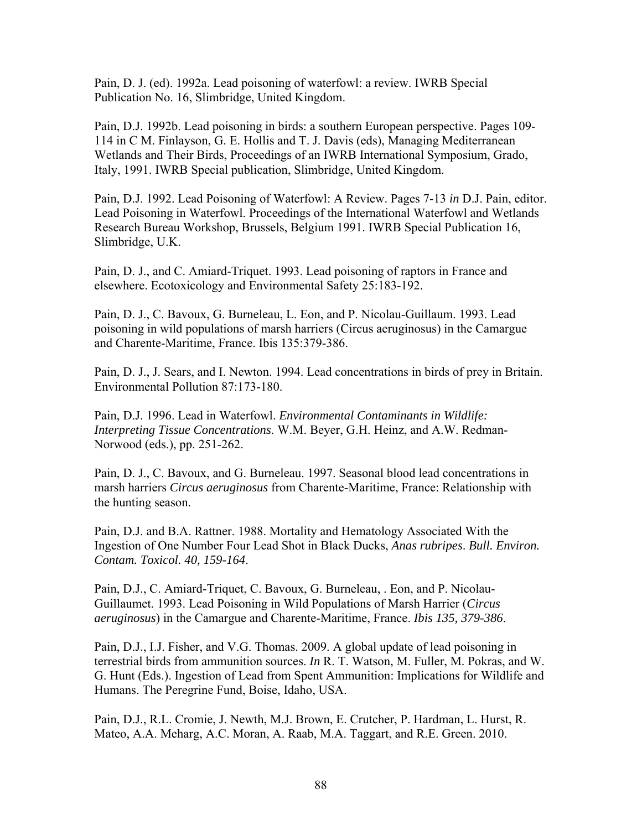Pain, D. J. (ed). 1992a. Lead poisoning of waterfowl: a review. IWRB Special Publication No. 16, Slimbridge, United Kingdom.

Pain, D.J. 1992b. Lead poisoning in birds: a southern European perspective. Pages 109- 114 in C M. Finlayson, G. E. Hollis and T. J. Davis (eds), Managing Mediterranean Wetlands and Their Birds, Proceedings of an IWRB International Symposium, Grado, Italy, 1991. IWRB Special publication, Slimbridge, United Kingdom.

Pain, D.J. 1992. Lead Poisoning of Waterfowl: A Review. Pages 7-13 *in* D.J. Pain, editor. Lead Poisoning in Waterfowl. Proceedings of the International Waterfowl and Wetlands Research Bureau Workshop, Brussels, Belgium 1991. IWRB Special Publication 16, Slimbridge, U.K.

Pain, D. J., and C. Amiard-Triquet. 1993. Lead poisoning of raptors in France and elsewhere. Ecotoxicology and Environmental Safety 25:183-192.

Pain, D. J., C. Bavoux, G. Burneleau, L. Eon, and P. Nicolau-Guillaum. 1993. Lead poisoning in wild populations of marsh harriers (Circus aeruginosus) in the Camargue and Charente-Maritime, France. Ibis 135:379-386.

Pain, D. J., J. Sears, and I. Newton. 1994. Lead concentrations in birds of prey in Britain. Environmental Pollution 87:173-180.

Pain, D.J. 1996. Lead in Waterfowl. *Environmental Contaminants in Wildlife: Interpreting Tissue Concentrations*. W.M. Beyer, G.H. Heinz, and A.W. Redman-Norwood (eds.), pp. 251-262.

Pain, D. J., C. Bavoux, and G. Burneleau. 1997. Seasonal blood lead concentrations in marsh harriers *Circus aeruginosus* from Charente-Maritime, France: Relationship with the hunting season.

Pain, D.J. and B.A. Rattner. 1988. Mortality and Hematology Associated With the Ingestion of One Number Four Lead Shot in Black Ducks, *Anas rubripes*. *Bull. Environ. Contam. Toxicol. 40, 159-164*.

Pain, D.J., C. Amiard-Triquet, C. Bavoux, G. Burneleau, . Eon, and P. Nicolau-Guillaumet. 1993. Lead Poisoning in Wild Populations of Marsh Harrier (*Circus aeruginosus*) in the Camargue and Charente-Maritime, France. *Ibis 135, 379-386*.

Pain, D.J., I.J. Fisher, and V.G. Thomas. 2009. A global update of lead poisoning in terrestrial birds from ammunition sources. *In* R. T. Watson, M. Fuller, M. Pokras, and W. G. Hunt (Eds.). Ingestion of Lead from Spent Ammunition: Implications for Wildlife and Humans. The Peregrine Fund, Boise, Idaho, USA.

Pain, D.J., R.L. Cromie, J. Newth, M.J. Brown, E. Crutcher, P. Hardman, L. Hurst, R. Mateo, A.A. Meharg, A.C. Moran, A. Raab, M.A. Taggart, and R.E. Green. 2010.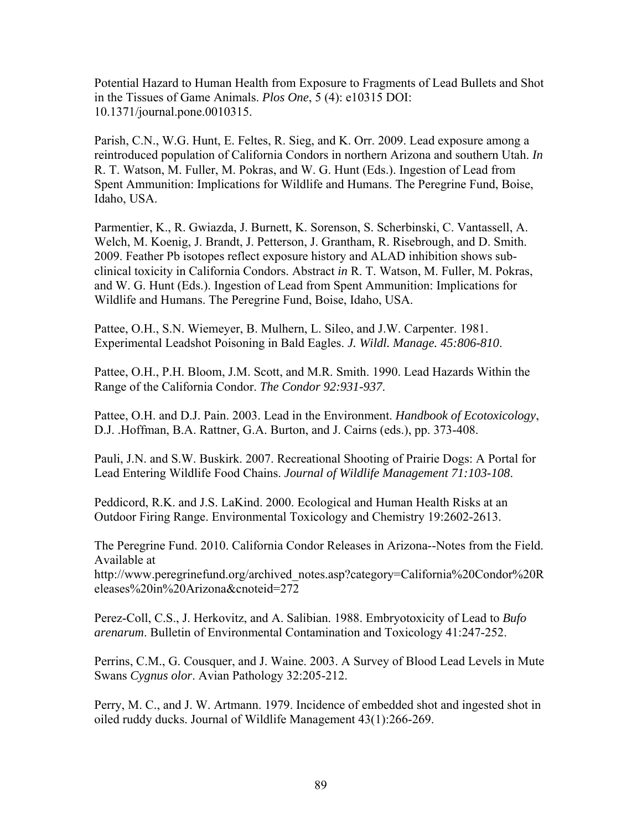Potential Hazard to Human Health from Exposure to Fragments of Lead Bullets and Shot in the Tissues of Game Animals. *Plos One*, 5 (4): e10315 DOI: 10.1371/journal.pone.0010315.

Parish, C.N., W.G. Hunt, E. Feltes, R. Sieg, and K. Orr. 2009. Lead exposure among a reintroduced population of California Condors in northern Arizona and southern Utah. *In*  R. T. Watson, M. Fuller, M. Pokras, and W. G. Hunt (Eds.). Ingestion of Lead from Spent Ammunition: Implications for Wildlife and Humans. The Peregrine Fund, Boise, Idaho, USA.

Parmentier, K., R. Gwiazda, J. Burnett, K. Sorenson, S. Scherbinski, C. Vantassell, A. Welch, M. Koenig, J. Brandt, J. Petterson, J. Grantham, R. Risebrough, and D. Smith. 2009. Feather Pb isotopes reflect exposure history and ALAD inhibition shows subclinical toxicity in California Condors. Abstract *in* R. T. Watson, M. Fuller, M. Pokras, and W. G. Hunt (Eds.). Ingestion of Lead from Spent Ammunition: Implications for Wildlife and Humans. The Peregrine Fund, Boise, Idaho, USA.

Pattee, O.H., S.N. Wiemeyer, B. Mulhern, L. Sileo, and J.W. Carpenter. 1981. Experimental Leadshot Poisoning in Bald Eagles. *J. Wildl. Manage. 45:806-810*.

Pattee, O.H., P.H. Bloom, J.M. Scott, and M.R. Smith. 1990. Lead Hazards Within the Range of the California Condor. *The Condor 92:931-937*.

Pattee, O.H. and D.J. Pain. 2003. Lead in the Environment. *Handbook of Ecotoxicology*, D.J. .Hoffman, B.A. Rattner, G.A. Burton, and J. Cairns (eds.), pp. 373-408.

Pauli, J.N. and S.W. Buskirk. 2007. Recreational Shooting of Prairie Dogs: A Portal for Lead Entering Wildlife Food Chains. *Journal of Wildlife Management 71:103-108*.

Peddicord, R.K. and J.S. LaKind. 2000. Ecological and Human Health Risks at an Outdoor Firing Range. Environmental Toxicology and Chemistry 19:2602-2613.

The Peregrine Fund. 2010. California Condor Releases in Arizona--Notes from the Field. Available at

http://www.peregrinefund.org/archived\_notes.asp?category=California%20Condor%20R eleases%20in%20Arizona&cnoteid=272

Perez-Coll, C.S., J. Herkovitz, and A. Salibian. 1988. Embryotoxicity of Lead to *Bufo arenarum*. Bulletin of Environmental Contamination and Toxicology 41:247-252.

Perrins, C.M., G. Cousquer, and J. Waine. 2003. A Survey of Blood Lead Levels in Mute Swans *Cygnus olor*. Avian Pathology 32:205-212.

Perry, M. C., and J. W. Artmann. 1979. Incidence of embedded shot and ingested shot in oiled ruddy ducks. Journal of Wildlife Management 43(1):266-269.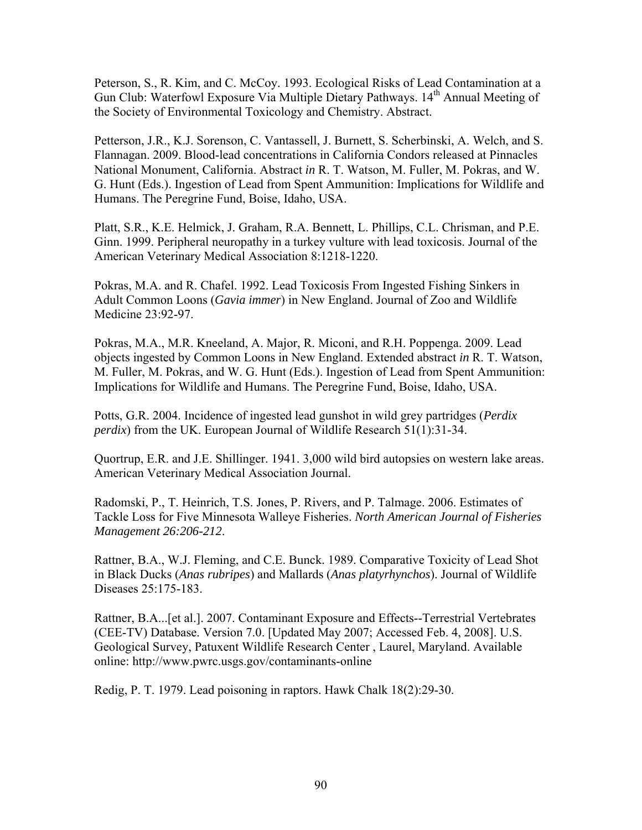Peterson, S., R. Kim, and C. McCoy. 1993. Ecological Risks of Lead Contamination at a Gun Club: Waterfowl Exposure Via Multiple Dietary Pathways. 14<sup>th</sup> Annual Meeting of the Society of Environmental Toxicology and Chemistry. Abstract.

Petterson, J.R., K.J. Sorenson, C. Vantassell, J. Burnett, S. Scherbinski, A. Welch, and S. Flannagan. 2009. Blood-lead concentrations in California Condors released at Pinnacles National Monument, California. Abstract *in* R. T. Watson, M. Fuller, M. Pokras, and W. G. Hunt (Eds.). Ingestion of Lead from Spent Ammunition: Implications for Wildlife and Humans. The Peregrine Fund, Boise, Idaho, USA.

Platt, S.R., K.E. Helmick, J. Graham, R.A. Bennett, L. Phillips, C.L. Chrisman, and P.E. Ginn. 1999. Peripheral neuropathy in a turkey vulture with lead toxicosis. Journal of the American Veterinary Medical Association 8:1218-1220.

Pokras, M.A. and R. Chafel. 1992. Lead Toxicosis From Ingested Fishing Sinkers in Adult Common Loons (*Gavia immer*) in New England. Journal of Zoo and Wildlife Medicine 23:92-97.

Pokras, M.A., M.R. Kneeland, A. Major, R. Miconi, and R.H. Poppenga. 2009. Lead objects ingested by Common Loons in New England. Extended abstract *in* R. T. Watson, M. Fuller, M. Pokras, and W. G. Hunt (Eds.). Ingestion of Lead from Spent Ammunition: Implications for Wildlife and Humans. The Peregrine Fund, Boise, Idaho, USA.

Potts, G.R. 2004. Incidence of ingested lead gunshot in wild grey partridges (*Perdix perdix*) from the UK. European Journal of Wildlife Research 51(1):31-34.

Quortrup, E.R. and J.E. Shillinger. 1941. 3,000 wild bird autopsies on western lake areas. American Veterinary Medical Association Journal.

Radomski, P., T. Heinrich, T.S. Jones, P. Rivers, and P. Talmage. 2006. Estimates of Tackle Loss for Five Minnesota Walleye Fisheries. *North American Journal of Fisheries Management 26:206-212*.

Rattner, B.A., W.J. Fleming, and C.E. Bunck. 1989. Comparative Toxicity of Lead Shot in Black Ducks (*Anas rubripes*) and Mallards (*Anas platyrhynchos*). Journal of Wildlife Diseases 25:175-183.

Rattner, B.A...[et al.]. 2007. Contaminant Exposure and Effects--Terrestrial Vertebrates (CEE-TV) Database. Version 7.0. [Updated May 2007; Accessed Feb. 4, 2008]. U.S. Geological Survey, Patuxent Wildlife Research Center , Laurel, Maryland. Available online: http://www.pwrc.usgs.gov/contaminants-online

Redig, P. T. 1979. Lead poisoning in raptors. Hawk Chalk 18(2):29-30.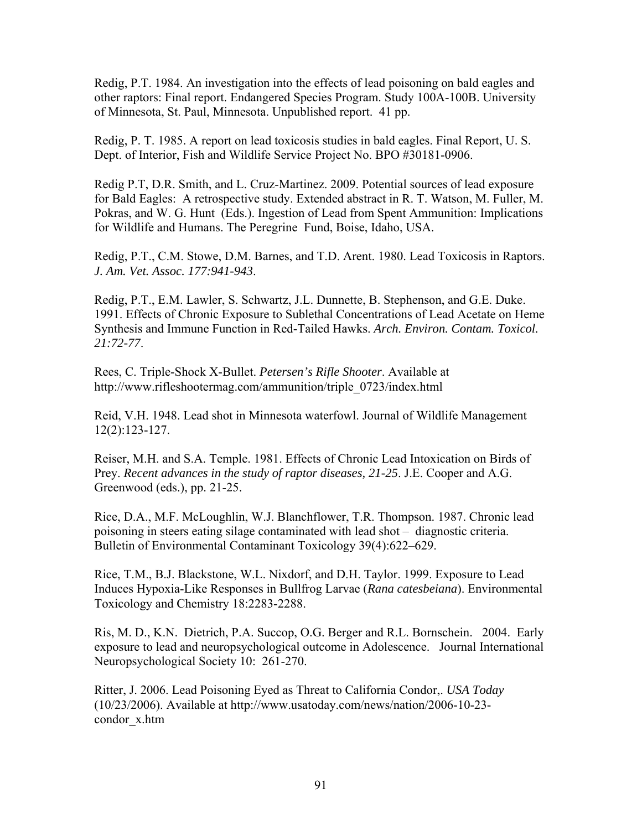Redig, P.T. 1984. An investigation into the effects of lead poisoning on bald eagles and other raptors: Final report. Endangered Species Program. Study 100A-100B. University of Minnesota, St. Paul, Minnesota. Unpublished report. 41 pp.

Redig, P. T. 1985. A report on lead toxicosis studies in bald eagles. Final Report, U. S. Dept. of Interior, Fish and Wildlife Service Project No. BPO #30181-0906.

Redig P.T, D.R. Smith, and L. Cruz-Martinez. 2009. Potential sources of lead exposure for Bald Eagles: A retrospective study. Extended abstract in R. T. Watson, M. Fuller, M. Pokras, and W. G. Hunt (Eds.). Ingestion of Lead from Spent Ammunition: Implications for Wildlife and Humans. The Peregrine Fund, Boise, Idaho, USA.

Redig, P.T., C.M. Stowe, D.M. Barnes, and T.D. Arent. 1980. Lead Toxicosis in Raptors. *J. Am. Vet. Assoc. 177:941-943*.

Redig, P.T., E.M. Lawler, S. Schwartz, J.L. Dunnette, B. Stephenson, and G.E. Duke. 1991. Effects of Chronic Exposure to Sublethal Concentrations of Lead Acetate on Heme Synthesis and Immune Function in Red-Tailed Hawks. *Arch. Environ. Contam. Toxicol. 21:72-77*.

Rees, C. Triple-Shock X-Bullet. *Petersen's Rifle Shooter*. Available at http://www.rifleshootermag.com/ammunition/triple\_0723/index.html

Reid, V.H. 1948. Lead shot in Minnesota waterfowl. Journal of Wildlife Management 12(2):123-127.

Reiser, M.H. and S.A. Temple. 1981. Effects of Chronic Lead Intoxication on Birds of Prey. *Recent advances in the study of raptor diseases, 21-25*. J.E. Cooper and A.G. Greenwood (eds.), pp. 21-25.

Rice, D.A., M.F. McLoughlin, W.J. Blanchflower, T.R. Thompson. 1987. Chronic lead poisoning in steers eating silage contaminated with lead shot – diagnostic criteria. Bulletin of Environmental Contaminant Toxicology 39(4):622–629.

Rice, T.M., B.J. Blackstone, W.L. Nixdorf, and D.H. Taylor. 1999. Exposure to Lead Induces Hypoxia-Like Responses in Bullfrog Larvae (*Rana catesbeiana*). Environmental Toxicology and Chemistry 18:2283-2288.

Ris, M. D., K.N. Dietrich, P.A. Succop, O.G. Berger and R.L. Bornschein. 2004. Early exposure to lead and neuropsychological outcome in Adolescence. Journal International Neuropsychological Society 10: 261-270.

Ritter, J. 2006. Lead Poisoning Eyed as Threat to California Condor,. *USA Today* (10/23/2006). Available at http://www.usatoday.com/news/nation/2006-10-23 condor\_x.htm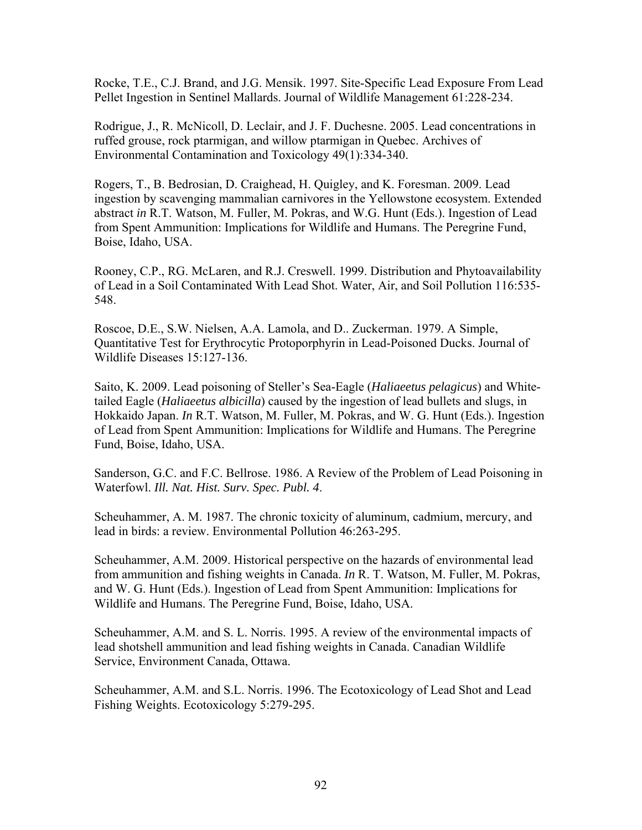Rocke, T.E., C.J. Brand, and J.G. Mensik. 1997. Site-Specific Lead Exposure From Lead Pellet Ingestion in Sentinel Mallards. Journal of Wildlife Management 61:228-234.

Rodrigue, J., R. McNicoll, D. Leclair, and J. F. Duchesne. 2005. Lead concentrations in ruffed grouse, rock ptarmigan, and willow ptarmigan in Quebec. Archives of Environmental Contamination and Toxicology 49(1):334-340.

Rogers, T., B. Bedrosian, D. Craighead, H. Quigley, and K. Foresman. 2009. Lead ingestion by scavenging mammalian carnivores in the Yellowstone ecosystem. Extended abstract *in* R.T. Watson, M. Fuller, M. Pokras, and W.G. Hunt (Eds.). Ingestion of Lead from Spent Ammunition: Implications for Wildlife and Humans. The Peregrine Fund, Boise, Idaho, USA.

Rooney, C.P., RG. McLaren, and R.J. Creswell. 1999. Distribution and Phytoavailability of Lead in a Soil Contaminated With Lead Shot. Water, Air, and Soil Pollution 116:535- 548.

Roscoe, D.E., S.W. Nielsen, A.A. Lamola, and D.. Zuckerman. 1979. A Simple, Quantitative Test for Erythrocytic Protoporphyrin in Lead-Poisoned Ducks. Journal of Wildlife Diseases 15:127-136.

Saito, K. 2009. Lead poisoning of Steller's Sea-Eagle (*Haliaeetus pelagicus*) and Whitetailed Eagle (*Haliaeetus albicilla*) caused by the ingestion of lead bullets and slugs, in Hokkaido Japan. *In* R.T. Watson, M. Fuller, M. Pokras, and W. G. Hunt (Eds.). Ingestion of Lead from Spent Ammunition: Implications for Wildlife and Humans. The Peregrine Fund, Boise, Idaho, USA.

Sanderson, G.C. and F.C. Bellrose. 1986. A Review of the Problem of Lead Poisoning in Waterfowl. *Ill. Nat. Hist. Surv. Spec. Publ. 4*.

Scheuhammer, A. M. 1987. The chronic toxicity of aluminum, cadmium, mercury, and lead in birds: a review. Environmental Pollution 46:263-295.

Scheuhammer, A.M. 2009. Historical perspective on the hazards of environmental lead from ammunition and fishing weights in Canada. *In* R. T. Watson, M. Fuller, M. Pokras, and W. G. Hunt (Eds.). Ingestion of Lead from Spent Ammunition: Implications for Wildlife and Humans. The Peregrine Fund, Boise, Idaho, USA.

Scheuhammer, A.M. and S. L. Norris. 1995. A review of the environmental impacts of lead shotshell ammunition and lead fishing weights in Canada. Canadian Wildlife Service, Environment Canada, Ottawa.

Scheuhammer, A.M. and S.L. Norris. 1996. The Ecotoxicology of Lead Shot and Lead Fishing Weights. Ecotoxicology 5:279-295.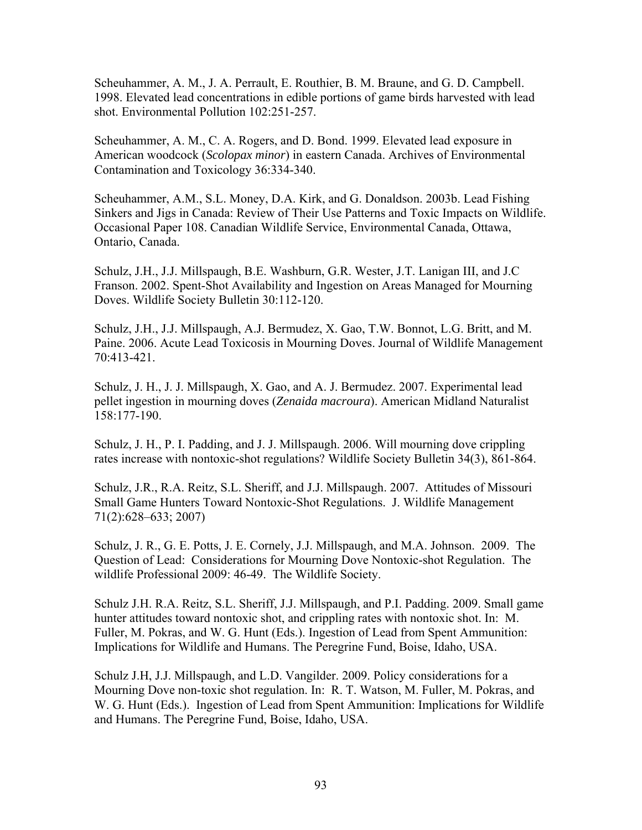Scheuhammer, A. M., J. A. Perrault, E. Routhier, B. M. Braune, and G. D. Campbell. 1998. Elevated lead concentrations in edible portions of game birds harvested with lead shot. Environmental Pollution 102:251-257.

Scheuhammer, A. M., C. A. Rogers, and D. Bond. 1999. Elevated lead exposure in American woodcock (*Scolopax minor*) in eastern Canada. Archives of Environmental Contamination and Toxicology 36:334-340.

Scheuhammer, A.M., S.L. Money, D.A. Kirk, and G. Donaldson. 2003b. Lead Fishing Sinkers and Jigs in Canada: Review of Their Use Patterns and Toxic Impacts on Wildlife. Occasional Paper 108. Canadian Wildlife Service, Environmental Canada, Ottawa, Ontario, Canada.

Schulz, J.H., J.J. Millspaugh, B.E. Washburn, G.R. Wester, J.T. Lanigan III, and J.C Franson. 2002. Spent-Shot Availability and Ingestion on Areas Managed for Mourning Doves. Wildlife Society Bulletin 30:112-120.

Schulz, J.H., J.J. Millspaugh, A.J. Bermudez, X. Gao, T.W. Bonnot, L.G. Britt, and M. Paine. 2006. Acute Lead Toxicosis in Mourning Doves. Journal of Wildlife Management 70:413-421.

Schulz, J. H., J. J. Millspaugh, X. Gao, and A. J. Bermudez. 2007. Experimental lead pellet ingestion in mourning doves (*Zenaida macroura*). American Midland Naturalist 158:177-190.

Schulz, J. H., P. I. Padding, and J. J. Millspaugh. 2006. Will mourning dove crippling rates increase with nontoxic-shot regulations? Wildlife Society Bulletin 34(3), 861-864.

Schulz, J.R., R.A. Reitz, S.L. Sheriff, and J.J. Millspaugh. 2007. Attitudes of Missouri Small Game Hunters Toward Nontoxic-Shot Regulations. J. Wildlife Management 71(2):628–633; 2007)

Schulz, J. R., G. E. Potts, J. E. Cornely, J.J. Millspaugh, and M.A. Johnson. 2009. The Question of Lead: Considerations for Mourning Dove Nontoxic-shot Regulation. The wildlife Professional 2009: 46-49. The Wildlife Society.

Schulz J.H. R.A. Reitz, S.L. Sheriff, J.J. Millspaugh, and P.I. Padding. 2009. Small game hunter attitudes toward nontoxic shot, and crippling rates with nontoxic shot. In: M. Fuller, M. Pokras, and W. G. Hunt (Eds.). Ingestion of Lead from Spent Ammunition: Implications for Wildlife and Humans. The Peregrine Fund, Boise, Idaho, USA.

Schulz J.H, J.J. Millspaugh, and L.D. Vangilder. 2009. Policy considerations for a Mourning Dove non-toxic shot regulation. In: R. T. Watson, M. Fuller, M. Pokras, and W. G. Hunt (Eds.). Ingestion of Lead from Spent Ammunition: Implications for Wildlife and Humans. The Peregrine Fund, Boise, Idaho, USA.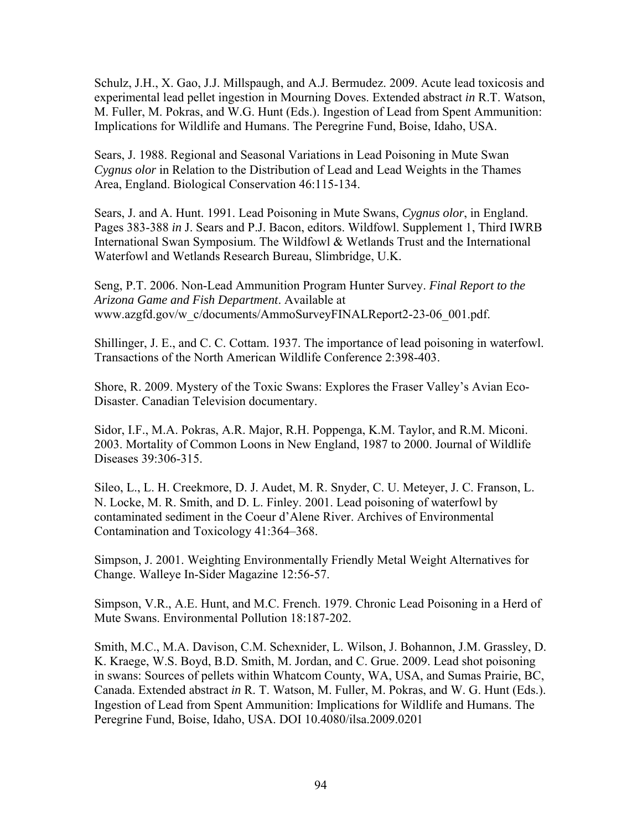Schulz, J.H., X. Gao, J.J. Millspaugh, and A.J. Bermudez. 2009. Acute lead toxicosis and experimental lead pellet ingestion in Mourning Doves. Extended abstract *in* R.T. Watson, M. Fuller, M. Pokras, and W.G. Hunt (Eds.). Ingestion of Lead from Spent Ammunition: Implications for Wildlife and Humans. The Peregrine Fund, Boise, Idaho, USA.

Sears, J. 1988. Regional and Seasonal Variations in Lead Poisoning in Mute Swan *Cygnus olor* in Relation to the Distribution of Lead and Lead Weights in the Thames Area, England. Biological Conservation 46:115-134.

Sears, J. and A. Hunt. 1991. Lead Poisoning in Mute Swans, *Cygnus olor*, in England. Pages 383-388 *in* J. Sears and P.J. Bacon, editors. Wildfowl. Supplement 1, Third IWRB International Swan Symposium. The Wildfowl & Wetlands Trust and the International Waterfowl and Wetlands Research Bureau, Slimbridge, U.K.

Seng, P.T. 2006. Non-Lead Ammunition Program Hunter Survey. *Final Report to the Arizona Game and Fish Department*. Available at www.azgfd.gov/w\_c/documents/AmmoSurveyFINALReport2-23-06\_001.pdf.

Shillinger, J. E., and C. C. Cottam. 1937. The importance of lead poisoning in waterfowl. Transactions of the North American Wildlife Conference 2:398-403.

Shore, R. 2009. Mystery of the Toxic Swans: Explores the Fraser Valley's Avian Eco-Disaster. Canadian Television documentary.

Sidor, I.F., M.A. Pokras, A.R. Major, R.H. Poppenga, K.M. Taylor, and R.M. Miconi. 2003. Mortality of Common Loons in New England, 1987 to 2000. Journal of Wildlife Diseases 39:306-315.

Sileo, L., L. H. Creekmore, D. J. Audet, M. R. Snyder, C. U. Meteyer, J. C. Franson, L. N. Locke, M. R. Smith, and D. L. Finley. 2001. Lead poisoning of waterfowl by contaminated sediment in the Coeur d'Alene River. Archives of Environmental Contamination and Toxicology 41:364–368.

Simpson, J. 2001. Weighting Environmentally Friendly Metal Weight Alternatives for Change. Walleye In-Sider Magazine 12:56-57.

Simpson, V.R., A.E. Hunt, and M.C. French. 1979. Chronic Lead Poisoning in a Herd of Mute Swans. Environmental Pollution 18:187-202.

Smith, M.C., M.A. Davison, C.M. Schexnider, L. Wilson, J. Bohannon, J.M. Grassley, D. K. Kraege, W.S. Boyd, B.D. Smith, M. Jordan, and C. Grue. 2009. Lead shot poisoning in swans: Sources of pellets within Whatcom County, WA, USA, and Sumas Prairie, BC, Canada. Extended abstract *in* R. T. Watson, M. Fuller, M. Pokras, and W. G. Hunt (Eds.). Ingestion of Lead from Spent Ammunition: Implications for Wildlife and Humans. The Peregrine Fund, Boise, Idaho, USA. DOI 10.4080/ilsa.2009.0201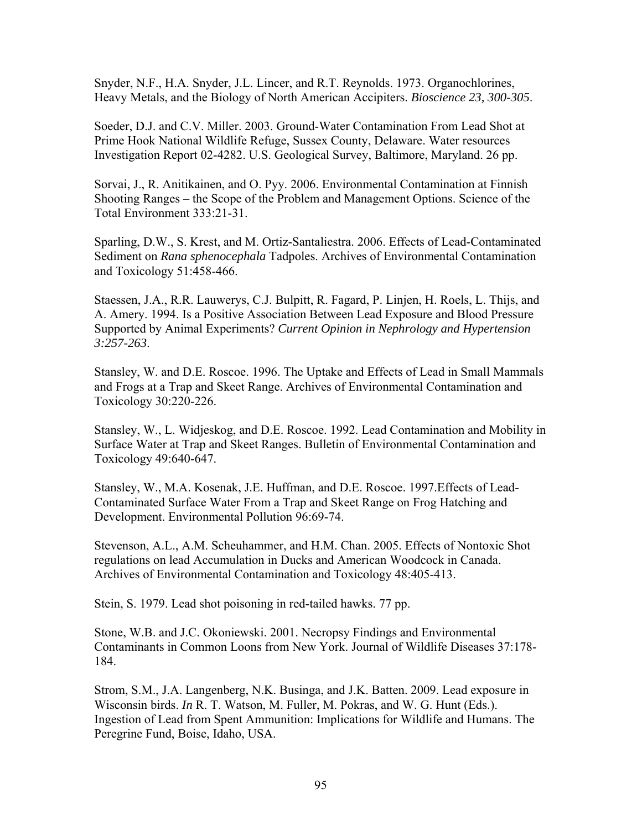Snyder, N.F., H.A. Snyder, J.L. Lincer, and R.T. Reynolds. 1973. Organochlorines, Heavy Metals, and the Biology of North American Accipiters. *Bioscience 23, 300-305*.

Soeder, D.J. and C.V. Miller. 2003. Ground-Water Contamination From Lead Shot at Prime Hook National Wildlife Refuge, Sussex County, Delaware. Water resources Investigation Report 02-4282. U.S. Geological Survey, Baltimore, Maryland. 26 pp.

Sorvai, J., R. Anitikainen, and O. Pyy. 2006. Environmental Contamination at Finnish Shooting Ranges – the Scope of the Problem and Management Options. Science of the Total Environment 333:21-31.

Sparling, D.W., S. Krest, and M. Ortiz-Santaliestra. 2006. Effects of Lead-Contaminated Sediment on *Rana sphenocephala* Tadpoles. Archives of Environmental Contamination and Toxicology 51:458-466.

Staessen, J.A., R.R. Lauwerys, C.J. Bulpitt, R. Fagard, P. Linjen, H. Roels, L. Thijs, and A. Amery. 1994. Is a Positive Association Between Lead Exposure and Blood Pressure Supported by Animal Experiments? *Current Opinion in Nephrology and Hypertension 3:257-263*.

Stansley, W. and D.E. Roscoe. 1996. The Uptake and Effects of Lead in Small Mammals and Frogs at a Trap and Skeet Range. Archives of Environmental Contamination and Toxicology 30:220-226.

Stansley, W., L. Widjeskog, and D.E. Roscoe. 1992. Lead Contamination and Mobility in Surface Water at Trap and Skeet Ranges. Bulletin of Environmental Contamination and Toxicology 49:640-647.

Stansley, W., M.A. Kosenak, J.E. Huffman, and D.E. Roscoe. 1997.Effects of Lead-Contaminated Surface Water From a Trap and Skeet Range on Frog Hatching and Development. Environmental Pollution 96:69-74.

Stevenson, A.L., A.M. Scheuhammer, and H.M. Chan. 2005. Effects of Nontoxic Shot regulations on lead Accumulation in Ducks and American Woodcock in Canada. Archives of Environmental Contamination and Toxicology 48:405-413.

Stein, S. 1979. Lead shot poisoning in red-tailed hawks. 77 pp.

Stone, W.B. and J.C. Okoniewski. 2001. Necropsy Findings and Environmental Contaminants in Common Loons from New York. Journal of Wildlife Diseases 37:178- 184.

Strom, S.M., J.A. Langenberg, N.K. Businga, and J.K. Batten. 2009. Lead exposure in Wisconsin birds. *In* R. T. Watson, M. Fuller, M. Pokras, and W. G. Hunt (Eds.). Ingestion of Lead from Spent Ammunition: Implications for Wildlife and Humans. The Peregrine Fund, Boise, Idaho, USA.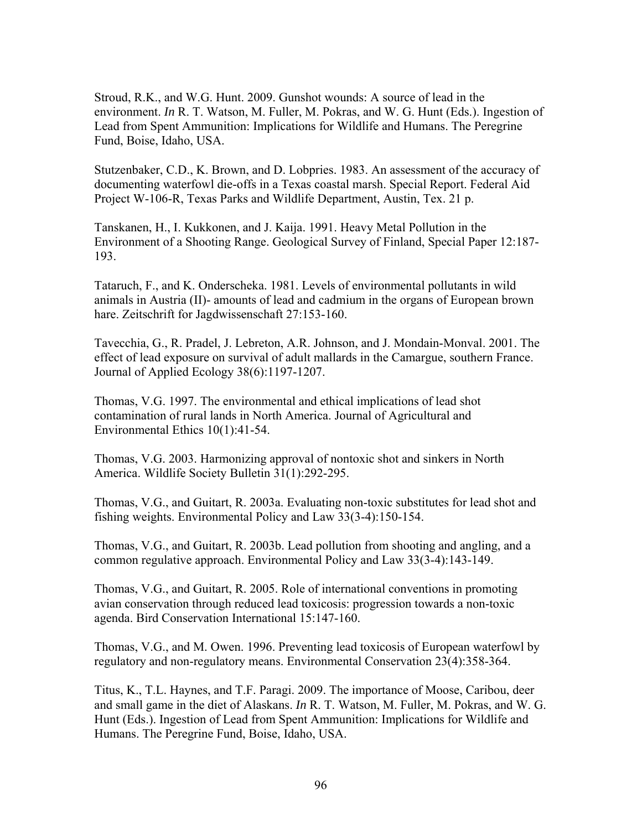Stroud, R.K., and W.G. Hunt. 2009. Gunshot wounds: A source of lead in the environment. *In* R. T. Watson, M. Fuller, M. Pokras, and W. G. Hunt (Eds.). Ingestion of Lead from Spent Ammunition: Implications for Wildlife and Humans. The Peregrine Fund, Boise, Idaho, USA.

Stutzenbaker, C.D., K. Brown, and D. Lobpries. 1983. An assessment of the accuracy of documenting waterfowl die-offs in a Texas coastal marsh. Special Report. Federal Aid Project W-106-R, Texas Parks and Wildlife Department, Austin, Tex. 21 p.

Tanskanen, H., I. Kukkonen, and J. Kaija. 1991. Heavy Metal Pollution in the Environment of a Shooting Range. Geological Survey of Finland, Special Paper 12:187- 193.

Tataruch, F., and K. Onderscheka. 1981. Levels of environmental pollutants in wild animals in Austria (II)- amounts of lead and cadmium in the organs of European brown hare. Zeitschrift for Jagdwissenschaft 27:153-160.

Tavecchia, G., R. Pradel, J. Lebreton, A.R. Johnson, and J. Mondain-Monval. 2001. The effect of lead exposure on survival of adult mallards in the Camargue, southern France. Journal of Applied Ecology 38(6):1197-1207.

Thomas, V.G. 1997. The environmental and ethical implications of lead shot contamination of rural lands in North America. Journal of Agricultural and Environmental Ethics 10(1):41-54.

Thomas, V.G. 2003. Harmonizing approval of nontoxic shot and sinkers in North America. Wildlife Society Bulletin 31(1):292-295.

Thomas, V.G., and Guitart, R. 2003a. Evaluating non-toxic substitutes for lead shot and fishing weights. Environmental Policy and Law 33(3-4):150-154.

Thomas, V.G., and Guitart, R. 2003b. Lead pollution from shooting and angling, and a common regulative approach. Environmental Policy and Law 33(3-4):143-149.

Thomas, V.G., and Guitart, R. 2005. Role of international conventions in promoting avian conservation through reduced lead toxicosis: progression towards a non-toxic agenda. Bird Conservation International 15:147-160.

Thomas, V.G., and M. Owen. 1996. Preventing lead toxicosis of European waterfowl by regulatory and non-regulatory means. Environmental Conservation 23(4):358-364.

Titus, K., T.L. Haynes, and T.F. Paragi. 2009. The importance of Moose, Caribou, deer and small game in the diet of Alaskans. *In* R. T. Watson, M. Fuller, M. Pokras, and W. G. Hunt (Eds.). Ingestion of Lead from Spent Ammunition: Implications for Wildlife and Humans. The Peregrine Fund, Boise, Idaho, USA.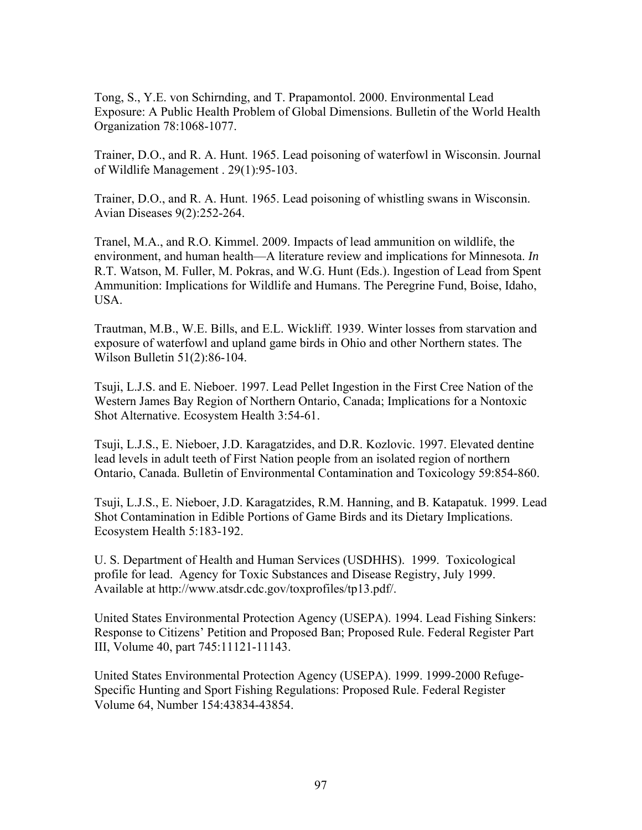Tong, S., Y.E. von Schirnding, and T. Prapamontol. 2000. Environmental Lead Exposure: A Public Health Problem of Global Dimensions. Bulletin of the World Health Organization 78:1068-1077.

Trainer, D.O., and R. A. Hunt. 1965. Lead poisoning of waterfowl in Wisconsin. Journal of Wildlife Management . 29(1):95-103.

Trainer, D.O., and R. A. Hunt. 1965. Lead poisoning of whistling swans in Wisconsin. Avian Diseases 9(2):252-264.

Tranel, M.A., and R.O. Kimmel. 2009. Impacts of lead ammunition on wildlife, the environment, and human health—A literature review and implications for Minnesota. *In*  R.T. Watson, M. Fuller, M. Pokras, and W.G. Hunt (Eds.). Ingestion of Lead from Spent Ammunition: Implications for Wildlife and Humans. The Peregrine Fund, Boise, Idaho, USA.

Trautman, M.B., W.E. Bills, and E.L. Wickliff. 1939. Winter losses from starvation and exposure of waterfowl and upland game birds in Ohio and other Northern states. The Wilson Bulletin 51(2):86-104.

Tsuji, L.J.S. and E. Nieboer. 1997. Lead Pellet Ingestion in the First Cree Nation of the Western James Bay Region of Northern Ontario, Canada; Implications for a Nontoxic Shot Alternative. Ecosystem Health 3:54-61.

Tsuji, L.J.S., E. Nieboer, J.D. Karagatzides, and D.R. Kozlovic. 1997. Elevated dentine lead levels in adult teeth of First Nation people from an isolated region of northern Ontario, Canada. Bulletin of Environmental Contamination and Toxicology 59:854-860.

Tsuji, L.J.S., E. Nieboer, J.D. Karagatzides, R.M. Hanning, and B. Katapatuk. 1999. Lead Shot Contamination in Edible Portions of Game Birds and its Dietary Implications. Ecosystem Health 5:183-192.

U. S. Department of Health and Human Services (USDHHS). 1999. Toxicological profile for lead. Agency for Toxic Substances and Disease Registry, July 1999. Available at http://www.atsdr.cdc.gov/toxprofiles/tp13.pdf/.

United States Environmental Protection Agency (USEPA). 1994. Lead Fishing Sinkers: Response to Citizens' Petition and Proposed Ban; Proposed Rule. Federal Register Part III, Volume 40, part 745:11121-11143.

United States Environmental Protection Agency (USEPA). 1999. 1999-2000 Refuge-Specific Hunting and Sport Fishing Regulations: Proposed Rule. Federal Register Volume 64, Number 154:43834-43854.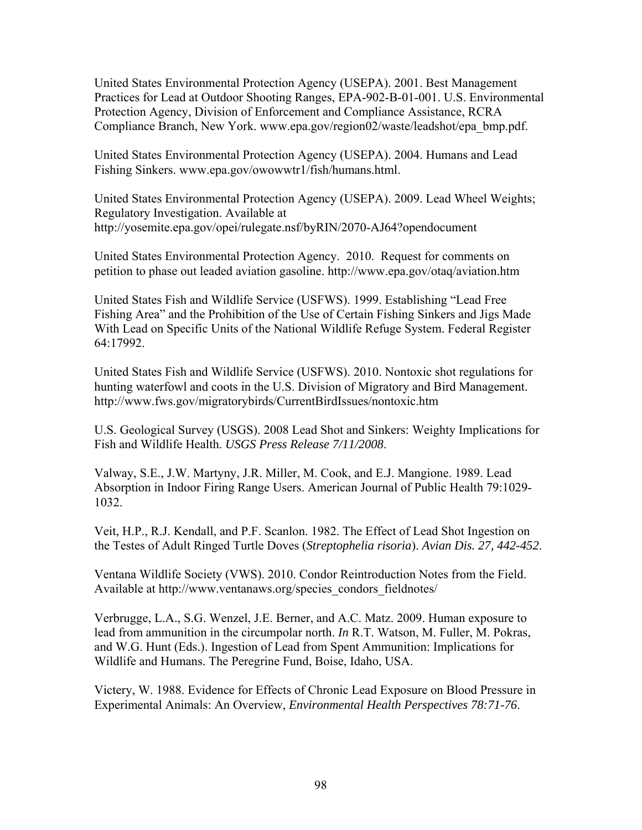United States Environmental Protection Agency (USEPA). 2001. Best Management Practices for Lead at Outdoor Shooting Ranges, EPA-902-B-01-001. U.S. Environmental Protection Agency, Division of Enforcement and Compliance Assistance, RCRA Compliance Branch, New York. www.epa.gov/region02/waste/leadshot/epa\_bmp.pdf.

United States Environmental Protection Agency (USEPA). 2004. Humans and Lead Fishing Sinkers. www.epa.gov/owowwtr1/fish/humans.html.

United States Environmental Protection Agency (USEPA). 2009. Lead Wheel Weights; Regulatory Investigation. Available at http://yosemite.epa.gov/opei/rulegate.nsf/byRIN/2070-AJ64?opendocument

United States Environmental Protection Agency. 2010. Request for comments on petition to phase out leaded aviation gasoline. http://www.epa.gov/otaq/aviation.htm

United States Fish and Wildlife Service (USFWS). 1999. Establishing "Lead Free Fishing Area" and the Prohibition of the Use of Certain Fishing Sinkers and Jigs Made With Lead on Specific Units of the National Wildlife Refuge System. Federal Register 64:17992.

United States Fish and Wildlife Service (USFWS). 2010. Nontoxic shot regulations for hunting waterfowl and coots in the U.S. Division of Migratory and Bird Management. http://www.fws.gov/migratorybirds/CurrentBirdIssues/nontoxic.htm

U.S. Geological Survey (USGS). 2008 Lead Shot and Sinkers: Weighty Implications for Fish and Wildlife Health. *USGS Press Release 7/11/2008*.

Valway, S.E., J.W. Martyny, J.R. Miller, M. Cook, and E.J. Mangione. 1989. Lead Absorption in Indoor Firing Range Users. American Journal of Public Health 79:1029- 1032.

Veit, H.P., R.J. Kendall, and P.F. Scanlon. 1982. The Effect of Lead Shot Ingestion on the Testes of Adult Ringed Turtle Doves (*Streptophelia risoria*). *Avian Dis. 27, 442-452*.

Ventana Wildlife Society (VWS). 2010. Condor Reintroduction Notes from the Field. Available at http://www.ventanaws.org/species\_condors\_fieldnotes/

Verbrugge, L.A., S.G. Wenzel, J.E. Berner, and A.C. Matz. 2009. Human exposure to lead from ammunition in the circumpolar north. *In* R.T. Watson, M. Fuller, M. Pokras, and W.G. Hunt (Eds.). Ingestion of Lead from Spent Ammunition: Implications for Wildlife and Humans. The Peregrine Fund, Boise, Idaho, USA.

Victery, W. 1988. Evidence for Effects of Chronic Lead Exposure on Blood Pressure in Experimental Animals: An Overview, *Environmental Health Perspectives 78:71-76*.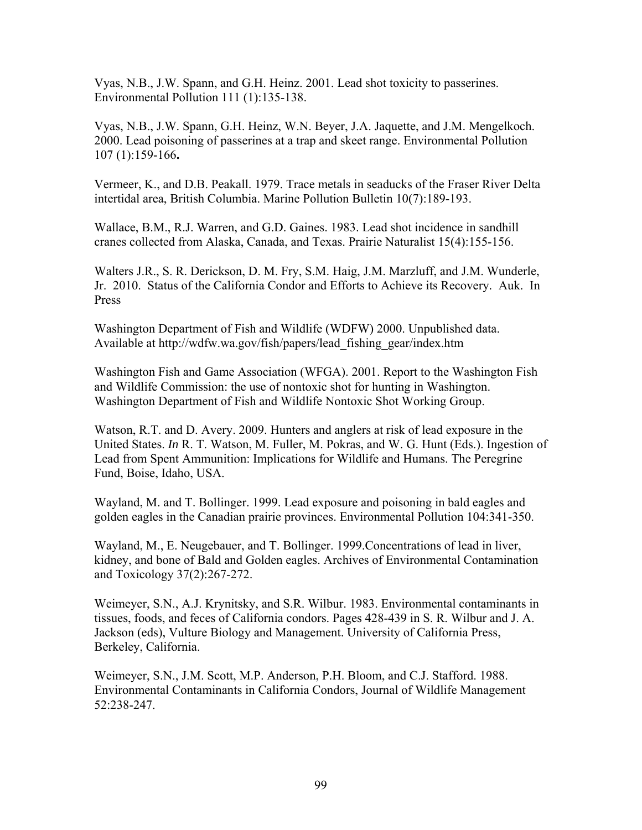Vyas, N.B., J.W. Spann, and G.H. Heinz. 2001. Lead shot toxicity to passerines. Environmental Pollution 111 (1):135-138.

Vyas, N.B., J.W. Spann, G.H. Heinz, W.N. Beyer, J.A. Jaquette, and J.M. Mengelkoch. 2000. Lead poisoning of passerines at a trap and skeet range. Environmental Pollution 107 (1):159-166**.** 

Vermeer, K., and D.B. Peakall. 1979. Trace metals in seaducks of the Fraser River Delta intertidal area, British Columbia. Marine Pollution Bulletin 10(7):189-193.

Wallace, B.M., R.J. Warren, and G.D. Gaines. 1983. Lead shot incidence in sandhill cranes collected from Alaska, Canada, and Texas. Prairie Naturalist 15(4):155-156.

Walters J.R., S. R. Derickson, D. M. Fry, S.M. Haig, J.M. Marzluff, and J.M. Wunderle, Jr. 2010. Status of the California Condor and Efforts to Achieve its Recovery. Auk. In Press

Washington Department of Fish and Wildlife (WDFW) 2000. Unpublished data. Available at http://wdfw.wa.gov/fish/papers/lead\_fishing\_gear/index.htm

Washington Fish and Game Association (WFGA). 2001. Report to the Washington Fish and Wildlife Commission: the use of nontoxic shot for hunting in Washington. Washington Department of Fish and Wildlife Nontoxic Shot Working Group.

Watson, R.T. and D. Avery. 2009. Hunters and anglers at risk of lead exposure in the United States. *In* R. T. Watson, M. Fuller, M. Pokras, and W. G. Hunt (Eds.). Ingestion of Lead from Spent Ammunition: Implications for Wildlife and Humans. The Peregrine Fund, Boise, Idaho, USA.

Wayland, M. and T. Bollinger. 1999. Lead exposure and poisoning in bald eagles and golden eagles in the Canadian prairie provinces. Environmental Pollution 104:341-350.

Wayland, M., E. Neugebauer, and T. Bollinger. 1999.Concentrations of lead in liver, kidney, and bone of Bald and Golden eagles. Archives of Environmental Contamination and Toxicology 37(2):267-272.

Weimeyer, S.N., A.J. Krynitsky, and S.R. Wilbur. 1983. Environmental contaminants in tissues, foods, and feces of California condors. Pages 428-439 in S. R. Wilbur and J. A. Jackson (eds), Vulture Biology and Management. University of California Press, Berkeley, California.

Weimeyer, S.N., J.M. Scott, M.P. Anderson, P.H. Bloom, and C.J. Stafford. 1988. Environmental Contaminants in California Condors, Journal of Wildlife Management 52:238-247.